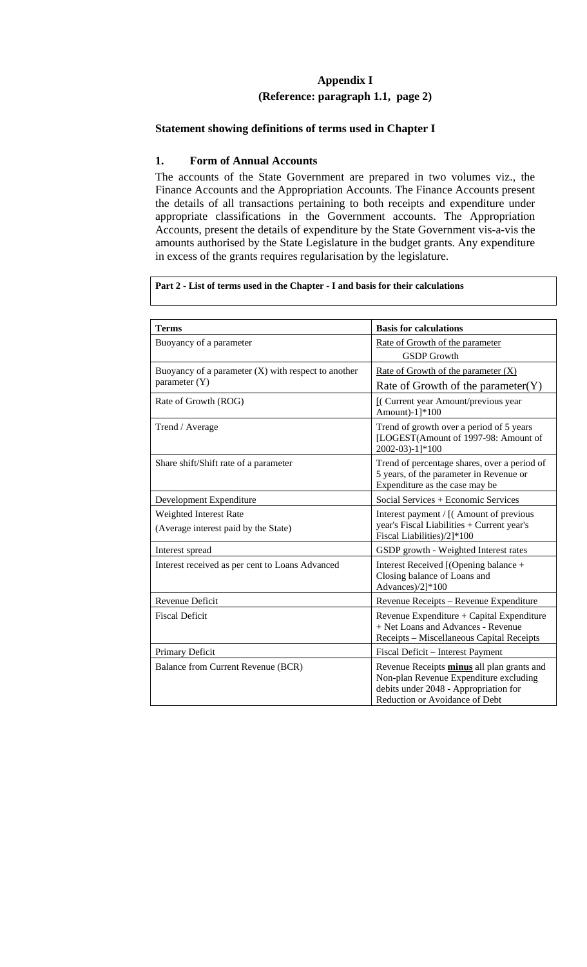# **Appendix I (Reference: paragraph 1.1, page 2)**

### **Statement showing definitions of terms used in Chapter I**

### **1. Form of Annual Accounts**

The accounts of the State Government are prepared in two volumes viz., the Finance Accounts and the Appropriation Accounts. The Finance Accounts present the details of all transactions pertaining to both receipts and expenditure under appropriate classifications in the Government accounts. The Appropriation Accounts, present the details of expenditure by the State Government vis-a-vis the amounts authorised by the State Legislature in the budget grants. Any expenditure in excess of the grants requires regularisation by the legislature.

**Part 2 - List of terms used in the Chapter - I and basis for their calculations** 

| <b>Terms</b>                                                           | <b>Basis for calculations</b>                                                                                                                                   |
|------------------------------------------------------------------------|-----------------------------------------------------------------------------------------------------------------------------------------------------------------|
| Buoyancy of a parameter                                                | Rate of Growth of the parameter<br><b>GSDP</b> Growth                                                                                                           |
| Buoyancy of a parameter $(X)$ with respect to another<br>parameter (Y) | Rate of Growth of the parameter $(X)$<br>Rate of Growth of the parameter $(Y)$                                                                                  |
| Rate of Growth (ROG)                                                   | [(Current year Amount/previous year<br>Amount)-1]*100                                                                                                           |
| Trend / Average                                                        | Trend of growth over a period of 5 years<br>[LOGEST(Amount of 1997-98: Amount of<br>2002-03)-1]*100                                                             |
| Share shift/Shift rate of a parameter                                  | Trend of percentage shares, over a period of<br>5 years, of the parameter in Revenue or<br>Expenditure as the case may be                                       |
| Development Expenditure                                                | Social Services + Economic Services                                                                                                                             |
| Weighted Interest Rate<br>(Average interest paid by the State)         | Interest payment / [(Amount of previous<br>year's Fiscal Liabilities + Current year's<br>Fiscal Liabilities)/2]*100                                             |
| Interest spread                                                        | GSDP growth - Weighted Interest rates                                                                                                                           |
| Interest received as per cent to Loans Advanced                        | Interest Received [(Opening balance +<br>Closing balance of Loans and<br>Advances)/2]*100                                                                       |
| Revenue Deficit                                                        | Revenue Receipts - Revenue Expenditure                                                                                                                          |
| <b>Fiscal Deficit</b>                                                  | Revenue Expenditure + Capital Expenditure<br>+ Net Loans and Advances - Revenue<br>Receipts - Miscellaneous Capital Receipts                                    |
| Primary Deficit                                                        | Fiscal Deficit - Interest Payment                                                                                                                               |
| Balance from Current Revenue (BCR)                                     | Revenue Receipts minus all plan grants and<br>Non-plan Revenue Expenditure excluding<br>debits under 2048 - Appropriation for<br>Reduction or Avoidance of Debt |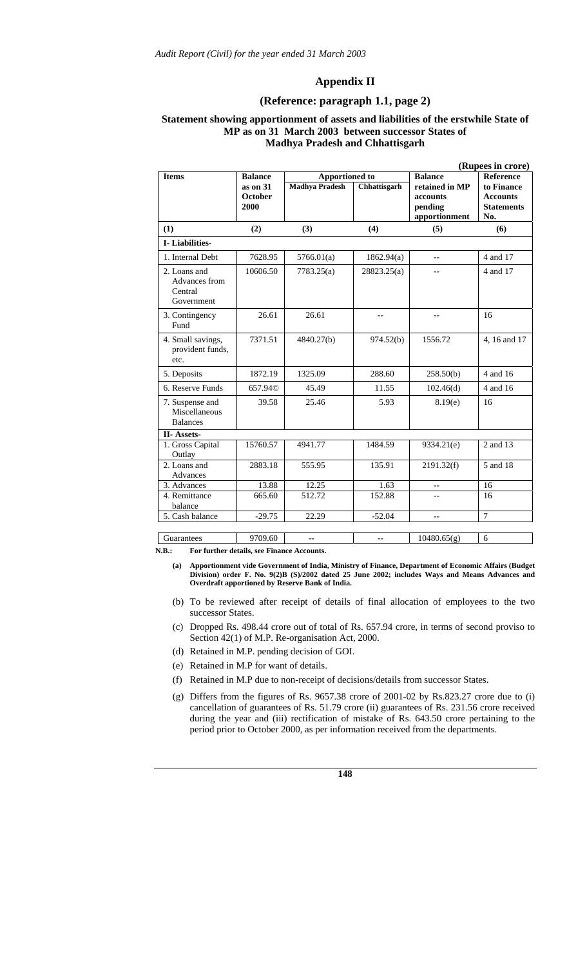#### **Appendix II**

#### **(Reference: paragraph 1.1, page 2)**

#### **Statement showing apportionment of assets and liabilities of the erstwhile State of MP as on 31 March 2003 between successor States of Madhya Pradesh and Chhattisgarh**

|                                                        |                     |                       |              |                | (Rupees in crore) |
|--------------------------------------------------------|---------------------|-----------------------|--------------|----------------|-------------------|
| <b>Items</b>                                           | <b>Balance</b>      | <b>Apportioned to</b> |              | <b>Balance</b> | <b>Reference</b>  |
|                                                        | $as$ on $31$        | <b>Madhya Pradesh</b> | Chhattisgarh | retained in MP | to Finance        |
|                                                        | October             |                       |              | accounts       | <b>Accounts</b>   |
|                                                        | 2000                |                       |              | pending        | <b>Statements</b> |
|                                                        |                     |                       |              | apportionment  | No.               |
| (1)                                                    | (2)                 | (3)                   | (4)          | (5)            | (6)               |
| I-Liabilities-                                         |                     |                       |              |                |                   |
| 1. Internal Debt                                       | 7628.95             | 5766.01(a)            | 1862.94(a)   | $-$            | 4 and 17          |
| 2. Loans and<br>Advances from<br>Central<br>Government | 10606.50            | 7783.25(a)            | 28823.25(a)  |                | 4 and 17          |
| 3. Contingency<br>Fund                                 | 26.61               | 26.61                 | $-$          | $-$            | 16                |
| 4. Small savings,<br>provident funds,<br>etc.          | 7371.51             | 4840.27(b)            | 974.52(b)    | 1556.72        | 4, 16 and 17      |
| 5. Deposits                                            | 1872.19             | 1325.09               | 288.60       | 258.50(b)      | 4 and 16          |
| 6. Reserve Funds                                       | 657.94 <sup>©</sup> | 45.49                 | 11.55        | 102.46(d)      | 4 and 16          |
| 7. Suspense and<br>Miscellaneous<br><b>Balances</b>    | 39.58               | 25.46                 | 5.93         | 8.19(e)        | 16                |
| II-Assets-                                             |                     |                       |              |                |                   |
| 1. Gross Capital                                       | 15760.57            | 4941.77               | 1484.59      | 9334.21(e)     | 2 and 13          |
| Outlay<br>2. Loans and                                 | 2883.18             | 555.95                | 135.91       | 2191.32(f)     | 5 and 18          |
| Advances                                               |                     |                       |              |                |                   |
| 3. Advances                                            | 13.88               | 12.25                 | 1.63         |                | 16                |
| 4. Remittance                                          | 665.60              | 512.72                | 152.88       |                | 16                |
| balance                                                |                     |                       |              |                |                   |
| 5. Cash balance                                        | $-29.75$            | 22.29                 | $-52.04$     | $-$            | $\overline{7}$    |
|                                                        |                     |                       |              |                |                   |
| Guarantees                                             | 9709.60             | $-$                   | $-$          | 10480.65(g)    | 6                 |

**N.B.: For further details, see Finance Accounts.** 

- **(a) Apportionment vide Government of India, Ministry of Finance, Department of Economic Affairs (Budget Division) order F. No. 9(2)B (S)/2002 dated 25 June 2002; includes Ways and Means Advances and Overdraft apportioned by Reserve Bank of India.**
- (b) To be reviewed after receipt of details of final allocation of employees to the two successor States.
- (c) Dropped Rs. 498.44 crore out of total of Rs. 657.94 crore, in terms of second proviso to Section 42(1) of M.P. Re-organisation Act, 2000.
- (d) Retained in M.P. pending decision of GOI.
- (e) Retained in M.P for want of details.
- (f) Retained in M.P due to non-receipt of decisions/details from successor States.
- (g) Differs from the figures of Rs. 9657.38 crore of 2001-02 by Rs.823.27 crore due to (i) cancellation of guarantees of Rs. 51.79 crore (ii) guarantees of Rs. 231.56 crore received during the year and (iii) rectification of mistake of Rs. 643.50 crore pertaining to the period prior to October 2000, as per information received from the departments.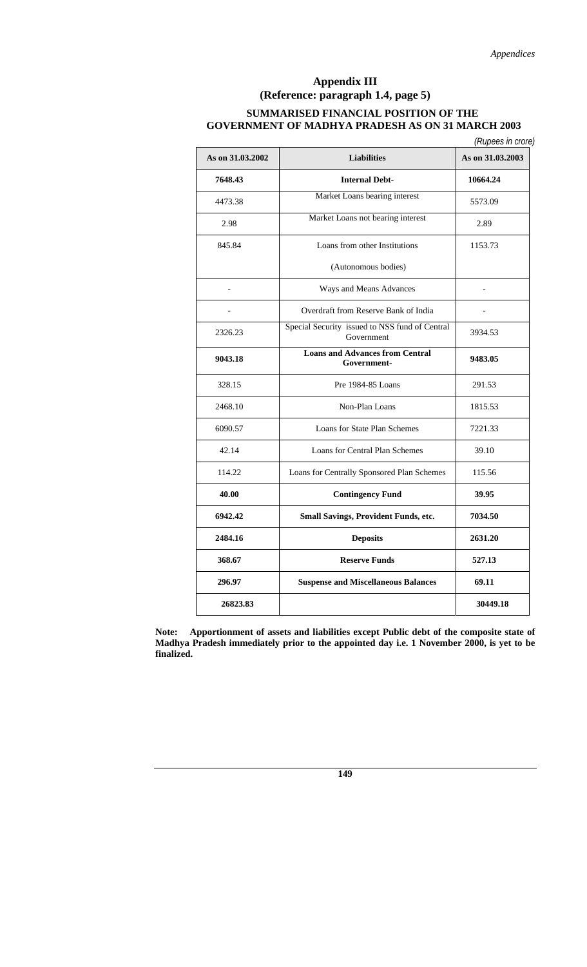## **Appendix III (Reference: paragraph 1.4, page 5) SUMMARISED FINANCIAL POSITION OF THE GOVERNMENT OF MADHYA PRADESH AS ON 31 MARCH 2003**

|  |  | (Rupees in crore) |
|--|--|-------------------|
|  |  |                   |

| As on 31.03.2002 | <b>Liabilities</b>                                           | As on 31.03.2003 |
|------------------|--------------------------------------------------------------|------------------|
| 7648.43          | <b>Internal Debt-</b>                                        | 10664.24         |
| 4473.38          | Market Loans bearing interest                                | 5573.09          |
| 2.98             | Market Loans not bearing interest                            | 2.89             |
| 845.84           | Loans from other Institutions                                | 1153.73          |
|                  | (Autonomous bodies)                                          |                  |
| $\overline{a}$   | Ways and Means Advances                                      |                  |
|                  | Overdraft from Reserve Bank of India                         |                  |
| 2326.23          | Special Security issued to NSS fund of Central<br>Government | 3934.53          |
| 9043.18          | <b>Loans and Advances from Central</b><br>Government-        | 9483.05          |
| 328.15           | Pre 1984-85 Loans                                            | 291.53           |
| 2468.10          | Non-Plan Loans                                               | 1815.53          |
| 6090.57          | Loans for State Plan Schemes                                 | 7221.33          |
| 42.14            | Loans for Central Plan Schemes                               | 39.10            |
| 114.22           | Loans for Centrally Sponsored Plan Schemes                   | 115.56           |
| 40.00            | <b>Contingency Fund</b>                                      | 39.95            |
| 6942.42          | Small Savings, Provident Funds, etc.                         | 7034.50          |
| 2484.16          | <b>Deposits</b>                                              | 2631.20          |
| 368.67           | <b>Reserve Funds</b>                                         | 527.13           |
| 296.97           | <b>Suspense and Miscellaneous Balances</b>                   | 69.11            |
| 26823.83         |                                                              | 30449.18         |

**Note: Apportionment of assets and liabilities except Public debt of the composite state of Madhya Pradesh immediately prior to the appointed day i.e. 1 November 2000, is yet to be finalized.**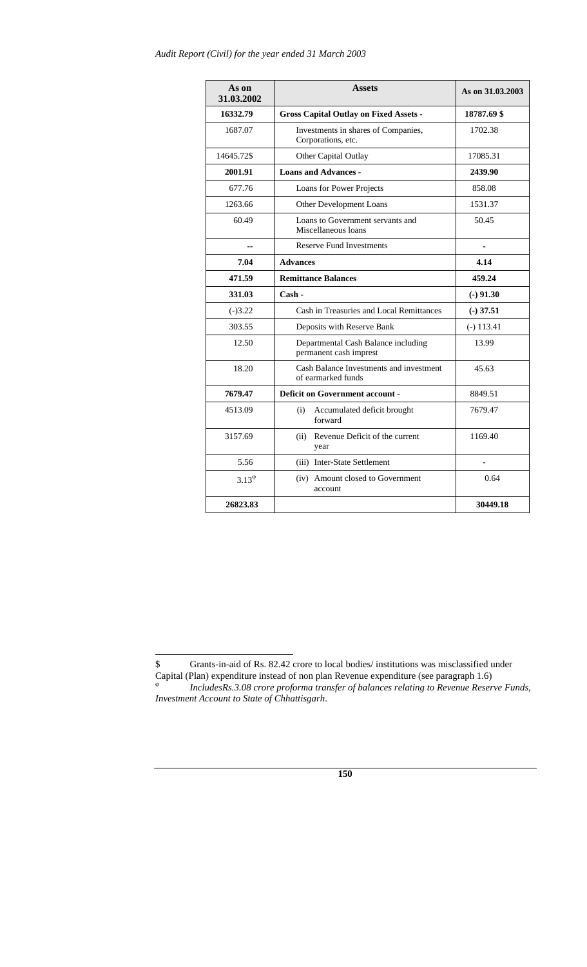| As on<br>31.03.2002 | <b>Assets</b>                                                 | As on 31.03.2003 |
|---------------------|---------------------------------------------------------------|------------------|
| 16332.79            | <b>Gross Capital Outlay on Fixed Assets -</b>                 | 18787.69 \$      |
| 1687.07             | Investments in shares of Companies,<br>Corporations, etc.     | 1702.38          |
| 14645.72\$          | Other Capital Outlay                                          | 17085.31         |
| 2001.91             | <b>Loans and Advances -</b>                                   | 2439.90          |
| 677.76              | Loans for Power Projects                                      | 858.08           |
| 1263.66             | Other Development Loans                                       | 1531.37          |
| 60.49               | Loans to Government servants and<br>Miscellaneous loans       | 50.45            |
| ۵.                  | <b>Reserve Fund Investments</b>                               |                  |
| 7.04                | <b>Advances</b>                                               | 4.14             |
| 471.59              | <b>Remittance Balances</b>                                    | 459.24           |
| 331.03              | Cash -                                                        | $(-)$ 91.30      |
| $(-)3.22$           | Cash in Treasuries and Local Remittances                      | $(-)$ 37.51      |
| 303.55              | Deposits with Reserve Bank                                    | $(-)$ 113.41     |
| 12.50               | Departmental Cash Balance including<br>permanent cash imprest | 13.99            |
| 18.20               | Cash Balance Investments and investment<br>of earmarked funds | 45.63            |
| 7679.47             | <b>Deficit on Government account -</b>                        | 8849.51          |
| 4513.09             | (i)<br>Accumulated deficit brought<br>forward                 | 7679.47          |
| 3157.69             | (ii) Revenue Deficit of the current<br>year                   | 1169.40          |
| 5.56                | (iii) Inter-State Settlement                                  |                  |
| $3.13^{\circ}$      | (iv) Amount closed to Government<br>account                   | 0.64             |
| 26823.83            |                                                               | 30449.18         |

l

<sup>\$</sup> Grants-in-aid of Rs. 82.42 crore to local bodies/ institutions was misclassified under Capital (Plan) expenditure instead of non plan Revenue expenditure (see paragraph 1.6) <sup>ϕ</sup> *IncludesRs.3.08 crore proforma transfer of balances relating to Revenue Reserve Funds, Investment Account to State of Chhattisgarh*.

**<sup>150</sup>**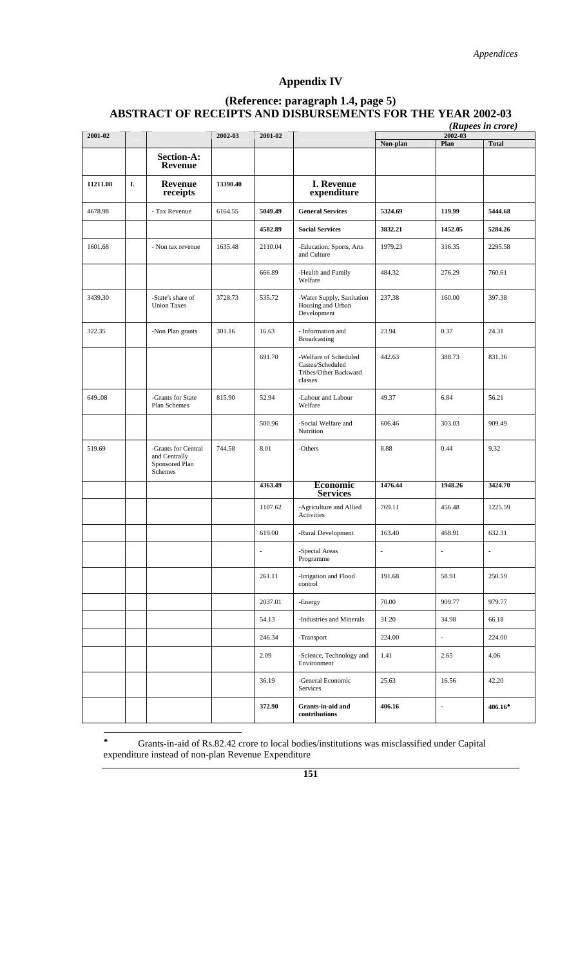# **Appendix IV**

## **(Reference: paragraph 1.4, page 5) ABSTRACT OF RECEIPTS AND DISBURSEMENTS FOR THE YEAR 2002-03**

|          |    |                                                                   |          |         |                                                                               |          |                     | (Rupees in crore) |
|----------|----|-------------------------------------------------------------------|----------|---------|-------------------------------------------------------------------------------|----------|---------------------|-------------------|
| 2001-02  |    |                                                                   | 2002-03  | 2001-02 |                                                                               | Non-plan | $2002 - 03$<br>Plan | <b>Total</b>      |
|          |    | <b>Section-A:</b><br>Revenue                                      |          |         |                                                                               |          |                     |                   |
| 11211.08 | I. | <b>Revenue</b><br>receipts                                        | 13390.40 |         | <b>I. Revenue</b><br>expenditure                                              |          |                     |                   |
| 4678.98  |    | - Tax Revenue                                                     | 6164.55  | 5049.49 | <b>General Services</b>                                                       | 5324.69  | 119.99              | 5444.68           |
|          |    |                                                                   |          | 4582.89 | <b>Social Services</b>                                                        | 3832.21  | 1452.05             | 5284.26           |
| 1601.68  |    | - Non tax revenue                                                 | 1635.48  | 2110.04 | -Education, Sports, Arts<br>and Culture                                       | 1979.23  | 316.35              | 2295.58           |
|          |    |                                                                   |          | 666.89  | -Health and Family<br>Welfare                                                 | 484.32   | 276.29              | 760.61            |
| 3439.30  |    | -State's share of<br><b>Union Taxes</b>                           | 3728.73  | 535.72  | -Water Supply, Sanitation<br>Housing and Urban<br>Development                 | 237.38   | 160.00              | 397.38            |
| 322.35   |    | -Non Plan grants                                                  | 301.16   | 16.63   | - Information and<br><b>Broadcasting</b>                                      | 23.94    | 0.37                | 24.31             |
|          |    |                                                                   |          | 691.70  | -Welfare of Scheduled<br>Castes/Scheduled<br>Tribes/Other Backward<br>classes | 442.63   | 388.73              | 831.36            |
| 649.08   |    | -Grants for State<br>Plan Schemes                                 | 815.90   | 52.94   | -Labour and Labour<br>Welfare                                                 | 49.37    | 6.84                | 56.21             |
|          |    |                                                                   |          | 500.96  | -Social Welfare and<br>Nutrition                                              | 606.46   | 303.03              | 909.49            |
| 519.69   |    | -Grants for Central<br>and Centrally<br>Sponsored Plan<br>Schemes | 744.58   | 8.01    | -Others                                                                       | 8.88     | 0.44                | 9.32              |
|          |    |                                                                   |          | 4363.49 | <b>Economic</b><br><b>Services</b>                                            | 1476.44  | 1948.26             | 3424.70           |
|          |    |                                                                   |          | 1107.62 | -Agriculture and Allied<br>Activities                                         | 769.11   | 456.48              | 1225.59           |
|          |    |                                                                   |          | 619.00  | -Rural Development                                                            | 163.40   | 468.91              | 632.31            |
|          |    |                                                                   |          |         | -Special Areas $\,$<br>Programme                                              |          |                     |                   |
|          |    |                                                                   |          | 261.11  | -Irrigation and Flood<br>control                                              | 191.68   | 58.91               | 250.59            |
|          |    |                                                                   |          | 2037.01 | -Energy                                                                       | 70.00    | 909.77              | 979.77            |
|          |    |                                                                   |          | 54.13   | -Industries and Minerals                                                      | 31.20    | 34.98               | 66.18             |
|          |    |                                                                   |          | 246.34  | -Transport                                                                    | 224.00   | ÷                   | 224.00            |
|          |    |                                                                   |          | 2.09    | -Science, Technology and<br>Environment                                       | 1.41     | 2.65                | 4.06              |
|          |    |                                                                   |          | 36.19   | -General Economic<br>Services                                                 | 25.63    | 16.56               | 42.20             |
|          |    |                                                                   |          | 372.90  | Grants-in-aid and<br>contributions                                            | 406.16   | $\overline{a}$      | 406.16            |

 $\spadesuit$ ♠ Grants-in-aid of Rs.82.42 crore to local bodies/institutions was misclassified under Capital expenditure instead of non-plan Revenue Expenditure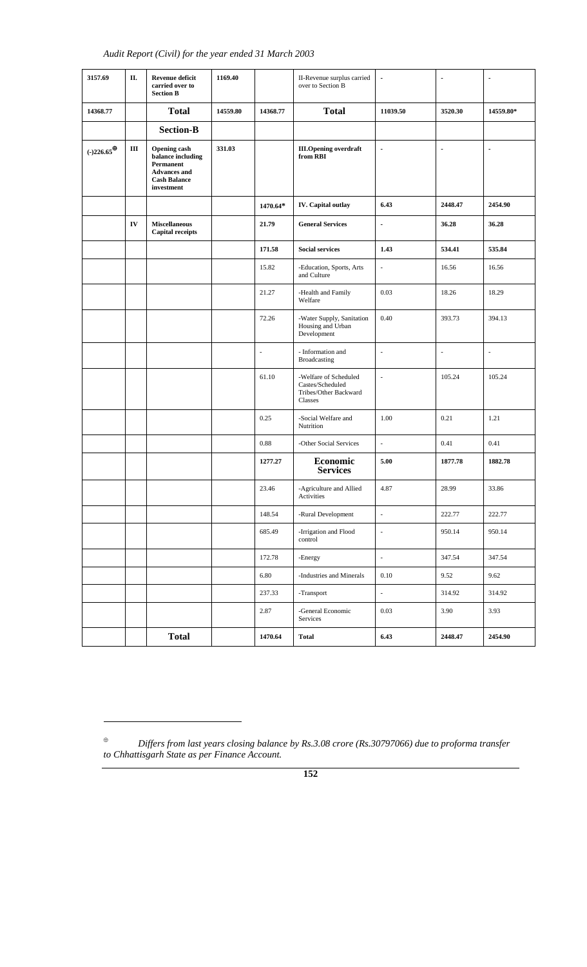| 3157.69                 | П. | <b>Revenue deficit</b><br>carried over to<br><b>Section B</b>                                                     | 1169.40  |                          | II-Revenue surplus carried<br>$\blacksquare$<br>over to Section B             |                          | $\blacksquare$           | $\blacksquare$ |
|-------------------------|----|-------------------------------------------------------------------------------------------------------------------|----------|--------------------------|-------------------------------------------------------------------------------|--------------------------|--------------------------|----------------|
| 14368.77                |    | <b>Total</b>                                                                                                      | 14559.80 | 14368.77                 | <b>Total</b>                                                                  | 11039.50                 | 3520.30                  | 14559.80*      |
|                         |    | <b>Section-B</b>                                                                                                  |          |                          |                                                                               |                          |                          |                |
| $(-)226.65^{\bigoplus}$ | Ш  | <b>Opening cash</b><br>balance including<br>Permanent<br><b>Advances and</b><br><b>Cash Balance</b><br>investment | 331.03   |                          | <b>III.Opening overdraft</b><br>from RBI                                      | $\overline{\phantom{a}}$ | $\overline{\phantom{a}}$ | ÷,             |
|                         |    |                                                                                                                   |          | 1470.64*                 | IV. Capital outlay                                                            | 6.43                     | 2448.47                  | 2454.90        |
|                         | IV | <b>Miscellaneous</b><br><b>Capital receipts</b>                                                                   |          | 21.79                    | <b>General Services</b>                                                       | $\blacksquare$           | 36.28                    | 36.28          |
|                         |    |                                                                                                                   |          | 171.58                   | <b>Social services</b>                                                        | 1.43                     | 534.41                   | 535.84         |
|                         |    |                                                                                                                   |          | 15.82                    | -Education, Sports, Arts<br>and Culture                                       |                          | 16.56                    | 16.56          |
|                         |    |                                                                                                                   |          | 21.27                    | -Health and Family<br>Welfare                                                 | 0.03                     | 18.26                    | 18.29          |
|                         |    |                                                                                                                   |          | 72.26                    | -Water Supply, Sanitation<br>Housing and Urban<br>Development                 | 0.40                     | 393.73                   | 394.13         |
|                         |    |                                                                                                                   |          | $\overline{\phantom{a}}$ | - Information and<br><b>Broadcasting</b>                                      | $\blacksquare$           | $\blacksquare$           | $\Box$         |
|                         |    |                                                                                                                   |          | 61.10                    | -Welfare of Scheduled<br>Castes/Scheduled<br>Tribes/Other Backward<br>Classes | ä,                       | 105.24                   | 105.24         |
|                         |    |                                                                                                                   |          | 0.25                     | -Social Welfare and<br>Nutrition                                              | 1.00                     | 0.21                     | 1.21           |
|                         |    |                                                                                                                   |          | 0.88                     | -Other Social Services                                                        | $\blacksquare$           | 0.41                     | 0.41           |
|                         |    |                                                                                                                   |          | 1277.27                  | Economic<br><b>Services</b>                                                   | 5.00                     | 1877.78                  | 1882.78        |
|                         |    |                                                                                                                   |          | 23.46                    | -Agriculture and Allied<br>Activities                                         | 4.87                     | 28.99                    | 33.86          |
|                         |    |                                                                                                                   |          | 148.54                   | -Rural Development                                                            | $\overline{\phantom{a}}$ | 222.77                   | 222.77         |
|                         |    |                                                                                                                   |          | 685.49                   | -Irrigation and Flood<br>control                                              | $\blacksquare$           | 950.14                   | 950.14         |
|                         |    |                                                                                                                   |          | 172.78                   | -Energy                                                                       | $\Box$                   | 347.54                   | 347.54         |
|                         |    |                                                                                                                   |          | 6.80                     | -Industries and Minerals                                                      | 0.10                     | 9.52                     | 9.62           |
|                         |    |                                                                                                                   |          | 237.33                   | -Transport                                                                    | ÷,                       | 314.92                   | 314.92         |
|                         |    |                                                                                                                   |          | 2.87                     | -General Economic<br>Services                                                 | 0.03                     | 3.90                     | 3.93           |
|                         |    | <b>Total</b>                                                                                                      |          | 1470.64                  | <b>Total</b>                                                                  | 6.43                     | 2448.47                  | 2454.90        |

 $\overline{a}$ 

<sup>⊕</sup> *Differs from last years closing balance by Rs.3.08 crore (Rs.30797066) due to proforma transfer to Chhattisgarh State as per Finance Account.*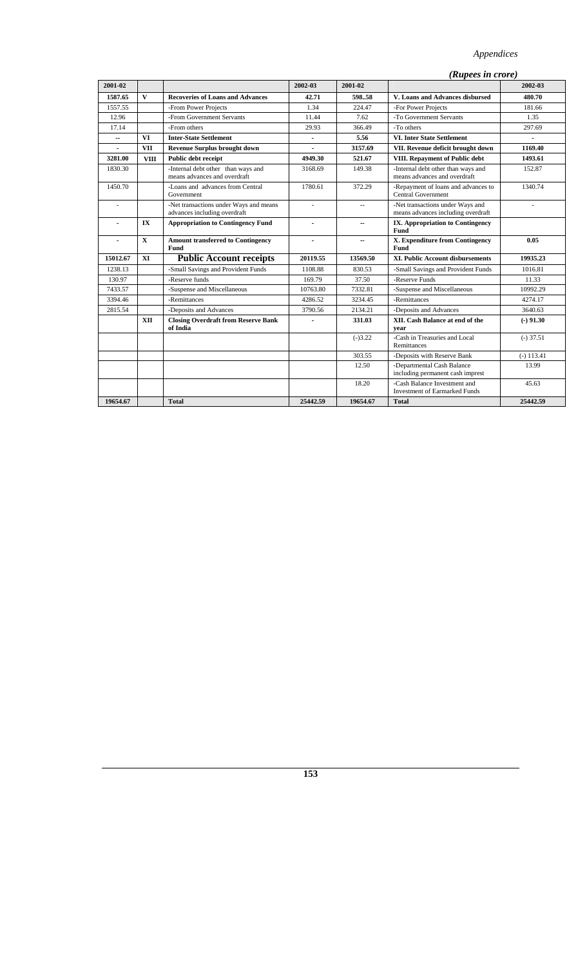| 2001-02        |                         |                                                                        | 2002-03        | 2001-02   |                                                                        | 2002-03        |
|----------------|-------------------------|------------------------------------------------------------------------|----------------|-----------|------------------------------------------------------------------------|----------------|
| 1587.65        | $\mathbf{V}$            | <b>Recoveries of Loans and Advances</b>                                | 42.71          | 59858     | V. Loans and Advances disbursed                                        | 480.70         |
| 1557.55        |                         | -From Power Projects                                                   | 1.34           | 224.47    | -For Power Projects                                                    | 181.66         |
| 12.96          |                         | -From Government Servants                                              | 11.44          | 7.62      | -To Government Servants                                                | 1.35           |
| 17.14          |                         | -From others                                                           | 29.93          | 366.49    | -To others                                                             | 297.69         |
| -−             | <b>VI</b>               | <b>Inter-State Settlement</b>                                          | $\blacksquare$ | 5.56      | <b>VI. Inter State Settlement</b>                                      | $\blacksquare$ |
| $\sim$         | <b>VII</b>              | <b>Revenue Surplus brought down</b>                                    |                | 3157.69   | VII. Revenue deficit brought down                                      | 1169.40        |
| 3281.00        | <b>VIII</b>             | Public debt receipt                                                    | 4949.30        | 521.67    | VIII. Repayment of Public debt                                         | 1493.61        |
| 1830.30        |                         | -Internal debt other than ways and<br>means advances and overdraft     | 3168.69        | 149.38    | -Internal debt other than ways and<br>means advances and overdraft     | 152.87         |
| 1450.70        |                         | -Loans and advances from Central<br>Government                         | 1780.61        | 372.29    | -Repayment of loans and advances to<br><b>Central Government</b>       | 1340.74        |
| $\overline{a}$ |                         | -Net transactions under Ways and means<br>advances including overdraft | L.             | $\sim$    | -Net transactions under Ways and<br>means advances including overdraft | ÷.             |
|                | $\mathbf{I} \mathbf{X}$ | <b>Appropriation to Contingency Fund</b>                               | $\overline{a}$ | --        | IX. Appropriation to Contingency<br>Fund                               |                |
| $\overline{a}$ | $\mathbf{x}$            | <b>Amount transferred to Contingency</b><br><b>Fund</b>                | $\overline{a}$ | --        | X. Expenditure from Contingency<br><b>Fund</b>                         | 0.05           |
| 15012.67       | XI                      | <b>Public Account receipts</b>                                         | 20119.55       | 13569.50  | <b>XI. Public Account disbursements</b>                                | 19935.23       |
| 1238.13        |                         | -Small Savings and Provident Funds                                     | 1108.88        | 830.53    | -Small Savings and Provident Funds                                     | 1016.81        |
| 130.97         |                         | -Reserve funds                                                         | 169.79         | 37.50     | -Reserve Funds                                                         | 11.33          |
| 7433.57        |                         | -Suspense and Miscellaneous                                            | 10763.80       | 7332.81   | -Suspense and Miscellaneous                                            | 10992.29       |
| 3394.46        |                         | -Remittances                                                           | 4286.52        | 3234.45   | -Remittances                                                           | 4274.17        |
| 2815.54        |                         | -Deposits and Advances                                                 | 3790.56        | 2134.21   | -Deposits and Advances                                                 | 3640.63        |
|                | <b>XII</b>              | <b>Closing Overdraft from Reserve Bank</b><br>of India                 | $\overline{a}$ | 331.03    | XII. Cash Balance at end of the<br>vear                                | $(-) 91.30$    |
|                |                         |                                                                        |                | $(-)3.22$ | -Cash in Treasuries and Local<br>Remittances                           | $(-)$ 37.51    |
|                |                         |                                                                        |                | 303.55    | -Deposits with Reserve Bank                                            | $(-) 113.41$   |
|                |                         |                                                                        |                | 12.50     | -Departmental Cash Balance<br>including permanent cash imprest         | 13.99          |
|                |                         |                                                                        |                | 18.20     | -Cash Balance Investment and<br><b>Investment of Earmarked Funds</b>   | 45.63          |
| 19654.67       |                         | <b>Total</b>                                                           | 25442.59       | 19654.67  | <b>Total</b>                                                           | 25442.59       |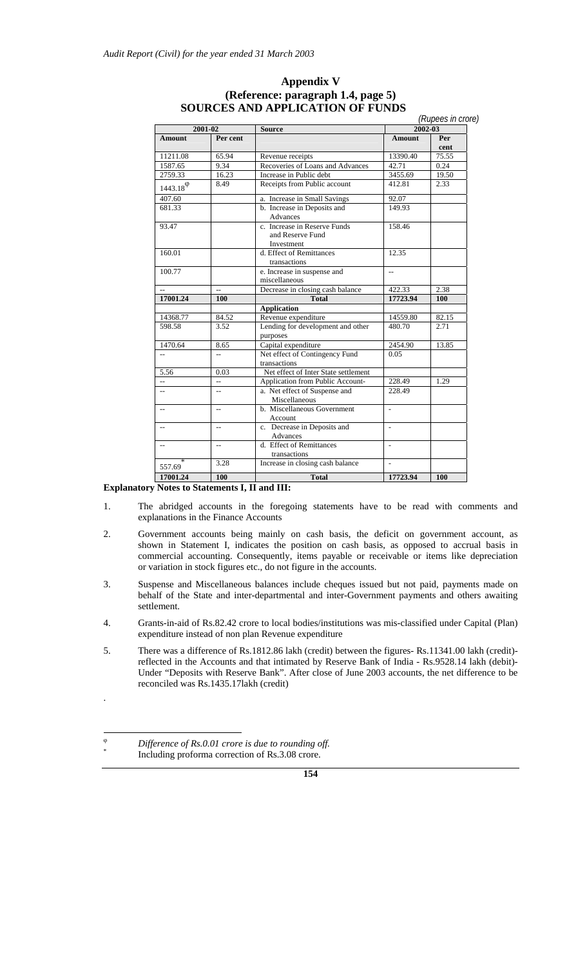#### **Appendix V (Reference: paragraph 1.4, page 5) SOURCES AND APPLICATION OF FUNDS**

|                          | $2001 - 02$    | <b>Source</b>                                                  |                          | (Rupees in crore)<br>$2002 - 03$ |
|--------------------------|----------------|----------------------------------------------------------------|--------------------------|----------------------------------|
| <b>Amount</b>            | Per cent       |                                                                | <b>Amount</b>            | Per<br>cent                      |
| 11211.08                 | 65.94          | Revenue receipts                                               | 13390.40                 | 75.55                            |
| 1587.65                  | 9.34           | Recoveries of Loans and Advances                               | 42.71                    | 0.24                             |
| 2759.33                  | 16.23          | Increase in Public debt                                        | 3455.69                  | 19.50                            |
| $1443.18^{\circ}$        | 8.49           | Receipts from Public account                                   | 412.81                   | 2.33                             |
| 407.60                   |                | a. Increase in Small Savings                                   | 92.07                    |                                  |
| 681.33                   |                | b. Increase in Deposits and<br>Advances                        | 149.93                   |                                  |
| 93.47                    |                | c. Increase in Reserve Funds<br>and Reserve Fund<br>Investment | 158.46                   |                                  |
| 160.01                   |                | d. Effect of Remittances<br>transactions                       | 12.35                    |                                  |
| 100.77                   |                | e. Increase in suspense and<br>miscellaneous                   | $\overline{\phantom{a}}$ |                                  |
| $\overline{\phantom{a}}$ | $\overline{a}$ | Decrease in closing cash balance                               | 422.33                   | 2.38                             |
| 17001.24                 | 100            | <b>Total</b>                                                   | 17723.94                 | 100                              |
|                          |                | <b>Application</b>                                             |                          |                                  |
| 14368.77                 | 84.52          | Revenue expenditure                                            | 14559.80                 | 82.15                            |
| 598.58                   | 3.52           | Lending for development and other<br>purposes                  | 480.70                   | 2.71                             |
| 1470.64                  | 8.65           | Capital expenditure                                            | 2454.90                  | 13.85                            |
| $\sim$                   | u.             | Net effect of Contingency Fund<br>transactions                 | 0.05                     |                                  |
| 5.56                     | 0.03           | Net effect of Inter State settlement                           |                          |                                  |
| $\overline{a}$           | $\overline{a}$ | Application from Public Account-                               | 228.49                   | 1.29                             |
| $- -$                    | $\overline{a}$ | a. Net effect of Suspense and<br>Miscellaneous                 | 228.49                   |                                  |
| $\overline{a}$           | $\overline{a}$ | b. Miscellaneous Government<br><b>Account</b>                  | L.                       |                                  |
| $\overline{a}$           | $\overline{a}$ | c. Decrease in Deposits and<br>Advances                        | L.                       |                                  |
| $\overline{a}$           | $-$            | d. Effect of Remittances<br>transactions                       | ÷,                       |                                  |
| 557.69                   | 3.28           | Increase in closing cash balance                               |                          |                                  |
| 17001.24                 | 100            | <b>Total</b>                                                   | 17723.94                 | 100                              |

#### **Explanatory Notes to Statements I, II and III:**

- 1. The abridged accounts in the foregoing statements have to be read with comments and explanations in the Finance Accounts
- 2. Government accounts being mainly on cash basis, the deficit on government account, as shown in Statement I, indicates the position on cash basis, as opposed to accrual basis in commercial accounting. Consequently, items payable or receivable or items like depreciation or variation in stock figures etc., do not figure in the accounts.
- 3. Suspense and Miscellaneous balances include cheques issued but not paid, payments made on behalf of the State and inter-departmental and inter-Government payments and others awaiting settlement.
- 4. Grants-in-aid of Rs.82.42 crore to local bodies/institutions was mis-classified under Capital (Plan) expenditure instead of non plan Revenue expenditure
- 5. There was a difference of Rs.1812.86 lakh (credit) between the figures- Rs.11341.00 lakh (credit) reflected in the Accounts and that intimated by Reserve Bank of India - Rs.9528.14 lakh (debit)- Under "Deposits with Reserve Bank". After close of June 2003 accounts, the net difference to be reconciled was Rs.1435.17lakh (credit)

.

<sup>ϕ</sup> *Difference of Rs.0.01 crore is due to rounding off.* \* Including proforma correction of Rs.3.08 crore.

**<sup>154</sup>**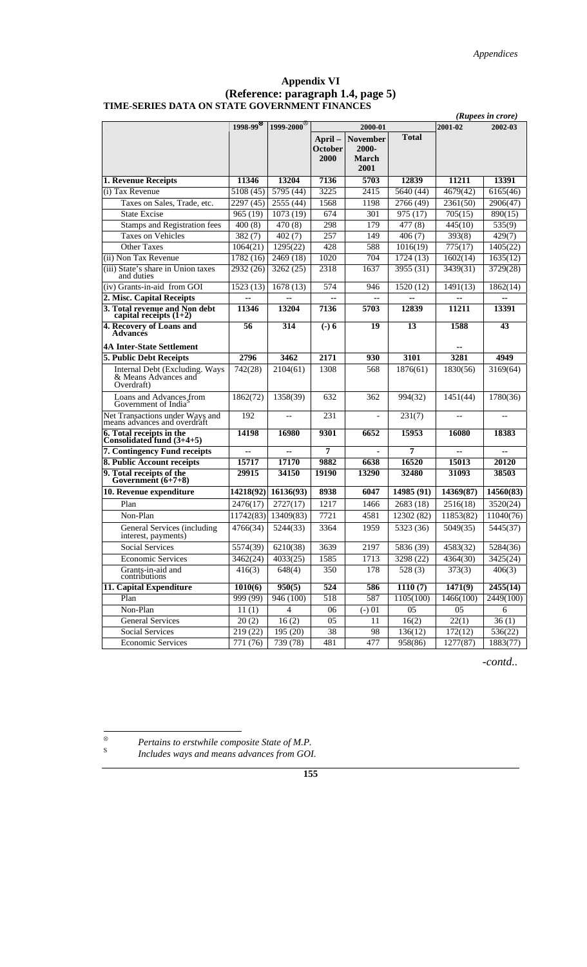#### **Appendix VI (Reference: paragraph 1.4, page 5) TIME-SERIES DATA ON STATE GOVERNMENT FINANCES**

|                                                                      |                       |                        | (Rupees in crore) |                          |                     |           |                     |
|----------------------------------------------------------------------|-----------------------|------------------------|-------------------|--------------------------|---------------------|-----------|---------------------|
|                                                                      | 1998-99 <sup>85</sup> | 1999-2000 <sup>8</sup> |                   | 2000-01                  |                     | 2001-02   | 2002-03             |
|                                                                      |                       |                        | April-<br>October | <b>November</b><br>2000- | <b>Total</b>        |           |                     |
|                                                                      |                       |                        | 2000              | <b>March</b><br>2001     |                     |           |                     |
| 1. Revenue Receipts                                                  | 11346                 | 13204                  | 7136              | 5703                     | 12839               | 11211     | 13391               |
| (i) Tax Revenue                                                      | 5108 (45)             | 5795 (44)              | 3225              | 2415                     | 5640 (44)           | 4679(42)  | 6165(46)            |
| Taxes on Sales, Trade, etc.                                          | 2297 (45)             | 2555 (44)              | 1568              | 1198                     | 2766 (49)           | 2361(50)  | 2906(47)            |
| <b>State Excise</b>                                                  | 965(19)               | 1073 (19)              | 674               | 301                      | 975 (17)            | 705(15)   | 890(15)             |
| <b>Stamps and Registration fees</b>                                  | 400(8)                | 470 (8)                | 298               | 179                      | $\overline{477(8)}$ | 445(10)   | $\overline{535(9)}$ |
| Taxes on Vehicles                                                    | 382(7)                | 402(7)                 | 257               | 149                      | 406(7)              | 393(8)    | 429(7)              |
| <b>Other Taxes</b>                                                   | 1064(21)              | 1295(22)               | 428               | 588                      | 1016(19)            | 775(17)   | 1405(22)            |
| (ii) Non Tax Revenue                                                 | 1782 (16)             | 2469 (18)              | 1020              | 704                      | 1724 (13)           | 1602(14)  | 1635(12)            |
| (iii) State's share in Union taxes<br>and duties                     | 2932 (26)             | 3262(25)               | 2318              | 1637                     | 3955 (31)           | 3439(31)  | 3729(28)            |
| (iv) Grants-in-aid from GOI                                          | 1523(13)              | 1678(13)               | 574               | 946                      | 1520 (12)           | 1491(13)  | 1862(14)            |
| 2. Misc. Capital Receipts                                            | н.                    | ۰.                     | $\sim$            | $\overline{\phantom{a}}$ | ۰.                  | --        | $\sim$              |
| 3. Total revenue and Non debt<br>capital receipts $(1+2)$            | 11346                 | 13204                  | 7136              | 5703                     | 12839               | 11211     | 13391               |
| 4. Recovery of Loans and<br><b>Advances</b>                          | 56                    | 314                    | $(-) 6$           | 19                       | 13                  | 1588      | 43                  |
| <b>4A Inter-State Settlement</b>                                     |                       |                        |                   |                          |                     |           |                     |
| 5. Public Debt Receipts                                              | 2796                  | 3462                   | 2171              | 930                      | 3101                | 3281      | 4949                |
| Internal Debt (Excluding. Ways<br>& Means Advances and<br>Overdraft) | 742(28)               | 2104(61)               | 1308              | 568                      | 1876(61)            | 1830(56)  | 3169(64)            |
| Loans and Advances from<br>Government of India <sup>s</sup>          | 1862(72)              | 1358(39)               | 632               | 362                      | 994(32)             | 1451(44)  | 1780(36)            |
| Net Transactions under Ways and<br>means advances and overdraft      | 192                   | $-$                    | 231               |                          | 231(7)              | $-$       |                     |
| 6. Total receipts in the<br>Consolidated fund $(3+4+5)$              | 14198                 | 16980                  | 9301              | 6652                     | 15953               | 16080     | 18383               |
| 7. Contingency Fund receipts                                         | μ.                    | ۵.                     | 7                 |                          | 7                   | --        |                     |
| 8. Public Account receipts                                           | 15717                 | 17170                  | 9882              | 6638                     | 16520               | 15013     | 20120               |
| 9. Total receipts of the<br>Government (6+7+8)                       | 29915                 | 34150                  | 19190             | 13290                    | 32480               | 31093     | 38503               |
| 10. Revenue expenditure                                              | 14218(92)             | 16136(93)              | 8938              | 6047                     | 14985 (91)          | 14369(87) | 14560(83)           |
| Plan                                                                 | 2476(17)              | 2727(17)               | 1217              | 1466                     | 2683 (18)           | 2516(18)  | 3520(24)            |
| Non-Plan                                                             | 11742(83)             | 13409(83)              | 7721              | 4581                     | 12302 (82)          | 11853(82) | 11040(76)           |
| General Services (including<br>interest, payments)                   | 4766(34)              | 5244(33)               | 3364              | 1959                     | 5323 (36)           | 5049(35)  | 5445(37)            |
| <b>Social Services</b>                                               | 5574(39)              | 6210(38)               | 3639              | 2197                     | 5836 (39)           | 4583(32)  | 5284(36)            |
| <b>Economic Services</b>                                             | 3462(24)              | 4033(25)               | 1585              | 1713                     | 3298 (22)           | 4364(30)  | 3425(24)            |
| Grants-in-aid and<br>contributions                                   | 416(3)                | 648(4)                 | 350               | 178                      | 528(3)              | 373(3)    | 406(3)              |
| 11. Capital Expenditure                                              | 1010(6)               | 950(5)                 | 524               | 586                      | 1110(7)             | 1471(9)   | 2455(14)            |
| Plan                                                                 | 999(99)               | 946 (100)              | 518               | 587                      | 1105(100)           | 1466(100) | 2449(100)           |
| Non-Plan                                                             | 11(1)                 | 4                      | 06                | $(-) 01$                 | 05                  | 05        | 6                   |
| <b>General Services</b>                                              | 20(2)                 | 16(2)                  | 05                | 11                       | 16(2)               | 22(1)     | 36(1)               |
| Social Services                                                      | 219 (22)              | 195 (20)               | 38                | 98                       | 136(12)             | 172(12)   | 536(22)             |
| <b>Economic Services</b>                                             | 771 (76)              | 739(78)                | 481               | 477                      | 958(86)             | 1277(87)  | 1883(77)            |

*-contd..* 

 $\otimes$ <sup>⊗</sup> *Pertains to erstwhile composite State of M.P.*

Includes ways and means advances from GOI.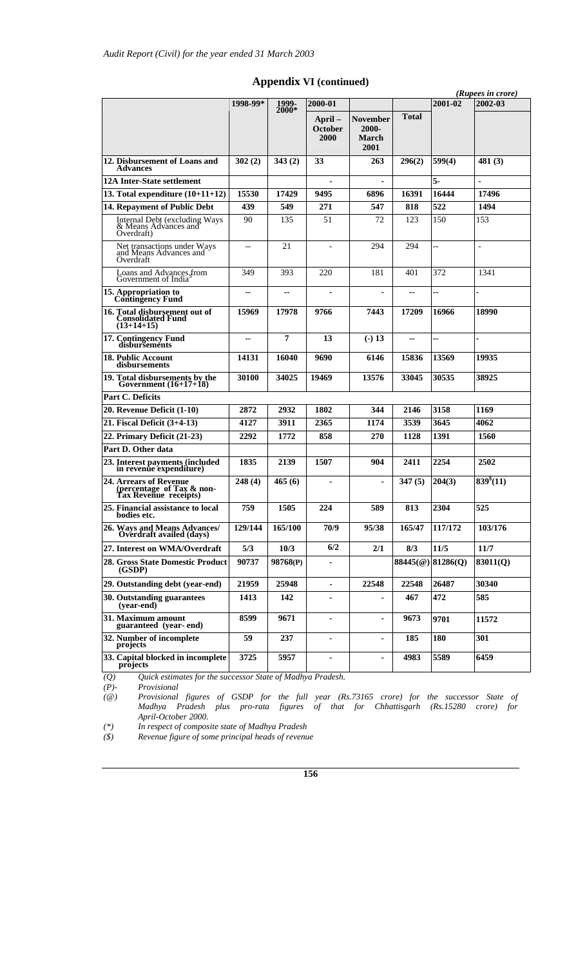|                                                                              |          |                  |                           |                                                  |                   |                | (Rupees in crore)     |  |
|------------------------------------------------------------------------------|----------|------------------|---------------------------|--------------------------------------------------|-------------------|----------------|-----------------------|--|
|                                                                              | 1998-99* | 1999-<br>$2000*$ | 2000-01                   |                                                  |                   | 2001-02        | 2002-03               |  |
|                                                                              |          |                  | April-<br>October<br>2000 | <b>November</b><br>2000-<br><b>March</b><br>2001 | <b>Total</b>      |                |                       |  |
| 12. Disbursement of Loans and<br><b>Advances</b>                             | 302(2)   | 343(2)           | 33                        | 263                                              | 296(2)            | 599(4)         | 481(3)                |  |
| <b>12A Inter-State settlement</b>                                            |          |                  | ٠                         |                                                  |                   | 5.             | ä,                    |  |
| 13. Total expenditure $(10+11+12)$                                           | 15530    | 17429            | 9495                      | 6896                                             | 16391             | 16444          | 17496                 |  |
| 14. Repayment of Public Debt                                                 | 439      | 549              | 271                       | 547                                              | 818               | 522            | 1494                  |  |
| Internal Debt (excluding Ways<br>& Means Advances and<br>Overdraft)          | 90       | 135              | 51                        | 72                                               | 123               | 150            | 153                   |  |
| Net transactions under Ways<br>and Means Advances and<br>Overdraft           | $-$      | 21               |                           | 294                                              | 294               | $\overline{a}$ | $\overline{a}$        |  |
| Loans and Advances from<br>Government of India                               | 349      | 393              | 220                       | 181                                              | 401               | 372            | 1341                  |  |
| 15. Appropriation to<br>Contingency Fund                                     | н.       | --               |                           |                                                  | --                | ä.             |                       |  |
| 16. Total disbursement out of<br><b>Consolidated Fund</b><br>$(13+14+15)$    | 15969    | 17978            | 9766                      | 7443                                             | 17209             | 16966          | 18990                 |  |
| 17. Contingency Fund<br>disbursements                                        | ۰.       | 7                | 13                        | $(-) 13$                                         | --                | ÷              |                       |  |
| 18. Public Account<br>disbursements                                          | 14131    | 16040            | 9690                      | 6146                                             | 15836             | 13569          | 19935                 |  |
| 19. Total disbursements by the Government $(16+17+18)$                       | 30100    | 34025            | 19469                     | 13576                                            | 33045             | 30535          | 38925                 |  |
| Part C. Deficits                                                             |          |                  |                           |                                                  |                   |                |                       |  |
| 20. Revenue Deficit (1-10)                                                   | 2872     | 2932             | 1802                      | 344                                              | 2146              | 3158           | 1169                  |  |
| 21. Fiscal Deficit (3+4-13)                                                  | 4127     | 3911             | 2365                      | 1174                                             | 3539              | 3645           | 4062                  |  |
| 22. Primary Deficit (21-23)                                                  | 2292     | 1772             | 858                       | 270                                              | 1128              | 1391           | 1560                  |  |
| Part D. Other data                                                           |          |                  |                           |                                                  |                   |                |                       |  |
| 23. Interest payments (included<br>in revenue expenditure)                   | 1835     | 2139             | 1507                      | 904                                              | 2411              | 2254           | 2502                  |  |
| 24. Arrears of Revenue<br>(percentage of Tax & non-<br>Tax Revenue receipts) | 248(4)   | 465(6)           |                           |                                                  | 347(5)            | 204(3)         | 839 <sup>8</sup> (11) |  |
| 25. Financial assistance to local<br>bodies etc.                             | 759      | 1505             | 224                       | 589                                              | 813               | 2304           | 525                   |  |
| 26. Ways and Means Advances/<br>Overdraft availed (days)                     | 129/144  | 165/100          | 70/9                      | 95/38                                            | 165/47            | 117/172        | 103/176               |  |
| 27. Interest on WMA/Overdraft                                                | 5/3      | 10/3             | 6/2                       | 2/1                                              | 8/3               | 11/5           | 11/7                  |  |
| 28. Gross State Domestic Product<br>(GSDP)                                   | 90737    | 98768(P)         |                           |                                                  | 88445(@) 81286(Q) |                | 83011(Q)              |  |
| 29. Outstanding debt (year-end)                                              | 21959    | 25948            | $\blacksquare$            | 22548                                            | 22548             | 26487          | 30340                 |  |
| 30. Outstanding guarantees<br>(year-end)                                     | 1413     | 142              |                           |                                                  | 467               | 472            | 585                   |  |
| 31. Maximum amount<br>guaranteed (year-end)                                  | 8599     | 9671             | ٠                         | ٠                                                | 9673              | 9701           | 11572                 |  |
| 32. Number of incomplete<br>projects                                         | 59       | 237              |                           | ٠                                                | 185               | 180            | 301                   |  |
| 33. Capital blocked in incomplete<br>projects                                | 3725     | 5957             | $\blacksquare$            | ä,                                               | 4983              | 5589           | 6459                  |  |

#### **Appendix VI (continued)**

*(Q) Quick estimates for the successor State of Madhya Pradesh.* 

*(P)- Provisional (@) Provisional figures of GSDP for the full year (Rs.73165 crore) for the successor State of Madhya Pradesh plus pro-rata figures of that for Chhattisgarh (Rs.15280 crore) for April-October 2000.* 

*(\*) In respect of composite state of Madhya Pradesh* 

*(\$) Revenue figure of some principal heads of revenue*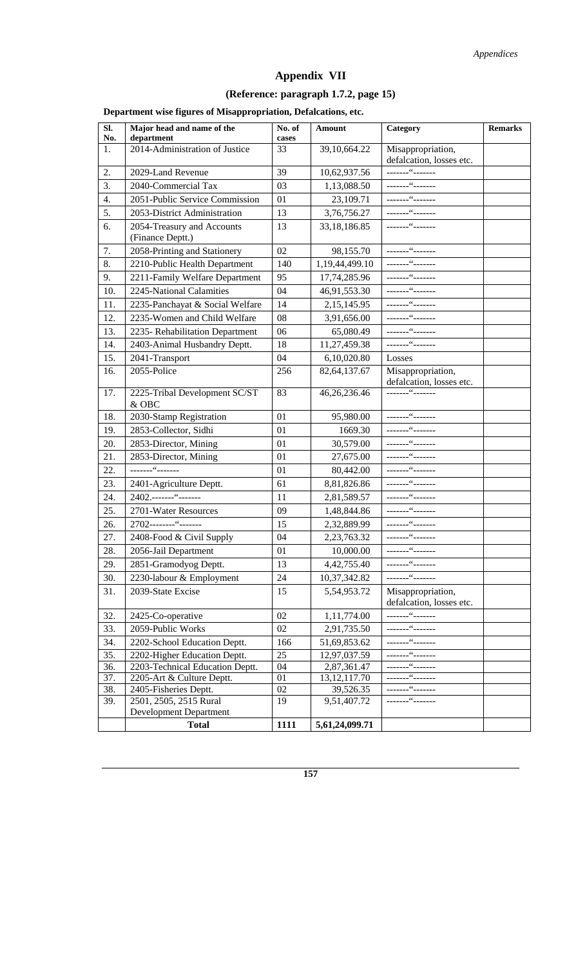# **Appendix VII**

# **(Reference: paragraph 1.7.2, page 15)**

**Department wise figures of Misappropriation, Defalcations, etc.** 

| SI.       | Major head and name of the                   | No. of      | Amount          | Category                                      | <b>Remarks</b> |
|-----------|----------------------------------------------|-------------|-----------------|-----------------------------------------------|----------------|
| No.<br>1. | department<br>2014-Administration of Justice | cases<br>33 | 39,10,664.22    | Misappropriation,                             |                |
|           |                                              |             |                 | defalcation, losses etc.                      |                |
| 2.        | 2029-Land Revenue                            | 39          | 10,62,937.56    | -------"-------                               |                |
| 3.        | 2040-Commercial Tax                          | 03          | 1,13,088.50     | -------"-------                               |                |
| 4.        | 2051-Public Service Commission               | 01          | 23,109.71       |                                               |                |
| 5.        | 2053-District Administration                 | 13          | 3,76,756.27     |                                               |                |
| 6.        | 2054-Treasury and Accounts                   | 13          | 33, 18, 186.85  |                                               |                |
|           | (Finance Deptt.)                             |             |                 |                                               |                |
| 7.        | 2058-Printing and Stationery                 | 02          | 98,155.70       |                                               |                |
| 8.        | 2210-Public Health Department                | 140         | 1,19,44,499.10  |                                               |                |
| 9.        | 2211-Family Welfare Department               | 95          | 17,74,285.96    |                                               |                |
| 10.       | 2245-National Calamities                     | 04          | 46,91,553.30    |                                               |                |
| 11.       | 2235-Panchayat & Social Welfare              | 14          | 2,15,145.95     |                                               |                |
| 12.       | 2235-Women and Child Welfare                 | 08          | 3,91,656.00     |                                               |                |
| 13.       | 2235- Rehabilitation Department              | 06          | 65,080.49       |                                               |                |
| 14.       | 2403-Animal Husbandry Deptt.                 | 18          | 11,27,459.38    |                                               |                |
| 15.       | 2041-Transport                               | 04          | 6,10,020.80     | Losses                                        |                |
| 16.       | 2055-Police                                  | 256         | 82, 64, 137. 67 | Misappropriation,                             |                |
|           |                                              |             |                 | defalcation, losses etc.                      |                |
| 17.       | 2225-Tribal Development SC/ST                | 83          | 46,26,236.46    |                                               |                |
|           | & OBC                                        |             |                 |                                               |                |
| 18.       | 2030-Stamp Registration                      | 01          | 95,980.00       | -------"-------                               |                |
| 19.       | 2853-Collector, Sidhi                        | 01          | 1669.30         |                                               |                |
| 20.       | 2853-Director, Mining                        | 01          | 30,579.00       |                                               |                |
| 21.       | 2853-Director, Mining                        | 01          | 27,675.00       |                                               |                |
| 22.       | -------"-------                              | 01          | 80,442.00       | -------"-------                               |                |
| 23.       | 2401-Agriculture Deptt.                      | 61          | 8,81,826.86     |                                               |                |
| 24.       | 2402.-------"--------                        | 11          | 2,81,589.57     | -------"-------                               |                |
| 25.       | 2701-Water Resources                         | 09          | 1,48,844.86     |                                               |                |
| 26.       | 2702--------"-------                         | 15          | 2,32,889.99     |                                               |                |
| 27.       | 2408-Food & Civil Supply                     | 04          | 2,23,763.32     |                                               |                |
| 28.       | 2056-Jail Department                         | 01          | 10,000.00       | _______"_______                               |                |
| 29.       | 2851-Gramodyog Deptt.                        | 13          | 4,42,755.40     | _______"_______                               |                |
| 30.       | 2230-labour & Employment                     | 24          | 10,37,342.82    |                                               |                |
| 31.       | 2039-State Excise                            | 15          | 5,54,953.72     | Misappropriation,<br>defalcation, losses etc. |                |
| 32.       | 2425-Co-operative                            | 02          | 1,11,774.00     | -------"-------                               |                |
| 33.       | 2059-Public Works                            | 02          | 2,91,735.50     | -------"-------                               |                |
| 34.       | 2202-School Education Deptt.                 | 166         | 51,69,853.62    | -------"-------                               |                |
| 35.       | 2202-Higher Education Deptt.                 | 25          | 12,97,037.59    |                                               |                |
| 36.       | 2203-Technical Education Deptt.              | 04          | 2,87,361.47     |                                               |                |
| 37.       | 2205-Art & Culture Deptt.                    | 01          | 13, 12, 117. 70 |                                               |                |
| 38.       | 2405-Fisheries Deptt.                        | 02          | 39,526.35       | -------"-------                               |                |
| 39.       | 2501, 2505, 2515 Rural                       | 19          | 9,51,407.72     |                                               |                |
|           | <b>Development Department</b>                |             |                 |                                               |                |
|           | <b>Total</b>                                 | 1111        | 5,61,24,099.71  |                                               |                |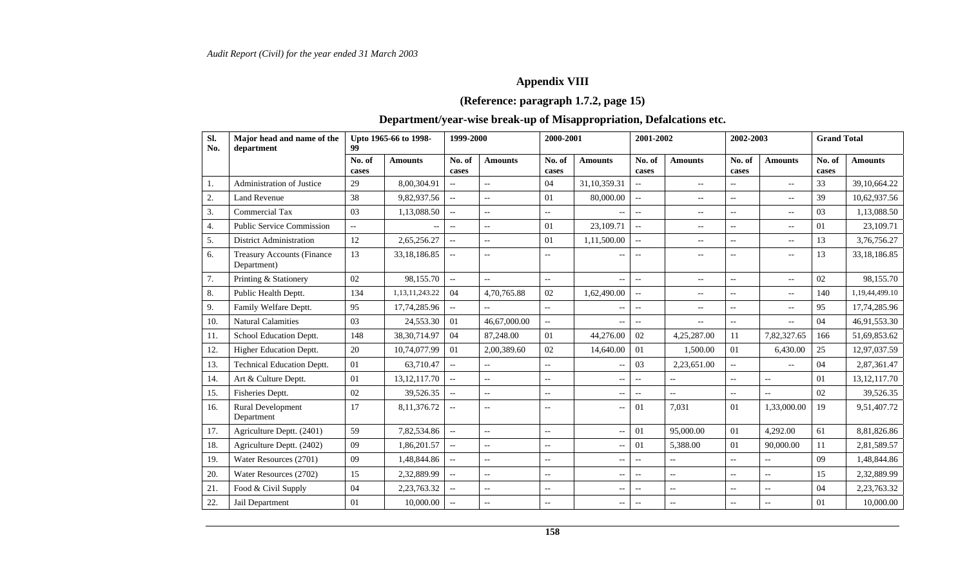# **Appendix VIII**

# **(Reference: paragraph 1.7.2, page 15)**

# **Department/year-wise break-up of Misappropriation, Defalcations etc.**

| Sl.<br>No. | Major head and name of the<br>department         | Upto 1965-66 to 1998-<br>99 |                          |                           | 2000-2001<br>1999-2000   |                          | 2001-2002                                           |                          | 2002-2003                |                          | <b>Grand Total</b>                                  |                 |                |
|------------|--------------------------------------------------|-----------------------------|--------------------------|---------------------------|--------------------------|--------------------------|-----------------------------------------------------|--------------------------|--------------------------|--------------------------|-----------------------------------------------------|-----------------|----------------|
|            |                                                  | No. of<br>cases             | <b>Amounts</b>           | No. of<br>cases           | <b>Amounts</b>           | No. of<br>cases          | <b>Amounts</b>                                      | No. of<br>cases          | <b>Amounts</b>           | No. of<br>cases          | <b>Amounts</b>                                      | No. of<br>cases | <b>Amounts</b> |
| 1.         | Administration of Justice                        | 29                          | 8.00.304.91              |                           | $\overline{a}$           | 04                       | 31,10,359.31                                        | $\overline{\phantom{a}}$ | $\overline{\phantom{a}}$ | $-$                      | $\overline{\phantom{a}}$                            | 33              | 39,10,664.22   |
| 2.         | <b>Land Revenue</b>                              | 38                          | 9,82,937.56              | $\overline{\phantom{a}}$  | $\overline{a}$           | 01                       | 80,000.00                                           | $\overline{\phantom{a}}$ | $\overline{\phantom{a}}$ | $\overline{\phantom{a}}$ | $\hspace{0.05cm} -\hspace{0.05cm} -\hspace{0.05cm}$ | 39              | 10,62,937.56   |
| 3.         | <b>Commercial Tax</b>                            | 03                          | 1,13,088.50              | $\overline{a}$            | $-$                      | $--$                     |                                                     | $\overline{\phantom{a}}$ | $-$                      | $-$                      | $\hspace{0.05cm} -\hspace{0.05cm} -\hspace{0.05cm}$ | 03              | 1,13,088.50    |
| 4.         | <b>Public Service Commission</b>                 | $-$                         | $\overline{\phantom{a}}$ | $\overline{\phantom{a}}$  | $-$                      | 01                       | 23,109.71                                           | $\overline{a}$           | $-$                      | $\overline{a}$           | $\hspace{0.05cm} -\hspace{0.05cm} -\hspace{0.05cm}$ | 01              | 23,109.71      |
| 5.         | <b>District Administration</b>                   | 12                          | 2,65,256.27              | $\overline{\phantom{a}}$  | Ξ.                       | 01                       | 1,11,500.00                                         | $\overline{a}$           | $-$                      | $\overline{a}$           | $\hspace{0.05cm} -\hspace{0.05cm} -\hspace{0.05cm}$ | 13              | 3,76,756.27    |
| 6.         | <b>Treasury Accounts (Finance</b><br>Department) | 13                          | 33,18,186.85             | $\qquad \qquad -$         | $-$                      | $-$                      |                                                     | $-$                      | $-$                      | $\overline{a}$           | $\overline{\phantom{a}}$                            | 13              | 33,18,186.85   |
| 7.         | Printing & Stationery                            | 02                          | 98,155.70                | $\overline{\phantom{a}}$  | $\overline{a}$           | $-$                      | $-$                                                 | $\overline{a}$           | $-$                      | $\overline{a}$           | $\overline{\phantom{a}}$                            | 02              | 98.155.70      |
| 8.         | Public Health Deptt.                             | 134                         | 1, 13, 11, 243. 22       | 04                        | 4,70,765.88              | 02                       | 1,62,490.00                                         | $\overline{\phantom{a}}$ | $-$                      | $\overline{a}$           | $\hspace{0.05cm} -\hspace{0.05cm} -\hspace{0.05cm}$ | 140             | 1,19,44,499.10 |
| 9.         | Family Welfare Deptt.                            | 95                          | 17,74,285.96             | $\overline{\phantom{a}}$  |                          | $-$                      |                                                     | $\overline{\phantom{a}}$ | $-$                      | $\overline{a}$           | $\hspace{0.05cm} -\hspace{0.05cm} -\hspace{0.05cm}$ | 95              | 17,74,285.96   |
| 10.        | <b>Natural Calamities</b>                        | 03                          | 24,553.30                | 01                        | 46,67,000.00             | ÷.                       | $-$                                                 | $\overline{\phantom{a}}$ | $-$                      | $\overline{a}$           | $\overline{\phantom{a}}$                            | 04              | 46,91,553.30   |
| 11.        | School Education Deptt.                          | 148                         | 38, 30, 714. 97          | 04                        | 87,248.00                | 01                       | 44,276.00                                           | 02                       | 4,25,287.00              | 11                       | 7,82,327.65                                         | 166             | 51,69,853.62   |
| 12.        | Higher Education Deptt.                          | 20                          | 10,74,077.99             | 01                        | 2,00,389.60              | 02                       | 14,640.00                                           | 01                       | 1.500.00                 | 01                       | 6.430.00                                            | 25              | 12,97,037.59   |
| 13.        | <b>Technical Education Deptt.</b>                | 01                          | 63,710.47                | $\mathbb{L}^{\mathbb{L}}$ | $\overline{a}$           | $- -$                    |                                                     | 03                       | 2,23,651.00              | $-$                      | $\overline{a}$                                      | 04              | 2,87,361.47    |
| 14.        | Art & Culture Deptt.                             | 01                          | 13, 12, 117. 70          | $\overline{\phantom{a}}$  | $-$                      | $\overline{\phantom{a}}$ | $\hspace{0.05cm} -\hspace{0.05cm} -\hspace{0.05cm}$ | $\overline{\phantom{a}}$ | $- -$                    | $\overline{a}$           | $\overline{\phantom{a}}$                            | 01              | 13, 12, 117.70 |
| 15.        | Fisheries Deptt.                                 | 02                          | 39,526.35                | $\overline{\phantom{m}}$  | $\overline{a}$           | $-$                      | $-$                                                 | $\overline{\phantom{m}}$ | u.                       | $\overline{a}$           | $\sim$                                              | 02              | 39,526.35      |
| 16.        | Rural Development<br>Department                  | 17                          | 8,11,376.72              |                           | $-$                      | $\overline{\phantom{a}}$ | $\overline{a}$                                      | 01                       | 7.031                    | 01                       | 1,33,000.00                                         | 19              | 9,51,407.72    |
| 17.        | Agriculture Deptt. (2401)                        | 59                          | 7,82,534.86              |                           | $\overline{\phantom{a}}$ | $-$                      | $\sim$                                              | 01                       | 95,000.00                | 01                       | 4,292.00                                            | 61              | 8,81,826.86    |
| 18.        | Agriculture Deptt. (2402)                        | 09                          | 1,86,201.57              | $\overline{\phantom{a}}$  | $-$                      | $-$                      |                                                     | 01                       | 5,388.00                 | 01                       | 90,000.00                                           | 11              | 2,81,589.57    |
| 19.        | Water Resources (2701)                           | 09                          | 1,48,844.86              | $\overline{\phantom{a}}$  | $-$                      | $-$                      | $\overline{\phantom{a}}$                            | $\overline{\phantom{a}}$ | $- -$                    | $\overline{a}$           | $\overline{\phantom{a}}$                            | 09              | 1,48,844.86    |
| 20.        | Water Resources (2702)                           | 15                          | 2,32,889.99              | $\overline{\phantom{a}}$  | $\overline{a}$           | $-$                      | $-$                                                 | $\overline{\phantom{a}}$ | $\overline{a}$           | $\overline{a}$           | $\overline{\phantom{a}}$                            | 15              | 2,32,889.99    |
| 21.        | Food & Civil Supply                              | 04                          | 2,23,763.32              | $\overline{\phantom{a}}$  | $\overline{\phantom{a}}$ | $-$                      | $\overline{\phantom{a}}$                            | $\overline{\phantom{m}}$ | $-$                      | $-$                      | $\overline{\phantom{a}}$                            | 04              | 2,23,763.32    |
| 22.        | Jail Department                                  | 01                          | 10,000.00                | $\overline{\phantom{a}}$  | $\overline{a}$           | $-$                      | $\hspace{0.05cm} -\hspace{0.05cm} -\hspace{0.05cm}$ | $\overline{\phantom{a}}$ | $-$                      | $\overline{a}$           | $\overline{\phantom{a}}$                            | 01              | 10,000.00      |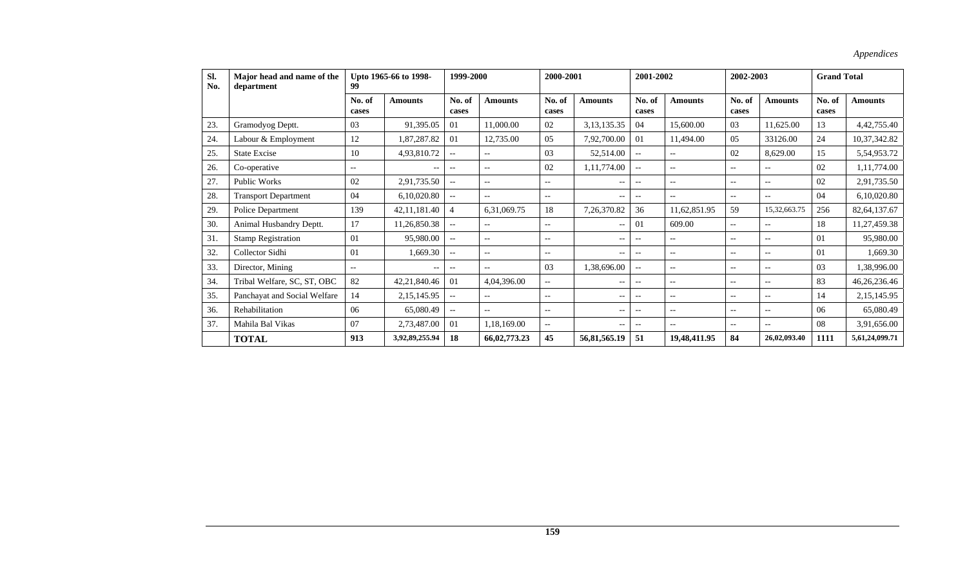| SI.<br>No. | Major head and name of the<br>department | 99              | Upto 1965-66 to 1998- | 1999-2000                                           |                   | 2000-2001         |                   | 2001-2002                |                          | 2002-2003         |                          | <b>Grand Total</b> |                 |
|------------|------------------------------------------|-----------------|-----------------------|-----------------------------------------------------|-------------------|-------------------|-------------------|--------------------------|--------------------------|-------------------|--------------------------|--------------------|-----------------|
|            |                                          | No. of<br>cases | <b>Amounts</b>        | No. of<br>cases                                     | <b>Amounts</b>    | No. of<br>cases   | <b>Amounts</b>    | No. of<br>cases          | <b>Amounts</b>           | No. of<br>cases   | <b>Amounts</b>           | No. of<br>cases    | <b>Amounts</b>  |
| 23.        | Gramodyog Deptt.                         | 03              | 91,395.05             | 01                                                  | 11,000.00         | 02                | 3,13,135.35       | 04                       | 15,600.00                | 03                | 11,625.00                | 13                 | 4,42,755.40     |
| 24.        | Labour & Employment                      | 12              | 1,87,287.82           | 01                                                  | 12,735.00         | 0.5               | 7,92,700.00       | 01                       | 11,494.00                | 0.5               | 33126.00                 | 24                 | 10,37,342.82    |
| 25.        | <b>State Excise</b>                      | 10              | 4,93,810.72           | $-$                                                 | $-$               | 03                | 52,514.00         | $\overline{\phantom{a}}$ | $\qquad \qquad -$        | 02                | 8,629.00                 | 15                 | 5,54,953.72     |
| 26.        | Co-operative                             | $--$            | --                    | $-$                                                 | $-$               | 02                | 1, 11, 774.00     | $\overline{\phantom{a}}$ | $\qquad \qquad -$        | $-$               | $- -$                    | 02                 | 1,11,774.00     |
| 27.        | <b>Public Works</b>                      | 02              | 2,91,735.50           | $\overline{\phantom{a}}$                            | $-$               | $--$              | $- -$             | $-$                      | $--$                     | $-$               | $\overline{\phantom{a}}$ | 02                 | 2,91,735.50     |
| 28.        | <b>Transport Department</b>              | 04              | 6,10,020.80           | $\hspace{0.05cm} -\hspace{0.05cm} -\hspace{0.05cm}$ | $-$               | $-$               | $-$               | $-$                      | $\overline{\phantom{a}}$ | $-$               | $- -$                    | 04                 | 6,10,020.80     |
| 29.        | Police Department                        | 139             | 42, 11, 181. 40       | $\overline{4}$                                      | 6,31,069.75       | 18                | 7,26,370.82       | 36                       | 11,62,851.95             | 59                | 15,32,663.75             | 256                | 82, 64, 137. 67 |
| 30.        | Animal Husbandry Deptt.                  | 17              | 11,26,850.38          |                                                     | $- -$             | $--$              | $\overline{a}$    | 01                       | 609.00                   | $-$               | $\overline{\phantom{a}}$ | 18                 | 11,27,459.38    |
| 31.        | <b>Stamp Registration</b>                | 01              | 95,980.00             | $\hspace{0.05cm} -\hspace{0.05cm} -\hspace{0.05cm}$ | $\qquad \qquad -$ | $--$              | $\qquad \qquad -$ | $-$                      | $\overline{\phantom{m}}$ | $\qquad \qquad -$ | $- -$                    | 01                 | 95,980.00       |
| 32.        | Collector Sidhi                          | 01              | 1,669.30              | $\overline{\phantom{a}}$                            | $-$               | $--$              | $- -$             | $-$                      | $\qquad \qquad -$        | $-$               | $- -$                    | 01                 | 1,669.30        |
| 33.        | Director, Mining                         | $-$             | --                    | $\overline{\phantom{a}}$                            | $-$               | 0 <sub>3</sub>    | 1,38,696.00       | $-$                      | $\overline{\phantom{a}}$ | $-$               | $- -$                    | 03                 | 1,38,996.00     |
| 34.        | Tribal Welfare, SC, ST, OBC              | 82              | 42,21,840.46          | 01                                                  | 4,04,396.00       | $--$              | $\qquad \qquad -$ | $\overline{\phantom{a}}$ | $--$                     | $- -$             | $\overline{\phantom{a}}$ | 83                 | 46,26,236.46    |
| 35.        | Panchayat and Social Welfare             | 14              | 2,15,145.95           |                                                     | $- -$             | $--$              | $-$               | $-$                      | $\qquad \qquad -$        | $-$               | $\overline{\phantom{a}}$ | 14                 | 2,15,145.95     |
| 36.        | Rehabilitation                           | 06              | 65,080.49             | $--$                                                | $-$               | $--$              | $-$               | $-$                      | $--$                     | $- -$             | $\overline{\phantom{a}}$ | 06                 | 65,080.49       |
| 37         | Mahila Bal Vikas                         | 07              | 2,73,487.00           | 01                                                  | 1,18,169.00       | $\qquad \qquad -$ | $-$               | $-$                      | $\overline{\phantom{a}}$ | $-$               | $- -$                    | 08                 | 3,91,656.00     |
|            | <b>TOTAL</b>                             | 913             | 3,92,89,255.94        | 18                                                  | 66,02,773.23      | 45                | 56,81,565.19      | 51                       | 19,48,411.95             | 84                | 26,02,093.40             | 1111               | 5,61,24,099.71  |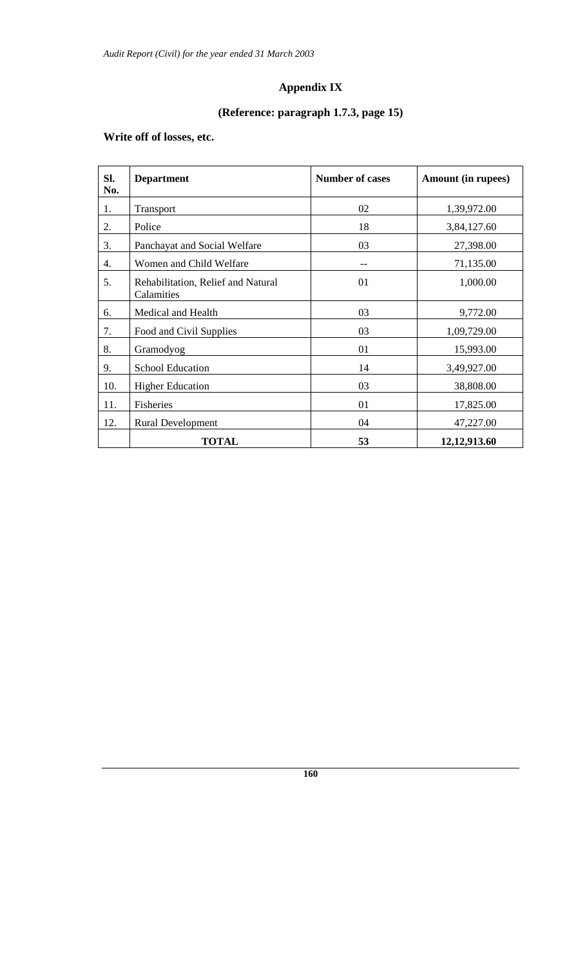# **Appendix IX**

# **(Reference: paragraph 1.7.3, page 15)**

# **Write off of losses, etc.**

| SI.<br>No. | <b>Department</b>                                | <b>Number of cases</b> | Amount (in rupees) |
|------------|--------------------------------------------------|------------------------|--------------------|
| 1.         | Transport                                        | 02                     | 1,39,972.00        |
| 2.         | Police                                           | 18                     | 3,84,127.60        |
| 3.         | Panchayat and Social Welfare                     | 03                     | 27,398.00          |
| 4.         | Women and Child Welfare                          | $- -$                  | 71,135.00          |
| 5.         | Rehabilitation, Relief and Natural<br>Calamities | 01                     | 1,000.00           |
| 6.         | Medical and Health                               | 03                     | 9,772.00           |
| 7.         | Food and Civil Supplies                          | 03                     | 1,09,729.00        |
| 8.         | Gramodyog                                        | 01                     | 15,993.00          |
| 9.         | <b>School Education</b>                          | 14                     | 3,49,927.00        |
| 10.        | <b>Higher Education</b>                          | 03                     | 38,808.00          |
| 11.        | Fisheries                                        | 01                     | 17,825.00          |
| 12.        | <b>Rural Development</b>                         | 04                     | 47,227.00          |
|            | <b>TOTAL</b>                                     | 53                     | 12,12,913.60       |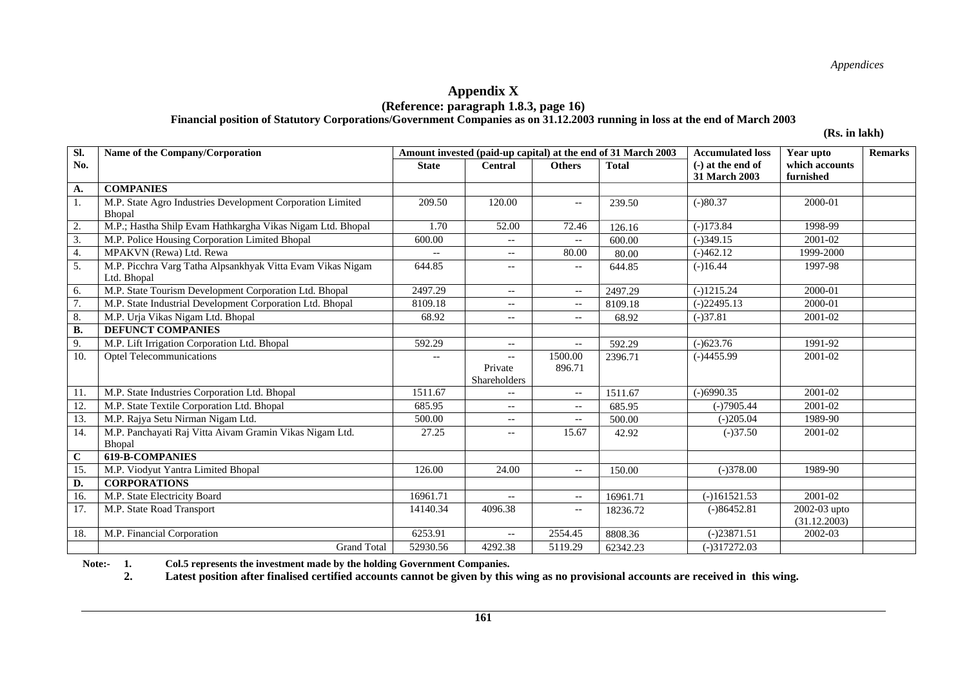#### **Appendix X (Reference: paragraph 1.8.3, page 16)**

**Financial position of Statutory Corporations/Government Companies as on 31.12.2003 running in loss at the end of March 2003** 

**(Rs. in lakh)** 

| SI.              | Name of the Company/Corporation                                           |                          | Amount invested (paid-up capital) at the end of 31 March 2003 |                                                     | <b>Accumulated loss</b> | Year upto           | <b>Remarks</b>               |  |
|------------------|---------------------------------------------------------------------------|--------------------------|---------------------------------------------------------------|-----------------------------------------------------|-------------------------|---------------------|------------------------------|--|
| No.              |                                                                           | <b>State</b>             | <b>Central</b>                                                | <b>Others</b>                                       | <b>Total</b>            | $(-)$ at the end of | which accounts               |  |
|                  |                                                                           |                          |                                                               |                                                     |                         | 31 March 2003       | furnished                    |  |
| A.               | <b>COMPANIES</b>                                                          |                          |                                                               |                                                     |                         |                     |                              |  |
| 1.               | M.P. State Agro Industries Development Corporation Limited<br>Bhopal      | 209.50                   | 120.00                                                        | $\overline{\phantom{a}}$                            | 239.50                  | $(-)80.37$          | 2000-01                      |  |
| 2.               | M.P.; Hastha Shilp Evam Hathkargha Vikas Nigam Ltd. Bhopal                | 1.70                     | 52.00                                                         | 72.46                                               | 126.16                  | $(-)173.84$         | 1998-99                      |  |
| 3.               | M.P. Police Housing Corporation Limited Bhopal                            | 600.00                   | $--$                                                          | $\overline{\phantom{a}}$                            | 600.00                  | $(-)349.15$         | 2001-02                      |  |
| 4.               | MPAKVN (Rewa) Ltd. Rewa                                                   | $\overline{\phantom{a}}$ | $--$                                                          | 80.00                                               | 80.00                   | $(-)462.12$         | 1999-2000                    |  |
| 5.               | M.P. Picchra Varg Tatha Alpsankhyak Vitta Evam Vikas Nigam<br>Ltd. Bhopal | 644.85                   | $\overline{\phantom{a}}$                                      | $\overline{\phantom{m}}$                            | 644.85                  | $(-)16.44$          | 1997-98                      |  |
| 6.               | M.P. State Tourism Development Corporation Ltd. Bhopal                    | 2497.29                  | $--$                                                          | $\hspace{0.05cm} -\hspace{0.05cm} -\hspace{0.05cm}$ | 2497.29                 | $(-)1215.24$        | 2000-01                      |  |
| $\overline{7}$ . | M.P. State Industrial Development Corporation Ltd. Bhopal                 | 8109.18                  | $\hspace{0.05cm} -\hspace{0.05cm} -\hspace{0.05cm}$           | $- -$                                               | 8109.18                 | $(-)22495.13$       | 2000-01                      |  |
| 8.               | M.P. Urja Vikas Nigam Ltd. Bhopal                                         | 68.92                    | $- -$                                                         | $\overline{\phantom{a}}$                            | 68.92                   | $(-)37.81$          | 2001-02                      |  |
| <b>B.</b>        | <b>DEFUNCT COMPANIES</b>                                                  |                          |                                                               |                                                     |                         |                     |                              |  |
| 9.               | M.P. Lift Irrigation Corporation Ltd. Bhopal                              | 592.29                   | $\overline{\phantom{a}}$                                      | $\overline{\phantom{m}}$                            | 592.29                  | $(-)623.76$         | 1991-92                      |  |
| 10.              | <b>Optel Telecommunications</b>                                           | $- -$                    | $- -$<br>Private<br>Shareholders                              | 1500.00<br>896.71                                   | 2396.71                 | $(-)4455.99$        | 2001-02                      |  |
| 11.              | M.P. State Industries Corporation Ltd. Bhopal                             | 1511.67                  | $--$                                                          | $\overline{\phantom{a}}$                            | 1511.67                 | $(-)6990.35$        | 2001-02                      |  |
| 12.              | M.P. State Textile Corporation Ltd. Bhopal                                | 685.95                   | $--$                                                          | $\hspace{0.05cm} -\hspace{0.05cm} -\hspace{0.05cm}$ | 685.95                  | $(-)7905.44$        | 2001-02                      |  |
| 13.              | M.P. Rajya Setu Nirman Nigam Ltd.                                         | 500.00                   | --                                                            | $-\, -$                                             | 500.00                  | $(-)205.04$         | 1989-90                      |  |
| 14.              | M.P. Panchayati Raj Vitta Aivam Gramin Vikas Nigam Ltd.<br>Bhopal         | 27.25                    | $--$                                                          | 15.67                                               | 42.92                   | $(-)37.50$          | 2001-02                      |  |
| $\mathbf C$      | <b>619-B-COMPANIES</b>                                                    |                          |                                                               |                                                     |                         |                     |                              |  |
| 15.              | M.P. Viodyut Yantra Limited Bhopal                                        | 126.00                   | 24.00                                                         | $\hspace{0.05cm} -\hspace{0.05cm} -\hspace{0.05cm}$ | 150.00                  | $(-)378.00$         | 1989-90                      |  |
| D.               | <b>CORPORATIONS</b>                                                       |                          |                                                               |                                                     |                         |                     |                              |  |
| 16.              | M.P. State Electricity Board                                              | 16961.71                 | $\overline{\phantom{a}}$                                      | $\mathord{\hspace{1pt}\text{--}\hspace{1pt}}$       | 16961.71                | $(-)161521.53$      | 2001-02                      |  |
| 17.              | M.P. State Road Transport                                                 | 14140.34                 | 4096.38                                                       | $\hspace{0.05cm} -\hspace{0.05cm} -\hspace{0.05cm}$ | 18236.72                | $(-)86452.81$       | 2002-03 upto<br>(31.12.2003) |  |
| 18.              | M.P. Financial Corporation                                                | 6253.91                  | $-$                                                           | 2554.45                                             | 8808.36                 | $(-)23871.51$       | 2002-03                      |  |
|                  | <b>Grand Total</b>                                                        | 52930.56                 | 4292.38                                                       | 5119.29                                             | 62342.23                | $(-)317272.03$      |                              |  |

**Note:- 1. Col.5 represents the investment made by the holding Government Companies.** 

 **2. Latest position after finalised certified accounts cannot be given by this wing as no provisional accounts are received in this wing.**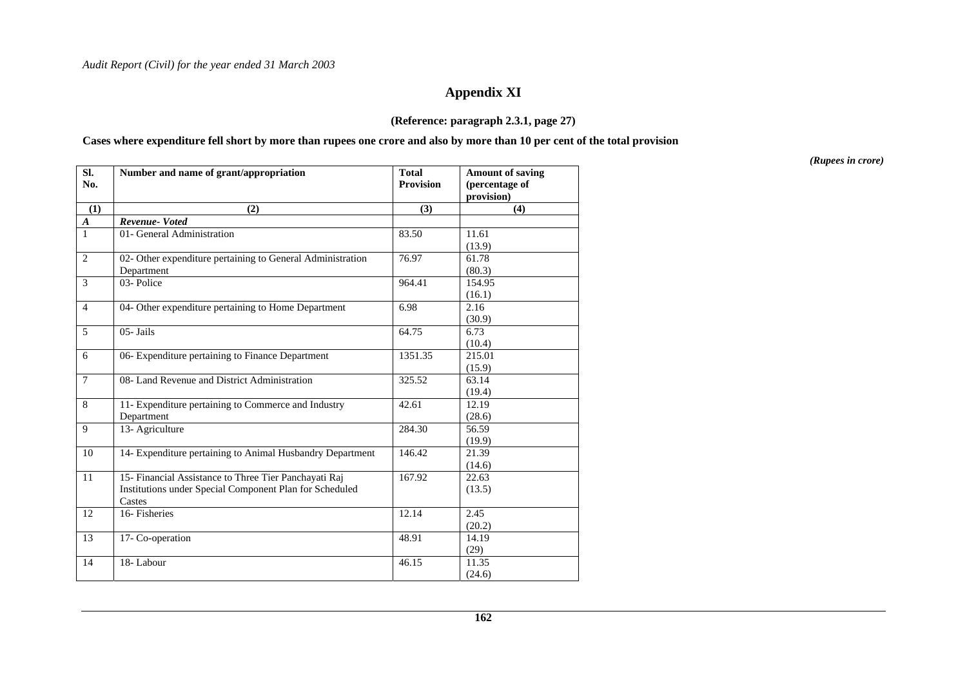# **Appendix XI**

#### **(Reference: paragraph 2.3.1, page 27)**

#### **Cases where expenditure fell short by more than rupees one crore and also by more than 10 per cent of the total provision**

| SI.<br>No.       | Number and name of grant/appropriation                                                                                     | <b>Total</b><br><b>Provision</b> | <b>Amount of saving</b><br>(percentage of<br>provision) |
|------------------|----------------------------------------------------------------------------------------------------------------------------|----------------------------------|---------------------------------------------------------|
| (1)              | (2)                                                                                                                        | (3)                              | (4)                                                     |
| $\boldsymbol{A}$ | Revenue-Voted                                                                                                              |                                  |                                                         |
| $\mathbf{1}$     | 01- General Administration                                                                                                 | 83.50                            | 11.61<br>(13.9)                                         |
| 2                | 02- Other expenditure pertaining to General Administration<br>Department                                                   | 76.97                            | 61.78<br>(80.3)                                         |
| 3                | 03-Police                                                                                                                  | 964.41                           | 154.95<br>(16.1)                                        |
| $\overline{4}$   | 04- Other expenditure pertaining to Home Department                                                                        | 6.98                             | 2.16<br>(30.9)                                          |
| 5                | 05- Jails                                                                                                                  | 64.75                            | 6.73<br>(10.4)                                          |
| 6                | 06- Expenditure pertaining to Finance Department                                                                           | 1351.35                          | 215.01<br>(15.9)                                        |
| $\tau$           | 08- Land Revenue and District Administration                                                                               | 325.52                           | 63.14<br>(19.4)                                         |
| 8                | 11- Expenditure pertaining to Commerce and Industry<br>Department                                                          | 42.61                            | 12.19<br>(28.6)                                         |
| 9                | 13- Agriculture                                                                                                            | 284.30                           | 56.59<br>(19.9)                                         |
| 10               | 14- Expenditure pertaining to Animal Husbandry Department                                                                  | 146.42                           | 21.39<br>(14.6)                                         |
| 11               | 15- Financial Assistance to Three Tier Panchayati Raj<br>Institutions under Special Component Plan for Scheduled<br>Castes | 167.92                           | 22.63<br>(13.5)                                         |
| 12               | 16-Fisheries                                                                                                               | 12.14                            | 2.45<br>(20.2)                                          |
| 13               | 17- Co-operation                                                                                                           | 48.91                            | 14.19<br>(29)                                           |
| 14               | 18-Labour                                                                                                                  | 46.15                            | 11.35<br>(24.6)                                         |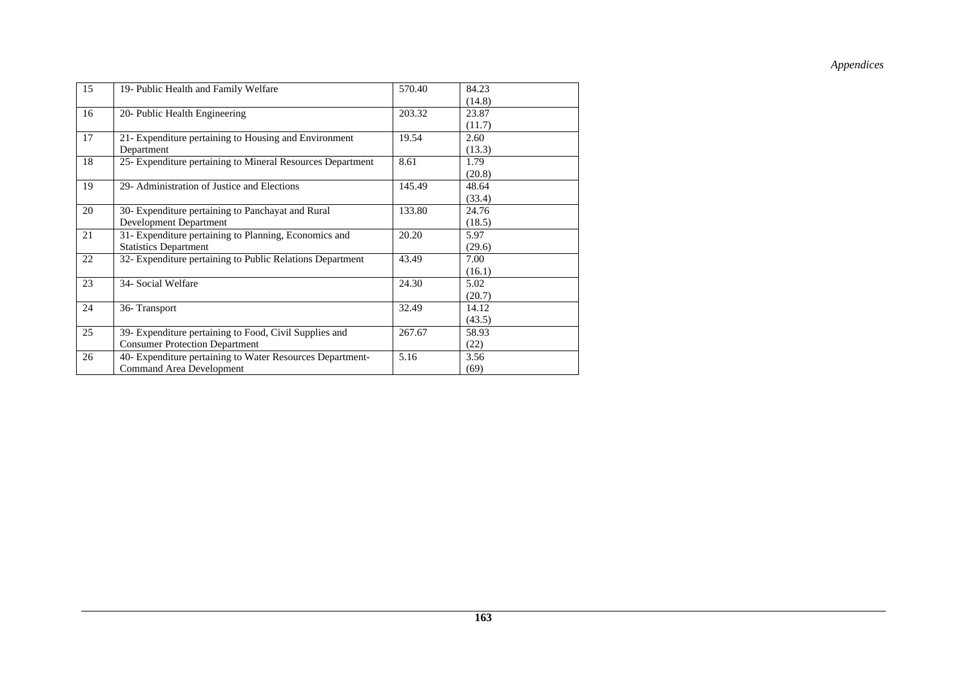| 15 | 19- Public Health and Family Welfare                       | 570.40 | 84.23  |
|----|------------------------------------------------------------|--------|--------|
|    |                                                            |        | (14.8) |
| 16 | 20- Public Health Engineering                              | 203.32 | 23.87  |
|    |                                                            |        | (11.7) |
| 17 | 21- Expenditure pertaining to Housing and Environment      | 19.54  | 2.60   |
|    | Department                                                 |        | (13.3) |
| 18 | 25- Expenditure pertaining to Mineral Resources Department | 8.61   | 1.79   |
|    |                                                            |        | (20.8) |
| 19 | 29- Administration of Justice and Elections                | 145.49 | 48.64  |
|    |                                                            |        | (33.4) |
| 20 | 30- Expenditure pertaining to Panchayat and Rural          | 133.80 | 24.76  |
|    | Development Department                                     |        | (18.5) |
| 21 | 31- Expenditure pertaining to Planning, Economics and      | 20.20  | 5.97   |
|    | <b>Statistics Department</b>                               |        | (29.6) |
| 22 | 32- Expenditure pertaining to Public Relations Department  | 43.49  | 7.00   |
|    |                                                            |        | (16.1) |
| 23 | 34- Social Welfare                                         | 24.30  | 5.02   |
|    |                                                            |        | (20.7) |
| 24 | 36-Transport                                               | 32.49  | 14.12  |
|    |                                                            |        | (43.5) |
| 25 | 39- Expenditure pertaining to Food, Civil Supplies and     | 267.67 | 58.93  |
|    | <b>Consumer Protection Department</b>                      |        | (22)   |
| 26 | 40- Expenditure pertaining to Water Resources Department-  | 5.16   | 3.56   |
|    | Command Area Development                                   |        | (69)   |
|    |                                                            |        |        |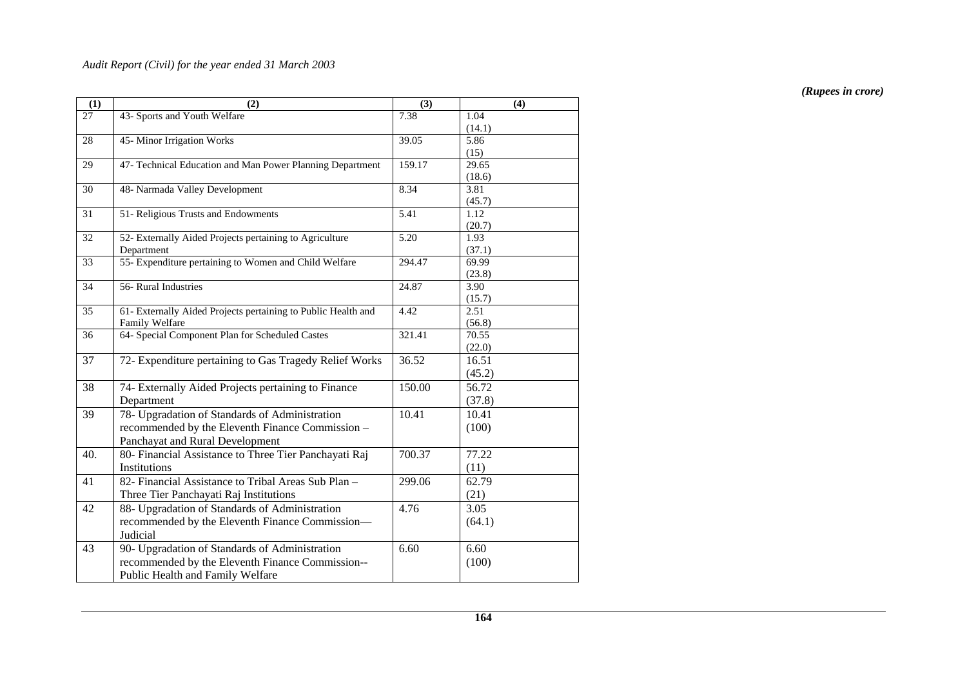| 43- Sports and Youth Welfare<br>7.38<br>27<br>1.04<br>(14.1)<br>45-Minor Irrigation Works<br>5.86<br>28<br>39.05<br>(15)<br>47- Technical Education and Man Power Planning Department<br>159.17<br>29.65<br>29<br>(18.6)<br>48- Narmada Valley Development<br>30<br>8.34<br>3.81 |
|----------------------------------------------------------------------------------------------------------------------------------------------------------------------------------------------------------------------------------------------------------------------------------|
|                                                                                                                                                                                                                                                                                  |
|                                                                                                                                                                                                                                                                                  |
|                                                                                                                                                                                                                                                                                  |
|                                                                                                                                                                                                                                                                                  |
|                                                                                                                                                                                                                                                                                  |
|                                                                                                                                                                                                                                                                                  |
|                                                                                                                                                                                                                                                                                  |
| (45.7)                                                                                                                                                                                                                                                                           |
| 51- Religious Trusts and Endowments<br>5.41<br>31<br>1.12                                                                                                                                                                                                                        |
| (20.7)                                                                                                                                                                                                                                                                           |
| 52- Externally Aided Projects pertaining to Agriculture<br>5.20<br>32<br>1.93                                                                                                                                                                                                    |
| (37.1)<br>Department                                                                                                                                                                                                                                                             |
| 55- Expenditure pertaining to Women and Child Welfare<br>69.99<br>33<br>294.47                                                                                                                                                                                                   |
| (23.8)<br>56- Rural Industries                                                                                                                                                                                                                                                   |
| $\overline{34}$<br>24.87<br>3.90                                                                                                                                                                                                                                                 |
| (15.7)<br>$\overline{35}$<br>61- Externally Aided Projects pertaining to Public Health and<br>4.42<br>2.51                                                                                                                                                                       |
| Family Welfare<br>(56.8)                                                                                                                                                                                                                                                         |
| 64- Special Component Plan for Scheduled Castes<br>36<br>321.41<br>70.55                                                                                                                                                                                                         |
| (22.0)                                                                                                                                                                                                                                                                           |
| 36.52<br>16.51<br>37<br>72- Expenditure pertaining to Gas Tragedy Relief Works                                                                                                                                                                                                   |
| (45.2)                                                                                                                                                                                                                                                                           |
| 56.72<br>38<br>74- Externally Aided Projects pertaining to Finance<br>150.00                                                                                                                                                                                                     |
|                                                                                                                                                                                                                                                                                  |
| (37.8)<br>Department                                                                                                                                                                                                                                                             |
| 78- Upgradation of Standards of Administration<br>39<br>10.41<br>10.41                                                                                                                                                                                                           |
| recommended by the Eleventh Finance Commission -<br>(100)                                                                                                                                                                                                                        |
| Panchayat and Rural Development                                                                                                                                                                                                                                                  |
| 40.<br>80- Financial Assistance to Three Tier Panchayati Raj<br>700.37<br>77.22                                                                                                                                                                                                  |
| Institutions<br>(11)                                                                                                                                                                                                                                                             |
| 82- Financial Assistance to Tribal Areas Sub Plan -<br>41<br>299.06<br>62.79                                                                                                                                                                                                     |
| Three Tier Panchayati Raj Institutions<br>(21)                                                                                                                                                                                                                                   |
| 42<br>88- Upgradation of Standards of Administration<br>4.76<br>3.05                                                                                                                                                                                                             |
| recommended by the Eleventh Finance Commission-<br>(64.1)                                                                                                                                                                                                                        |
| Judicial                                                                                                                                                                                                                                                                         |
| 43<br>90- Upgradation of Standards of Administration<br>6.60<br>6.60                                                                                                                                                                                                             |
| recommended by the Eleventh Finance Commission--<br>(100)                                                                                                                                                                                                                        |
| Public Health and Family Welfare                                                                                                                                                                                                                                                 |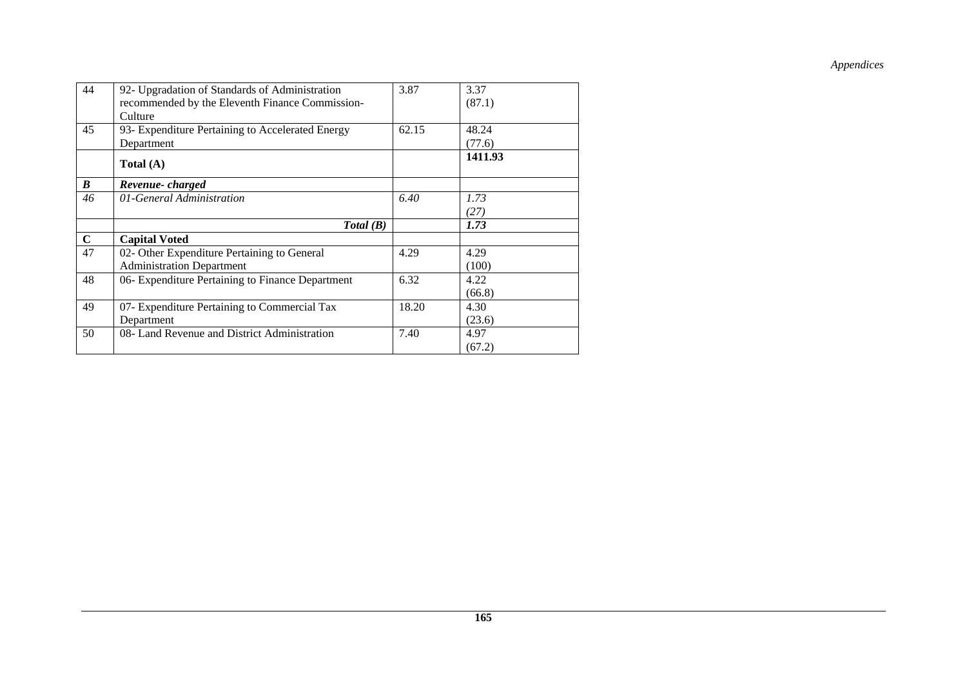| 44          | 92- Upgradation of Standards of Administration   | 3.87  | 3.37    |
|-------------|--------------------------------------------------|-------|---------|
|             | recommended by the Eleventh Finance Commission-  |       | (87.1)  |
|             | Culture                                          |       |         |
| 45          | 93- Expenditure Pertaining to Accelerated Energy | 62.15 | 48.24   |
|             | Department                                       |       | (77.6)  |
|             | Total (A)                                        |       | 1411.93 |
| B           | Revenue-charged                                  |       |         |
| 46          | 01-General Administration                        | 6.40  | 1.73    |
|             |                                                  |       | (27)    |
|             | Total(B)                                         |       | 1.73    |
| $\mathbf C$ | <b>Capital Voted</b>                             |       |         |
| 47          | 02- Other Expenditure Pertaining to General      | 4.29  | 4.29    |
|             | <b>Administration Department</b>                 |       | (100)   |
| 48          | 06- Expenditure Pertaining to Finance Department | 6.32  | 4.22    |
|             |                                                  |       | (66.8)  |
| 49          | 07- Expenditure Pertaining to Commercial Tax     | 18.20 | 4.30    |
|             | Department                                       |       | (23.6)  |
| 50          | 08- Land Revenue and District Administration     | 7.40  | 4.97    |
|             |                                                  |       | (67.2)  |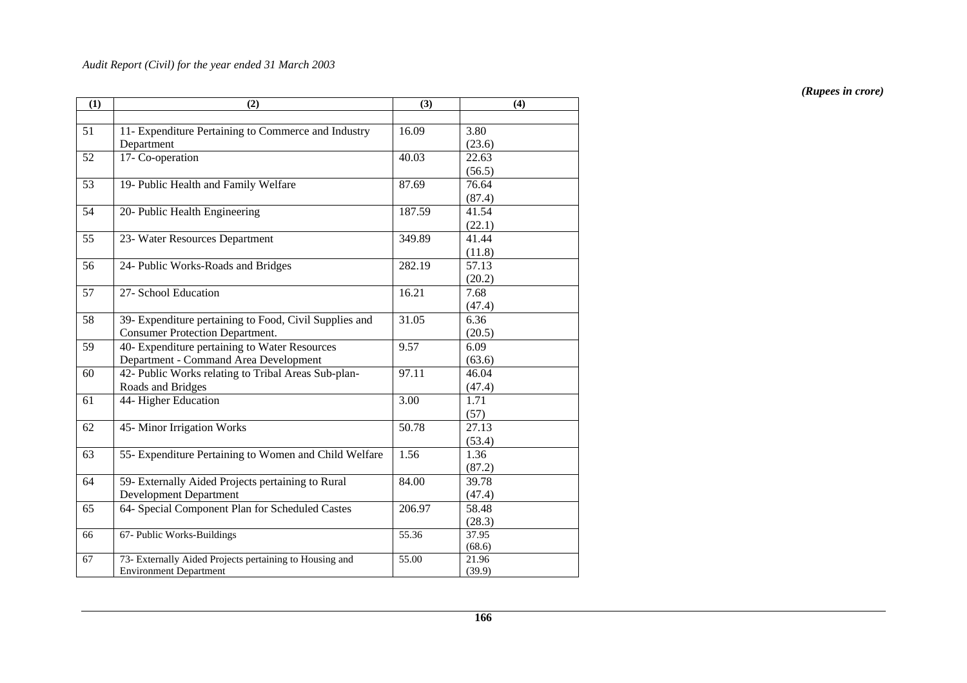| (1) | (2)                                                     | (3)    | (4)    |
|-----|---------------------------------------------------------|--------|--------|
|     |                                                         |        |        |
| 51  | 11- Expenditure Pertaining to Commerce and Industry     | 16.09  | 3.80   |
|     | Department                                              |        | (23.6) |
| 52  | 17- Co-operation                                        | 40.03  | 22.63  |
|     |                                                         |        | (56.5) |
| 53  | 19- Public Health and Family Welfare                    | 87.69  | 76.64  |
|     |                                                         |        | (87.4) |
| 54  | 20- Public Health Engineering                           | 187.59 | 41.54  |
|     |                                                         |        | (22.1) |
| 55  | 23- Water Resources Department                          | 349.89 | 41.44  |
|     |                                                         |        | (11.8) |
| 56  | 24- Public Works-Roads and Bridges                      | 282.19 | 57.13  |
|     |                                                         |        | (20.2) |
| 57  | 27- School Education                                    | 16.21  | 7.68   |
|     |                                                         |        | (47.4) |
| 58  | 39- Expenditure pertaining to Food, Civil Supplies and  | 31.05  | 6.36   |
|     | <b>Consumer Protection Department.</b>                  |        | (20.5) |
| 59  | 40- Expenditure pertaining to Water Resources           | 9.57   | 6.09   |
|     | Department - Command Area Development                   |        | (63.6) |
| 60  | 42- Public Works relating to Tribal Areas Sub-plan-     | 97.11  | 46.04  |
|     | Roads and Bridges                                       |        | (47.4) |
| 61  | 44- Higher Education                                    | 3.00   | 1.71   |
|     |                                                         |        | (57)   |
| 62  | 45- Minor Irrigation Works                              | 50.78  | 27.13  |
|     |                                                         |        | (53.4) |
| 63  | 55- Expenditure Pertaining to Women and Child Welfare   | 1.56   | 1.36   |
|     |                                                         |        | (87.2) |
| 64  | 59- Externally Aided Projects pertaining to Rural       | 84.00  | 39.78  |
|     | <b>Development Department</b>                           |        | (47.4) |
| 65  | 64- Special Component Plan for Scheduled Castes         | 206.97 | 58.48  |
|     |                                                         |        | (28.3) |
| 66  | 67- Public Works-Buildings                              | 55.36  | 37.95  |
|     |                                                         |        | (68.6) |
| 67  | 73- Externally Aided Projects pertaining to Housing and | 55.00  | 21.96  |
|     | <b>Environment Department</b>                           |        | (39.9) |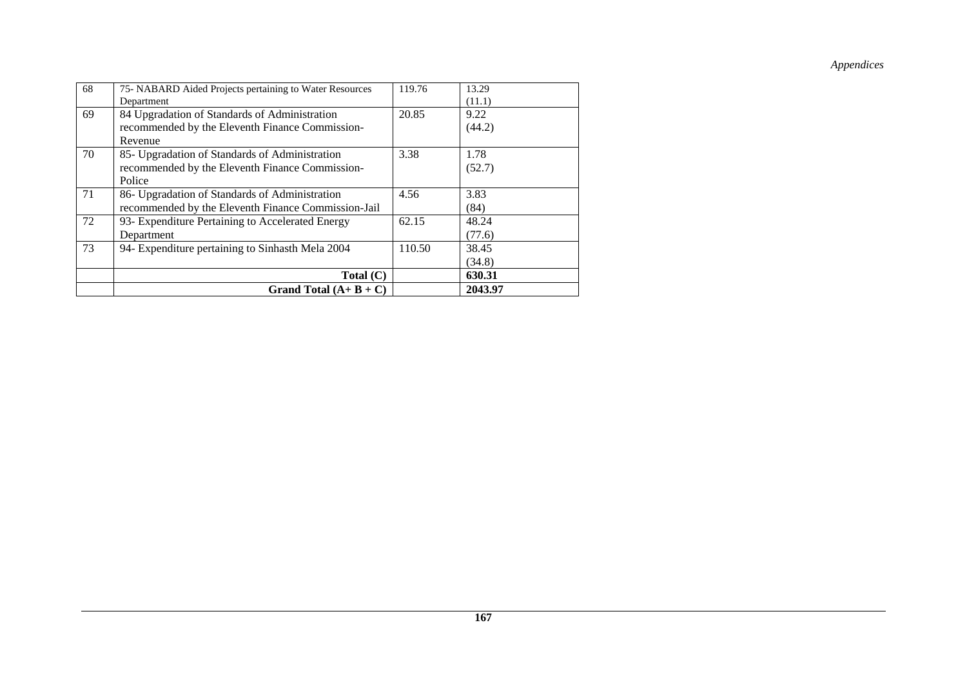| 68 | 75- NABARD Aided Projects pertaining to Water Resources | 119.76 | 13.29   |  |
|----|---------------------------------------------------------|--------|---------|--|
|    | Department                                              |        | (11.1)  |  |
| 69 | 84 Upgradation of Standards of Administration           | 20.85  | 9.22    |  |
|    | recommended by the Eleventh Finance Commission-         |        | (44.2)  |  |
|    | Revenue                                                 |        |         |  |
| 70 | 85- Upgradation of Standards of Administration          | 3.38   | 1.78    |  |
|    | recommended by the Eleventh Finance Commission-         |        | (52.7)  |  |
|    | Police                                                  |        |         |  |
| 71 | 86- Upgradation of Standards of Administration          | 4.56   | 3.83    |  |
|    | recommended by the Eleventh Finance Commission-Jail     |        | (84)    |  |
| 72 | 93- Expenditure Pertaining to Accelerated Energy        | 62.15  | 48.24   |  |
|    | Department                                              |        | (77.6)  |  |
| 73 | 94- Expenditure pertaining to Sinhasth Mela 2004        | 110.50 | 38.45   |  |
|    |                                                         |        | (34.8)  |  |
|    | Total $(C)$                                             |        | 630.31  |  |
|    | Grand Total $(A + B + C)$                               |        | 2043.97 |  |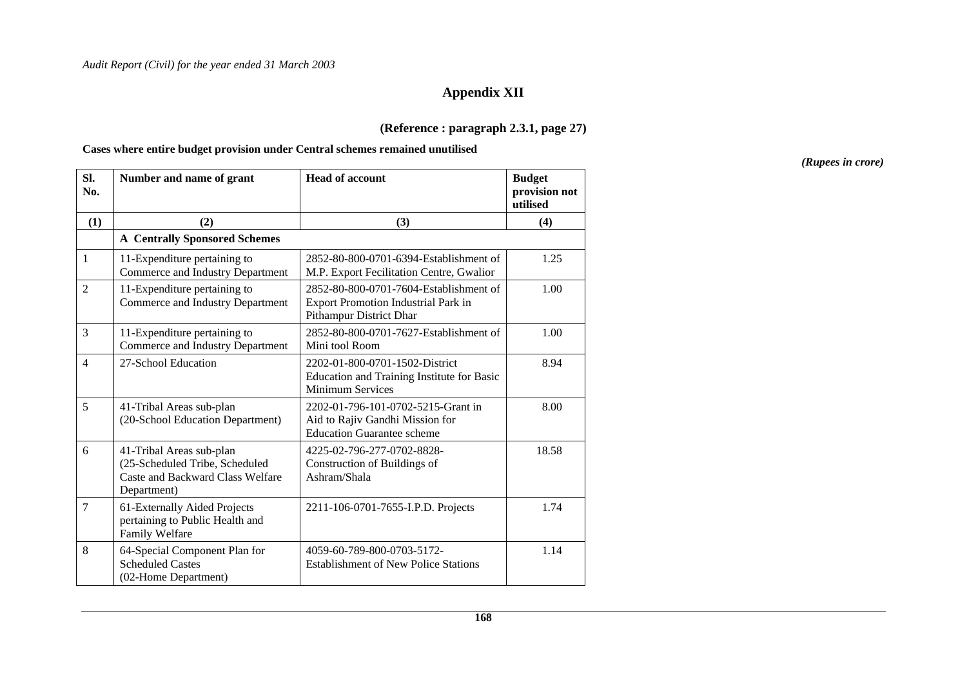# **Appendix XII**

### **(Reference : paragraph 2.3.1, page 27)**

#### **Cases where entire budget provision under Central schemes remained unutilised**

| SI.<br>No.     | Number and name of grant                                                                                      | <b>Head of account</b>                                                                                     | <b>Budget</b><br>provision not<br>utilised |
|----------------|---------------------------------------------------------------------------------------------------------------|------------------------------------------------------------------------------------------------------------|--------------------------------------------|
| (1)            | (2)                                                                                                           | (3)                                                                                                        | (4)                                        |
|                | <b>A</b> Centrally Sponsored Schemes                                                                          |                                                                                                            |                                            |
| $\mathbf{1}$   | 11-Expenditure pertaining to<br>Commerce and Industry Department                                              | 2852-80-800-0701-6394-Establishment of<br>M.P. Export Fecilitation Centre, Gwalior                         | 1.25                                       |
| $\overline{2}$ | 11-Expenditure pertaining to<br>Commerce and Industry Department                                              | 2852-80-800-0701-7604-Establishment of<br>Export Promotion Industrial Park in<br>Pithampur District Dhar   | 1.00                                       |
| 3              | 11-Expenditure pertaining to<br>Commerce and Industry Department                                              | 2852-80-800-0701-7627-Establishment of<br>Mini tool Room                                                   | 1.00                                       |
| $\overline{4}$ | 27-School Education                                                                                           | 2202-01-800-0701-1502-District<br>Education and Training Institute for Basic<br><b>Minimum Services</b>    | 8.94                                       |
| 5              | 41-Tribal Areas sub-plan<br>(20-School Education Department)                                                  | 2202-01-796-101-0702-5215-Grant in<br>Aid to Rajiv Gandhi Mission for<br><b>Education Guarantee scheme</b> | 8.00                                       |
| 6              | 41-Tribal Areas sub-plan<br>(25-Scheduled Tribe, Scheduled<br>Caste and Backward Class Welfare<br>Department) | 4225-02-796-277-0702-8828-<br>Construction of Buildings of<br>Ashram/Shala                                 | 18.58                                      |
| $\overline{7}$ | 61-Externally Aided Projects<br>pertaining to Public Health and<br>Family Welfare                             | 2211-106-0701-7655-I.P.D. Projects                                                                         | 1.74                                       |
| 8              | 64-Special Component Plan for<br><b>Scheduled Castes</b><br>(02-Home Department)                              | 4059-60-789-800-0703-5172-<br><b>Establishment of New Police Stations</b>                                  | 1.14                                       |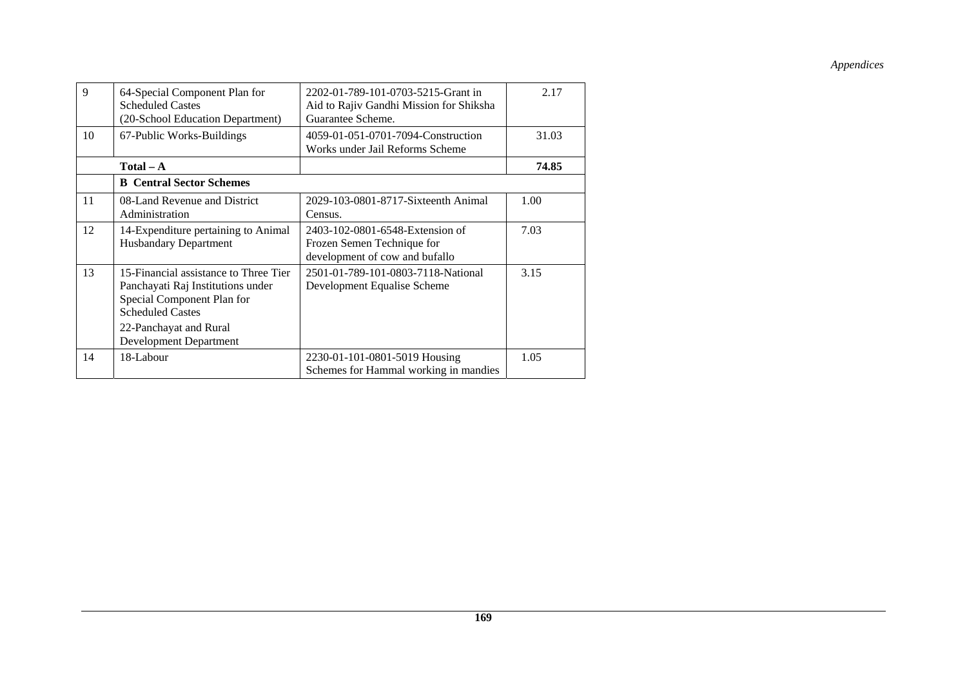| 9  | 64-Special Component Plan for<br><b>Scheduled Castes</b><br>(20-School Education Department)                                                                  | 2202-01-789-101-0703-5215-Grant in<br>Aid to Rajiv Gandhi Mission for Shiksha<br>Guarantee Scheme. | 2.17  |
|----|---------------------------------------------------------------------------------------------------------------------------------------------------------------|----------------------------------------------------------------------------------------------------|-------|
| 10 | 67-Public Works-Buildings                                                                                                                                     | 4059-01-051-0701-7094-Construction<br>Works under Jail Reforms Scheme                              | 31.03 |
|    | $Total - A$                                                                                                                                                   |                                                                                                    | 74.85 |
|    | <b>B</b> Central Sector Schemes                                                                                                                               |                                                                                                    |       |
| 11 | 08-Land Revenue and District<br>Administration                                                                                                                | 2029-103-0801-8717-Sixteenth Animal<br>Census.                                                     | 1.00  |
| 12 | 14-Expenditure pertaining to Animal<br><b>Husbandary Department</b>                                                                                           | 2403-102-0801-6548-Extension of<br>Frozen Semen Technique for<br>development of cow and bufallo    | 7.03  |
| 13 | 15-Financial assistance to Three Tier<br>Panchayati Raj Institutions under<br>Special Component Plan for<br><b>Scheduled Castes</b><br>22-Panchayat and Rural | 2501-01-789-101-0803-7118-National<br>Development Equalise Scheme                                  | 3.15  |
|    | Development Department                                                                                                                                        |                                                                                                    |       |
| 14 | 18-Labour                                                                                                                                                     | 2230-01-101-0801-5019 Housing<br>Schemes for Hammal working in mandies                             | 1.05  |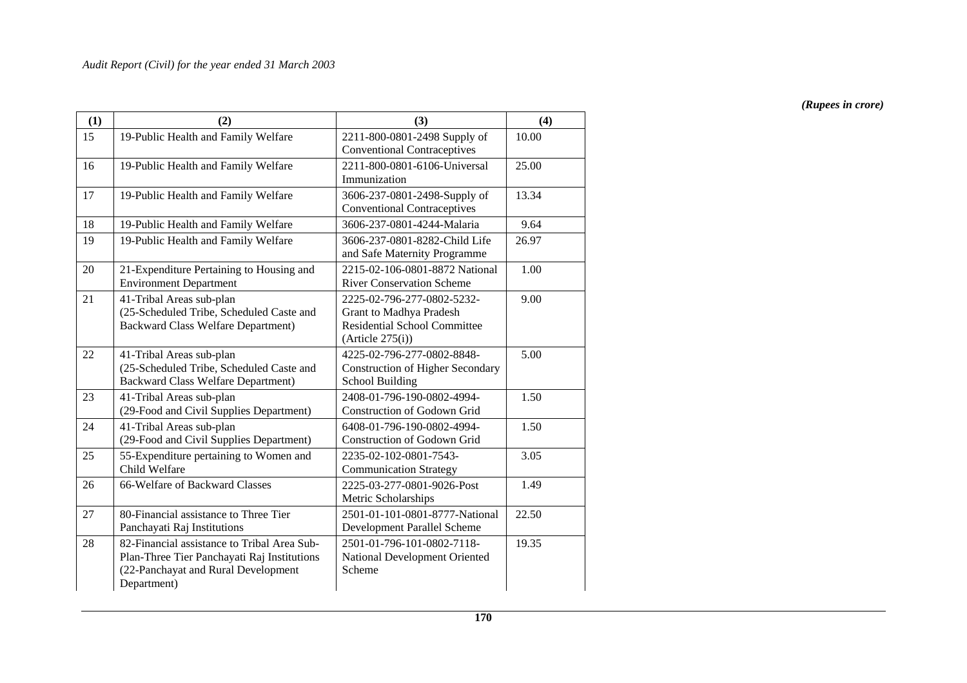| (1) | (2)                                                                                                                                              | (3)                                                                                                              | (4)   |
|-----|--------------------------------------------------------------------------------------------------------------------------------------------------|------------------------------------------------------------------------------------------------------------------|-------|
| 15  | 19-Public Health and Family Welfare                                                                                                              | 2211-800-0801-2498 Supply of<br><b>Conventional Contraceptives</b>                                               | 10.00 |
| 16  | 19-Public Health and Family Welfare                                                                                                              | 2211-800-0801-6106-Universal<br>Immunization                                                                     | 25.00 |
| 17  | 19-Public Health and Family Welfare                                                                                                              | 3606-237-0801-2498-Supply of<br><b>Conventional Contraceptives</b>                                               | 13.34 |
| 18  | 19-Public Health and Family Welfare                                                                                                              | 3606-237-0801-4244-Malaria                                                                                       | 9.64  |
| 19  | 19-Public Health and Family Welfare                                                                                                              | 3606-237-0801-8282-Child Life<br>and Safe Maternity Programme                                                    | 26.97 |
| 20  | 21-Expenditure Pertaining to Housing and<br><b>Environment Department</b>                                                                        | 2215-02-106-0801-8872 National<br><b>River Conservation Scheme</b>                                               | 1.00  |
| 21  | 41-Tribal Areas sub-plan<br>(25-Scheduled Tribe, Scheduled Caste and<br><b>Backward Class Welfare Department)</b>                                | 2225-02-796-277-0802-5232-<br>Grant to Madhya Pradesh<br><b>Residential School Committee</b><br>(Article 275(i)) | 9.00  |
| 22  | 41-Tribal Areas sub-plan<br>(25-Scheduled Tribe, Scheduled Caste and<br><b>Backward Class Welfare Department)</b>                                | 4225-02-796-277-0802-8848-<br><b>Construction of Higher Secondary</b><br><b>School Building</b>                  | 5.00  |
| 23  | 41-Tribal Areas sub-plan<br>(29-Food and Civil Supplies Department)                                                                              | 2408-01-796-190-0802-4994-<br><b>Construction of Godown Grid</b>                                                 | 1.50  |
| 24  | 41-Tribal Areas sub-plan<br>(29-Food and Civil Supplies Department)                                                                              | 6408-01-796-190-0802-4994-<br>Construction of Godown Grid                                                        | 1.50  |
| 25  | 55-Expenditure pertaining to Women and<br>Child Welfare                                                                                          | 2235-02-102-0801-7543-<br><b>Communication Strategy</b>                                                          | 3.05  |
| 26  | 66-Welfare of Backward Classes                                                                                                                   | 2225-03-277-0801-9026-Post<br>Metric Scholarships                                                                | 1.49  |
| 27  | 80-Financial assistance to Three Tier<br>Panchayati Raj Institutions                                                                             | 2501-01-101-0801-8777-National<br>Development Parallel Scheme                                                    | 22.50 |
| 28  | 82-Financial assistance to Tribal Area Sub-<br>Plan-Three Tier Panchayati Raj Institutions<br>(22-Panchayat and Rural Development<br>Department) | 2501-01-796-101-0802-7118-<br>National Development Oriented<br>Scheme                                            | 19.35 |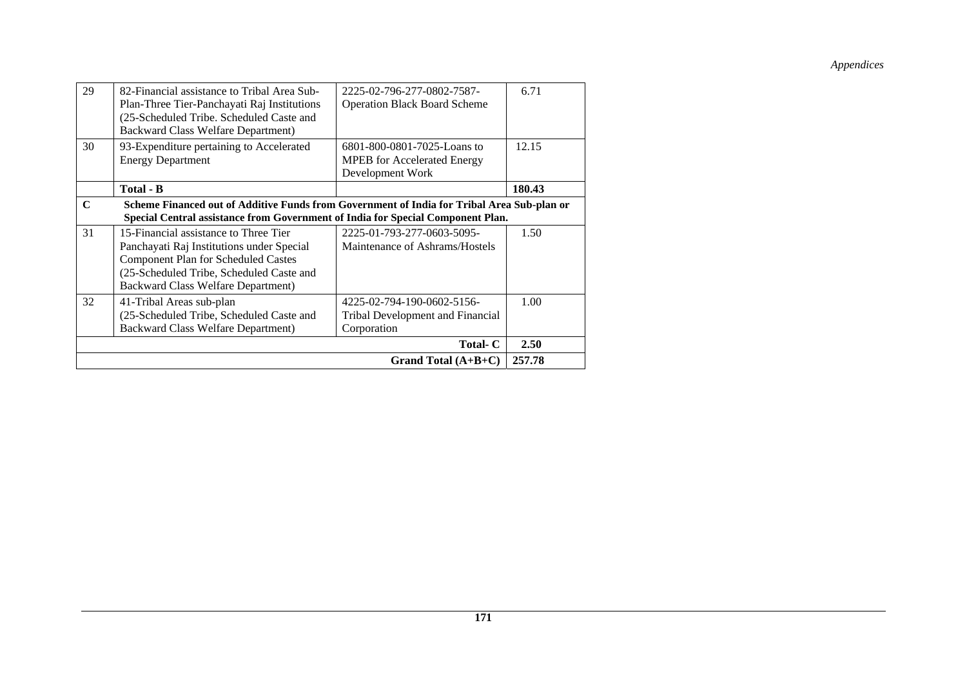| 29          | 82-Financial assistance to Tribal Area Sub-<br>Plan-Three Tier-Panchayati Raj Institutions<br>(25-Scheduled Tribe. Scheduled Caste and<br><b>Backward Class Welfare Department)</b>                                       | 2225-02-796-277-0802-7587-<br><b>Operation Black Board Scheme</b>                     | 6.71   |  |
|-------------|---------------------------------------------------------------------------------------------------------------------------------------------------------------------------------------------------------------------------|---------------------------------------------------------------------------------------|--------|--|
| 30          | 93-Expenditure pertaining to Accelerated<br><b>Energy Department</b>                                                                                                                                                      | 6801-800-0801-7025-Loans to<br><b>MPEB</b> for Accelerated Energy<br>Development Work | 12.15  |  |
|             | Total - B                                                                                                                                                                                                                 |                                                                                       | 180.43 |  |
| $\mathbf C$ | Scheme Financed out of Additive Funds from Government of India for Tribal Area Sub-plan or<br>Special Central assistance from Government of India for Special Component Plan.                                             |                                                                                       |        |  |
| 31          | 15-Financial assistance to Three Tier<br>Panchayati Raj Institutions under Special<br><b>Component Plan for Scheduled Castes</b><br>(25-Scheduled Tribe, Scheduled Caste and<br><b>Backward Class Welfare Department)</b> | 2225-01-793-277-0603-5095-<br>Maintenance of Ashrams/Hostels                          | 1.50   |  |
| 32          | 41-Tribal Areas sub-plan<br>(25-Scheduled Tribe, Scheduled Caste and<br><b>Backward Class Welfare Department)</b>                                                                                                         | 4225-02-794-190-0602-5156-<br>Tribal Development and Financial<br>Corporation         | 1.00   |  |
| Total- C    |                                                                                                                                                                                                                           |                                                                                       |        |  |
|             |                                                                                                                                                                                                                           | Grand Total $(A+B+C)$                                                                 | 257.78 |  |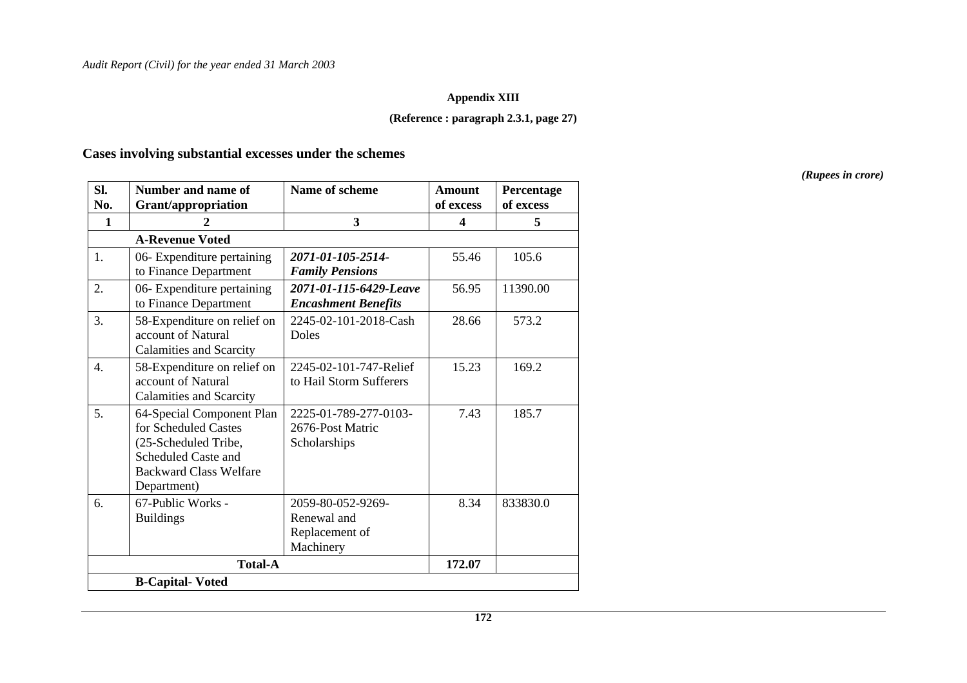#### **Appendix XIII**

### **(Reference : paragraph 2.3.1, page 27)**

# **Cases involving substantial excesses under the schemes**

| SI.<br>No. | Number and name of<br><b>Grant/appropriation</b>                                                                                                 | Name of scheme                                                  | <b>Amount</b><br>of excess | Percentage<br>of excess |
|------------|--------------------------------------------------------------------------------------------------------------------------------------------------|-----------------------------------------------------------------|----------------------------|-------------------------|
| 1          |                                                                                                                                                  | 3                                                               | 4                          | 5                       |
|            | <b>A-Revenue Voted</b>                                                                                                                           |                                                                 |                            |                         |
| 1.         | 06- Expenditure pertaining<br>to Finance Department                                                                                              | 2071-01-105-2514-<br><b>Family Pensions</b>                     | 55.46                      | 105.6                   |
| 2.         | 06- Expenditure pertaining<br>to Finance Department                                                                                              | 2071-01-115-6429-Leave<br><b>Encashment Benefits</b>            | 56.95                      | 11390.00                |
| 3.         | 58-Expenditure on relief on<br>account of Natural<br><b>Calamities and Scarcity</b>                                                              | 2245-02-101-2018-Cash<br><b>Doles</b>                           | 28.66                      | 573.2                   |
| 4.         | 58-Expenditure on relief on<br>account of Natural<br><b>Calamities and Scarcity</b>                                                              | 2245-02-101-747-Relief<br>to Hail Storm Sufferers               | 15.23                      | 169.2                   |
| 5.         | 64-Special Component Plan<br>for Scheduled Castes<br>(25-Scheduled Tribe,<br>Scheduled Caste and<br><b>Backward Class Welfare</b><br>Department) | 2225-01-789-277-0103-<br>2676-Post Matric<br>Scholarships       | 7.43                       | 185.7                   |
| 6.         | 67-Public Works -<br><b>Buildings</b>                                                                                                            | 2059-80-052-9269-<br>Renewal and<br>Replacement of<br>Machinery | 8.34                       | 833830.0                |
|            | <b>Total-A</b>                                                                                                                                   |                                                                 | 172.07                     |                         |
|            | <b>B-Capital-Voted</b>                                                                                                                           |                                                                 |                            |                         |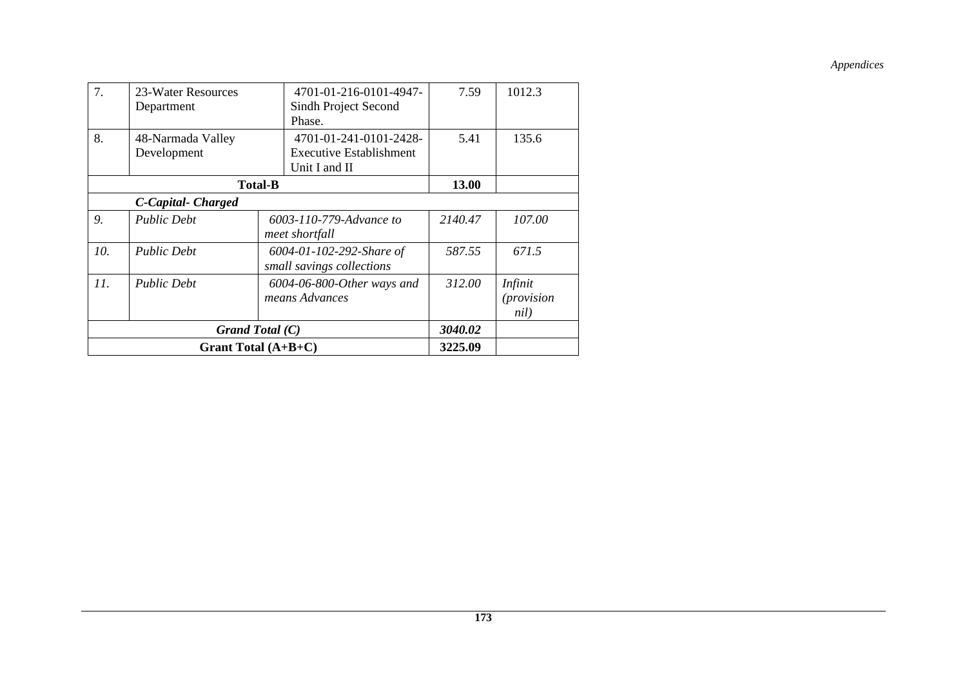| 7.  | 23-Water Resources | 4701-01-216-0101-4947-         | 7.59    | 1012.3            |
|-----|--------------------|--------------------------------|---------|-------------------|
|     | Department         | Sindh Project Second           |         |                   |
|     |                    | Phase.                         |         |                   |
| 8.  | 48-Narmada Valley  | 4701-01-241-0101-2428-         | 5.41    | 135.6             |
|     | Development        | <b>Executive Establishment</b> |         |                   |
|     |                    | Unit I and II                  |         |                   |
|     | <b>Total-B</b>     |                                |         |                   |
|     | C-Capital-Charged  |                                |         |                   |
| 9.  | <b>Public Debt</b> | 6003-110-779-Advance to        | 2140.47 | 107.00            |
|     |                    | meet shortfall                 |         |                   |
| 10. | <b>Public Debt</b> | 6004-01-102-292-Share of       | 587.55  | 671.5             |
|     |                    | small savings collections      |         |                   |
| 11. | <b>Public Debt</b> | 6004-06-800-Other ways and     | 312.00  | Infinit           |
|     |                    | means Advances                 |         | <i>(provision</i> |
|     |                    |                                |         | nil)              |
|     | Grand Total $(C)$  |                                |         |                   |
|     |                    | Grant Total $(A+B+C)$          | 3225.09 |                   |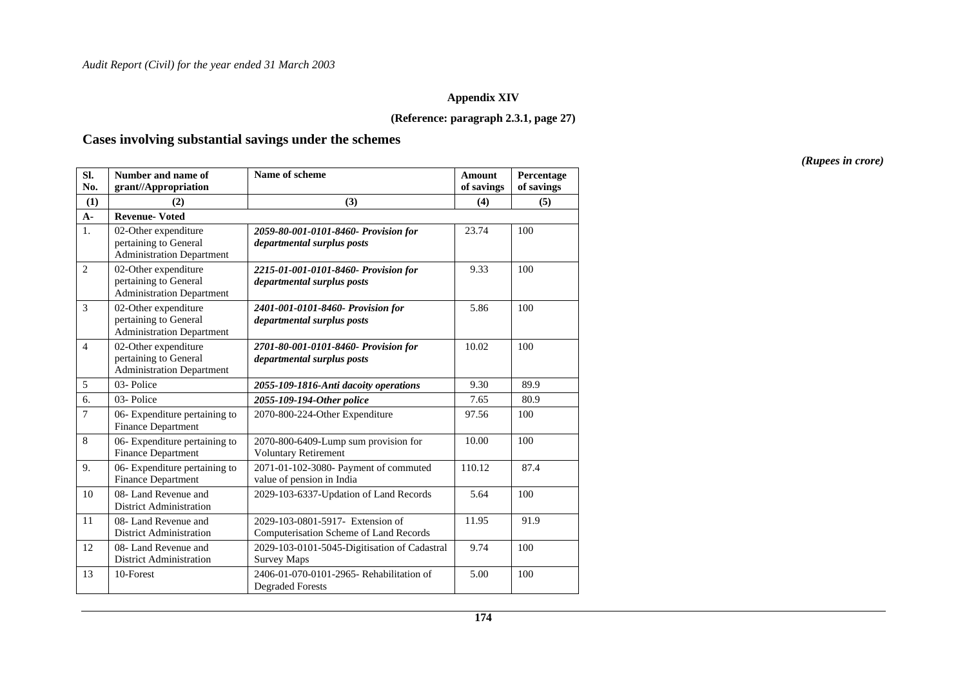#### **Appendix XIV**

#### **(Reference: paragraph 2.3.1, page 27)**

#### **Cases involving substantial savings under the schemes**

**Sl. No. Number and name of grant//Appropriation Name of scheme** Amount **of savings Percentage of savings (1) (2) (3) (4) (5) A- Revenue- Voted** 1. 02-Other expenditure pertaining to General Administration Department *2059-80-001-0101-8460- Provision for departmental surplus posts*  23.74 100 2 02-Other expenditure pertaining to General Administration Department *2215-01-001-0101-8460- Provision for departmental surplus posts*  9.33 100 3 02-Other expenditure pertaining to General Administration Department *2401-001-0101-8460- Provision for departmental surplus posts*  5.86 100 4 02-Other expenditure pertaining to General Administration Department *2701-80-001-0101-8460- Provision for departmental surplus posts*  10.02 | 100 5 03- Police *2055-109-1816-Anti dacoity operations* 9.30 89.9 6. 03- Police *2055-109-194-Other police* 7.65 80.9 7 06- Expenditure pertaining to Finance Department 2070-800-224-Other Expenditure 97.56 100 8 06- Expenditure pertaining to Finance Department 2070-800-6409-Lump sum provision for Voluntary Retirement 10.00 | 100 9. 06- Expenditure pertaining to Finance Department 2071-01-102-3080- Payment of commuted value of pension in India 110.12 | 87.4 10 | 08- Land Revenue and District Administration 2029-103-6337-Updation of Land Records 5.64 100 11 08- Land Revenue and District Administration 2029-103-0801-5917- Extension of Computerisation Scheme of Land Records  $11.95$  91.9 12 08- Land Revenue and District Administration 2029-103-0101-5045-Digitisation of Cadastral Survey Maps 9.74 100 13 10-Forest 2406-01-070-0101-2965- Rehabilitation of Degraded Forests 5.00 100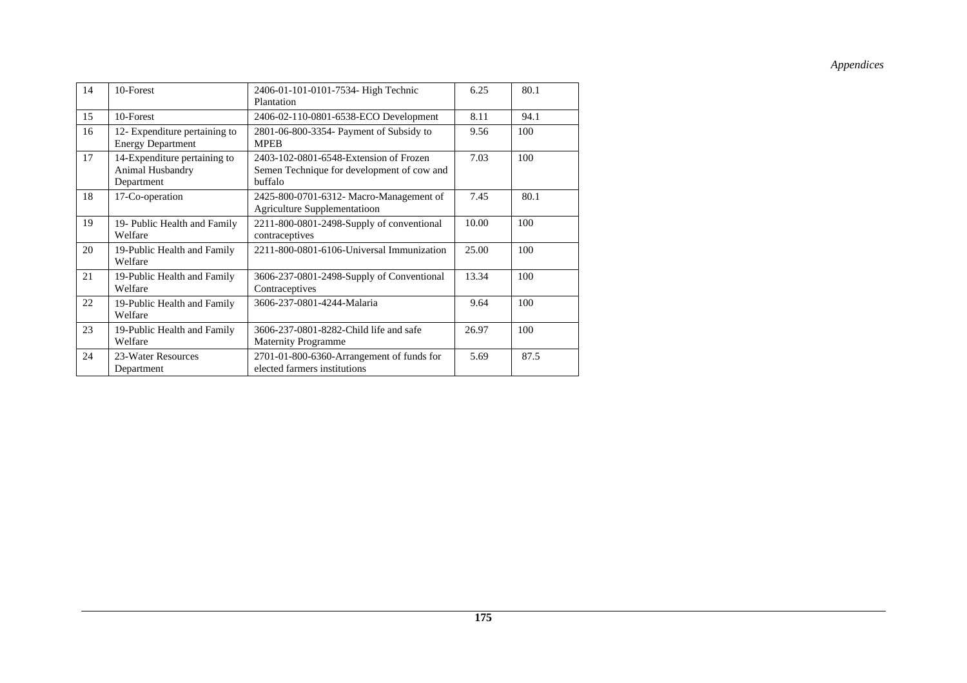| 14 | 10-Forest                                                      | 2406-01-101-0101-7534- High Technic<br>Plantation                                               | 6.25  | 80.1 |
|----|----------------------------------------------------------------|-------------------------------------------------------------------------------------------------|-------|------|
| 15 | 10-Forest                                                      | 2406-02-110-0801-6538-ECO Development                                                           | 8.11  | 94.1 |
| 16 | 12- Expenditure pertaining to<br><b>Energy Department</b>      | 2801-06-800-3354- Payment of Subsidy to<br><b>MPEB</b>                                          | 9.56  | 100  |
| 17 | 14-Expenditure pertaining to<br>Animal Husbandry<br>Department | 2403-102-0801-6548-Extension of Frozen<br>Semen Technique for development of cow and<br>buffalo | 7.03  | 100  |
| 18 | 17-Co-operation                                                | 2425-800-0701-6312- Macro-Management of<br><b>Agriculture Supplementatioon</b>                  | 7.45  | 80.1 |
| 19 | 19- Public Health and Family<br>Welfare                        | 2211-800-0801-2498-Supply of conventional<br>contraceptives                                     | 10.00 | 100  |
| 20 | 19-Public Health and Family<br>Welfare                         | 2211-800-0801-6106-Universal Immunization                                                       | 25.00 | 100  |
| 21 | 19-Public Health and Family<br>Welfare                         | 3606-237-0801-2498-Supply of Conventional<br>Contraceptives                                     | 13.34 | 100  |
| 22 | 19-Public Health and Family<br>Welfare                         | 3606-237-0801-4244-Malaria                                                                      | 9.64  | 100  |
| 23 | 19-Public Health and Family<br>Welfare                         | 3606-237-0801-8282-Child life and safe<br><b>Maternity Programme</b>                            | 26.97 | 100  |
| 24 | 23-Water Resources<br>Department                               | 2701-01-800-6360-Arrangement of funds for<br>elected farmers institutions                       | 5.69  | 87.5 |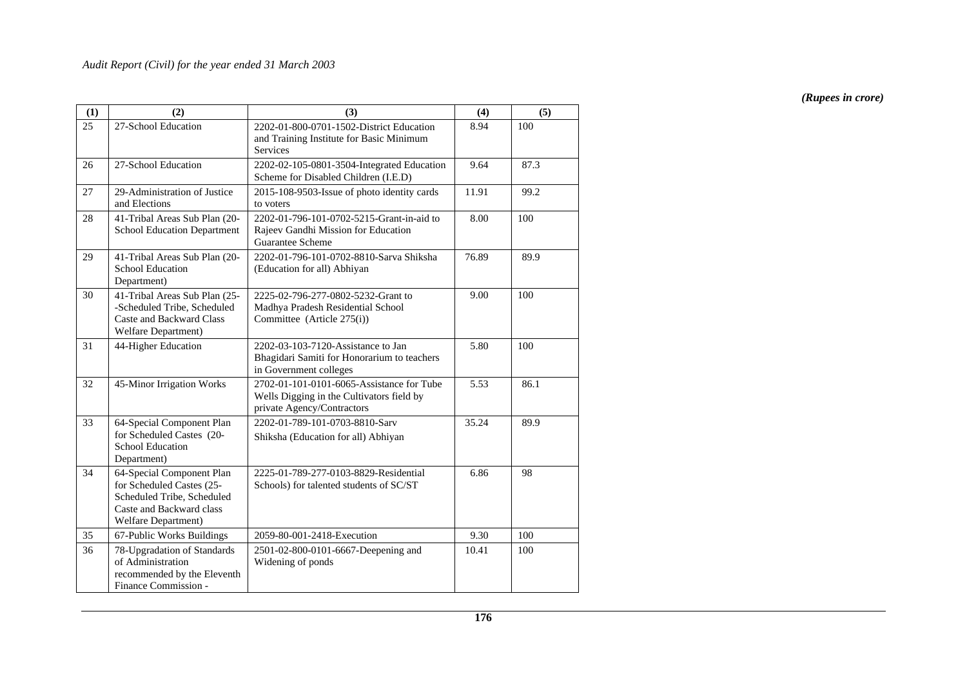| (1) | (2)                                                                                                                                     | (3)                                                                                                                  | (4)   | (5)  |
|-----|-----------------------------------------------------------------------------------------------------------------------------------------|----------------------------------------------------------------------------------------------------------------------|-------|------|
| 25  | 27-School Education                                                                                                                     | 2202-01-800-0701-1502-District Education<br>and Training Institute for Basic Minimum<br>Services                     | 8.94  | 100  |
| 26  | 27-School Education                                                                                                                     | 2202-02-105-0801-3504-Integrated Education<br>Scheme for Disabled Children (I.E.D)                                   | 9.64  | 87.3 |
| 27  | 29-Administration of Justice<br>and Elections                                                                                           | 2015-108-9503-Issue of photo identity cards<br>to voters                                                             | 11.91 | 99.2 |
| 28  | 41-Tribal Areas Sub Plan (20-<br><b>School Education Department</b>                                                                     | 2202-01-796-101-0702-5215-Grant-in-aid to<br>Rajeev Gandhi Mission for Education<br>Guarantee Scheme                 | 8.00  | 100  |
| 29  | 41-Tribal Areas Sub Plan (20-<br>School Education<br>Department)                                                                        | 2202-01-796-101-0702-8810-Sarva Shiksha<br>(Education for all) Abhiyan                                               | 76.89 | 89.9 |
| 30  | 41-Tribal Areas Sub Plan (25-<br>-Scheduled Tribe, Scheduled<br>Caste and Backward Class<br>Welfare Department)                         | 2225-02-796-277-0802-5232-Grant to<br>Madhya Pradesh Residential School<br>Committee (Article 275(i))                | 9.00  | 100  |
| 31  | 44-Higher Education                                                                                                                     | 2202-03-103-7120-Assistance to Jan<br>Bhagidari Samiti for Honorarium to teachers<br>in Government colleges          | 5.80  | 100  |
| 32  | 45-Minor Irrigation Works                                                                                                               | 2702-01-101-0101-6065-Assistance for Tube<br>Wells Digging in the Cultivators field by<br>private Agency/Contractors | 5.53  | 86.1 |
| 33  | 64-Special Component Plan<br>for Scheduled Castes (20-<br><b>School Education</b><br>Department)                                        | 2202-01-789-101-0703-8810-Sarv<br>Shiksha (Education for all) Abhiyan                                                | 35.24 | 89.9 |
| 34  | 64-Special Component Plan<br>for Scheduled Castes (25-<br>Scheduled Tribe, Scheduled<br>Caste and Backward class<br>Welfare Department) | 2225-01-789-277-0103-8829-Residential<br>Schools) for talented students of SC/ST                                     | 6.86  | 98   |
| 35  | 67-Public Works Buildings                                                                                                               | 2059-80-001-2418-Execution                                                                                           | 9.30  | 100  |
| 36  | 78-Upgradation of Standards<br>of Administration<br>recommended by the Eleventh<br>Finance Commission -                                 | 2501-02-800-0101-6667-Deepening and<br>Widening of ponds                                                             | 10.41 | 100  |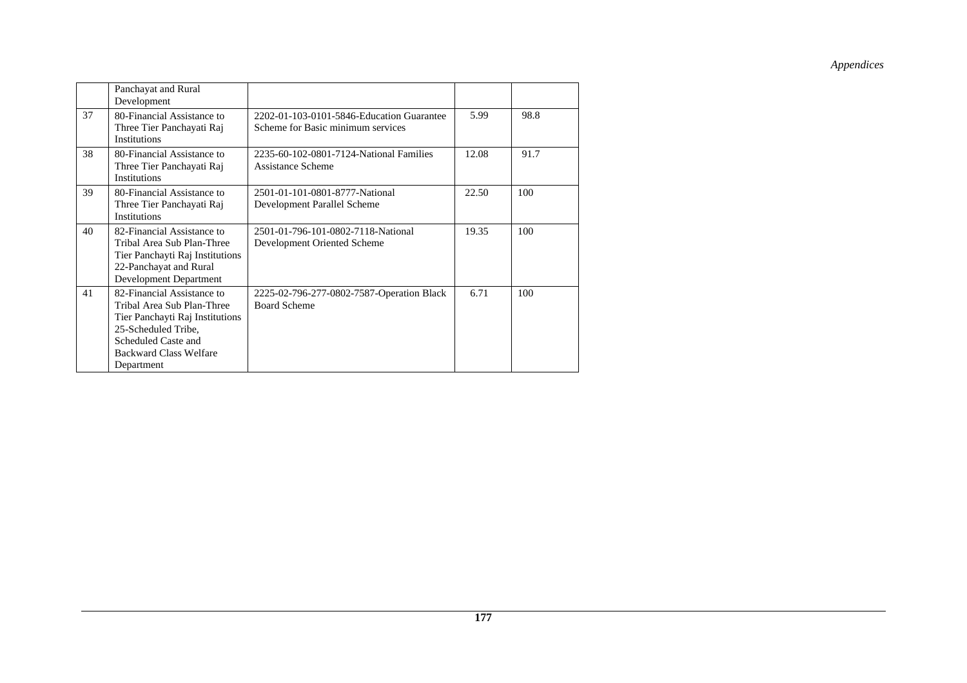|    | Panchayat and Rural<br>Development                                                                                                                                                       |                                                                                |       |      |
|----|------------------------------------------------------------------------------------------------------------------------------------------------------------------------------------------|--------------------------------------------------------------------------------|-------|------|
| 37 | 80-Financial Assistance to<br>Three Tier Panchayati Raj<br><b>Institutions</b>                                                                                                           | 2202-01-103-0101-5846-Education Guarantee<br>Scheme for Basic minimum services | 5.99  | 98.8 |
| 38 | 80-Financial Assistance to<br>Three Tier Panchayati Raj<br>Institutions                                                                                                                  | 2235-60-102-0801-7124-National Families<br>Assistance Scheme                   | 12.08 | 91.7 |
| 39 | 80-Financial Assistance to<br>Three Tier Panchayati Raj<br><b>Institutions</b>                                                                                                           | 2501-01-101-0801-8777-National<br>Development Parallel Scheme                  | 22.50 | 100  |
| 40 | 82-Financial Assistance to<br>Tribal Area Sub Plan-Three<br>Tier Panchayti Raj Institutions<br>22-Panchayat and Rural<br>Development Department                                          | 2501-01-796-101-0802-7118-National<br>Development Oriented Scheme              | 19.35 | 100  |
| 41 | 82-Financial Assistance to<br>Tribal Area Sub Plan-Three<br>Tier Panchayti Raj Institutions<br>25-Scheduled Tribe,<br>Scheduled Caste and<br><b>Backward Class Welfare</b><br>Department | 2225-02-796-277-0802-7587-Operation Black<br><b>Board Scheme</b>               | 6.71  | 100  |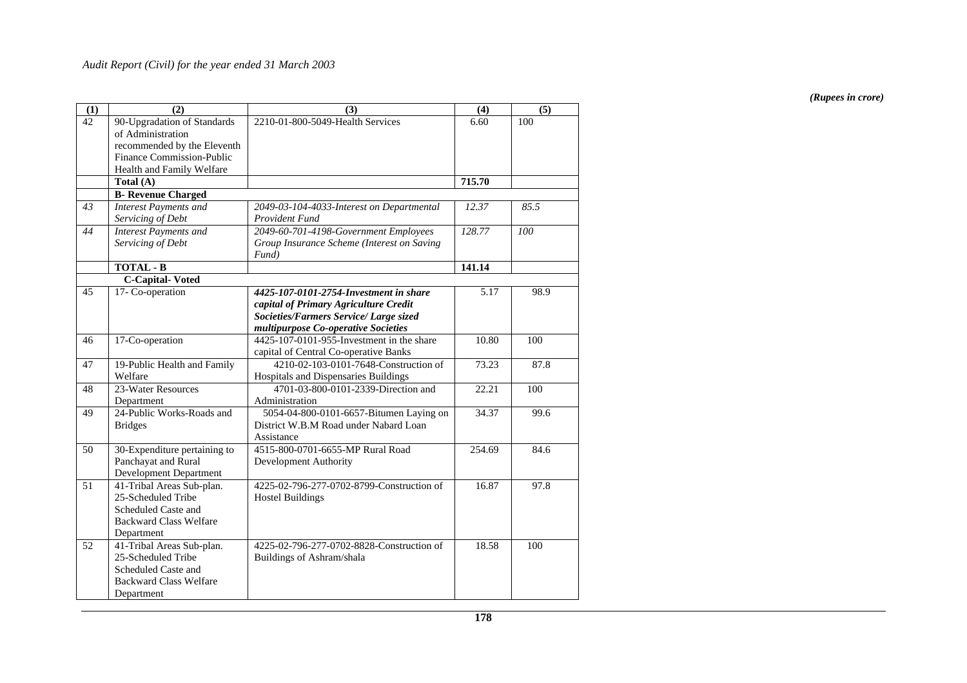| (1) | (2)                           | (3)                                        | (4)    | (5)  |
|-----|-------------------------------|--------------------------------------------|--------|------|
| 42  | 90-Upgradation of Standards   | 2210-01-800-5049-Health Services           | 6.60   | 100  |
|     | of Administration             |                                            |        |      |
|     | recommended by the Eleventh   |                                            |        |      |
|     | Finance Commission-Public     |                                            |        |      |
|     | Health and Family Welfare     |                                            |        |      |
|     | Total (A)                     |                                            | 715.70 |      |
|     | <b>B-</b> Revenue Charged     |                                            |        |      |
| 43  | <b>Interest Payments and</b>  | 2049-03-104-4033-Interest on Departmental  | 12.37  | 85.5 |
|     | Servicing of Debt             | Provident Fund                             |        |      |
| 44  | <b>Interest Payments and</b>  | 2049-60-701-4198-Government Employees      | 128.77 | 100  |
|     | Servicing of Debt             | Group Insurance Scheme (Interest on Saving |        |      |
|     |                               | $Fund$ )                                   |        |      |
|     | <b>TOTAL - B</b>              |                                            | 141.14 |      |
|     | <b>C-Capital-Voted</b>        |                                            |        |      |
| 45  | 17- Co-operation              | 4425-107-0101-2754-Investment in share     | 5.17   | 98.9 |
|     |                               | capital of Primary Agriculture Credit      |        |      |
|     |                               | Societies/Farmers Service/ Large sized     |        |      |
|     |                               | multipurpose Co-operative Societies        |        |      |
| 46  | 17-Co-operation               | 4425-107-0101-955-Investment in the share  | 10.80  | 100  |
|     |                               | capital of Central Co-operative Banks      |        |      |
| 47  | 19-Public Health and Family   | 4210-02-103-0101-7648-Construction of      | 73.23  | 87.8 |
|     | Welfare                       | Hospitals and Dispensaries Buildings       |        |      |
| 48  | 23-Water Resources            | 4701-03-800-0101-2339-Direction and        | 22.21  | 100  |
|     | Department                    | Administration                             |        |      |
| 49  | 24-Public Works-Roads and     | 5054-04-800-0101-6657-Bitumen Laying on    | 34.37  | 99.6 |
|     | <b>Bridges</b>                | District W.B.M Road under Nabard Loan      |        |      |
|     |                               | Assistance                                 |        |      |
| 50  | 30-Expenditure pertaining to  | 4515-800-0701-6655-MP Rural Road           | 254.69 | 84.6 |
|     | Panchayat and Rural           | Development Authority                      |        |      |
|     | Development Department        |                                            |        |      |
| 51  | 41-Tribal Areas Sub-plan.     | 4225-02-796-277-0702-8799-Construction of  | 16.87  | 97.8 |
|     | 25-Scheduled Tribe            | <b>Hostel Buildings</b>                    |        |      |
|     | Scheduled Caste and           |                                            |        |      |
|     | <b>Backward Class Welfare</b> |                                            |        |      |
|     | Department                    |                                            |        |      |
| 52  | 41-Tribal Areas Sub-plan.     | 4225-02-796-277-0702-8828-Construction of  | 18.58  | 100  |
|     | 25-Scheduled Tribe            | Buildings of Ashram/shala                  |        |      |
|     | Scheduled Caste and           |                                            |        |      |
|     | <b>Backward Class Welfare</b> |                                            |        |      |
|     | Department                    |                                            |        |      |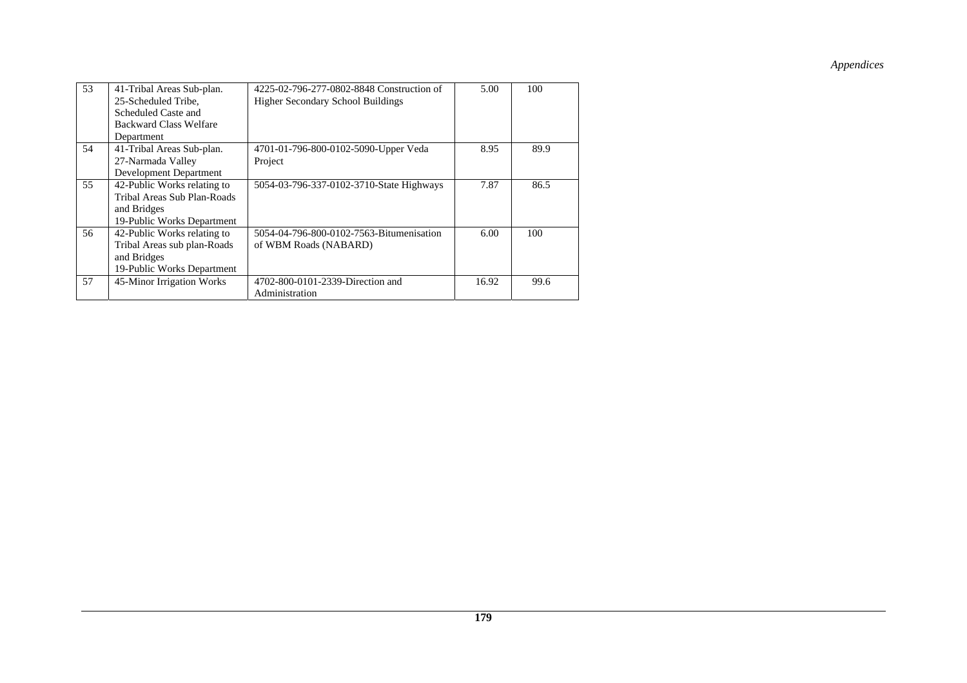| 53 | 41-Tribal Areas Sub-plan.     | 4225-02-796-277-0802-8848 Construction of | 5.00  | 100  |
|----|-------------------------------|-------------------------------------------|-------|------|
|    | 25-Scheduled Tribe.           | <b>Higher Secondary School Buildings</b>  |       |      |
|    | Scheduled Caste and           |                                           |       |      |
|    | <b>Backward Class Welfare</b> |                                           |       |      |
|    | Department                    |                                           |       |      |
| 54 | 41-Tribal Areas Sub-plan.     | 4701-01-796-800-0102-5090-Upper Veda      | 8.95  | 89.9 |
|    | 27-Narmada Valley             | Project                                   |       |      |
|    | Development Department        |                                           |       |      |
| 55 | 42-Public Works relating to   | 5054-03-796-337-0102-3710-State Highways  | 7.87  | 86.5 |
|    | Tribal Areas Sub Plan-Roads   |                                           |       |      |
|    | and Bridges                   |                                           |       |      |
|    | 19-Public Works Department    |                                           |       |      |
| 56 | 42-Public Works relating to   | 5054-04-796-800-0102-7563-Bitumenisation  | 6.00  | 100  |
|    | Tribal Areas sub plan-Roads   | of WBM Roads (NABARD)                     |       |      |
|    | and Bridges                   |                                           |       |      |
|    | 19-Public Works Department    |                                           |       |      |
| 57 | 45-Minor Irrigation Works     | 4702-800-0101-2339-Direction and          | 16.92 | 99.6 |
|    |                               | Administration                            |       |      |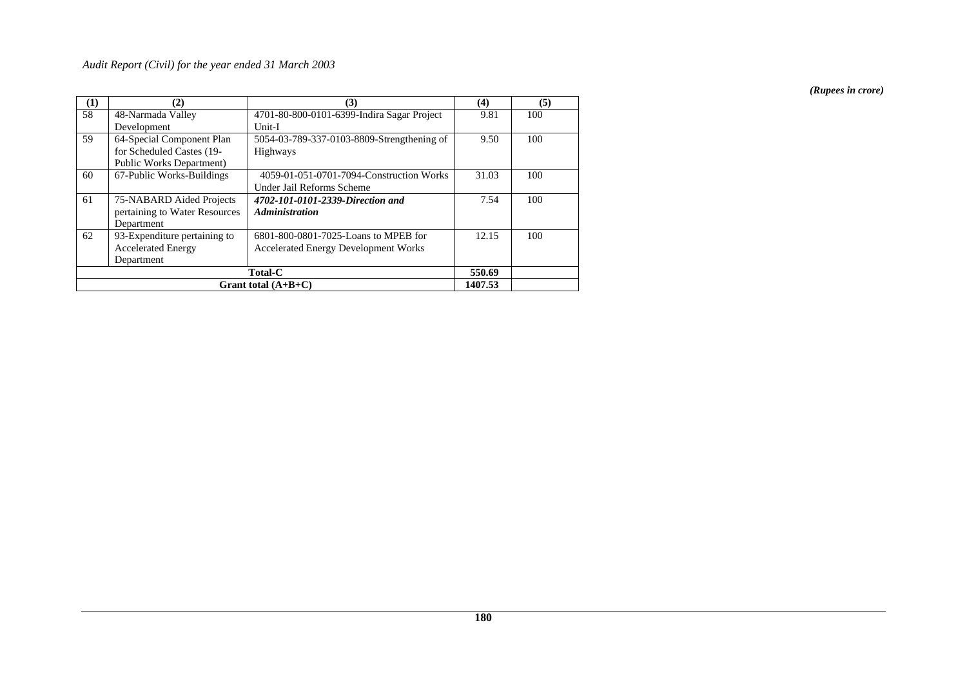| (1) | (2)                              | (3)                                         | (4)     | (5) |
|-----|----------------------------------|---------------------------------------------|---------|-----|
| 58  | 48-Narmada Valley                | 4701-80-800-0101-6399-Indira Sagar Project  | 9.81    | 100 |
|     | Development                      | Unit-I                                      |         |     |
| 59  | 64-Special Component Plan        | 5054-03-789-337-0103-8809-Strengthening of  | 9.50    | 100 |
|     | for Scheduled Castes (19-        | Highways                                    |         |     |
|     | <b>Public Works Department</b> ) |                                             |         |     |
| 60  | 67-Public Works-Buildings        | 4059-01-051-0701-7094-Construction Works    | 31.03   | 100 |
|     |                                  | Under Jail Reforms Scheme                   |         |     |
| 61  | 75-NABARD Aided Projects         | 4702-101-0101-2339-Direction and            | 7.54    | 100 |
|     | pertaining to Water Resources    | <b>Administration</b>                       |         |     |
|     | Department                       |                                             |         |     |
| 62  | 93-Expenditure pertaining to     | 6801-800-0801-7025-Loans to MPEB for        | 12.15   | 100 |
|     | <b>Accelerated Energy</b>        | <b>Accelerated Energy Development Works</b> |         |     |
|     | Department                       |                                             |         |     |
|     | <b>Total-C</b>                   |                                             |         |     |
|     |                                  | Grant total $(A+B+C)$                       | 1407.53 |     |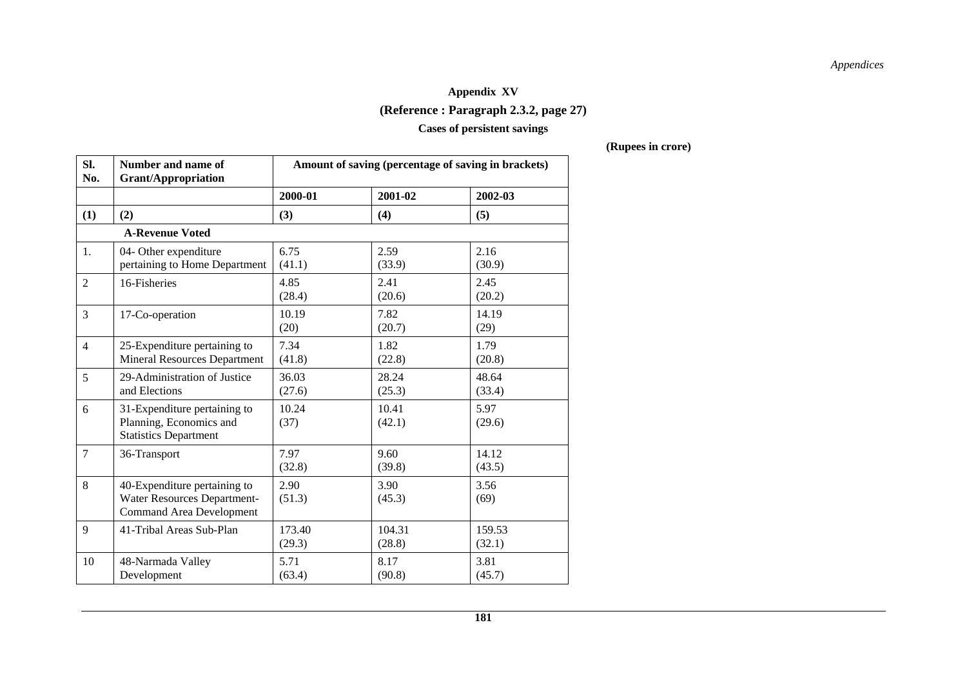# **Appendix XV (Reference : Paragraph 2.3.2, page 27)**

#### **Cases of persistent savings**

| SI.<br>No.     | Number and name of<br><b>Grant/Appropriation</b>                                                      | Amount of saving (percentage of saving in brackets) |                  |                  |
|----------------|-------------------------------------------------------------------------------------------------------|-----------------------------------------------------|------------------|------------------|
|                |                                                                                                       | 2000-01                                             | 2001-02          | 2002-03          |
| (1)            | (2)                                                                                                   | (3)                                                 | (4)              | (5)              |
|                | <b>A-Revenue Voted</b>                                                                                |                                                     |                  |                  |
| 1.             | 04- Other expenditure<br>pertaining to Home Department                                                | 6.75<br>(41.1)                                      | 2.59<br>(33.9)   | 2.16<br>(30.9)   |
| $\overline{2}$ | 16-Fisheries                                                                                          | 4.85<br>(28.4)                                      | 2.41<br>(20.6)   | 2.45<br>(20.2)   |
| 3              | 17-Co-operation                                                                                       | 10.19<br>(20)                                       | 7.82<br>(20.7)   | 14.19<br>(29)    |
| $\overline{4}$ | 25-Expenditure pertaining to<br><b>Mineral Resources Department</b>                                   | 7.34<br>(41.8)                                      | 1.82<br>(22.8)   | 1.79<br>(20.8)   |
| 5              | 29-Administration of Justice<br>and Elections                                                         | 36.03<br>(27.6)                                     | 28.24<br>(25.3)  | 48.64<br>(33.4)  |
| 6              | 31-Expenditure pertaining to<br>Planning, Economics and<br><b>Statistics Department</b>               | 10.24<br>(37)                                       | 10.41<br>(42.1)  | 5.97<br>(29.6)   |
| $\tau$         | 36-Transport                                                                                          | 7.97<br>(32.8)                                      | 9.60<br>(39.8)   | 14.12<br>(43.5)  |
| 8              | 40-Expenditure pertaining to<br><b>Water Resources Department-</b><br><b>Command Area Development</b> | 2.90<br>(51.3)                                      | 3.90<br>(45.3)   | 3.56<br>(69)     |
| 9              | 41-Tribal Areas Sub-Plan                                                                              | 173.40<br>(29.3)                                    | 104.31<br>(28.8) | 159.53<br>(32.1) |
| 10             | 48-Narmada Valley<br>Development                                                                      | 5.71<br>(63.4)                                      | 8.17<br>(90.8)   | 3.81<br>(45.7)   |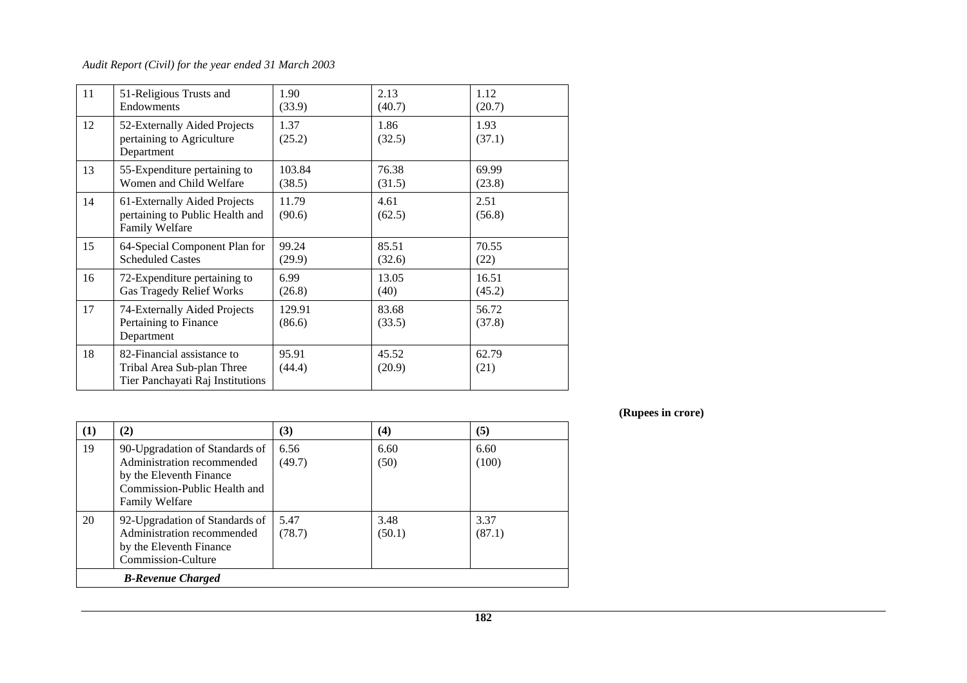### *Audit Report (Civil) for the year ended 31 March 2003*

| 11 | 51-Religious Trusts and<br>Endowments                                                        | 1.90<br>(33.9)   | 2.13<br>(40.7)  | 1.12<br>(20.7)  |
|----|----------------------------------------------------------------------------------------------|------------------|-----------------|-----------------|
| 12 | 52-Externally Aided Projects<br>pertaining to Agriculture<br>Department                      | 1.37<br>(25.2)   | 1.86<br>(32.5)  | 1.93<br>(37.1)  |
| 13 | 55-Expenditure pertaining to<br>Women and Child Welfare                                      | 103.84<br>(38.5) | 76.38<br>(31.5) | 69.99<br>(23.8) |
| 14 | 61-Externally Aided Projects<br>pertaining to Public Health and<br><b>Family Welfare</b>     | 11.79<br>(90.6)  | 4.61<br>(62.5)  | 2.51<br>(56.8)  |
| 15 | 64-Special Component Plan for<br><b>Scheduled Castes</b>                                     | 99.24<br>(29.9)  | 85.51<br>(32.6) | 70.55<br>(22)   |
| 16 | 72-Expenditure pertaining to<br><b>Gas Tragedy Relief Works</b>                              | 6.99<br>(26.8)   | 13.05<br>(40)   | 16.51<br>(45.2) |
| 17 | 74-Externally Aided Projects<br>Pertaining to Finance<br>Department                          | 129.91<br>(86.6) | 83.68<br>(33.5) | 56.72<br>(37.8) |
| 18 | 82-Financial assistance to<br>Tribal Area Sub-plan Three<br>Tier Panchayati Raj Institutions | 95.91<br>(44.4)  | 45.52<br>(20.9) | 62.79<br>(21)   |

| $\bf(1)$ | (2)                                                                                                                                              | (3)            | $\left( 4\right)$ | (5)            |
|----------|--------------------------------------------------------------------------------------------------------------------------------------------------|----------------|-------------------|----------------|
| 19       | 90-Upgradation of Standards of<br>Administration recommended<br>by the Eleventh Finance<br>Commission-Public Health and<br><b>Family Welfare</b> | 6.56<br>(49.7) | 6.60<br>(50)      | 6.60<br>(100)  |
| 20       | 92-Upgradation of Standards of<br>Administration recommended<br>by the Eleventh Finance<br>Commission-Culture                                    | 5.47<br>(78.7) | 3.48<br>(50.1)    | 3.37<br>(87.1) |
|          | <b>B-Revenue Charged</b>                                                                                                                         |                |                   |                |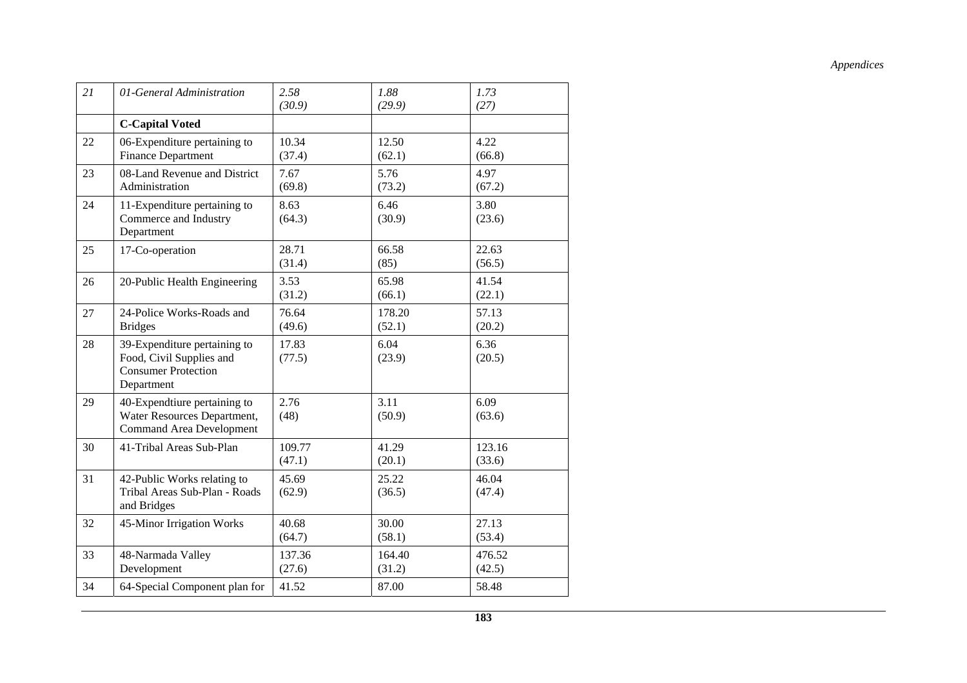| 21 | 01-General Administration                                                                            | 2.58<br>(30.9)   | 1.88<br>(29.9)   | 1.73<br>(27)     |
|----|------------------------------------------------------------------------------------------------------|------------------|------------------|------------------|
|    | <b>C-Capital Voted</b>                                                                               |                  |                  |                  |
| 22 | 06-Expenditure pertaining to<br><b>Finance Department</b>                                            | 10.34<br>(37.4)  | 12.50<br>(62.1)  | 4.22<br>(66.8)   |
| 23 | 08-Land Revenue and District<br>Administration                                                       | 7.67<br>(69.8)   | 5.76<br>(73.2)   | 4.97<br>(67.2)   |
| 24 | 11-Expenditure pertaining to<br>Commerce and Industry<br>Department                                  | 8.63<br>(64.3)   | 6.46<br>(30.9)   | 3.80<br>(23.6)   |
| 25 | 17-Co-operation                                                                                      | 28.71<br>(31.4)  | 66.58<br>(85)    | 22.63<br>(56.5)  |
| 26 | 20-Public Health Engineering                                                                         | 3.53<br>(31.2)   | 65.98<br>(66.1)  | 41.54<br>(22.1)  |
| 27 | 24-Police Works-Roads and<br><b>Bridges</b>                                                          | 76.64<br>(49.6)  | 178.20<br>(52.1) | 57.13<br>(20.2)  |
| 28 | 39-Expenditure pertaining to<br>Food, Civil Supplies and<br><b>Consumer Protection</b><br>Department | 17.83<br>(77.5)  | 6.04<br>(23.9)   | 6.36<br>(20.5)   |
| 29 | 40-Expendtiure pertaining to<br>Water Resources Department,<br><b>Command Area Development</b>       | 2.76<br>(48)     | 3.11<br>(50.9)   | 6.09<br>(63.6)   |
| 30 | 41-Tribal Areas Sub-Plan                                                                             | 109.77<br>(47.1) | 41.29<br>(20.1)  | 123.16<br>(33.6) |
| 31 | 42-Public Works relating to<br>Tribal Areas Sub-Plan - Roads<br>and Bridges                          | 45.69<br>(62.9)  | 25.22<br>(36.5)  | 46.04<br>(47.4)  |
| 32 | 45-Minor Irrigation Works                                                                            | 40.68<br>(64.7)  | 30.00<br>(58.1)  | 27.13<br>(53.4)  |
| 33 | 48-Narmada Valley<br>Development                                                                     | 137.36<br>(27.6) | 164.40<br>(31.2) | 476.52<br>(42.5) |
| 34 | 64-Special Component plan for                                                                        | 41.52            | 87.00            | 58.48            |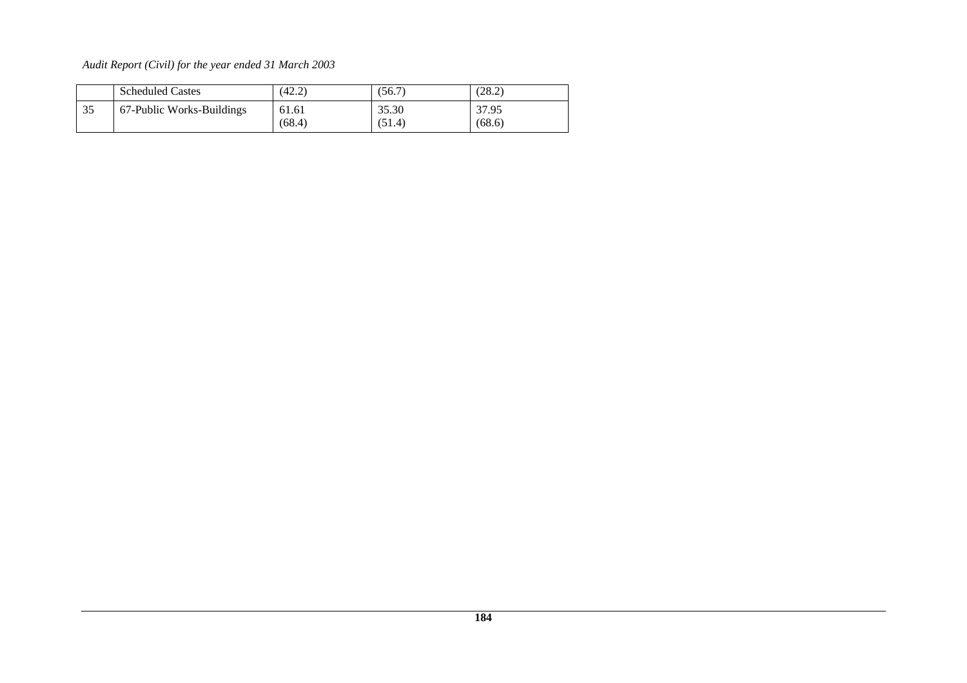|    | <b>Scheduled Castes</b>   | (42.2)          | (56.7)          | (28.2)          |
|----|---------------------------|-----------------|-----------------|-----------------|
| 35 | 67-Public Works-Buildings | 61.61<br>(68.4) | 35.30<br>(51.4) | 37.95<br>(68.6) |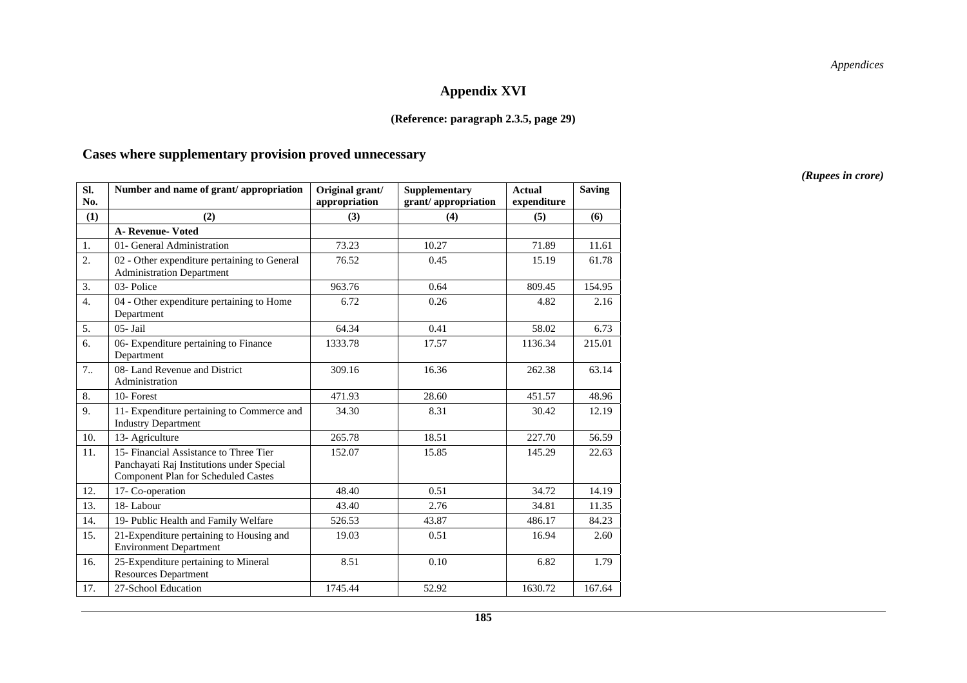### **Appendix XVI**

#### **(Reference: paragraph 2.3.5, page 29)**

#### **Cases where supplementary provision proved unnecessary**

**Sl. No.**  Number and name of grant/ appropriation | Original grant/ **appropriation Supplementary grant/ appropriation Actual expenditure Saving**   $(1)$   $(2)$   $(3)$   $(4)$   $(5)$   $(6)$  **A- Revenue- Voted** 1. | 01- General Administration | 73.23 | 10.27 | 71.89 | 11.61 2. 02 - Other expenditure pertaining to General Administration Department 76.52 0.45 15.19 61.78 3. 03- Police 963.76 0.64 809.45 154.95 154.95 4. 04 - Other expenditure pertaining to Home Department 6.72 0.26 4.82 2.16 5. 05- Jail 64.34 0.41 58.02 6.73 6.73 6. 06- Expenditure pertaining to Finance Department 1333.78 17.57 1136.34 215.01 7.. 08- Land Revenue and District Administration 309.16 16.36 262.38 63.14 8. 10- Forest 471.93 28.60 451.57 48.96 9. 11- Expenditure pertaining to Commerce and Industry Department 34.30 8.31 30.42 12.19 10. 13- Agriculture 1. 265.78 18.51 227.70 56.59 11. 15- Financial Assistance to Three Tier Panchayati Raj Institutions under Special Component Plan for Scheduled Castes 152.07 15.85 145.29 22.63 12. 17- Co-operation 12. 14.19 13. 18-Labour 1. 1.35 14. 19- Public Health and Family Welfare 1 526.53 43.87 436.17 84.23 15. 21-Expenditure pertaining to Housing and Environment Department 19.03 | 0.51 | 16.94 | 2.60 2.60 16. 25-Expenditure pertaining to Mineral Resources Department 8.51 0.10 6.82 1.79 17. 27-School Education 1745.44  $\vert$  52.92 1630.72 167.64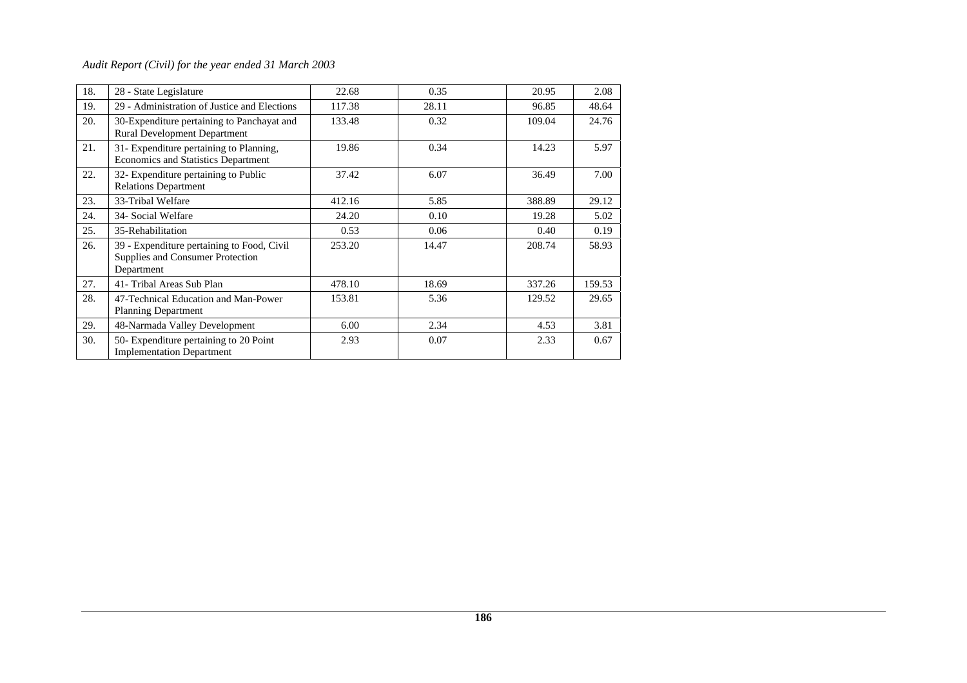| 18. | 28 - State Legislature                                                                       | 22.68  | 0.35  | 20.95  | 2.08   |
|-----|----------------------------------------------------------------------------------------------|--------|-------|--------|--------|
| 19. | 29 - Administration of Justice and Elections                                                 | 117.38 | 28.11 | 96.85  | 48.64  |
| 20. | 30-Expenditure pertaining to Panchayat and<br><b>Rural Development Department</b>            | 133.48 | 0.32  | 109.04 | 24.76  |
| 21. | 31- Expenditure pertaining to Planning,<br><b>Economics and Statistics Department</b>        | 19.86  | 0.34  | 14.23  | 5.97   |
| 22. | 32- Expenditure pertaining to Public<br><b>Relations Department</b>                          | 37.42  | 6.07  | 36.49  | 7.00   |
| 23. | 33-Tribal Welfare                                                                            | 412.16 | 5.85  | 388.89 | 29.12  |
| 24. | 34- Social Welfare                                                                           | 24.20  | 0.10  | 19.28  | 5.02   |
| 25. | 35-Rehabilitation                                                                            | 0.53   | 0.06  | 0.40   | 0.19   |
| 26. | 39 - Expenditure pertaining to Food, Civil<br>Supplies and Consumer Protection<br>Department | 253.20 | 14.47 | 208.74 | 58.93  |
| 27. | 41- Tribal Areas Sub Plan                                                                    | 478.10 | 18.69 | 337.26 | 159.53 |
| 28. | 47-Technical Education and Man-Power<br><b>Planning Department</b>                           | 153.81 | 5.36  | 129.52 | 29.65  |
| 29. | 48-Narmada Valley Development                                                                | 6.00   | 2.34  | 4.53   | 3.81   |
| 30. | 50- Expenditure pertaining to 20 Point<br><b>Implementation Department</b>                   | 2.93   | 0.07  | 2.33   | 0.67   |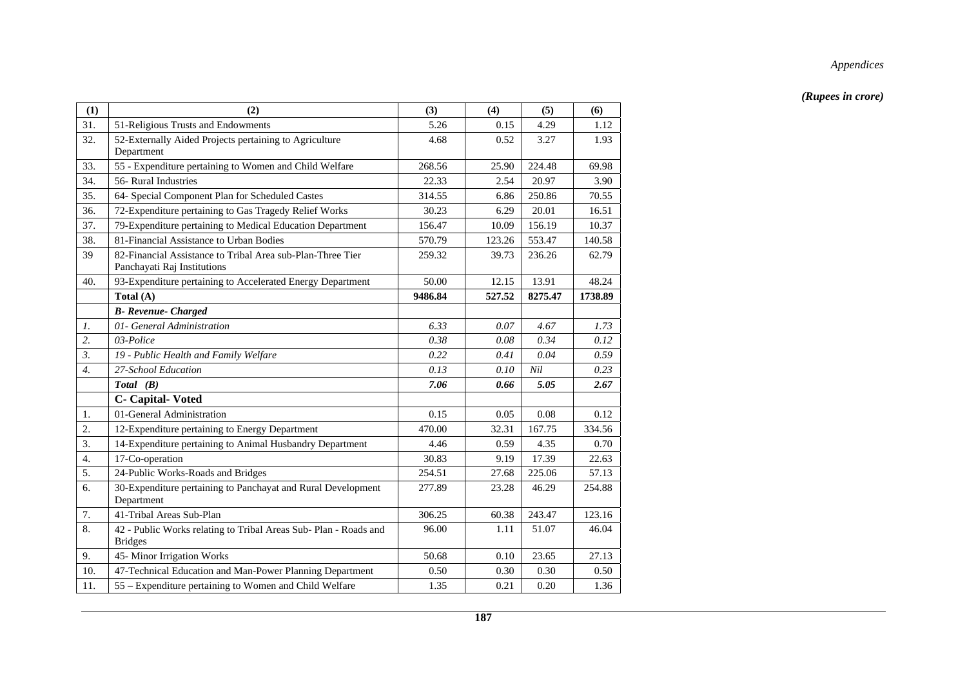| (1)              | (2)                                                                                       | (3)     | (4)    | (5)     | (6)     |
|------------------|-------------------------------------------------------------------------------------------|---------|--------|---------|---------|
| 31.              | 51-Religious Trusts and Endowments                                                        | 5.26    | 0.15   | 4.29    | 1.12    |
| 32.              | 52-Externally Aided Projects pertaining to Agriculture<br>Department                      | 4.68    | 0.52   | 3.27    | 1.93    |
| 33.              | 55 - Expenditure pertaining to Women and Child Welfare                                    | 268.56  | 25.90  | 224.48  | 69.98   |
| 34.              | 56- Rural Industries                                                                      | 22.33   | 2.54   | 20.97   | 3.90    |
| 35.              | 64- Special Component Plan for Scheduled Castes                                           | 314.55  | 6.86   | 250.86  | 70.55   |
| 36.              | 72-Expenditure pertaining to Gas Tragedy Relief Works                                     | 30.23   | 6.29   | 20.01   | 16.51   |
| 37.              | 79-Expenditure pertaining to Medical Education Department                                 | 156.47  | 10.09  | 156.19  | 10.37   |
| 38.              | 81-Financial Assistance to Urban Bodies                                                   | 570.79  | 123.26 | 553.47  | 140.58  |
| 39               | 82-Financial Assistance to Tribal Area sub-Plan-Three Tier<br>Panchayati Raj Institutions | 259.32  | 39.73  | 236.26  | 62.79   |
| 40.              | 93-Expenditure pertaining to Accelerated Energy Department                                | 50.00   | 12.15  | 13.91   | 48.24   |
|                  | Total (A)                                                                                 | 9486.84 | 527.52 | 8275.47 | 1738.89 |
|                  | <b>B-</b> Revenue- Charged                                                                |         |        |         |         |
| $\mathcal{I}$ .  | 01- General Administration                                                                | 6.33    | 0.07   | 4.67    | 1.73    |
| 2.               | 03-Police                                                                                 | 0.38    | 0.08   | 0.34    | 0.12    |
| 3.               | 19 - Public Health and Family Welfare                                                     | 0.22    | 0.41   | 0.04    | 0.59    |
| $\overline{4}$ . | 27-School Education                                                                       | 0.13    | 0.10   | Nil     | 0.23    |
|                  | Total (B)                                                                                 | 7.06    | 0.66   | 5.05    | 2.67    |
|                  | <b>C</b> - Capital-Voted                                                                  |         |        |         |         |
| 1.               | 01-General Administration                                                                 | 0.15    | 0.05   | 0.08    | 0.12    |
| 2.               | 12-Expenditure pertaining to Energy Department                                            | 470.00  | 32.31  | 167.75  | 334.56  |
| 3.               | 14-Expenditure pertaining to Animal Husbandry Department                                  | 4.46    | 0.59   | 4.35    | 0.70    |
| 4.               | 17-Co-operation                                                                           | 30.83   | 9.19   | 17.39   | 22.63   |
| 5.               | 24-Public Works-Roads and Bridges                                                         | 254.51  | 27.68  | 225.06  | 57.13   |
| 6.               | 30-Expenditure pertaining to Panchayat and Rural Development<br>Department                | 277.89  | 23.28  | 46.29   | 254.88  |
| 7.               | 41-Tribal Areas Sub-Plan                                                                  | 306.25  | 60.38  | 243.47  | 123.16  |
| 8.               | 42 - Public Works relating to Tribal Areas Sub- Plan - Roads and<br><b>Bridges</b>        | 96.00   | 1.11   | 51.07   | 46.04   |
| 9.               | 45- Minor Irrigation Works                                                                | 50.68   | 0.10   | 23.65   | 27.13   |
| 10.              | 47-Technical Education and Man-Power Planning Department                                  | 0.50    | 0.30   | 0.30    | 0.50    |
| 11.              | 55 – Expenditure pertaining to Women and Child Welfare                                    | 1.35    | 0.21   | 0.20    | 1.36    |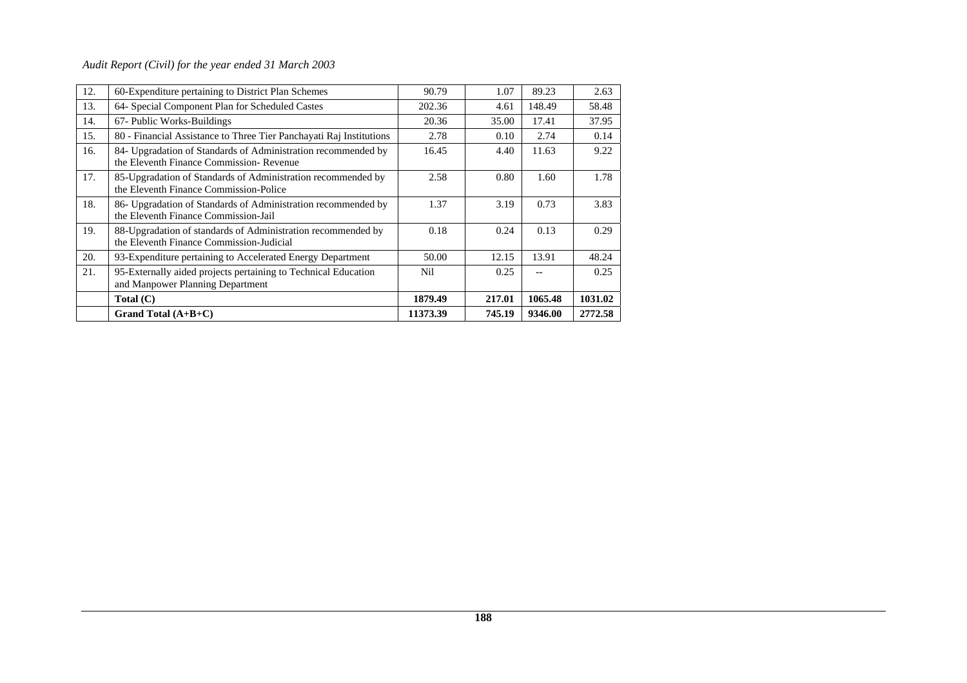| 12. | 60-Expenditure pertaining to District Plan Schemes                                                       | 90.79    | 1.07   | 89.23   | 2.63    |
|-----|----------------------------------------------------------------------------------------------------------|----------|--------|---------|---------|
| 13. | 64- Special Component Plan for Scheduled Castes                                                          | 202.36   | 4.61   | 148.49  | 58.48   |
| 14. | 67- Public Works-Buildings                                                                               | 20.36    | 35.00  | 17.41   | 37.95   |
| 15. | 80 - Financial Assistance to Three Tier Panchayati Raj Institutions                                      | 2.78     | 0.10   | 2.74    | 0.14    |
| 16. | 84- Upgradation of Standards of Administration recommended by<br>the Eleventh Finance Commission-Revenue | 16.45    | 4.40   | 11.63   | 9.22    |
| 17. | 85-Upgradation of Standards of Administration recommended by<br>the Eleventh Finance Commission-Police   | 2.58     | 0.80   | 1.60    | 1.78    |
| 18. | 86- Upgradation of Standards of Administration recommended by<br>the Eleventh Finance Commission-Jail    | 1.37     | 3.19   | 0.73    | 3.83    |
| 19. | 88-Upgradation of standards of Administration recommended by<br>the Eleventh Finance Commission-Judicial | 0.18     | 0.24   | 0.13    | 0.29    |
| 20. | 93-Expenditure pertaining to Accelerated Energy Department                                               | 50.00    | 12.15  | 13.91   | 48.24   |
| 21. | 95-Externally aided projects pertaining to Technical Education<br>and Manpower Planning Department       | Nil      | 0.25   |         | 0.25    |
|     | Total $(C)$                                                                                              | 1879.49  | 217.01 | 1065.48 | 1031.02 |
|     | Grand Total $(A+B+C)$                                                                                    | 11373.39 | 745.19 | 9346.00 | 2772.58 |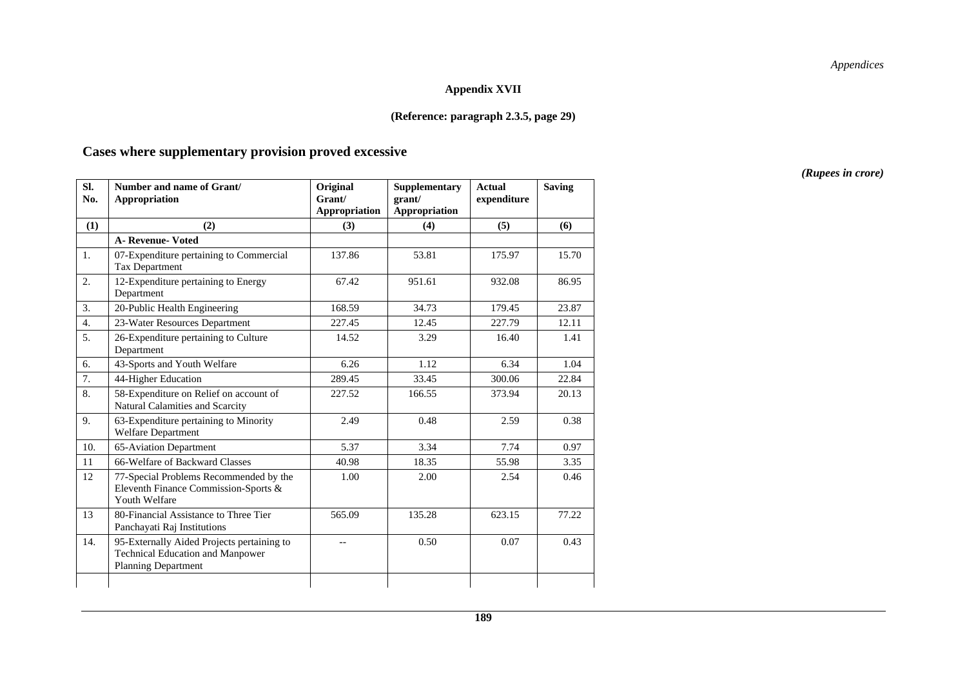#### **Appendix XVII**

#### **(Reference: paragraph 2.3.5, page 29)**

#### **Cases where supplementary provision proved excessive**

**Sl. No. Number and name of Grant/ Appropriation Original Grant/ Appropriation Supplementary grant/ Appropriation Actual expenditure Saving**   $(1)$   $(2)$   $(3)$   $(4)$   $(5)$   $(6)$  **A- Revenue- Voted**  1. 07-Expenditure pertaining to Commercial Tax Department 137.86 1 53.81 175.97 15.70 2. 12-Expenditure pertaining to Energy Department 67.42 951.61 932.08 86.95 3. 20-Public Health Engineering 168.59 34.73 179.45 23.87 4. 23-Water Resources Department 227.45 12.45 227.79 12.11 5. 26-Expenditure pertaining to Culture Department 14.52 3.29 16.40 1.41 6. 43-Sports and Youth Welfare 6.26 1.12 6.34 1.04 7. 44-Higher Education 289.45 33.45 300.06 22.84 8. 58-Expenditure on Relief on account of Natural Calamities and Scarcity 227.52 166.55 373.94 20.13 9. 63-Expenditure pertaining to Minority Welfare Department 2.49 0.48 2.59 0.38 10. 65-Aviation Department 10. 5.37 3.34 7.74 0.97 11 66-Welfare of Backward Classes 40.98 18.35 55.98 3.35 12 77-Special Problems Recommended by the Eleventh Finance Commission-Sports & Youth Welfare 1.00 1 2.00 1 2.54 0.46 0.46 13 80-Financial Assistance to Three Tier Panchayati Raj Institutions 565.09 135.28 623.15 77.22 14. 95-Externally Aided Projects pertaining to Technical Education and Manpower Planning Department -- 1 0.50 1 0.07 1 0.43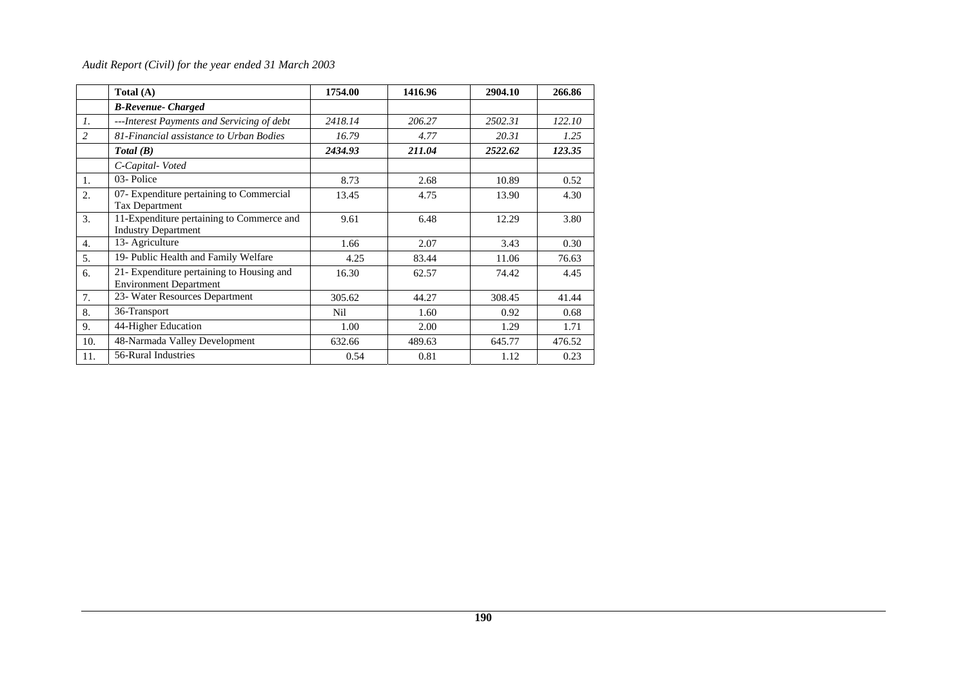|                | Total $(A)$                                                                | 1754.00 | 1416.96 | 2904.10 | 266.86 |
|----------------|----------------------------------------------------------------------------|---------|---------|---------|--------|
|                | <b>B-Revenue- Charged</b>                                                  |         |         |         |        |
| 1.             | ---Interest Payments and Servicing of debt                                 | 2418.14 | 206.27  | 2502.31 | 122.10 |
| $\overline{c}$ | 81-Financial assistance to Urban Bodies                                    | 16.79   | 4.77    | 20.31   | 1.25   |
|                | Total(B)                                                                   | 2434.93 | 211.04  | 2522.62 | 123.35 |
|                | C-Capital-Voted                                                            |         |         |         |        |
| 1.             | 03-Police                                                                  | 8.73    | 2.68    | 10.89   | 0.52   |
| 2.             | 07- Expenditure pertaining to Commercial<br><b>Tax Department</b>          | 13.45   | 4.75    | 13.90   | 4.30   |
| 3.             | 11-Expenditure pertaining to Commerce and<br><b>Industry Department</b>    | 9.61    | 6.48    | 12.29   | 3.80   |
| 4.             | 13- Agriculture                                                            | 1.66    | 2.07    | 3.43    | 0.30   |
| 5.             | 19- Public Health and Family Welfare                                       | 4.25    | 83.44   | 11.06   | 76.63  |
| 6.             | 21- Expenditure pertaining to Housing and<br><b>Environment Department</b> | 16.30   | 62.57   | 74.42   | 4.45   |
| 7.             | 23- Water Resources Department                                             | 305.62  | 44.27   | 308.45  | 41.44  |
| 8.             | 36-Transport                                                               | Nil     | 1.60    | 0.92    | 0.68   |
| 9.             | 44-Higher Education                                                        | 1.00    | 2.00    | 1.29    | 1.71   |
| 10.            | 48-Narmada Valley Development                                              | 632.66  | 489.63  | 645.77  | 476.52 |
| 11.            | 56-Rural Industries                                                        | 0.54    | 0.81    | 1.12    | 0.23   |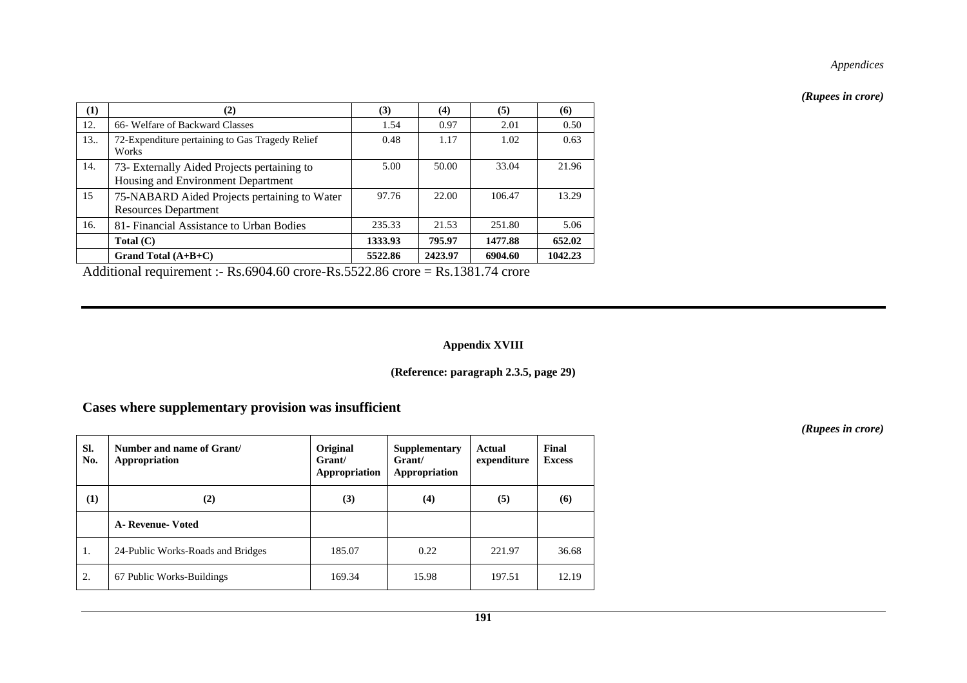*(Rupees in crore)* 

| (1) | (2)                                                                               | (3)     | (4)     | (5)     | (6)     |
|-----|-----------------------------------------------------------------------------------|---------|---------|---------|---------|
| 12. | 66- Welfare of Backward Classes                                                   | 1.54    | 0.97    | 2.01    | 0.50    |
| 13. | 72-Expenditure pertaining to Gas Tragedy Relief<br>Works                          | 0.48    | 1.17    | 1.02    | 0.63    |
| 14. | 73- Externally Aided Projects pertaining to<br>Housing and Environment Department | 5.00    | 50.00   | 33.04   | 21.96   |
| 15  | 75-NABARD Aided Projects pertaining to Water<br><b>Resources Department</b>       | 97.76   | 22.00   | 106.47  | 13.29   |
| 16. | 81- Financial Assistance to Urban Bodies                                          | 235.33  | 21.53   | 251.80  | 5.06    |
|     | Total (C)                                                                         | 1333.93 | 795.97  | 1477.88 | 652.02  |
|     | Grand Total $(A+B+C)$                                                             | 5522.86 | 2423.97 | 6904.60 | 1042.23 |

Additional requirement :- Rs.6904.60 crore-Rs.5522.86 crore = Rs.1381.74 crore

### **Appendix XVIII**

### **(Reference: paragraph 2.3.5, page 29)**

### **Cases where supplementary provision was insufficient**

| SI.<br>No. | Number and name of Grant/<br>Appropriation | Original<br>Grant/<br>Appropriation | Supplementary<br>Grant/<br>Appropriation | Actual<br>expenditure | Final<br><b>Excess</b> |
|------------|--------------------------------------------|-------------------------------------|------------------------------------------|-----------------------|------------------------|
| (1)        | (2)                                        | (3)                                 | (4)                                      | (5)                   | (6)                    |
|            | <b>A</b> - Revenue- Voted                  |                                     |                                          |                       |                        |
| 1.         | 24-Public Works-Roads and Bridges          | 185.07                              | 0.22                                     | 221.97                | 36.68                  |
| 2.         | 67 Public Works-Buildings                  | 169.34                              | 15.98                                    | 197.51                | 12.19                  |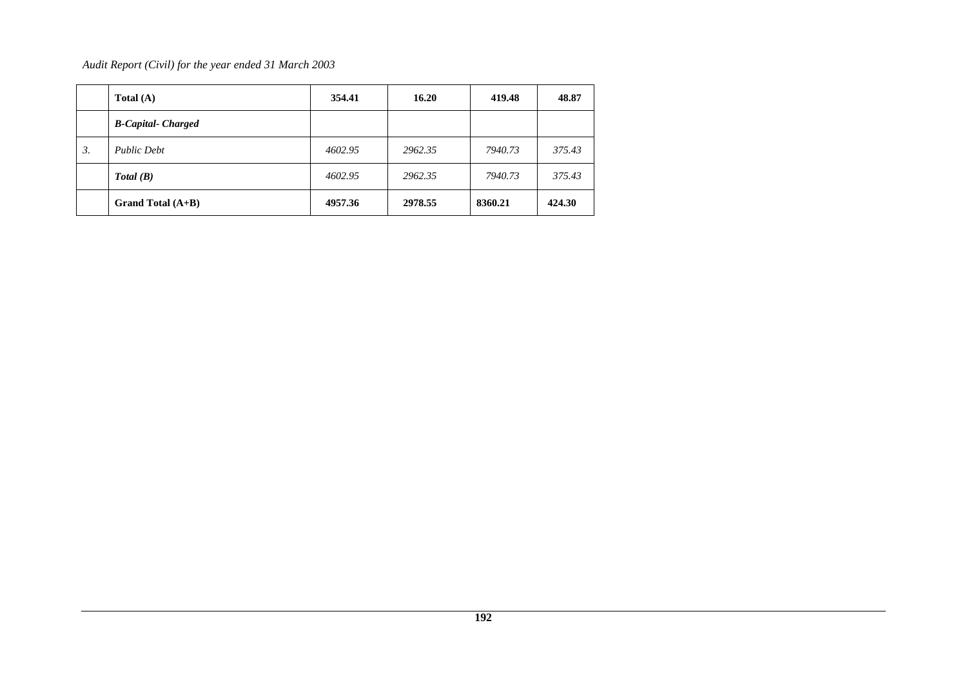|    | Total $(A)$              | 354.41  | 16.20   | 419.48  | 48.87  |
|----|--------------------------|---------|---------|---------|--------|
|    | <b>B-Capital-Charged</b> |         |         |         |        |
| 3. | <b>Public Debt</b>       | 4602.95 | 2962.35 | 7940.73 | 375.43 |
|    | Total(B)                 | 4602.95 | 2962.35 | 7940.73 | 375.43 |
|    | Grand Total $(A+B)$      | 4957.36 | 2978.55 | 8360.21 | 424.30 |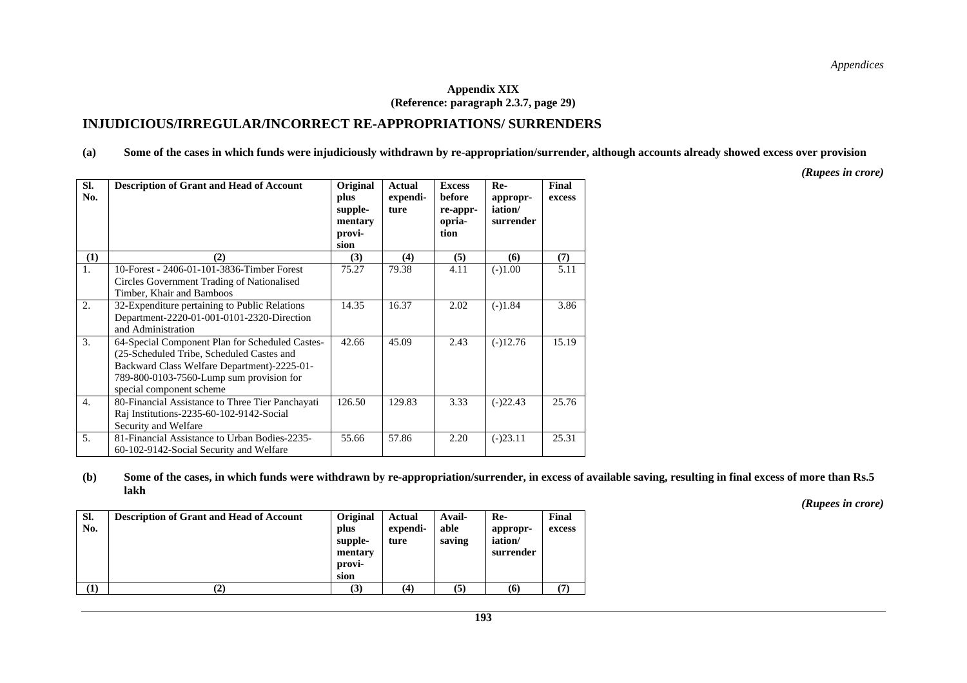#### **Appendix XIX (Reference: paragraph 2.3.7, page 29)**

#### **INJUDICIOUS/IRREGULAR/INCORRECT RE-APPROPRIATIONS/ SURRENDERS**

**(a) Some of the cases in which funds were injudiciously withdrawn by re-appropriation/surrender, although accounts already showed excess over provision** 

*(Rupees in crore)* 

| SI.<br>No.       | <b>Description of Grant and Head of Account</b>                                                                                                                                                                     | Original<br>plus<br>supple-<br>mentary<br>provi-<br>sion | Actual<br>expendi-<br>ture | <b>Excess</b><br>before<br>re-appr-<br>opria-<br>tion | Re-<br>appropr-<br>iation/<br>surrender | Final<br>excess |
|------------------|---------------------------------------------------------------------------------------------------------------------------------------------------------------------------------------------------------------------|----------------------------------------------------------|----------------------------|-------------------------------------------------------|-----------------------------------------|-----------------|
| (1)              | (2)                                                                                                                                                                                                                 | (3)                                                      | (4)                        | (5)                                                   | (6)                                     | (7)             |
| $\mathbf{1}$ .   | 10-Forest - 2406-01-101-3836-Timber Forest<br>Circles Government Trading of Nationalised<br>Timber, Khair and Bamboos                                                                                               | 75.27                                                    | 79.38                      | 4.11                                                  | $(-)1.00$                               | 5.11            |
| 2.               | 32-Expenditure pertaining to Public Relations<br>Department-2220-01-001-0101-2320-Direction<br>and Administration                                                                                                   | 14.35                                                    | 16.37                      | 2.02                                                  | $(-)1.84$                               | 3.86            |
| 3.               | 64-Special Component Plan for Scheduled Castes-<br>(25-Scheduled Tribe, Scheduled Castes and<br>Backward Class Welfare Department)-2225-01-<br>789-800-0103-7560-Lump sum provision for<br>special component scheme | 42.66                                                    | 45.09                      | 2.43                                                  | $(-)12.76$                              | 15.19           |
| $\overline{4}$ . | 80-Financial Assistance to Three Tier Panchayati<br>Raj Institutions-2235-60-102-9142-Social<br>Security and Welfare                                                                                                | 126.50                                                   | 129.83                     | 3.33                                                  | $(-)22.43$                              | 25.76           |
| 5.               | 81-Financial Assistance to Urban Bodies-2235-<br>60-102-9142-Social Security and Welfare                                                                                                                            | 55.66                                                    | 57.86                      | 2.20                                                  | $(-)23.11$                              | 25.31           |

**(b) Some of the cases, in which funds were withdrawn by re-appropriation/surrender, in excess of available saving, resulting in final excess of more than Rs.5 lakh** 

| Sl.<br>No. | <b>Description of Grant and Head of Account</b> | Original<br>plus<br>supple-<br>mentary<br>provi-<br>sion | Actual<br>expendi-<br>ture | Avail-<br>able<br>saving | Re-<br>appropr-<br>iation/<br>surrender | Final<br>excess |
|------------|-------------------------------------------------|----------------------------------------------------------|----------------------------|--------------------------|-----------------------------------------|-----------------|
| U.         |                                                 | (3)                                                      | $\left( 4\right)$          | (5)                      | (6)                                     |                 |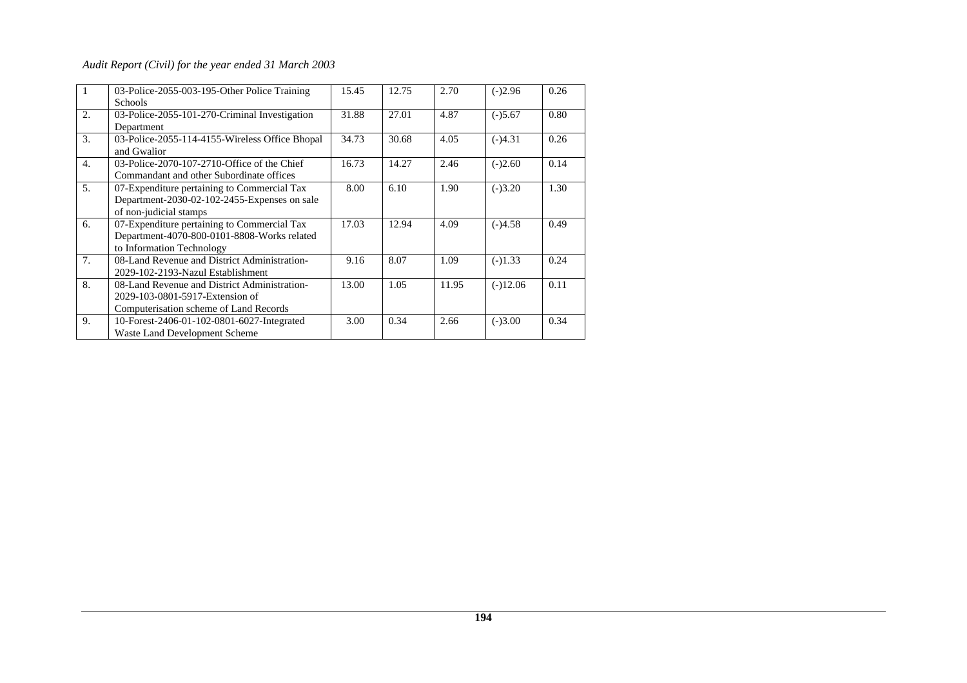| 1                | 03-Police-2055-003-195-Other Police Training<br><b>Schools</b>                                                            | 15.45 | 12.75 | 2.70  | $(-)2.96$  | 0.26 |
|------------------|---------------------------------------------------------------------------------------------------------------------------|-------|-------|-------|------------|------|
| 2.               | 03-Police-2055-101-270-Criminal Investigation<br>Department                                                               | 31.88 | 27.01 | 4.87  | $(-)5.67$  | 0.80 |
| 3.               | 03-Police-2055-114-4155-Wireless Office Bhopal<br>and Gwalior                                                             | 34.73 | 30.68 | 4.05  | $(-)4.31$  | 0.26 |
| $\overline{4}$ . | 03-Police-2070-107-2710-Office of the Chief<br>Commandant and other Subordinate offices                                   | 16.73 | 14.27 | 2.46  | $(-)2.60$  | 0.14 |
| 5 <sub>1</sub>   | 07-Expenditure pertaining to Commercial Tax<br>Department-2030-02-102-2455-Expenses on sale<br>of non-judicial stamps     | 8.00  | 6.10  | 1.90  | $(-)3.20$  | 1.30 |
| 6.               | 07-Expenditure pertaining to Commercial Tax<br>Department-4070-800-0101-8808-Works related<br>to Information Technology   | 17.03 | 12.94 | 4.09  | $(-)4.58$  | 0.49 |
| 7 <sub>1</sub>   | 08-Land Revenue and District Administration-<br>2029-102-2193-Nazul Establishment                                         | 9.16  | 8.07  | 1.09  | $(-)1.33$  | 0.24 |
| 8.               | 08-Land Revenue and District Administration-<br>2029-103-0801-5917-Extension of<br>Computerisation scheme of Land Records | 13.00 | 1.05  | 11.95 | $(-)12.06$ | 0.11 |
| 9.               | 10-Forest-2406-01-102-0801-6027-Integrated<br>Waste Land Development Scheme                                               | 3.00  | 0.34  | 2.66  | $(-)3.00$  | 0.34 |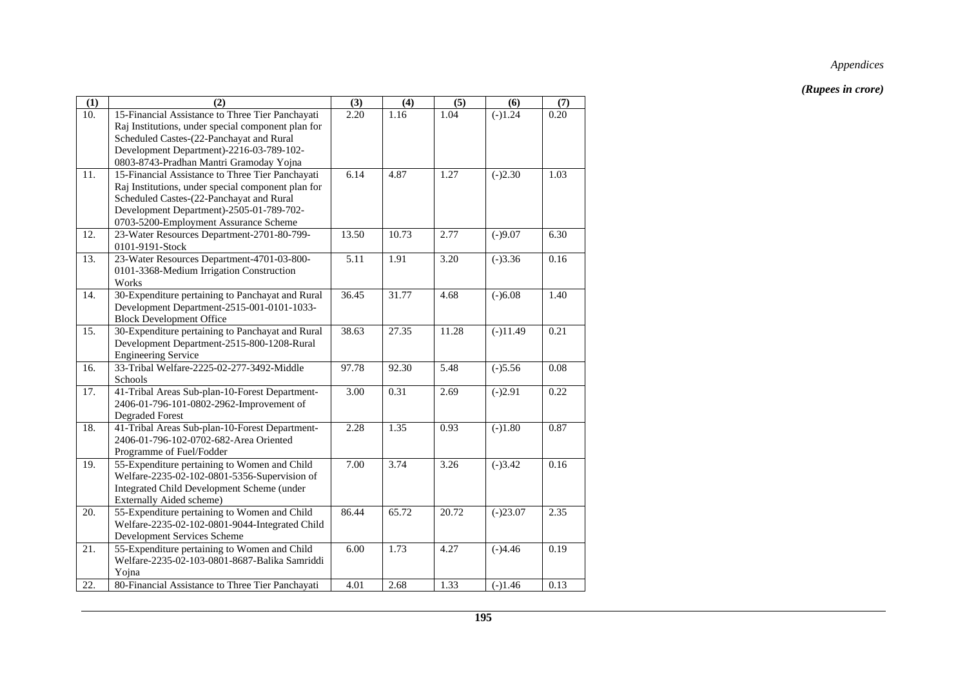| (1)               | (2)                                                                                                                                                                                                                                       | (3)   | (4)   | (5)   | (6)        | (7)  |
|-------------------|-------------------------------------------------------------------------------------------------------------------------------------------------------------------------------------------------------------------------------------------|-------|-------|-------|------------|------|
| $\overline{10}$ . | 15-Financial Assistance to Three Tier Panchayati<br>Raj Institutions, under special component plan for<br>Scheduled Castes-(22-Panchayat and Rural<br>Development Department)-2216-03-789-102-<br>0803-8743-Pradhan Mantri Gramoday Yojna | 2.20  | 1.16  | 1.04  | $(-)1.24$  | 0.20 |
| 11.               | 15-Financial Assistance to Three Tier Panchayati<br>Raj Institutions, under special component plan for<br>Scheduled Castes-(22-Panchayat and Rural<br>Development Department)-2505-01-789-702-<br>0703-5200-Employment Assurance Scheme   | 6.14  | 4.87  | 1.27  | $(-)2.30$  | 1.03 |
| $\overline{12}$ . | 23-Water Resources Department-2701-80-799-<br>0101-9191-Stock                                                                                                                                                                             | 13.50 | 10.73 | 2.77  | $(-)9.07$  | 6.30 |
| 13.               | 23-Water Resources Department-4701-03-800-<br>0101-3368-Medium Irrigation Construction<br>Works                                                                                                                                           | 5.11  | 1.91  | 3.20  | $(-)3.36$  | 0.16 |
| 14.               | 30-Expenditure pertaining to Panchayat and Rural<br>Development Department-2515-001-0101-1033-<br><b>Block Development Office</b>                                                                                                         | 36.45 | 31.77 | 4.68  | $(-)6.08$  | 1.40 |
| 15.               | 30-Expenditure pertaining to Panchayat and Rural<br>Development Department-2515-800-1208-Rural<br><b>Engineering Service</b>                                                                                                              | 38.63 | 27.35 | 11.28 | $(-)11.49$ | 0.21 |
| 16.               | 33-Tribal Welfare-2225-02-277-3492-Middle<br>Schools                                                                                                                                                                                      | 97.78 | 92.30 | 5.48  | $(-)5.56$  | 0.08 |
| $\overline{17}$ . | 41-Tribal Areas Sub-plan-10-Forest Department-<br>2406-01-796-101-0802-2962-Improvement of<br><b>Degraded Forest</b>                                                                                                                      | 3.00  | 0.31  | 2.69  | $(-)2.91$  | 0.22 |
| 18.               | 41-Tribal Areas Sub-plan-10-Forest Department-<br>2406-01-796-102-0702-682-Area Oriented<br>Programme of Fuel/Fodder                                                                                                                      | 2.28  | 1.35  | 0.93  | $(-)1.80$  | 0.87 |
| 19.               | 55-Expenditure pertaining to Women and Child<br>Welfare-2235-02-102-0801-5356-Supervision of<br>Integrated Child Development Scheme (under<br>Externally Aided scheme)                                                                    | 7.00  | 3.74  | 3.26  | $(-)3.42$  | 0.16 |
| 20.               | 55-Expenditure pertaining to Women and Child<br>Welfare-2235-02-102-0801-9044-Integrated Child<br>Development Services Scheme                                                                                                             | 86.44 | 65.72 | 20.72 | $(-)23.07$ | 2.35 |
| 21.               | 55-Expenditure pertaining to Women and Child<br>Welfare-2235-02-103-0801-8687-Balika Samriddi<br>Yojna                                                                                                                                    | 6.00  | 1.73  | 4.27  | $(-)4.46$  | 0.19 |
| 22.               | 80-Financial Assistance to Three Tier Panchayati                                                                                                                                                                                          | 4.01  | 2.68  | 1.33  | $(-)1.46$  | 0.13 |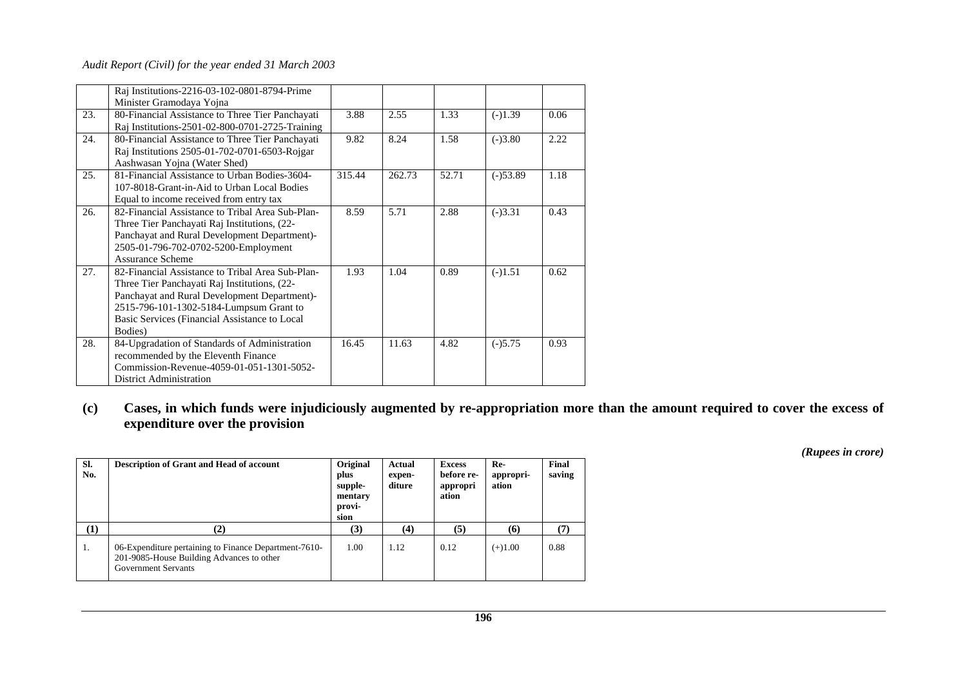|     | Raj Institutions-2216-03-102-0801-8794-Prime     |        |        |       |            |      |
|-----|--------------------------------------------------|--------|--------|-------|------------|------|
|     | Minister Gramodaya Yojna                         |        |        |       |            |      |
| 23. | 80-Financial Assistance to Three Tier Panchayati | 3.88   | 2.55   | 1.33  | $(-)1.39$  | 0.06 |
|     | Raj Institutions-2501-02-800-0701-2725-Training  |        |        |       |            |      |
| 24. | 80-Financial Assistance to Three Tier Panchayati | 9.82   | 8.24   | 1.58  | $(-)3.80$  | 2.22 |
|     | Raj Institutions 2505-01-702-0701-6503-Rojgar    |        |        |       |            |      |
|     | Aashwasan Yojna (Water Shed)                     |        |        |       |            |      |
| 25. | 81-Financial Assistance to Urban Bodies-3604-    | 315.44 | 262.73 | 52.71 | $(-)53.89$ | 1.18 |
|     | 107-8018-Grant-in-Aid to Urban Local Bodies      |        |        |       |            |      |
|     | Equal to income received from entry tax          |        |        |       |            |      |
| 26. | 82-Financial Assistance to Tribal Area Sub-Plan- | 8.59   | 5.71   | 2.88  | $(-)3.31$  | 0.43 |
|     | Three Tier Panchayati Raj Institutions, (22-     |        |        |       |            |      |
|     | Panchayat and Rural Development Department)-     |        |        |       |            |      |
|     | 2505-01-796-702-0702-5200-Employment             |        |        |       |            |      |
|     | Assurance Scheme                                 |        |        |       |            |      |
| 27. | 82-Financial Assistance to Tribal Area Sub-Plan- | 1.93   | 1.04   | 0.89  | $(-)1.51$  | 0.62 |
|     | Three Tier Panchayati Raj Institutions, (22-     |        |        |       |            |      |
|     | Panchayat and Rural Development Department)-     |        |        |       |            |      |
|     | 2515-796-101-1302-5184-Lumpsum Grant to          |        |        |       |            |      |
|     | Basic Services (Financial Assistance to Local    |        |        |       |            |      |
|     | Bodies)                                          |        |        |       |            |      |
| 28. | 84-Upgradation of Standards of Administration    | 16.45  | 11.63  | 4.82  | $(-)5.75$  | 0.93 |
|     | recommended by the Eleventh Finance              |        |        |       |            |      |
|     | Commission-Revenue-4059-01-051-1301-5052-        |        |        |       |            |      |
|     | District Administration                          |        |        |       |            |      |

**(c) Cases, in which funds were injudiciously augmented by re-appropriation more than the amount required to cover the excess of expenditure over the provision** 

| Sl.<br>No.       | <b>Description of Grant and Head of account</b>                                                                                  | Original<br>plus<br>supple-<br>mentary<br>provi-<br>sion | Actual<br>expen-<br>diture | <b>Excess</b><br>before re-<br>appropri<br>ation | Re-<br>appropri-<br>ation | Final<br>saving |
|------------------|----------------------------------------------------------------------------------------------------------------------------------|----------------------------------------------------------|----------------------------|--------------------------------------------------|---------------------------|-----------------|
| $\left(1\right)$ | $\mathbf{2}$                                                                                                                     | (3)                                                      | (4)                        | (5)                                              | (6)                       | (7)             |
| 1.               | 06-Expenditure pertaining to Finance Department-7610-<br>201-9085-House Building Advances to other<br><b>Government Servants</b> | 1.00                                                     | 1.12                       | 0.12                                             | $(+)1.00$                 | 0.88            |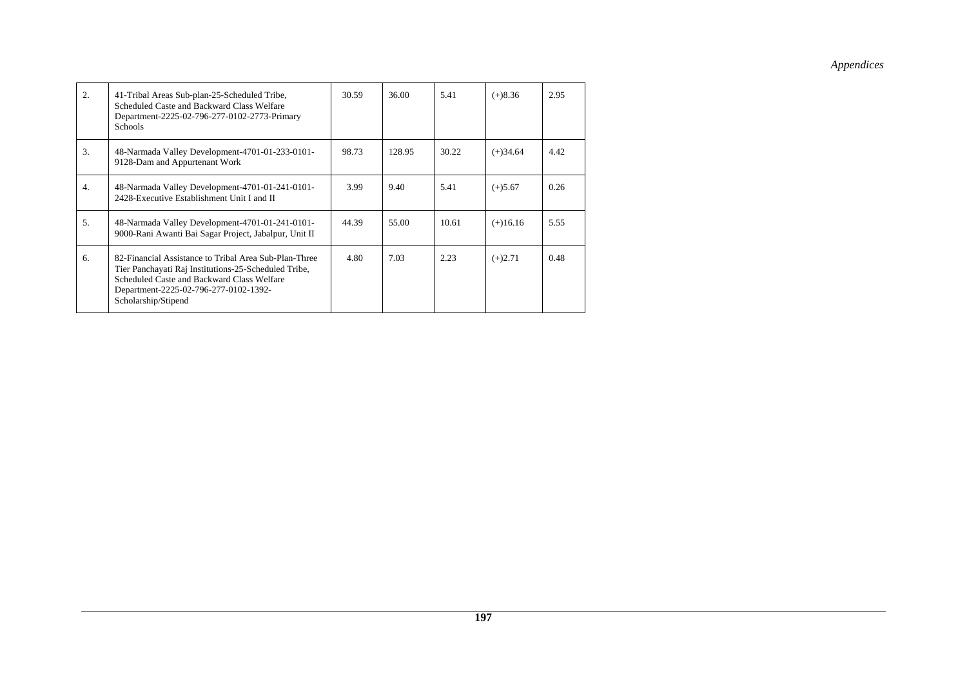| 2.             | 41-Tribal Areas Sub-plan-25-Scheduled Tribe,<br>Scheduled Caste and Backward Class Welfare<br>Department-2225-02-796-277-0102-2773-Primary<br><b>Schools</b>                                                                | 30.59 | 36.00  | 5.41  | $(+)8.36$  | 2.95 |
|----------------|-----------------------------------------------------------------------------------------------------------------------------------------------------------------------------------------------------------------------------|-------|--------|-------|------------|------|
| 3.             | 48-Narmada Valley Development-4701-01-233-0101-<br>9128-Dam and Appurtenant Work                                                                                                                                            | 98.73 | 128.95 | 30.22 | $(+)34.64$ | 4.42 |
| 4.             | 48-Narmada Valley Development-4701-01-241-0101-<br>2428-Executive Establishment Unit I and II                                                                                                                               | 3.99  | 9.40   | 5.41  | $(+)5.67$  | 0.26 |
| 5 <sub>1</sub> | 48-Narmada Valley Development-4701-01-241-0101-<br>9000-Rani Awanti Bai Sagar Project, Jabalpur, Unit II                                                                                                                    | 44.39 | 55.00  | 10.61 | $(+)16.16$ | 5.55 |
| 6.             | 82-Financial Assistance to Tribal Area Sub-Plan-Three<br>Tier Panchayati Raj Institutions-25-Scheduled Tribe,<br>Scheduled Caste and Backward Class Welfare<br>Department-2225-02-796-277-0102-1392-<br>Scholarship/Stipend | 4.80  | 7.03   | 2.23  | $(+)2.71$  | 0.48 |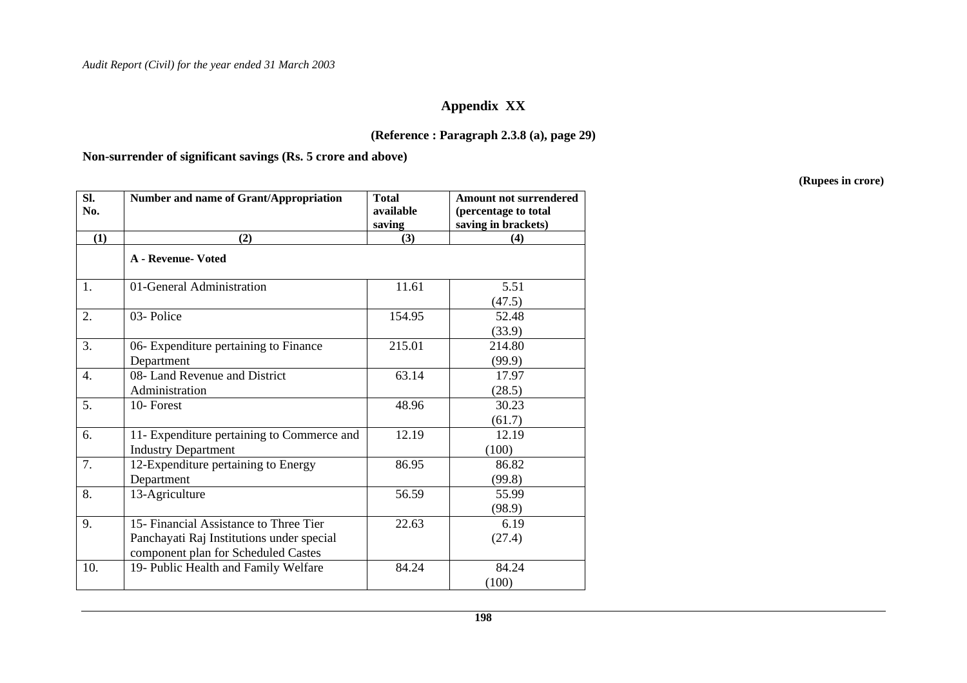### **Appendix XX**

### **(Reference : Paragraph 2.3.8 (a), page 29)**

**Non-surrender of significant savings (Rs. 5 crore and above)** 

| SI.<br>No.       | Number and name of Grant/Appropriation                                                                                     | <b>Total</b><br>available<br>saving | <b>Amount not surrendered</b><br>(percentage to total<br>saving in brackets) |
|------------------|----------------------------------------------------------------------------------------------------------------------------|-------------------------------------|------------------------------------------------------------------------------|
| (1)              | (2)                                                                                                                        | (3)                                 | (4)                                                                          |
|                  | <b>A</b> - Revenue- Voted                                                                                                  |                                     |                                                                              |
| 1.               | 01-General Administration                                                                                                  | 11.61                               | 5.51<br>(47.5)                                                               |
| 2.               | 03-Police                                                                                                                  | 154.95                              | 52.48<br>(33.9)                                                              |
| 3.               | 06- Expenditure pertaining to Finance<br>Department                                                                        | 215.01                              | 214.80<br>(99.9)                                                             |
| $\overline{4}$ . | 08- Land Revenue and District<br>Administration                                                                            | 63.14                               | 17.97<br>(28.5)                                                              |
| 5.               | 10-Forest                                                                                                                  | 48.96                               | 30.23<br>(61.7)                                                              |
| 6.               | 11- Expenditure pertaining to Commerce and<br><b>Industry Department</b>                                                   | 12.19                               | 12.19<br>(100)                                                               |
| $\overline{7}$ . | 12-Expenditure pertaining to Energy<br>Department                                                                          | 86.95                               | 86.82<br>(99.8)                                                              |
| 8.               | 13-Agriculture                                                                                                             | 56.59                               | 55.99<br>(98.9)                                                              |
| 9.               | 15- Financial Assistance to Three Tier<br>Panchayati Raj Institutions under special<br>component plan for Scheduled Castes | 22.63                               | 6.19<br>(27.4)                                                               |
| 10.              | 19- Public Health and Family Welfare                                                                                       | 84.24                               | 84.24<br>(100)                                                               |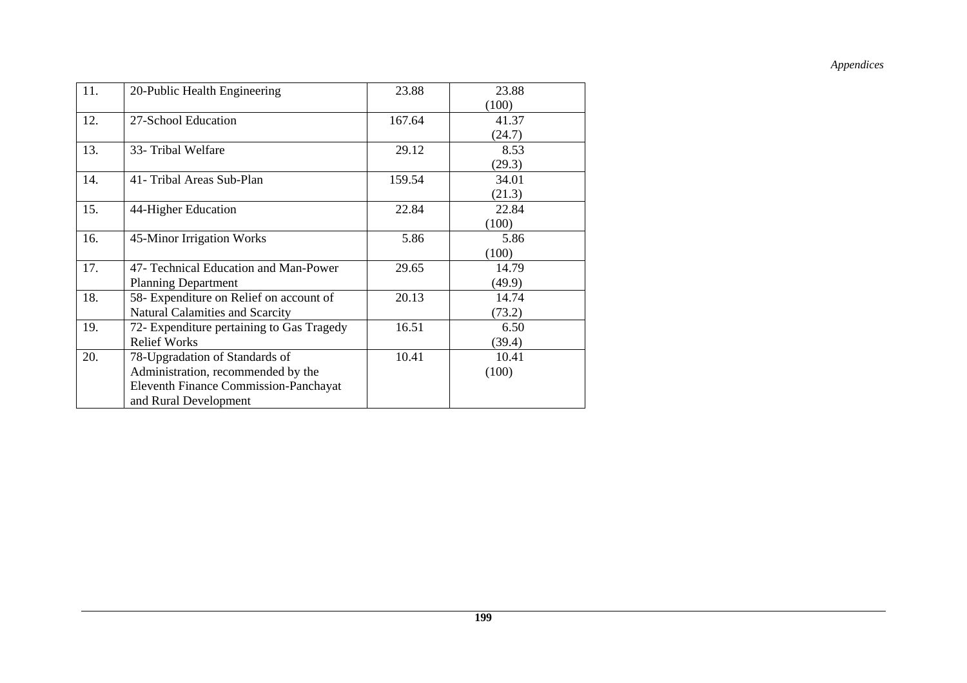| 11. | 20-Public Health Engineering              | 23.88  | 23.88  |
|-----|-------------------------------------------|--------|--------|
|     |                                           |        | (100)  |
| 12. | 27-School Education                       | 167.64 | 41.37  |
|     |                                           |        | (24.7) |
| 13. | 33- Tribal Welfare                        | 29.12  | 8.53   |
|     |                                           |        | (29.3) |
| 14. | 41- Tribal Areas Sub-Plan                 | 159.54 | 34.01  |
|     |                                           |        | (21.3) |
| 15. | 44-Higher Education                       | 22.84  | 22.84  |
|     |                                           |        | (100)  |
| 16. | 45-Minor Irrigation Works                 | 5.86   | 5.86   |
|     |                                           |        | (100)  |
| 17. | 47- Technical Education and Man-Power     | 29.65  | 14.79  |
|     | <b>Planning Department</b>                |        | (49.9) |
| 18. | 58- Expenditure on Relief on account of   | 20.13  | 14.74  |
|     | <b>Natural Calamities and Scarcity</b>    |        | (73.2) |
| 19. | 72- Expenditure pertaining to Gas Tragedy | 16.51  | 6.50   |
|     | <b>Relief Works</b>                       |        | (39.4) |
| 20. | 78-Upgradation of Standards of            | 10.41  | 10.41  |
|     | Administration, recommended by the        |        | (100)  |
|     | Eleventh Finance Commission-Panchayat     |        |        |
|     | and Rural Development                     |        |        |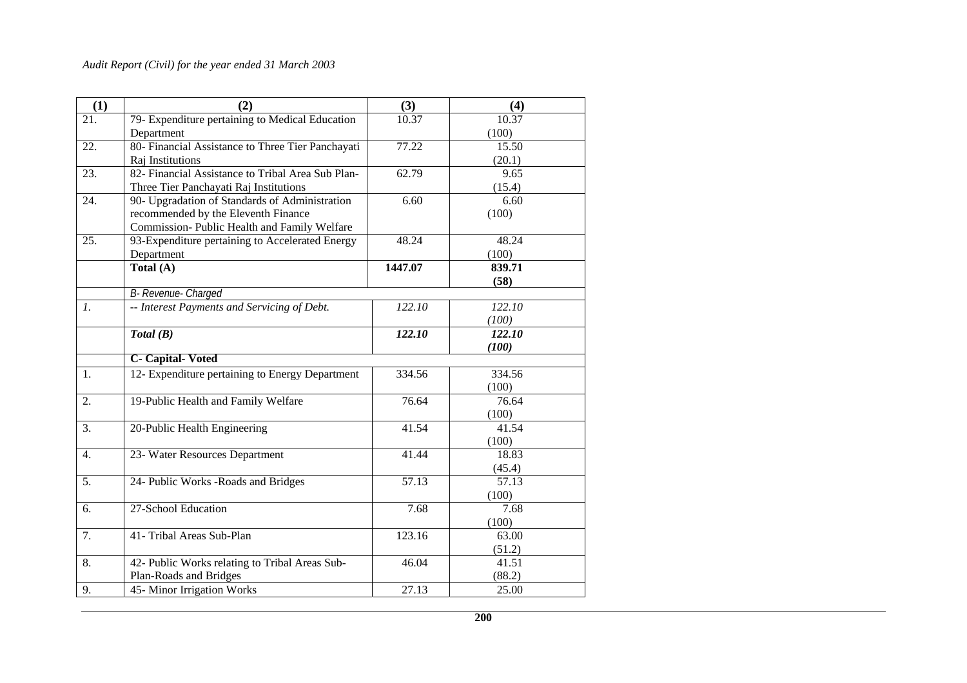| (1)             | (2)                                               | (3)     | (4)    |
|-----------------|---------------------------------------------------|---------|--------|
| 21.             | 79- Expenditure pertaining to Medical Education   | 10.37   | 10.37  |
|                 | Department                                        |         | (100)  |
| 22.             | 80- Financial Assistance to Three Tier Panchayati | 77.22   | 15.50  |
|                 | Raj Institutions                                  |         | (20.1) |
| 23.             | 82- Financial Assistance to Tribal Area Sub Plan- | 62.79   | 9.65   |
|                 | Three Tier Panchayati Raj Institutions            |         | (15.4) |
| 24.             | 90- Upgradation of Standards of Administration    | 6.60    | 6.60   |
|                 | recommended by the Eleventh Finance               |         | (100)  |
|                 | Commission- Public Health and Family Welfare      |         |        |
| 25.             | 93-Expenditure pertaining to Accelerated Energy   | 48.24   | 48.24  |
|                 | Department                                        |         | (100)  |
|                 | Total (A)                                         | 1447.07 | 839.71 |
|                 |                                                   |         | (58)   |
|                 | B- Revenue- Charged                               |         |        |
| $\mathfrak{1}.$ | -- Interest Payments and Servicing of Debt.       | 122.10  | 122.10 |
|                 |                                                   |         | (100)  |
|                 | Total(B)                                          | 122.10  | 122.10 |
|                 |                                                   |         | (100)  |
|                 | <b>C</b> - Capital-Voted                          |         |        |
| 1.              | 12- Expenditure pertaining to Energy Department   | 334.56  | 334.56 |
|                 |                                                   |         | (100)  |
| 2.              | 19-Public Health and Family Welfare               | 76.64   | 76.64  |
|                 |                                                   |         | (100)  |
| 3.              | 20-Public Health Engineering                      | 41.54   | 41.54  |
|                 |                                                   |         | (100)  |
| 4.              | 23- Water Resources Department                    | 41.44   | 18.83  |
|                 |                                                   |         | (45.4) |
| 5.              | 24- Public Works - Roads and Bridges              | 57.13   | 57.13  |
|                 |                                                   |         | (100)  |
| 6.              | 27-School Education                               | 7.68    | 7.68   |
|                 |                                                   |         | (100)  |
| 7.              | 41- Tribal Areas Sub-Plan                         | 123.16  | 63.00  |
|                 |                                                   |         | (51.2) |
| 8.              | 42- Public Works relating to Tribal Areas Sub-    | 46.04   | 41.51  |
|                 | Plan-Roads and Bridges                            |         | (88.2) |
| 9.              | 45- Minor Irrigation Works                        | 27.13   | 25.00  |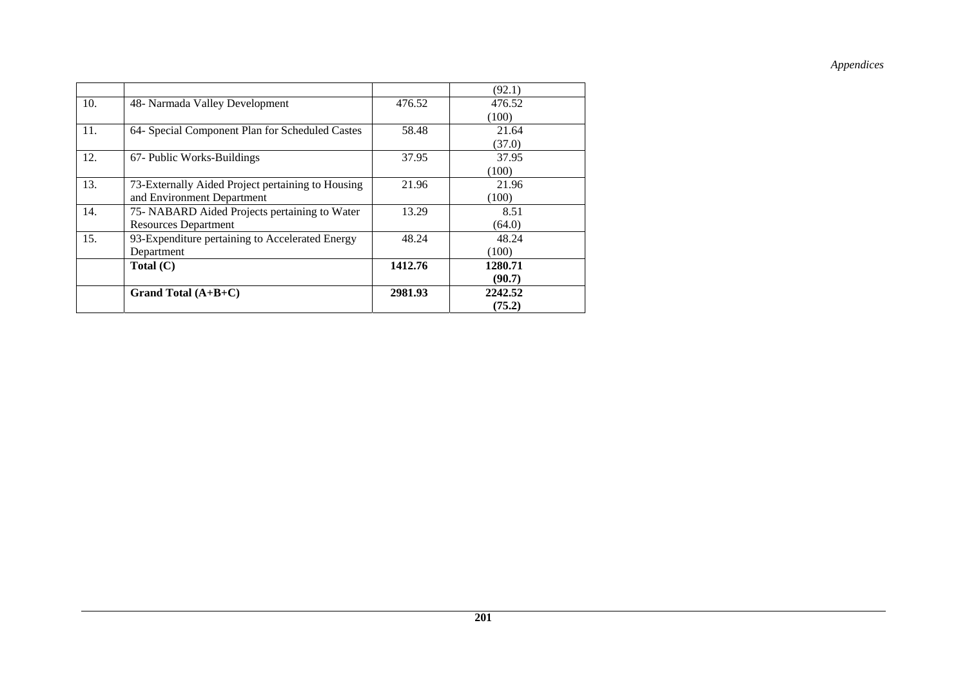|     |                                                   |         | (92.1)  |
|-----|---------------------------------------------------|---------|---------|
| 10. | 48- Narmada Valley Development                    | 476.52  | 476.52  |
|     |                                                   |         | (100)   |
| 11. | 64- Special Component Plan for Scheduled Castes   | 58.48   | 21.64   |
|     |                                                   |         | (37.0)  |
| 12. | 67- Public Works-Buildings                        | 37.95   | 37.95   |
|     |                                                   |         | (100)   |
| 13. | 73-Externally Aided Project pertaining to Housing | 21.96   | 21.96   |
|     | and Environment Department                        |         | (100)   |
| 14. | 75- NABARD Aided Projects pertaining to Water     | 13.29   | 8.51    |
|     | <b>Resources Department</b>                       |         | (64.0)  |
| 15. | 93-Expenditure pertaining to Accelerated Energy   | 48.24   | 48.24   |
|     | Department                                        |         | (100)   |
|     | Total $(C)$                                       | 1412.76 | 1280.71 |
|     |                                                   |         | (90.7)  |
|     | Grand Total $(A+B+C)$                             | 2981.93 | 2242.52 |
|     |                                                   |         | (75.2)  |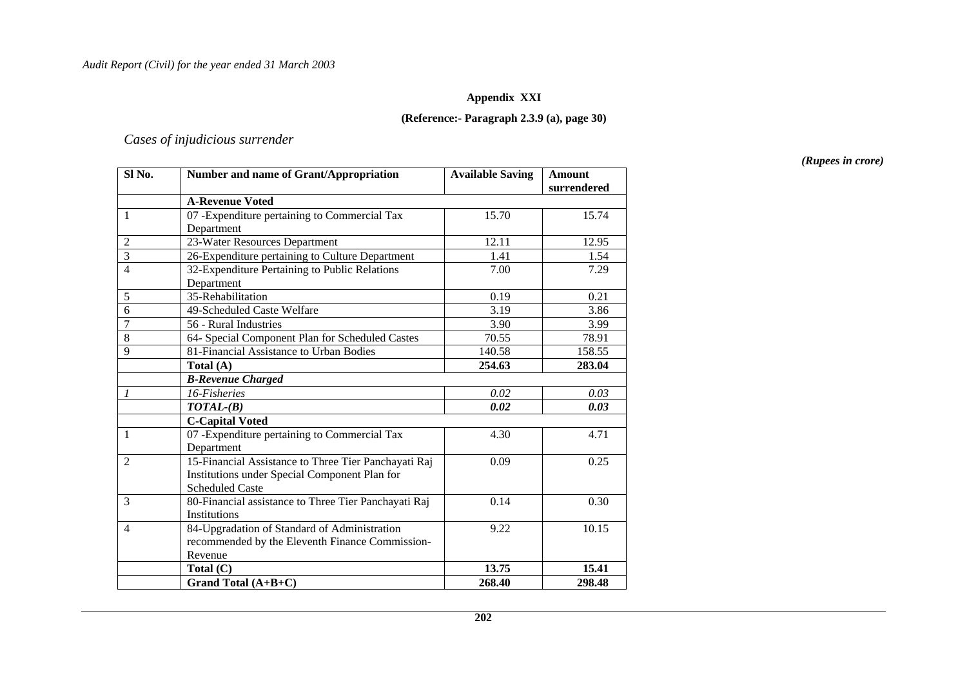#### **Appendix XXI**

#### **(Reference:- Paragraph 2.3.9 (a), page 30)**

#### *Cases of injudicious surrender*

**SI No.** Number and name of Grant/Appropriation Available Saving Amount **surrendered A-Revenue Voted**  1 07 -Expenditure pertaining to Commercial Tax Department 15.70 15.74 2 23-Water Resources Department 12.11 12.95 3 26-Expenditure pertaining to Culture Department 1.41 1.54 4 32-Expenditure Pertaining to Public Relations Department 7.00 7.29 5 35-Rehabilitation 0.19 0.21 6 49-Scheduled Caste Welfare 3.19 3.86 7 56 - Rural Industries 3.90 3.99 8 64- Special Component Plan for Scheduled Castes 70.55 78.91<br>9 81- Financial Assistance to Urban Bodies 140.58 158.55 81-Financial Assistance to Urban Bodies 140.58 158.55  **Total (A) 254.63 283.04**   *B-Revenue Charged 1 16-Fisheries 0.02 0.03*  $0.03$ *TOTAL-(B)* 0.02 0.03  **C-Capital Voted**  07 -Expenditure pertaining to Commercial Tax Department 4.30 4.71 2 15-Financial Assistance to Three Tier Panchayati Raj Institutions under Special Component Plan for Scheduled Caste 0.09 0.25 3 80-Financial assistance to Three Tier Panchayati Raj Institutions 0.14 0.30 4 84-Upgradation of Standard of Administration recommended by the Eleventh Finance Commission-Revenue 9.22 10.15 **Total (C)** 13.75 **15.41 Crand Total (A+B+C)** 268.40 298.48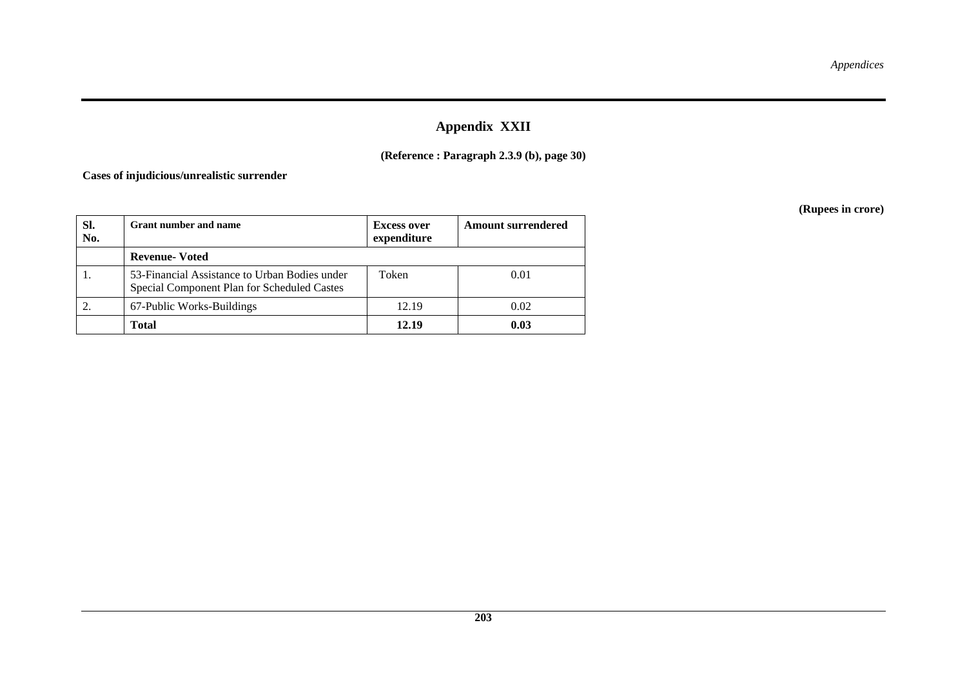# **Appendix XXII**

### **(Reference : Paragraph 2.3.9 (b), page 30)**

**Cases of injudicious/unrealistic surrender** 

| SI.<br>No. | <b>Grant number and name</b>                                                                 | <b>Excess over</b><br>expenditure | <b>Amount surrendered</b> |
|------------|----------------------------------------------------------------------------------------------|-----------------------------------|---------------------------|
|            | <b>Revenue-Voted</b>                                                                         |                                   |                           |
| 1.         | 53-Financial Assistance to Urban Bodies under<br>Special Component Plan for Scheduled Castes | Token                             | 0.01                      |
|            | 67-Public Works-Buildings                                                                    | 12.19                             | 0.02                      |
|            | <b>Total</b>                                                                                 | 12.19                             | 0.03                      |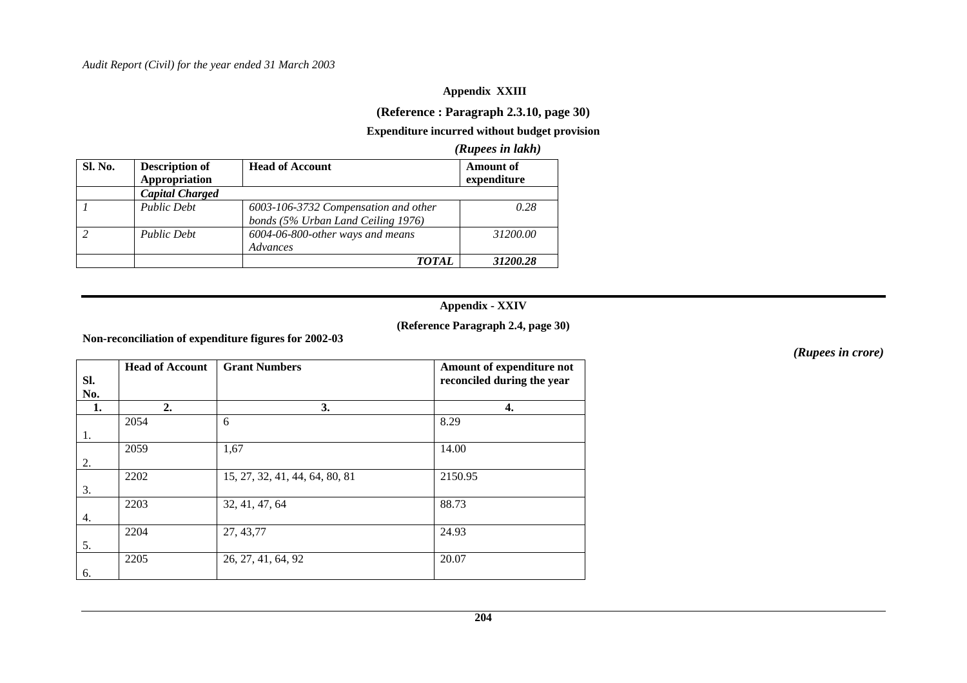#### **Appendix XXIII**

### **(Reference : Paragraph 2.3.10, page 30)**

### **Expenditure incurred without budget provision**

#### *(Rupees in lakh)*

| <b>Sl. No.</b> | <b>Description of</b><br>Appropriation | <b>Head of Account</b>                                                     | <b>Amount of</b><br>expenditure |
|----------------|----------------------------------------|----------------------------------------------------------------------------|---------------------------------|
|                | <b>Capital Charged</b>                 |                                                                            |                                 |
|                | <b>Public Debt</b>                     | 6003-106-3732 Compensation and other<br>bonds (5% Urban Land Ceiling 1976) | 0.28                            |
|                | <b>Public Debt</b>                     | 6004-06-800-other ways and means<br>Advances                               | 31200.00                        |
|                |                                        | <i>TOTAL</i>                                                               | 31200.28                        |

### **Appendix - XXIV**

#### **(Reference Paragraph 2.4, page 30)**

**Non-reconciliation of expenditure figures for 2002-03** 

| SI. | <b>Head of Account</b> | <b>Grant Numbers</b>           | Amount of expenditure not<br>reconciled during the year |
|-----|------------------------|--------------------------------|---------------------------------------------------------|
| No. |                        |                                |                                                         |
| 1.  | 2.                     | 3.                             | 4.                                                      |
|     | 2054                   | 6                              | 8.29                                                    |
| 1.  |                        |                                |                                                         |
|     | 2059                   | 1,67                           | 14.00                                                   |
| 2.  |                        |                                |                                                         |
|     | 2202                   | 15, 27, 32, 41, 44, 64, 80, 81 | 2150.95                                                 |
| 3.  |                        |                                |                                                         |
|     | 2203                   | 32, 41, 47, 64                 | 88.73                                                   |
| 4.  |                        |                                |                                                         |
|     | 2204                   | 27, 43, 77                     | 24.93                                                   |
| 5.  |                        |                                |                                                         |
|     | 2205                   | 26, 27, 41, 64, 92             | 20.07                                                   |
| 6.  |                        |                                |                                                         |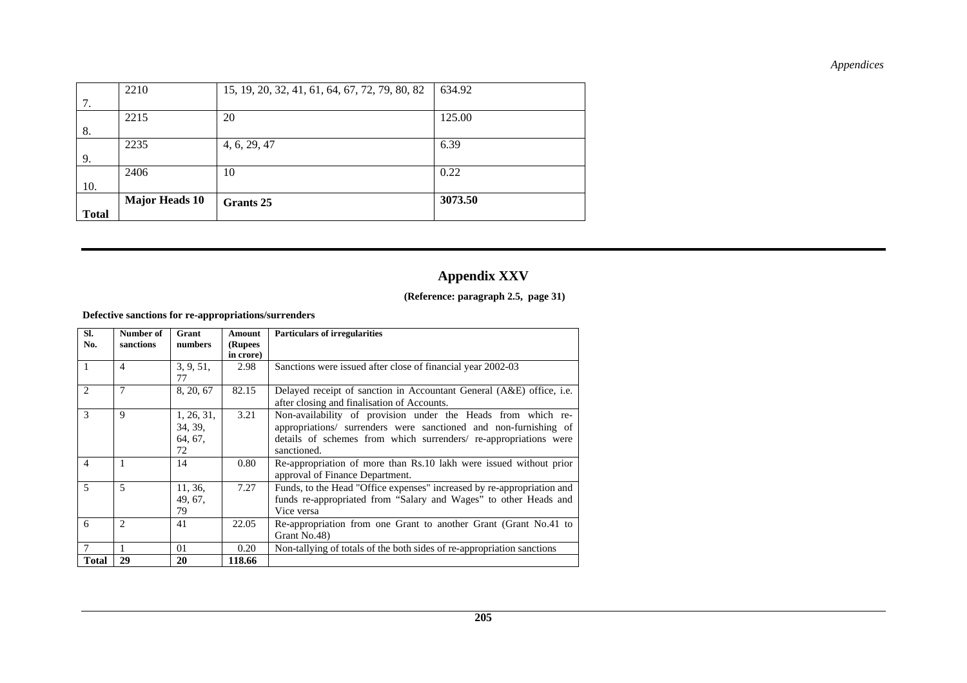| <b>Total</b> |                       |                                                |         |
|--------------|-----------------------|------------------------------------------------|---------|
|              | <b>Major Heads 10</b> | Grants 25                                      | 3073.50 |
| 10.          |                       |                                                |         |
|              | 2406                  | 10                                             | 0.22    |
| 9.           |                       |                                                |         |
|              | 2235                  | 4, 6, 29, 47                                   | 6.39    |
| 8.           |                       |                                                |         |
|              | 2215                  | 20                                             | 125.00  |
| 7.           |                       |                                                |         |
|              | 2210                  | 15, 19, 20, 32, 41, 61, 64, 67, 72, 79, 80, 82 | 634.92  |

# **Appendix XXV**

#### **(Reference: paragraph 2.5, page 31)**

#### **Defective sanctions for re-appropriations/surrenders**

| SI.<br>No.     | Number of<br>sanctions | Grant<br>numbers                       | Amount<br>(Rupees<br>in crore) | <b>Particulars of irregularities</b>                                                                                                                                                                               |
|----------------|------------------------|----------------------------------------|--------------------------------|--------------------------------------------------------------------------------------------------------------------------------------------------------------------------------------------------------------------|
| $\mathbf{1}$   | 4                      | 3, 9, 51,<br>77                        | 2.98                           | Sanctions were issued after close of financial year 2002-03                                                                                                                                                        |
| 2              | 7                      | 8, 20, 67                              | 82.15                          | Delayed receipt of sanction in Accountant General (A&E) office, i.e.<br>after closing and finalisation of Accounts.                                                                                                |
| 3              | 9                      | 1, 26, 31,<br>34, 39,<br>64, 67,<br>72 | 3.21                           | Non-availability of provision under the Heads from which re-<br>appropriations/ surrenders were sanctioned and non-furnishing of<br>details of schemes from which surrenders re-appropriations were<br>sanctioned. |
| $\overline{4}$ | 1                      | 14                                     | 0.80                           | Re-appropriation of more than Rs.10 lakh were issued without prior<br>approval of Finance Department.                                                                                                              |
| $\overline{5}$ | 5                      | 11, 36,<br>49, 67,<br>79               | 7.27                           | Funds, to the Head "Office expenses" increased by re-appropriation and<br>funds re-appropriated from "Salary and Wages" to other Heads and<br>Vice versa                                                           |
| 6              | $\overline{c}$         | 41                                     | 22.05                          | Re-appropriation from one Grant to another Grant (Grant No.41 to<br>Grant No.48)                                                                                                                                   |
| $\tau$         |                        | 01                                     | 0.20                           | Non-tallying of totals of the both sides of re-appropriation sanctions                                                                                                                                             |
| <b>Total</b>   | 29                     | 20                                     | 118.66                         |                                                                                                                                                                                                                    |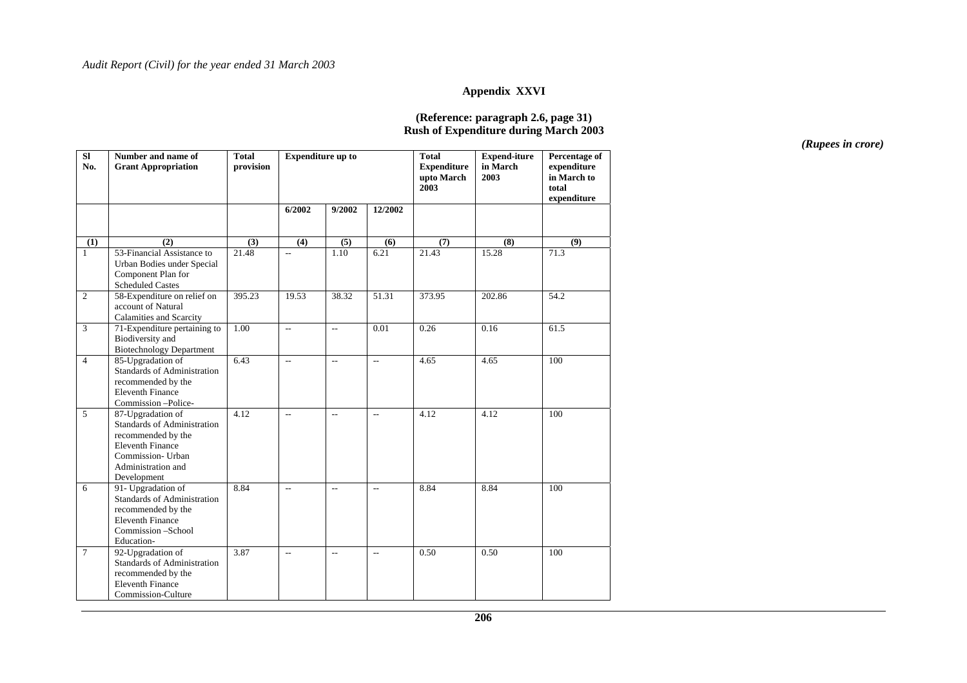#### **Appendix XXVI**

#### **(Reference: paragraph 2.6, page 31) Rush of Expenditure during March 2003**

| $\overline{\bf SI}$<br>No. | Number and name of<br><b>Grant Appropriation</b>                                                                                                                   | <b>Total</b><br>provision | <b>Expenditure up to</b> |                             | <b>Total</b><br><b>Expenditure</b><br>upto March<br>2003 | <b>Expend-iture</b><br>in March<br>2003 | Percentage of<br>expenditure<br>in March to<br>total<br>expenditure |      |
|----------------------------|--------------------------------------------------------------------------------------------------------------------------------------------------------------------|---------------------------|--------------------------|-----------------------------|----------------------------------------------------------|-----------------------------------------|---------------------------------------------------------------------|------|
|                            |                                                                                                                                                                    |                           | 6/2002                   | 9/2002                      | 12/2002                                                  |                                         |                                                                     |      |
| (1)                        | (2)                                                                                                                                                                | (3)                       | (4)                      | (5)                         | (6)                                                      | (7)                                     | (8)                                                                 | (9)  |
| $\mathbf{1}$               | 53-Financial Assistance to<br>Urban Bodies under Special<br>Component Plan for<br><b>Scheduled Castes</b>                                                          | 21.48                     | $\overline{a}$           | 1.10                        | 6.21                                                     | 21.43                                   | 15.28                                                               | 71.3 |
| $\overline{2}$             | 58-Expenditure on relief on<br>account of Natural<br>Calamities and Scarcity                                                                                       | 395.23                    | 19.53                    | 38.32                       | 51.31                                                    | 373.95                                  | 202.86                                                              | 54.2 |
| $\overline{3}$             | 71-Expenditure pertaining to<br><b>Biodiversity</b> and<br><b>Biotechnology Department</b>                                                                         | 1.00                      | $\overline{a}$           | $\overline{\phantom{a}}$    | 0.01                                                     | 0.26                                    | 0.16                                                                | 61.5 |
| $\overline{4}$             | 85-Upgradation of<br>Standards of Administration<br>recommended by the<br><b>Eleventh Finance</b><br>Commission -Police-                                           | 6.43                      | $\overline{a}$           | $\overline{a}$              | $\overline{a}$                                           | 4.65                                    | 4.65                                                                | 100  |
| $\overline{5}$             | 87-Upgradation of<br><b>Standards of Administration</b><br>recommended by the<br><b>Eleventh Finance</b><br>Commission- Urban<br>Administration and<br>Development | 4.12                      | $\overline{a}$           | $\overline{\phantom{a}}$    | $\overline{a}$                                           | 4.12                                    | 4.12                                                                | 100  |
| 6                          | 91- Upgradation of<br><b>Standards of Administration</b><br>recommended by the<br><b>Eleventh Finance</b><br>Commission - School<br>Education-                     | 8.84                      | $\overline{a}$           | $\overline{\phantom{a}}$    | $\overline{\phantom{a}}$                                 | 8.84                                    | 8.84                                                                | 100  |
| $\overline{7}$             | 92-Upgradation of<br>Standards of Administration<br>recommended by the<br><b>Eleventh Finance</b><br>Commission-Culture                                            | 3.87                      | $\overline{\phantom{a}}$ | $\mathcal{L}_{\mathcal{A}}$ | $\overline{a}$                                           | 0.50                                    | 0.50                                                                | 100  |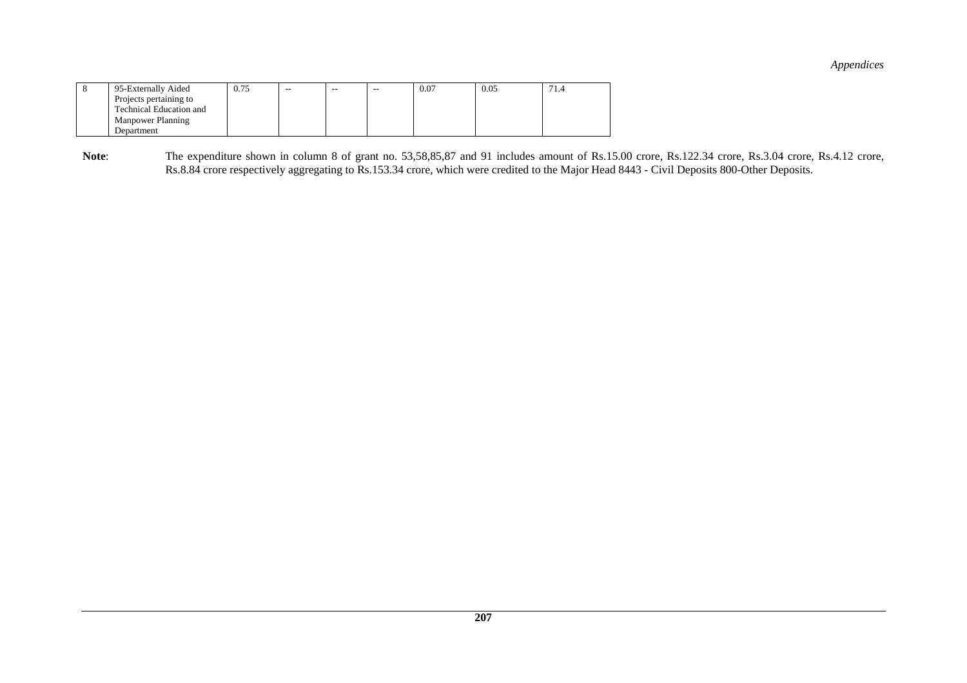| 95-Externally Aided      | 0.75 | -- | -- | $- -$ | 0.07 | 0.05 | 71.4 |
|--------------------------|------|----|----|-------|------|------|------|
| Projects pertaining to   |      |    |    |       |      |      |      |
| Technical Education and  |      |    |    |       |      |      |      |
| <b>Manpower Planning</b> |      |    |    |       |      |      |      |
| Department               |      |    |    |       |      |      |      |

Note: The expenditure shown in column 8 of grant no. 53,58,85,87 and 91 includes amount of Rs.15.00 crore, Rs.122.34 crore, Rs.3.04 crore, Rs.4.12 crore, Rs.8.84 crore respectively aggregating to Rs.153.34 crore, which were credited to the Major Head 8443 - Civil Deposits 800-Other Deposits.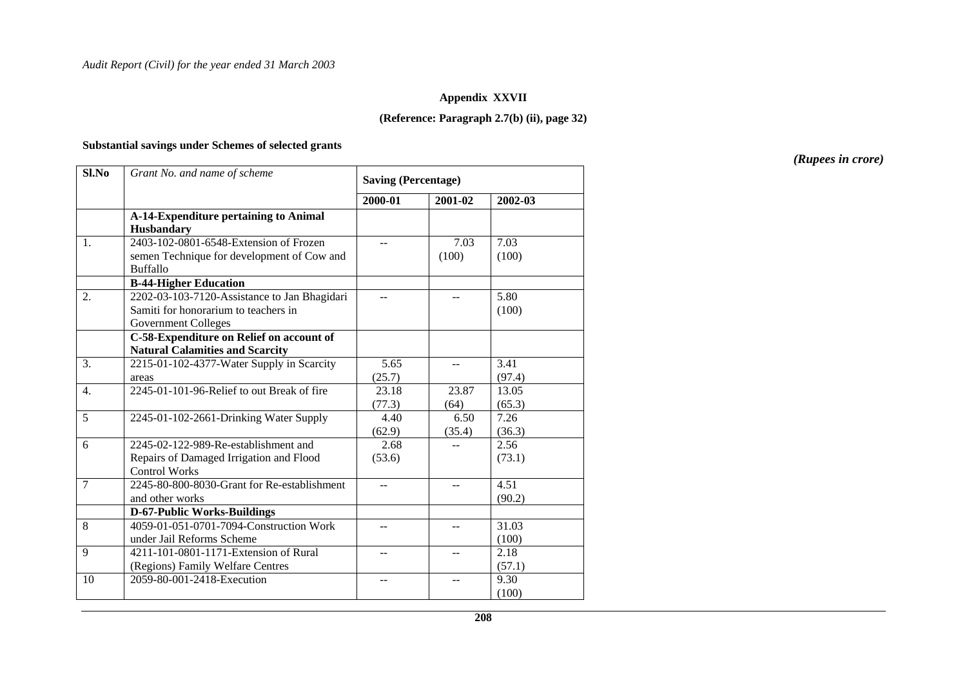#### **Appendix XXVII**

#### **(Reference: Paragraph 2.7(b) (ii), page 32)**

#### **Substantial savings under Schemes of selected grants**

**SI.No** *Grant No. and name of scheme* **Saving (Percentage) 2000-01 2001-02 2002-03 A-14-Expenditure pertaining to Animal Husbandary**  1. 2403-102-0801-6548-Extension of Frozen semen Technique for development of Cow and Buffallo -- 7.03 (100) 7.03 (100) **B-44-Higher Education**  2. 2202-03-103-7120-Assistance to Jan Bhagidari Samiti for honorarium to teachers in Government Colleges  $5.80$ (100) **C-58-Expenditure on Relief on account of Natural Calamities and Scarcity**  3. 2215-01-102-4377-Water Supply in Scarcity areas 5.65 (25.7) -- 3.41 (97.4) 4. 2245-01-101-96-Relief to out Break of fire 23.18 (77.3) 23.87 (64) 13.05  $(65.3)$ 5 2245-01-102-2661-Drinking Water Supply 4.40 (62.9) 6.50 (35.4) 7.26 (36.3) 6 2245-02-122-989-Re-establishment and Repairs of Damaged Irrigation and Flood Control Works 2.68 (53.6)  $- 2.56$ (73.1) 7 2245-80-800-8030-Grant for Re-establishment and other works  $4.51$ (90.2) **D-67-Public Works-Buildings**  8 4059-01-051-0701-7094-Construction Work under Jail Reforms Scheme 9 4211-101-0801-1171-Extension of Rural  $-$  31.03 (100) (Regions) Family Welfare Centres  $2.18$ (57.1) 10 2059-80-001-2418-Execution -- -- 9.30 (100)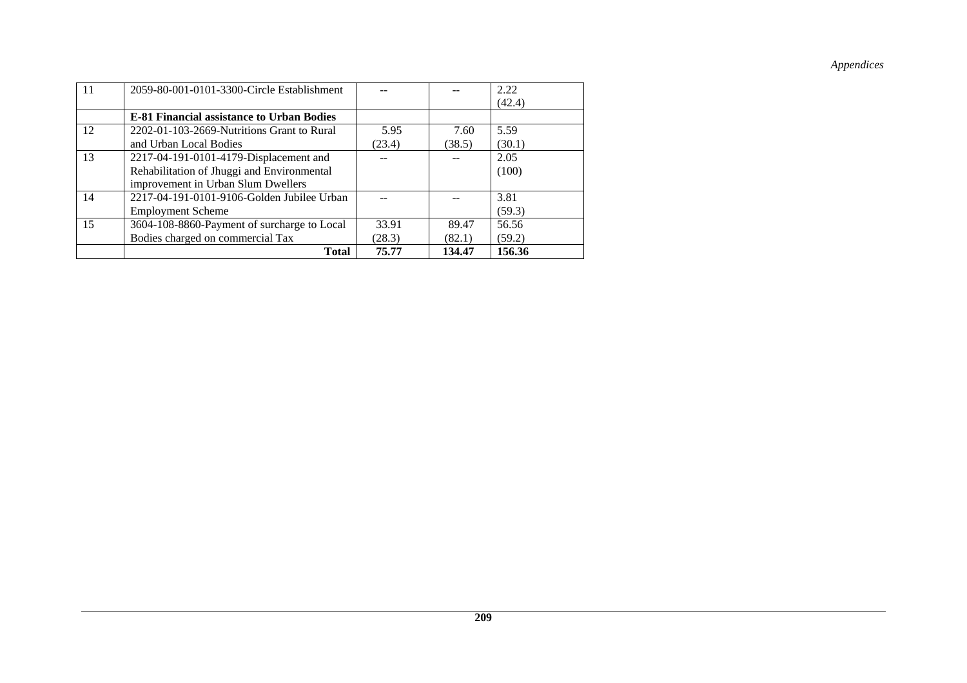| 11 | 2059-80-001-0101-3300-Circle Establishment       |        |        | 2.22   |
|----|--------------------------------------------------|--------|--------|--------|
|    |                                                  |        |        | (42.4) |
|    | <b>E-81 Financial assistance to Urban Bodies</b> |        |        |        |
| 12 | 2202-01-103-2669-Nutritions Grant to Rural       | 5.95   | 7.60   | 5.59   |
|    | and Urban Local Bodies                           | (23.4) | (38.5) | (30.1) |
| 13 | 2217-04-191-0101-4179-Displacement and           |        |        | 2.05   |
|    | Rehabilitation of Jhuggi and Environmental       |        |        | (100)  |
|    | improvement in Urban Slum Dwellers               |        |        |        |
| 14 | 2217-04-191-0101-9106-Golden Jubilee Urban       |        |        | 3.81   |
|    | <b>Employment Scheme</b>                         |        |        | (59.3) |
| 15 | 3604-108-8860-Payment of surcharge to Local      | 33.91  | 89.47  | 56.56  |
|    | Bodies charged on commercial Tax                 | (28.3) | (82.1) | (59.2) |
|    | <b>Total</b>                                     | 75.77  | 134.47 | 156.36 |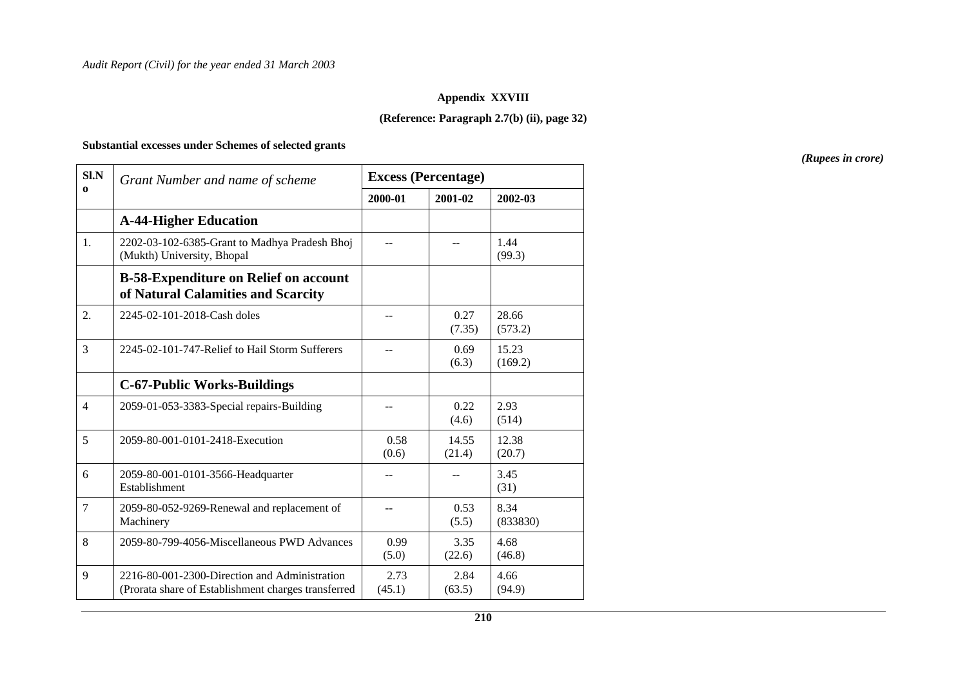#### **Appendix XXVIII**

#### **(Reference: Paragraph 2.7(b) (ii), page 32)**

#### **Substantial excesses under Schemes of selected grants**

**Sl.NEXCESS (Percentage)** *Grant Number and name of scheme* **<b>EXCESS (Percentage) 2000-01 2001-02 2002-03 A-44-Higher Education**  1. 2202-03-102-6385-Grant to Madhya Pradesh Bhoj (Mukth) University, Bhopal -- -- 1.44 (99.3) **B-58-Expenditure on Relief on account of Natural Calamities and Scarcity**  2. 2245-02-101-2018-Cash doles -- 0.27 (7.35) 28.66 (573.2)  $\frac{3}{2245-02-101-747}$ -Relief to Hail Storm Sufferers  $\frac{1}{20}$ 0.69 (6.3) 15.23 (169.2) **C-67-Public Works-Buildings**  4 | 2059-01-053-3383-Special repairs-Building | -- | 0.22 (4.6) 2.93 (514) 5 2059-80-001-0101-2418-Execution 0.58 (0.6) 14.55 (21.4) 12.38 (20.7) 6 2059-80-001-0101-3566-Headquarter Establishment -- -- 3.45 (31) 7 2059-80-052-9269-Renewal and replacement of Machinery -- 0.53  $(5.5)$ 8.34 (833830) 8 2059-80-799-4056-Miscellaneous PWD Advances 0.99 (5.0) 3.35 (22.6) 4.68 (46.8) 9 2216-80-001-2300-Direction and Administration (Prorata share of Establishment charges transferred 2.73  $(45.1)$ 2.84 (63.5) 4.66 (94.9)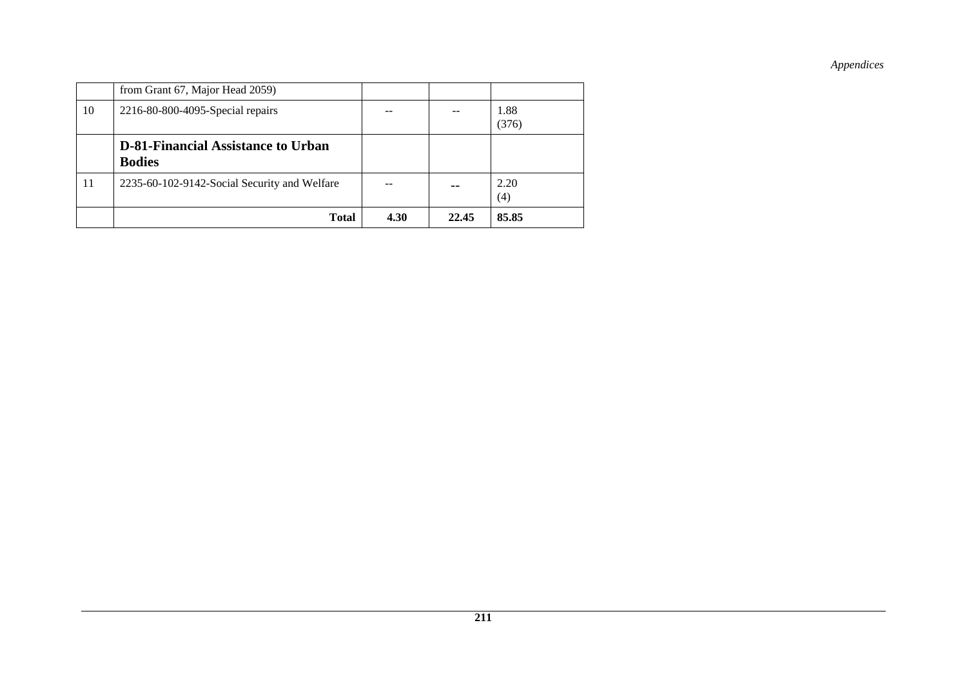|    | <b>Total</b>                                               | 4.30 | 22.45 | 85.85         |
|----|------------------------------------------------------------|------|-------|---------------|
| 11 | 2235-60-102-9142-Social Security and Welfare               |      |       | 2.20<br>(4)   |
|    | <b>D-81-Financial Assistance to Urban</b><br><b>Bodies</b> |      |       |               |
| 10 | 2216-80-800-4095-Special repairs                           |      |       | 1.88<br>(376) |
|    | from Grant 67, Major Head 2059)                            |      |       |               |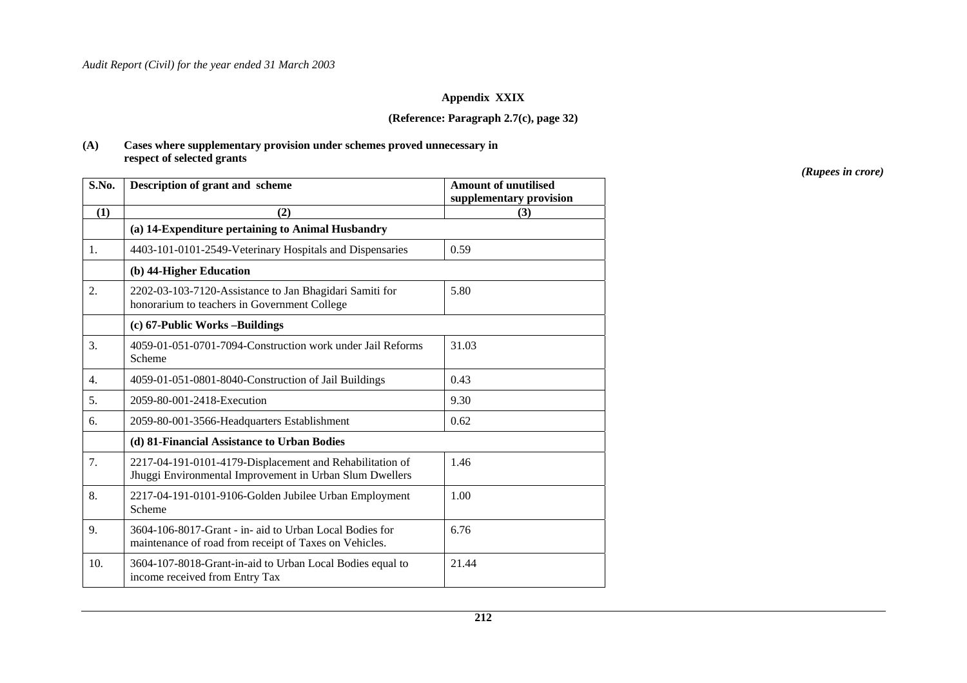#### **Appendix XXIX**

#### **(Reference: Paragraph 2.7(c), page 32)**

#### **(A) Cases where supplementary provision under schemes proved unnecessary in respect of selected grants**

| S.No. | Description of grant and scheme                                                                                     | <b>Amount of unutilised</b><br>supplementary provision |
|-------|---------------------------------------------------------------------------------------------------------------------|--------------------------------------------------------|
| (1)   | (2)                                                                                                                 | (3)                                                    |
|       | (a) 14-Expenditure pertaining to Animal Husbandry                                                                   |                                                        |
| 1.    | 4403-101-0101-2549-Veterinary Hospitals and Dispensaries                                                            | 0.59                                                   |
|       | (b) 44-Higher Education                                                                                             |                                                        |
| 2.    | 2202-03-103-7120-Assistance to Jan Bhagidari Samiti for<br>honorarium to teachers in Government College             | 5.80                                                   |
|       | (c) 67-Public Works-Buildings                                                                                       |                                                        |
| 3.    | 4059-01-051-0701-7094-Construction work under Jail Reforms<br>Scheme                                                | 31.03                                                  |
| 4.    | 4059-01-051-0801-8040-Construction of Jail Buildings                                                                | 0.43                                                   |
| 5.    | 2059-80-001-2418-Execution                                                                                          | 9.30                                                   |
| 6.    | 2059-80-001-3566-Headquarters Establishment                                                                         | 0.62                                                   |
|       | (d) 81-Financial Assistance to Urban Bodies                                                                         |                                                        |
| 7.    | 2217-04-191-0101-4179-Displacement and Rehabilitation of<br>Jhuggi Environmental Improvement in Urban Slum Dwellers | 1.46                                                   |
| 8.    | 2217-04-191-0101-9106-Golden Jubilee Urban Employment<br>Scheme                                                     | 1.00                                                   |
| 9.    | 3604-106-8017-Grant - in- aid to Urban Local Bodies for<br>maintenance of road from receipt of Taxes on Vehicles.   | 6.76                                                   |
| 10.   | 3604-107-8018-Grant-in-aid to Urban Local Bodies equal to<br>income received from Entry Tax                         | 21.44                                                  |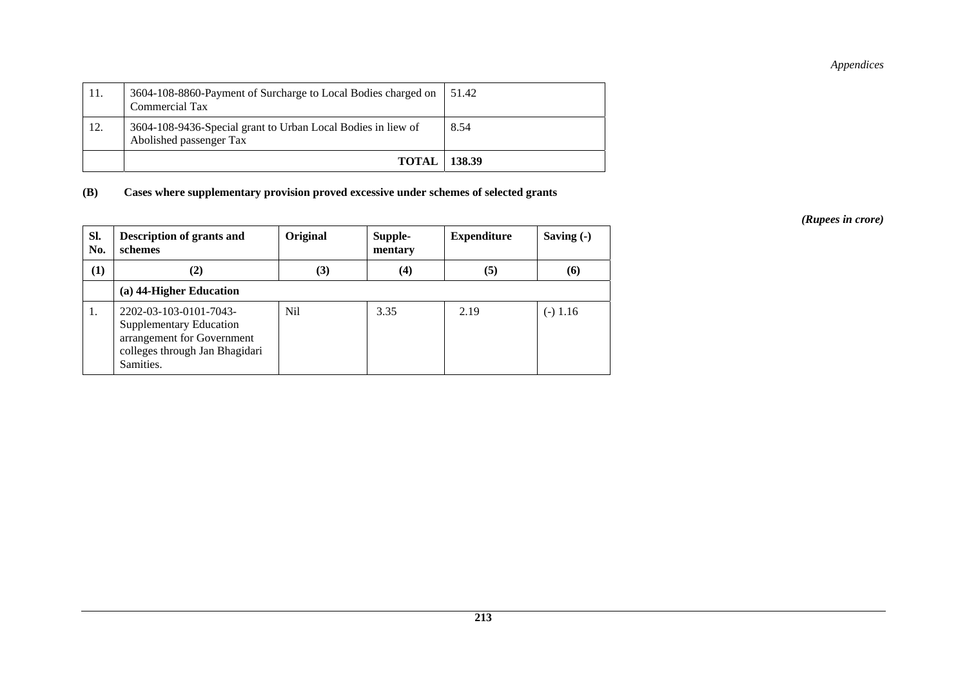| 12. | Commercial Tax<br>3604-108-9436-Special grant to Urban Local Bodies in liew of | 8.54   |
|-----|--------------------------------------------------------------------------------|--------|
|     | Abolished passenger Tax<br>TOTAL                                               | 138.39 |

**(B) Cases where supplementary provision proved excessive under schemes of selected grants** 

| SI.<br>No. | Description of grants and<br>schemes                                                                                           | Original | Supple-<br>mentary | <b>Expenditure</b> | Saving $(-)$ |
|------------|--------------------------------------------------------------------------------------------------------------------------------|----------|--------------------|--------------------|--------------|
| (1)        | (2)                                                                                                                            | (3)      | $\left(4\right)$   | (5)                | (6)          |
|            | (a) 44-Higher Education                                                                                                        |          |                    |                    |              |
| 1.         | 2202-03-103-0101-7043-<br>Supplementary Education<br>arrangement for Government<br>colleges through Jan Bhagidari<br>Samities. | Nil      | 3.35               | 2.19               | $(-) 1.16$   |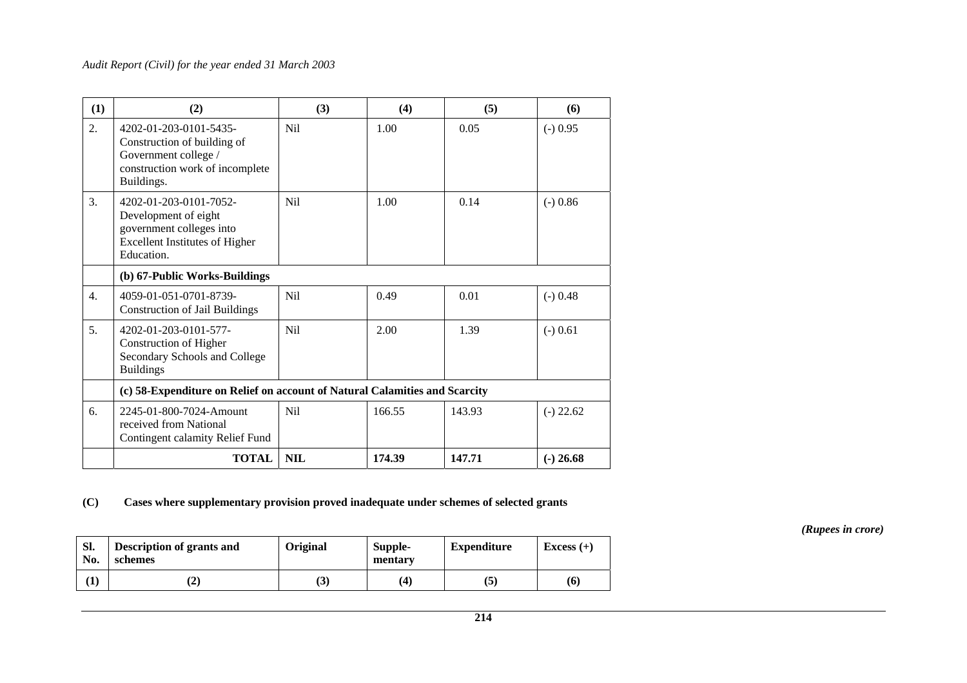| (1)              | (2)                                                                                                                               | (3)              | (4)    | (5)    | (6)         |
|------------------|-----------------------------------------------------------------------------------------------------------------------------------|------------------|--------|--------|-------------|
| 2.               | 4202-01-203-0101-5435-<br>Construction of building of<br>Government college /<br>construction work of incomplete<br>Buildings.    | <b>Nil</b>       | 1.00   | 0.05   | $(-) 0.95$  |
| 3.               | 4202-01-203-0101-7052-<br>Development of eight<br>government colleges into<br><b>Excellent Institutes of Higher</b><br>Education. | N <sub>i</sub> l | 1.00   | 0.14   | $(-) 0.86$  |
|                  | (b) 67-Public Works-Buildings                                                                                                     |                  |        |        |             |
| $\overline{4}$ . | 4059-01-051-0701-8739-<br><b>Construction of Jail Buildings</b>                                                                   | <b>Nil</b>       | 0.49   | 0.01   | $(-) 0.48$  |
| 5.               | 4202-01-203-0101-577-<br><b>Construction of Higher</b><br>Secondary Schools and College<br><b>Buildings</b>                       | <b>Nil</b>       | 2.00   | 1.39   | $(-) 0.61$  |
|                  | (c) 58-Expenditure on Relief on account of Natural Calamities and Scarcity                                                        |                  |        |        |             |
| 6.               | 2245-01-800-7024-Amount<br>received from National<br>Contingent calamity Relief Fund                                              | <b>Nil</b>       | 166.55 | 143.93 | $(-)$ 22.62 |
|                  | <b>TOTAL</b>                                                                                                                      | <b>NIL</b>       | 174.39 | 147.71 | $(-) 26.68$ |

### **(C) Cases where supplementary provision proved inadequate under schemes of selected grants**

**Sl. No. Description of grants and schemes**  Original Supple-<br>
mentary **Expenditure Excess** (+)  $(1)$   $(2)$   $(3)$   $(4)$   $(5)$   $(6)$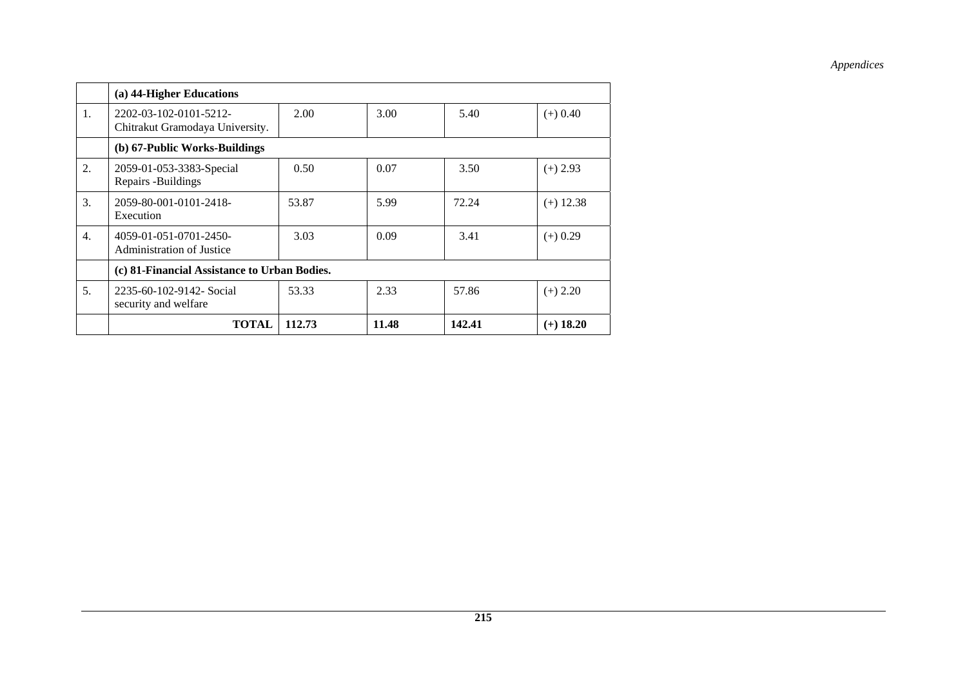|    | (a) 44-Higher Educations                                  |        |       |        |             |
|----|-----------------------------------------------------------|--------|-------|--------|-------------|
| 1. | 2202-03-102-0101-5212-<br>Chitrakut Gramodaya University. | 2.00   | 3.00  | 5.40   | $(+) 0.40$  |
|    | (b) 67-Public Works-Buildings                             |        |       |        |             |
| 2. | 2059-01-053-3383-Special<br>Repairs -Buildings            | 0.50   | 0.07  | 3.50   | $(+)$ 2.93  |
| 3. | 2059-80-001-0101-2418-<br>Execution                       | 53.87  | 5.99  | 72.24  | $(+)$ 12.38 |
| 4. | 4059-01-051-0701-2450-<br>Administration of Justice       | 3.03   | 0.09  | 3.41   | $(+)$ 0.29  |
|    | (c) 81-Financial Assistance to Urban Bodies.              |        |       |        |             |
| 5. | 2235-60-102-9142- Social<br>security and welfare          | 53.33  | 2.33  | 57.86  | $(+) 2.20$  |
|    | <b>TOTAL</b>                                              | 112.73 | 11.48 | 142.41 | $(+)$ 18.20 |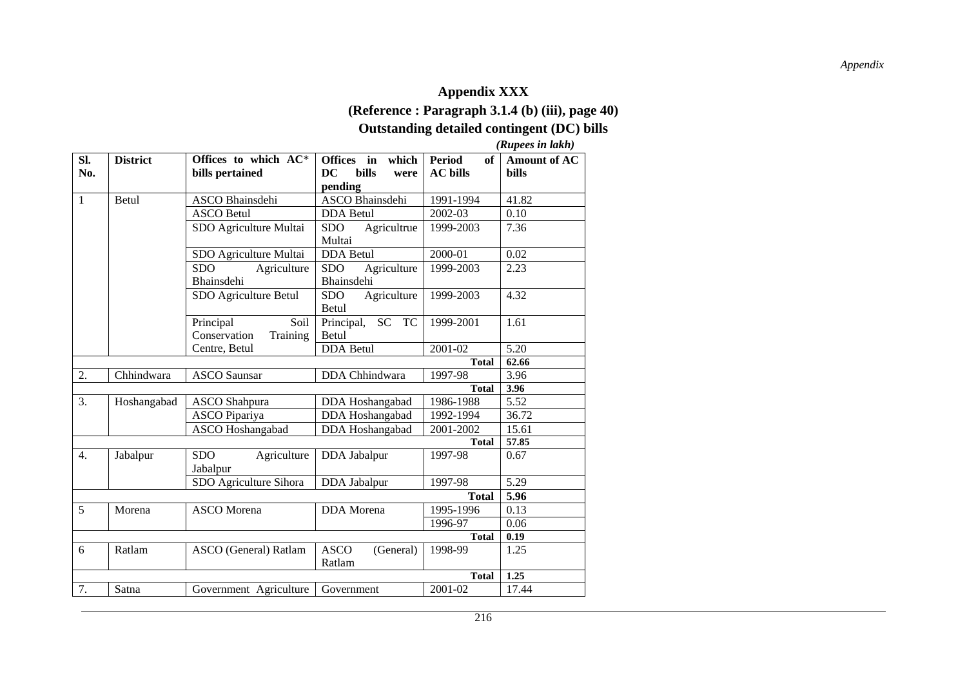### *Appendix*

# **Appendix XXX (Reference : Paragraph 3.1.4 (b) (iii), page 40)**

# **Outstanding detailed contingent (DC) bills**

 *(Rupees in lakh)* 

| Sl.<br>No.       | <b>District</b> | Offices to which AC*<br>bills pertained       | Offices in<br>which<br>DC<br>bills<br>were<br>pending | <b>Period</b><br>of<br><b>AC</b> bills | <b>Amount of AC</b><br>bills |
|------------------|-----------------|-----------------------------------------------|-------------------------------------------------------|----------------------------------------|------------------------------|
| $\mathbf{1}$     | Betul           | ASCO Bhainsdehi                               | ASCO Bhainsdehi                                       | 1991-1994                              | 41.82                        |
|                  |                 | <b>ASCO Betul</b>                             | <b>DDA</b> Betul                                      | 2002-03                                | 0.10                         |
|                  |                 | SDO Agriculture Multai                        | <b>SDO</b><br>Agricultrue<br>Multai                   | 1999-2003                              | 7.36                         |
|                  |                 | SDO Agriculture Multai                        | <b>DDA</b> Betul                                      | 2000-01                                | 0.02                         |
|                  |                 | Agriculture<br>SDO<br>Bhainsdehi              | Agriculture<br><b>SDO</b><br>Bhainsdehi               | 1999-2003                              | 2.23                         |
|                  |                 | SDO Agriculture Betul                         | Agriculture<br>SDO.<br>Betul                          | 1999-2003                              | 4.32                         |
|                  |                 | Soil<br>Principal<br>Conservation<br>Training | Principal,<br>SC TC<br>Betul                          | 1999-2001                              | 1.61                         |
|                  |                 | Centre, Betul                                 | <b>DDA</b> Betul                                      | 2001-02                                | 5.20                         |
|                  |                 |                                               |                                                       | <b>Total</b>                           | 62.66                        |
| 2.               | Chhindwara      | <b>ASCO</b> Saunsar                           | DDA Chhindwara                                        | 1997-98                                | 3.96                         |
|                  |                 |                                               |                                                       | <b>Total</b>                           | 3.96                         |
| 3.               | Hoshangabad     | <b>ASCO</b> Shahpura                          | DDA Hoshangabad                                       | 1986-1988                              | 5.52                         |
|                  |                 | <b>ASCO</b> Pipariya                          | DDA Hoshangabad                                       | 1992-1994                              | 36.72                        |
|                  |                 | <b>ASCO</b> Hoshangabad                       | DDA Hoshangabad                                       | 2001-2002                              | 15.61                        |
|                  |                 |                                               |                                                       | <b>Total</b>                           | 57.85                        |
| $\overline{4}$ . | Jabalpur        | <b>SDO</b><br>Agriculture<br>Jabalpur         | DDA Jabalpur                                          | 1997-98                                | 0.67                         |
|                  |                 | SDO Agriculture Sihora                        | DDA Jabalpur                                          | 1997-98                                | 5.29                         |
|                  |                 |                                               |                                                       | <b>Total</b>                           | 5.96                         |
| 5                | Morena          | <b>ASCO</b> Morena                            | DDA Morena                                            | 1995-1996                              | 0.13                         |
|                  |                 |                                               |                                                       | 1996-97                                | 0.06                         |
|                  |                 |                                               |                                                       | <b>Total</b>                           | 0.19                         |
| 6                | Ratlam          | ASCO (General) Ratlam                         | <b>ASCO</b><br>(General)<br>Ratlam                    | $1998 - 99$                            | 1.25                         |
|                  |                 |                                               |                                                       | <b>Total</b>                           | 1.25                         |
| 7.               | Satna           | Government Agriculture                        | Government                                            | 2001-02                                | 17.44                        |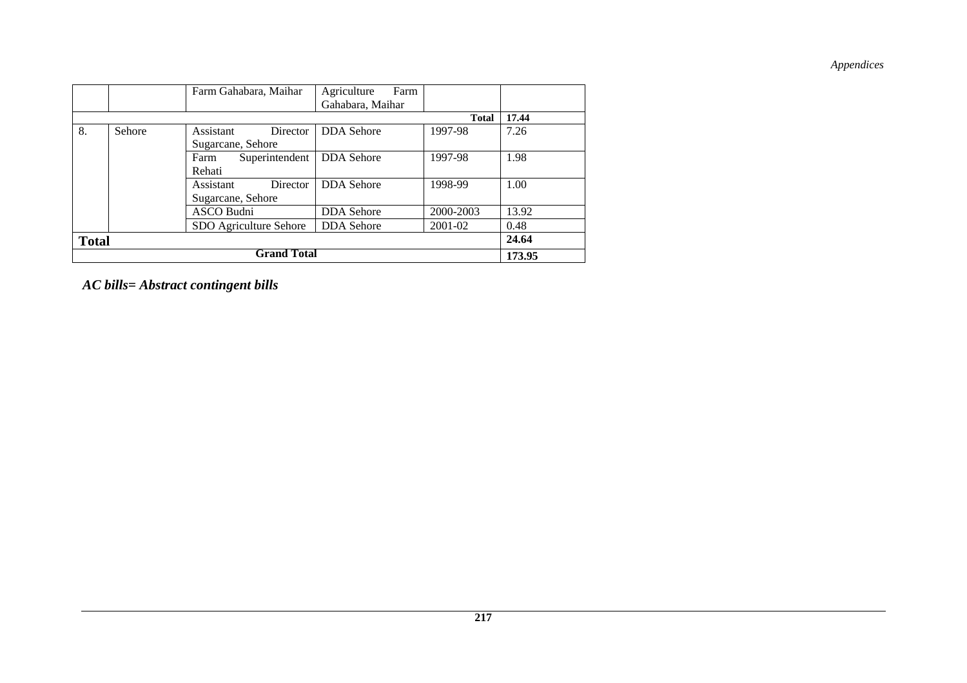|    |              | Farm Gahabara, Maihar  | Farm<br>Agriculture |              |        |  |  |
|----|--------------|------------------------|---------------------|--------------|--------|--|--|
|    |              |                        | Gahabara, Maihar    |              |        |  |  |
|    |              |                        |                     | <b>Total</b> | 17.44  |  |  |
| 8. | Sehore       | Assistant<br>Director  | <b>DDA</b> Sehore   | 1997-98      | 7.26   |  |  |
|    |              | Sugarcane, Sehore      |                     |              |        |  |  |
|    |              | Superintendent<br>Farm | <b>DDA</b> Sehore   | 1997-98      | 1.98   |  |  |
|    |              | Rehati                 |                     |              |        |  |  |
|    |              | Assistant<br>Director  | <b>DDA</b> Sehore   | 1998-99      | 1.00   |  |  |
|    |              | Sugarcane, Sehore      |                     |              |        |  |  |
|    |              | ASCO Budni             | <b>DDA</b> Sehore   | 2000-2003    | 13.92  |  |  |
|    |              | SDO Agriculture Sehore | <b>DDA</b> Sehore   | 2001-02      | 0.48   |  |  |
|    | <b>Total</b> |                        |                     |              |        |  |  |
|    |              | <b>Grand Total</b>     |                     |              | 173.95 |  |  |

*AC bills= Abstract contingent bills*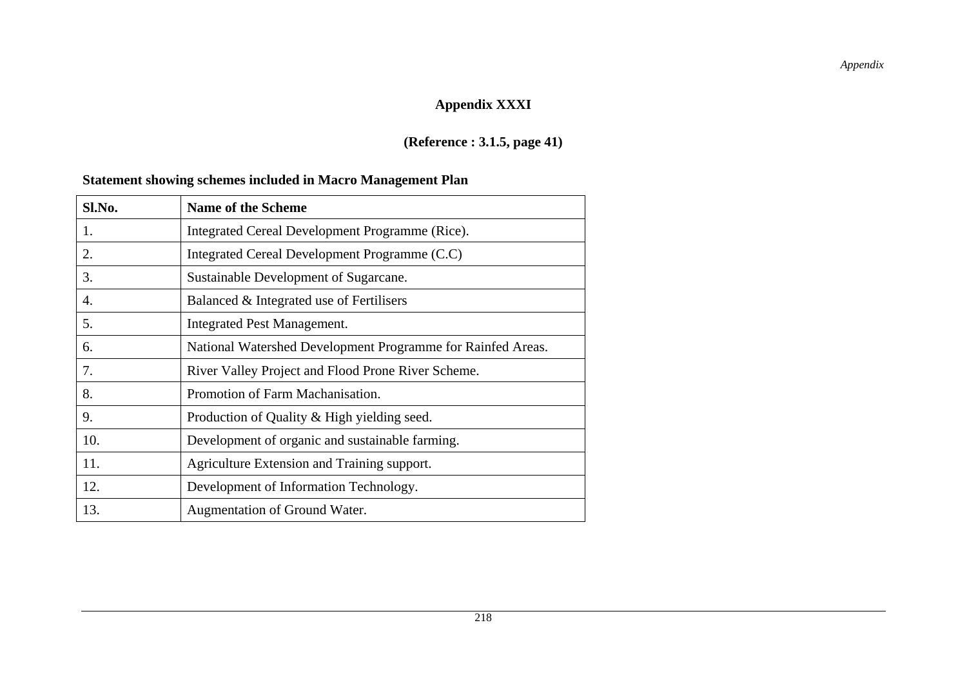# **Appendix XXXI**

# **(Reference : 3.1.5, page 41)**

# **Statement showing schemes included in Macro Management Plan**

| Sl.No. | <b>Name of the Scheme</b>                                   |
|--------|-------------------------------------------------------------|
| 1.     | Integrated Cereal Development Programme (Rice).             |
| 2.     | Integrated Cereal Development Programme (C.C)               |
| 3.     | Sustainable Development of Sugarcane.                       |
| 4.     | Balanced & Integrated use of Fertilisers                    |
| 5.     | Integrated Pest Management.                                 |
| 6.     | National Watershed Development Programme for Rainfed Areas. |
| 7.     | River Valley Project and Flood Prone River Scheme.          |
| 8.     | Promotion of Farm Machanisation.                            |
| 9.     | Production of Quality & High yielding seed.                 |
| 10.    | Development of organic and sustainable farming.             |
| 11.    | Agriculture Extension and Training support.                 |
| 12.    | Development of Information Technology.                      |
| 13.    | Augmentation of Ground Water.                               |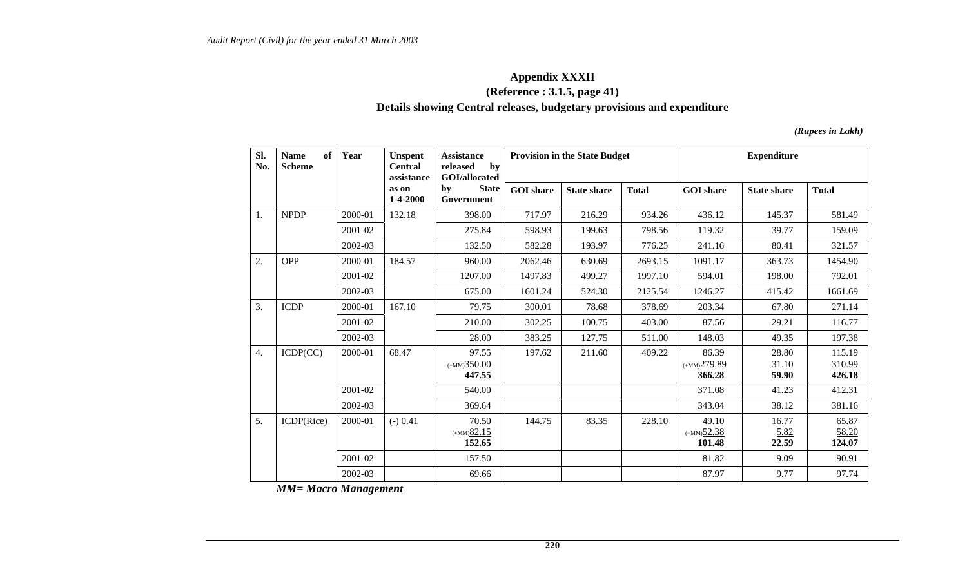### **Appendix XXXII (Reference : 3.1.5, page 41) Details showing Central releases, budgetary provisions and expenditure**

*(Rupees in Lakh)* 

| SI.<br>No. | of<br><b>Name</b><br><b>Scheme</b> | Year    | <b>Unspent</b><br><b>Central</b><br>assistance | <b>Assistance</b><br>by<br>released<br>GOI/allocated |                  | <b>Provision in the State Budget</b> |              | <b>Expenditure</b>                          |                         |                            |
|------------|------------------------------------|---------|------------------------------------------------|------------------------------------------------------|------------------|--------------------------------------|--------------|---------------------------------------------|-------------------------|----------------------------|
|            |                                    |         | as on<br>1-4-2000                              | <b>State</b><br>by<br>Government                     | <b>GOI</b> share | <b>State share</b>                   | <b>Total</b> | <b>GOI</b> share                            | <b>State share</b>      | <b>Total</b>               |
| 1.         | <b>NPDP</b>                        | 2000-01 | 132.18                                         | 398.00                                               | 717.97           | 216.29                               | 934.26       | 436.12                                      | 145.37                  | 581.49                     |
|            |                                    | 2001-02 |                                                | 275.84                                               | 598.93           | 199.63                               | 798.56       | 119.32                                      | 39.77                   | 159.09                     |
|            |                                    | 2002-03 |                                                | 132.50                                               | 582.28           | 193.97                               | 776.25       | 241.16                                      | 80.41                   | 321.57                     |
| 2.         | <b>OPP</b>                         | 2000-01 | 184.57                                         | 960.00                                               | 2062.46          | 630.69                               | 2693.15      | 1091.17                                     | 363.73                  | 1454.90                    |
|            |                                    | 2001-02 |                                                | 1207.00                                              | 1497.83          | 499.27                               | 1997.10      | 594.01                                      | 198.00                  | 792.01                     |
|            |                                    | 2002-03 |                                                | 675.00                                               | 1601.24          | 524.30                               | 2125.54      | 1246.27                                     | 415.42                  | 1661.69                    |
| 3.         | <b>ICDP</b>                        | 2000-01 | 167.10                                         | 79.75                                                | 300.01           | 78.68                                | 378.69       | 203.34                                      | 67.80                   | 271.14                     |
|            |                                    | 2001-02 |                                                | 210.00                                               | 302.25           | 100.75                               | 403.00       | 87.56                                       | 29.21                   | 116.77                     |
|            |                                    | 2002-03 |                                                | 28.00                                                | 383.25           | 127.75                               | 511.00       | 148.03                                      | 49.35                   | 197.38                     |
| 4.         | ICDP(CC)                           | 2000-01 | 68.47                                          | 97.55<br>$(+MM)350.00$<br>447.55                     | 197.62           | 211.60                               | 409.22       | 86.39<br>$(+MM)279.89$<br>366.28            | 28.80<br>31.10<br>59.90 | 115.19<br>310.99<br>426.18 |
|            |                                    | 2001-02 |                                                | 540.00                                               |                  |                                      |              | 371.08                                      | 41.23                   | 412.31                     |
|            |                                    | 2002-03 |                                                | 369.64                                               |                  |                                      |              | 343.04                                      | 38.12                   | 381.16                     |
| 5.         | ICDP(Rice)                         | 2000-01 | $(-) 0.41$                                     | 70.50<br>$(+MM)$ 82.15<br>152.65                     | 144.75           | 83.35                                | 228.10       | 49.10<br>$(+MM)$ <sup>52.38</sup><br>101.48 | 16.77<br>5.82<br>22.59  | 65.87<br>58.20<br>124.07   |
|            |                                    | 2001-02 |                                                | 157.50                                               |                  |                                      |              | 81.82                                       | 9.09                    | 90.91                      |
|            |                                    | 2002-03 |                                                | 69.66                                                |                  |                                      |              | 87.97                                       | 9.77                    | 97.74                      |

 *MM= Macro Management*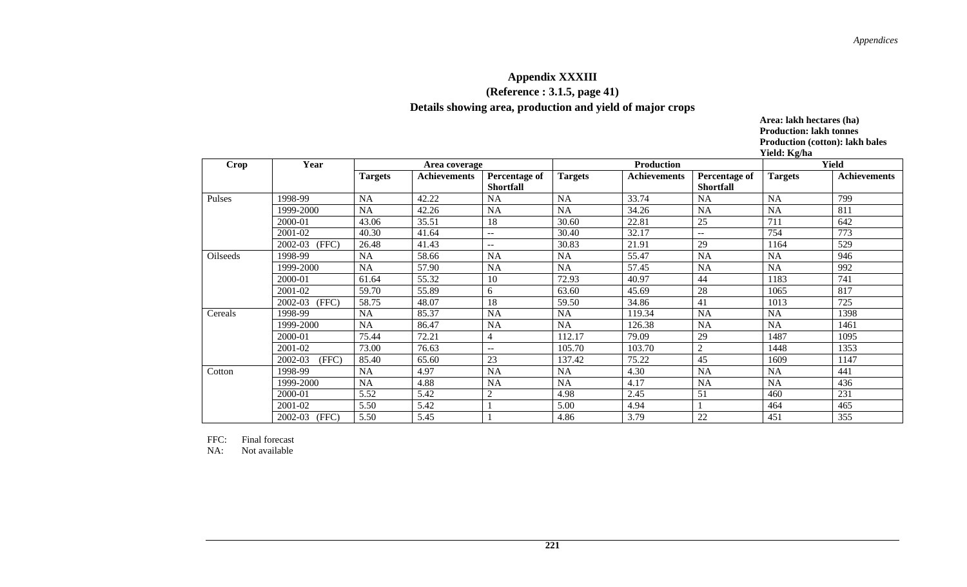## **Appendix XXXIII (Reference : 3.1.5, page 41)**

**Details showing area, production and yield of major crops** 

**Area: lakh hectares (ha) Production: lakh tonnes Production (cotton): lakh bales Yield: Kg/ha** 

| Crop     | Year             |                | Area coverage       |                                   |                | <b>Production</b>   |                                   | ------ -- <del>-</del> --- | <b>Yield</b>        |
|----------|------------------|----------------|---------------------|-----------------------------------|----------------|---------------------|-----------------------------------|----------------------------|---------------------|
|          |                  | <b>Targets</b> | <b>Achievements</b> | Percentage of<br><b>Shortfall</b> | <b>Targets</b> | <b>Achievements</b> | Percentage of<br><b>Shortfall</b> | <b>Targets</b>             | <b>Achievements</b> |
| Pulses   | 1998-99          | <b>NA</b>      | 42.22               | NA                                | <b>NA</b>      | 33.74               | <b>NA</b>                         | <b>NA</b>                  | 799                 |
|          | 1999-2000        | <b>NA</b>      | 42.26               | <b>NA</b>                         | <b>NA</b>      | 34.26               | <b>NA</b>                         | <b>NA</b>                  | 811                 |
|          | 2000-01          | 43.06          | 35.51               | 18                                | 30.60          | 22.81               | 25                                | 711                        | 642                 |
|          | 2001-02          | 40.30          | 41.64               | $- -$                             | 30.40          | 32.17               | $- -$                             | 754                        | 773                 |
|          | 2002-03<br>(FFC) | 26.48          | 41.43               | $- -$                             | 30.83          | 21.91               | 29                                | 1164                       | 529                 |
| Oilseeds | 1998-99          | NA             | 58.66               | <b>NA</b>                         | <b>NA</b>      | 55.47               | <b>NA</b>                         | <b>NA</b>                  | 946                 |
|          | 1999-2000        | <b>NA</b>      | 57.90               | <b>NA</b>                         | <b>NA</b>      | 57.45               | <b>NA</b>                         | <b>NA</b>                  | 992                 |
|          | 2000-01          | 61.64          | 55.32               | 10                                | 72.93          | 40.97               | 44                                | 1183                       | 741                 |
|          | 2001-02          | 59.70          | 55.89               | 6                                 | 63.60          | 45.69               | 28                                | 1065                       | 817                 |
|          | (FFC)<br>2002-03 | 58.75          | 48.07               | 18                                | 59.50          | 34.86               | 41                                | 1013                       | 725                 |
| Cereals  | 1998-99          | <b>NA</b>      | 85.37               | <b>NA</b>                         | <b>NA</b>      | 119.34              | <b>NA</b>                         | <b>NA</b>                  | 1398                |
|          | 1999-2000        | <b>NA</b>      | 86.47               | <b>NA</b>                         | <b>NA</b>      | 126.38              | <b>NA</b>                         | <b>NA</b>                  | 1461                |
|          | 2000-01          | 75.44          | 72.21               | 4                                 | 112.17         | 79.09               | 29                                | 1487                       | 1095                |
|          | 2001-02          | 73.00          | 76.63               | --                                | 105.70         | 103.70              | $\mathfrak{D}$                    | 1448                       | 1353                |
|          | 2002-03<br>(FFC) | 85.40          | 65.60               | 23                                | 137.42         | 75.22               | 45                                | 1609                       | 1147                |
| Cotton   | 1998-99          | <b>NA</b>      | 4.97                | <b>NA</b>                         | <b>NA</b>      | 4.30                | <b>NA</b>                         | <b>NA</b>                  | 441                 |
|          | 1999-2000        | NA             | 4.88                | <b>NA</b>                         | <b>NA</b>      | 4.17                | <b>NA</b>                         | <b>NA</b>                  | 436                 |
|          | 2000-01          | 5.52           | 5.42                | $\overline{2}$                    | 4.98           | 2.45                | 51                                | 460                        | 231                 |
|          | 2001-02          | 5.50           | 5.42                |                                   | 5.00           | 4.94                |                                   | 464                        | 465                 |
|          | 2002-03<br>(FFC) | 5.50           | 5.45                |                                   | 4.86           | 3.79                | 22                                | 451                        | 355                 |

FFC: Final forecast

NA: Not available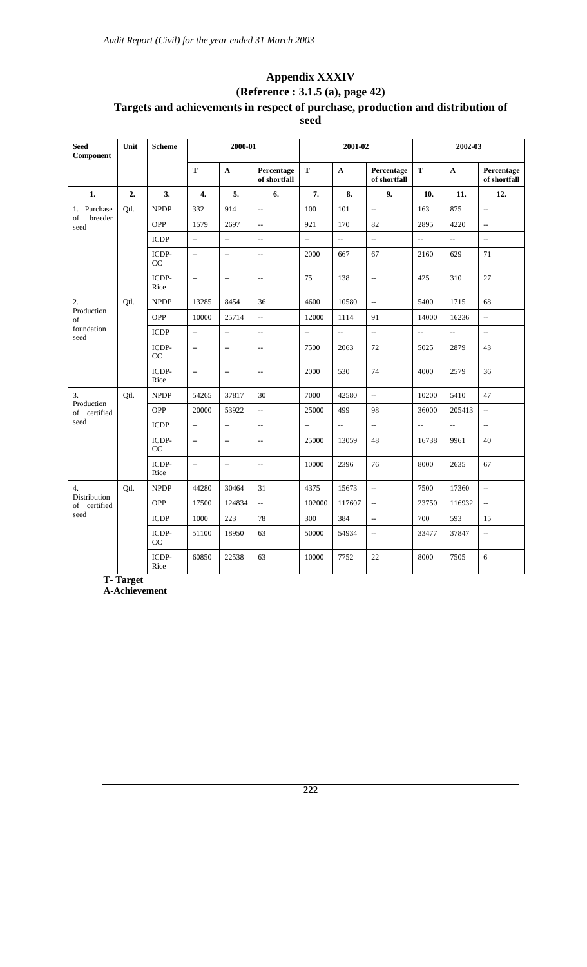### **Appendix XXXIV (Reference : 3.1.5 (a), page 42) Targets and achievements in respect of purchase, production and distribution of seed**

| <b>Seed</b><br>Component        | Unit | <b>Scheme</b>     |                          | 2000-01                                       |                                                     |                | 2001-02            |                            |                | 2002-03        |                            |
|---------------------------------|------|-------------------|--------------------------|-----------------------------------------------|-----------------------------------------------------|----------------|--------------------|----------------------------|----------------|----------------|----------------------------|
|                                 |      |                   | T                        | $\mathbf A$                                   | Percentage<br>of shortfall                          | $\mathbf T$    | $\mathbf A$        | Percentage<br>of shortfall | $\mathbf T$    | $\mathbf{A}$   | Percentage<br>of shortfall |
| 1.                              | 2.   | 3.                | 4.                       | 5.                                            | 6.                                                  | 7.             | 8.                 | 9.                         | 10.            | 11.            | 12.                        |
| 1. Purchase                     | Qtl. | <b>NPDP</b>       | 332                      | 914                                           | $\overline{a}$                                      | 100            | 101                | L.                         | 163            | 875            | $\bar{\mathbb{Z}}$         |
| breeder<br>of<br>seed           |      | <b>OPP</b>        | 1579                     | 2697                                          | $\overline{\phantom{a}}$                            | 921            | 170                | 82                         | 2895           | 4220           | $\overline{\phantom{a}}$   |
|                                 |      | <b>ICDP</b>       | $\sim$                   | $\overline{a}$                                | $\overline{\phantom{a}}$                            | $\overline{a}$ | $\overline{a}$     | $\overline{a}$             | $\overline{a}$ | $\sim$         | $\overline{\phantom{a}}$   |
|                                 |      | ICDP-<br>CC       | $\overline{\phantom{a}}$ | $\overline{\phantom{m}}$                      | $\hspace{0.05cm} -\hspace{0.05cm} -\hspace{0.05cm}$ | 2000           | 667                | 67                         | 2160           | 629            | 71                         |
|                                 |      | ICDP-<br>Rice     | $\sim$                   | $\overline{\phantom{m}}$                      | $\overline{\phantom{a}}$                            | 75             | 138                | $\overline{a}$             | 425            | 310            | 27                         |
| 2.                              | Otl. | <b>NPDP</b>       | 13285                    | 8454                                          | 36                                                  | 4600           | 10580              | ц.                         | 5400           | 1715           | 68                         |
| Production<br>of                |      | <b>OPP</b>        | 10000                    | 25714                                         | $\overline{\phantom{a}}$                            | 12000          | 1114               | 91                         | 14000          | 16236          | $\overline{a}$             |
| foundation<br>seed              |      | <b>ICDP</b>       | $\bar{\mathbb{Z}}$       | цц.                                           | цц.                                                 | $\overline{a}$ | $\bar{\mathbb{Z}}$ | $\overline{\phantom{a}}$   | $\overline{a}$ | $\overline{a}$ | $\overline{\phantom{a}}$   |
|                                 |      | ICDP-<br>$\rm CC$ | $\sim$                   | $\mathord{\hspace{1pt}\text{--}\hspace{1pt}}$ | $\overline{\phantom{a}}$                            | 7500           | 2063               | 72                         | 5025           | 2879           | 43                         |
|                                 |      | ICDP-<br>Rice     | $\sim$                   | $\overline{a}$                                | $\overline{\phantom{a}}$                            | 2000           | 530                | 74                         | 4000           | 2579           | 36                         |
| 3.                              | Otl. | <b>NPDP</b>       | 54265                    | 37817                                         | 30                                                  | 7000           | 42580              | $\overline{\phantom{a}}$   | 10200          | 5410           | 47                         |
| Production<br>of certified      |      | <b>OPP</b>        | 20000                    | 53922                                         | $\overline{a}$                                      | 25000          | 499                | 98                         | 36000          | 205413         | $\overline{a}$             |
| seed                            |      | <b>ICDP</b>       | $\bar{\mathcal{L}}$      | $\overline{a}$                                | $\overline{\phantom{a}}$                            | Ш,             | $\sim$             | цц.                        | $\overline{a}$ | $\sim$         | $\overline{\phantom{a}}$   |
|                                 |      | ICDP-<br>CC       | $\overline{\phantom{a}}$ | $\overline{\phantom{a}}$                      | $\overline{\phantom{a}}$                            | 25000          | 13059              | 48                         | 16738          | 9961           | 40                         |
|                                 |      | ICDP-<br>Rice     | $\overline{\phantom{a}}$ | $\overline{\phantom{a}}$                      | $\overline{\phantom{a}}$                            | 10000          | 2396               | 76                         | 8000           | 2635           | 67                         |
| 4.                              | Qtl. | <b>NPDP</b>       | 44280                    | 30464                                         | 31                                                  | 4375           | 15673              | цц.                        | 7500           | 17360          | $\overline{\phantom{a}}$   |
| Distribution<br>of<br>certified |      | <b>OPP</b>        | 17500                    | 124834                                        | цц.                                                 | 102000         | 117607             | $\overline{a}$             | 23750          | 116932         | цц.                        |
| seed                            |      | ICDP              | 1000                     | 223                                           | $78\,$                                              | 300            | 384                | $\overline{a}$             | 700            | 593            | 15                         |
|                                 |      | ICDP-<br>CC       | 51100                    | 18950                                         | 63                                                  | 50000          | 54934              | $\overline{\phantom{a}}$   | 33477          | 37847          | $\overline{\phantom{a}}$   |
|                                 |      | ICDP-<br>Rice     | 60850                    | 22538                                         | 63                                                  | 10000          | 7752               | 22                         | 8000           | 7505           | 6                          |

**T- Target** 

**A-Achievement**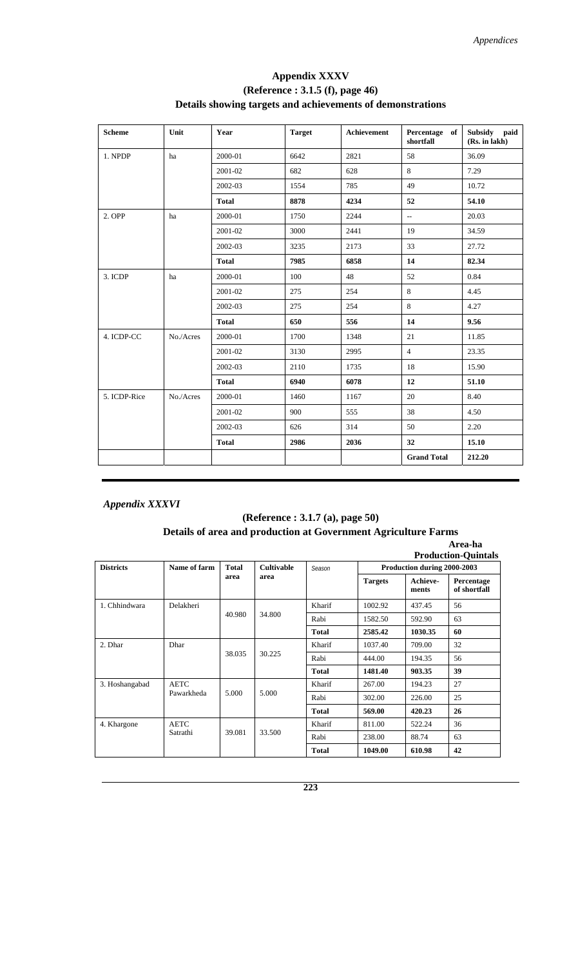#### **Appendix XXXV (Reference : 3.1.5 (f), page 46) Details showing targets and achievements of demonstrations**

| <b>Scheme</b> | Unit      | Year         | <b>Target</b> | Achievement | Percentage of<br>shortfall | Subsidy paid<br>(Rs. in lakh) |
|---------------|-----------|--------------|---------------|-------------|----------------------------|-------------------------------|
| 1. NPDP       | ha        | 2000-01      | 6642          | 2821        | 58                         | 36.09                         |
|               |           | 2001-02      | 682           | 628         | 8                          | 7.29                          |
|               |           | 2002-03      | 1554          | 785         | 49                         | 10.72                         |
|               |           | <b>Total</b> | 8878          | 4234        | 52                         | 54.10                         |
| 2. OPP        | ha        | 2000-01      | 1750          | 2244        | $\sim$                     | 20.03                         |
|               |           | 2001-02      | 3000          | 2441        | 19                         | 34.59                         |
|               |           | 2002-03      | 3235          | 2173        | 33                         | 27.72                         |
|               |           | <b>Total</b> | 7985          | 6858        | 14                         | 82.34                         |
| 3. ICDP       | ha        | 2000-01      | 100           | 48          | 52                         | 0.84                          |
|               |           | 2001-02      | 275           | 254         | 8                          | 4.45                          |
|               |           | 2002-03      | 275           | 254         | 8                          | 4.27                          |
|               |           | <b>Total</b> | 650           | 556         | 14                         | 9.56                          |
| 4. ICDP-CC    | No./Acres | 2000-01      | 1700          | 1348        | 21                         | 11.85                         |
|               |           | 2001-02      | 3130          | 2995        | $\overline{4}$             | 23.35                         |
|               |           | 2002-03      | 2110          | 1735        | 18                         | 15.90                         |
|               |           | <b>Total</b> | 6940          | 6078        | 12                         | 51.10                         |
| 5. ICDP-Rice  | No./Acres | 2000-01      | 1460          | 1167        | 20                         | 8.40                          |
|               |           | 2001-02      | 900           | 555         | 38                         | 4.50                          |
|               |           | 2002-03      | 626           | 314         | 50                         | 2.20                          |
|               |           | <b>Total</b> | 2986          | 2036        | 32                         | 15.10                         |
|               |           |              |               |             | <b>Grand Total</b>         | 212.20                        |

#### *Appendix XXXVI*

#### **(Reference : 3.1.7 (a), page 50) Details of area and production at Government Agriculture Farms**

|                  |              |              |                   |              |                             |                   | Area-ha<br><b>Production-Ouintals</b> |  |
|------------------|--------------|--------------|-------------------|--------------|-----------------------------|-------------------|---------------------------------------|--|
| <b>Districts</b> | Name of farm | <b>Total</b> | <b>Cultivable</b> | Season       | Production during 2000-2003 |                   |                                       |  |
|                  |              | area         | area              |              | <b>Targets</b>              | Achieve-<br>ments | Percentage<br>of shortfall            |  |
| 1. Chhindwara    | Delakheri    |              |                   | Kharif       | 1002.92                     | 437.45            | 56                                    |  |
|                  |              | 40.980       | 34.800            | Rabi         | 1582.50                     | 592.90            | 63                                    |  |
|                  |              |              |                   | <b>Total</b> | 2585.42                     | 1030.35           | 60                                    |  |
| 2. Dhar          | Dhar         |              |                   | Kharif       | 1037.40                     | 709.00            | 32                                    |  |
|                  |              | 38.035       | 30.225            | Rabi         | 444.00                      | 194.35            | 56                                    |  |
|                  |              |              |                   | <b>Total</b> | 1481.40                     | 903.35            | 39                                    |  |
| 3. Hoshangabad   | <b>AETC</b>  |              |                   | Kharif       | 267.00                      | 194.23            | 27                                    |  |
|                  | Pawarkheda   | 5.000        | 5.000             | Rabi         | 302.00                      | 226.00            | 25                                    |  |
|                  |              |              |                   | <b>Total</b> | 569.00                      | 420.23            | 26                                    |  |
| 4. Khargone      | <b>AETC</b>  |              | 33.500            | Kharif       | 811.00                      | 522.24            | 36                                    |  |
|                  | Satrathi     | 39.081       |                   | Rabi         | 238.00                      | 88.74             | 63                                    |  |
|                  |              |              |                   | <b>Total</b> | 1049.00                     | 610.98            | 42                                    |  |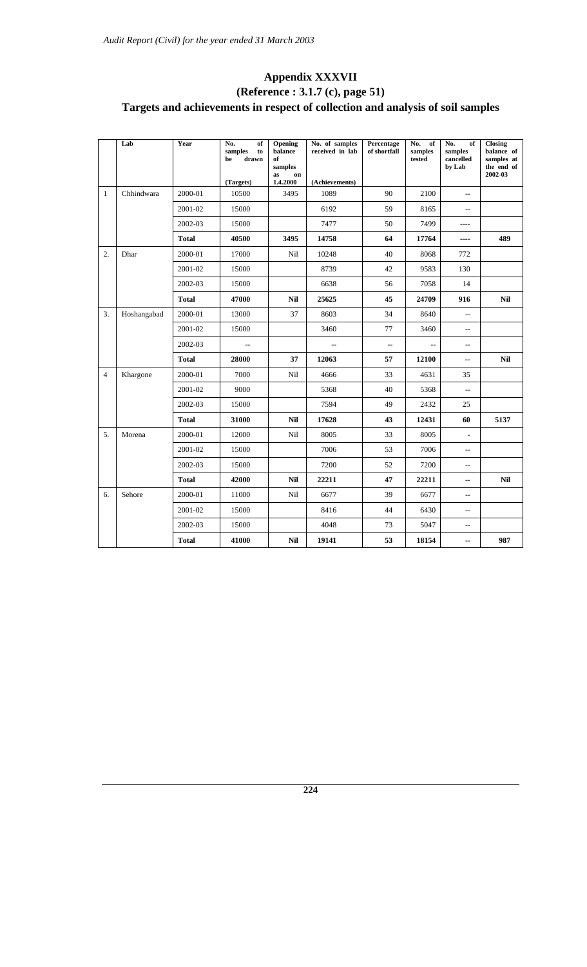## **Appendix XXXVII (Reference : 3.1.7 (c), page 51) Targets and achievements in respect of collection and analysis of soil samples**

|                  | Lab         | Year         | No.<br>of<br>samples<br>to<br>drawn<br>be<br>(Targets) | Opening<br>balance<br>of<br>samples<br>as<br>on<br>1.4.2000 | No. of samples<br>received in lab<br>(Achievements) | Percentage<br>of shortfall | No.<br>of<br>samples<br>tested | No.<br>of<br>samples<br>cancelled<br>by Lab                                                                                                                                     | <b>Closing</b><br>balance of<br>samples at<br>the end of<br>2002-03 |
|------------------|-------------|--------------|--------------------------------------------------------|-------------------------------------------------------------|-----------------------------------------------------|----------------------------|--------------------------------|---------------------------------------------------------------------------------------------------------------------------------------------------------------------------------|---------------------------------------------------------------------|
| $\mathbf{1}$     | Chhindwara  | 2000-01      | 10500                                                  | 3495                                                        | 1089                                                | 90                         | 2100                           | $\overline{\phantom{a}}$                                                                                                                                                        |                                                                     |
|                  |             | 2001-02      | 15000                                                  |                                                             | 6192                                                | 59                         | 8165                           | $\overline{a}$                                                                                                                                                                  |                                                                     |
|                  |             | 2002-03      | 15000                                                  |                                                             | 7477                                                | 50                         | 7499                           | ----                                                                                                                                                                            |                                                                     |
|                  |             | <b>Total</b> | 40500                                                  | 3495                                                        | 14758                                               | 64                         | 17764                          | ----                                                                                                                                                                            | 489                                                                 |
| $\overline{2}$ . | Dhar        | 2000-01      | 17000                                                  | Nil                                                         | 10248                                               | 40                         | 8068                           | 772                                                                                                                                                                             |                                                                     |
|                  |             | 2001-02      | 15000                                                  |                                                             | 8739                                                | 42                         | 9583                           | 130                                                                                                                                                                             |                                                                     |
|                  |             | 2002-03      | 15000                                                  |                                                             | 6638                                                | 56                         | 7058                           | 14                                                                                                                                                                              |                                                                     |
|                  |             | <b>Total</b> | 47000                                                  | <b>Nil</b>                                                  | 25625                                               | 45                         | 24709                          | 916                                                                                                                                                                             | <b>Nil</b>                                                          |
| 3.               | Hoshangabad | 2000-01      | 13000                                                  | 37                                                          | 8603                                                | 34                         | 8640                           | $\overline{a}$                                                                                                                                                                  |                                                                     |
|                  |             | 2001-02      | 15000                                                  |                                                             | 3460                                                | 77                         | 3460                           | $\overline{a}$<br>$\overline{\phantom{a}}$<br>$\overline{\phantom{a}}$<br><b>Nil</b><br>12100<br>$\overline{\phantom{a}}$<br>35<br>4631<br>5368<br>$\overline{a}$<br>2432<br>25 |                                                                     |
|                  |             | 2002-03      | $\overline{a}$                                         |                                                             | $\overline{\phantom{a}}$                            | $\overline{a}$             |                                |                                                                                                                                                                                 |                                                                     |
|                  |             | <b>Total</b> | 28000                                                  | 37                                                          | 12063                                               | 57                         |                                |                                                                                                                                                                                 |                                                                     |
| $\overline{4}$   | Khargone    | 2000-01      | 7000                                                   | Nil                                                         | 4666                                                | 33                         |                                |                                                                                                                                                                                 |                                                                     |
|                  |             | 2001-02      | 9000                                                   |                                                             | 5368                                                | 40                         |                                |                                                                                                                                                                                 |                                                                     |
|                  |             | 2002-03      | 15000                                                  |                                                             | 7594                                                | 49                         |                                |                                                                                                                                                                                 |                                                                     |
|                  |             | <b>Total</b> | 31000                                                  | <b>Nil</b>                                                  | 17628                                               | 43                         | 12431                          | 60                                                                                                                                                                              | 5137                                                                |
| 5.               | Morena      | 2000-01      | 12000                                                  | Nil                                                         | 8005                                                | 33                         | 8005                           | $\overline{\phantom{a}}$                                                                                                                                                        |                                                                     |
|                  |             | 2001-02      | 15000                                                  |                                                             | 7006                                                | 53                         | 7006                           | $\overline{\phantom{a}}$                                                                                                                                                        |                                                                     |
|                  |             | 2002-03      | 15000                                                  |                                                             | 7200                                                | 52                         | 7200                           | $\overline{\phantom{m}}$                                                                                                                                                        |                                                                     |
|                  |             | <b>Total</b> | 42000                                                  | <b>Nil</b>                                                  | 22211                                               | 47                         | 22211                          | --                                                                                                                                                                              | <b>Nil</b>                                                          |
| 6.               | Sehore      | 2000-01      | 11000                                                  | Nil                                                         | 6677                                                | 39                         | 6677                           | $\overline{a}$                                                                                                                                                                  |                                                                     |
|                  |             | 2001-02      | 15000                                                  |                                                             | 8416                                                | 44                         | 6430                           | $\overline{a}$                                                                                                                                                                  |                                                                     |
|                  |             | 2002-03      | 15000                                                  |                                                             | 4048                                                | 73                         | 5047                           | $\overline{\phantom{m}}$                                                                                                                                                        |                                                                     |
|                  |             | <b>Total</b> | 41000                                                  | <b>Nil</b>                                                  | 19141                                               | 53                         | 18154                          | $\overline{\phantom{a}}$                                                                                                                                                        | 987                                                                 |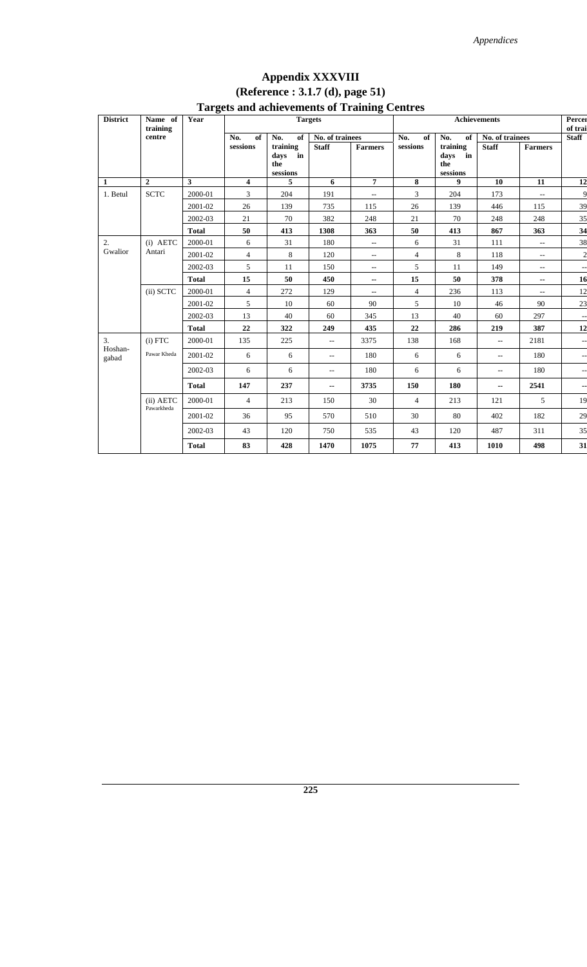## **Appendix XXXVIII (Reference : 3.1.7 (d), page 51) Targets and achievements of Training Centres**

| <b>District</b>  | Name of<br>training     | o<br>Year    |                |                                                                      | <b>Targets</b>           | o                                                   |                |                                           | Achievements             |                             | Percer<br>of trai |
|------------------|-------------------------|--------------|----------------|----------------------------------------------------------------------|--------------------------|-----------------------------------------------------|----------------|-------------------------------------------|--------------------------|-----------------------------|-------------------|
|                  | centre                  |              | No.<br>of      | No.<br>of                                                            | No. of trainees          |                                                     | No.<br>of      | No.<br>of                                 | No. of trainees          |                             | <b>Staff</b>      |
|                  |                         |              | sessions       | training<br>in<br>days<br>the<br>$s \bar e s \bar s \bar o \bar n s$ | <b>Staff</b>             | <b>Farmers</b>                                      | sessions       | training<br>days<br>in<br>the<br>sessions | <b>Staff</b>             | <b>Farmers</b>              |                   |
| $\mathbf{1}$     | $\overline{2}$          | $\mathbf{3}$ | 4              | 5                                                                    | 6                        | $\overline{7}$                                      | 8              | 9                                         | 10                       | 11                          | 12                |
| 1. Betul         | <b>SCTC</b>             | 2000-01      | 3              | 204                                                                  | 191                      | $- -$                                               | 3              | 204                                       | 173                      | $- -$                       | 9                 |
|                  |                         | 2001-02      | 26             | 139                                                                  | 735                      | 115                                                 | 26             | 139                                       | 446                      | 115                         | 39                |
|                  |                         | 2002-03      | 21             | 70                                                                   | 382                      | 248                                                 | 21             | 70                                        | 248                      | 248                         | 35                |
|                  |                         | <b>Total</b> | 50             | 413                                                                  | 1308                     | 363                                                 | 50             | 413                                       | 867                      | 363                         | 34                |
| $\overline{2}$ . | $(i)$ AETC              | 2000-01      | 6              | 31                                                                   | 180                      | $\hspace{0.05cm} -\hspace{0.05cm} -\hspace{0.05cm}$ | 6              | 31                                        | 111                      | $\overline{\phantom{a}}$    | 38                |
| Gwalior          | Antari                  | 2001-02      | $\overline{4}$ | $8\,$                                                                | 120                      | $\overline{\phantom{a}}$                            | $\overline{4}$ | 8                                         | 118                      | $\sim$                      | $\overline{c}$    |
|                  |                         | 2002-03      | 5              | 11                                                                   | 150                      | $\overline{\phantom{a}}$                            | 5              | 11                                        | 149                      | $\overline{\phantom{a}}$    | --                |
|                  |                         | <b>Total</b> | 15             | 50                                                                   | 450                      | $\overline{\phantom{a}}$                            | 15             | 50                                        | 378                      | --                          | 16                |
|                  | (ii) SCTC               | 2000-01      | $\overline{4}$ | 272                                                                  | 129                      | $\hspace{0.05cm} -\hspace{0.05cm} -\hspace{0.05cm}$ | $\overline{4}$ | 236                                       | 113                      | $\mathcal{L}_{\mathcal{F}}$ | 12                |
|                  |                         | 2001-02      | 5              | 10                                                                   | 60                       | 90                                                  | 5              | 10                                        | 46                       | 90                          | 23                |
|                  |                         | 2002-03      | 13             | 40                                                                   | 60                       | 345                                                 | 13             | 40                                        | 60                       | 297                         |                   |
|                  |                         | <b>Total</b> | 22             | 322                                                                  | 249                      | 435                                                 | 22             | 286                                       | 219                      | 387                         | 12                |
| 3.<br>Hoshan-    | $(i)$ FTC               | 2000-01      | 135            | 225                                                                  | $\overline{\phantom{a}}$ | 3375                                                | 138            | 168                                       | $\overline{a}$           | 2181                        | --                |
| gabad            | Pawar Kheda             | 2001-02      | 6              | 6                                                                    | $\overline{\phantom{a}}$ | 180                                                 | 6              | 6                                         | $\overline{a}$           | 180                         | $-$               |
|                  |                         | 2002-03      | 6              | 6                                                                    | $\qquad \qquad -$        | 180                                                 | 6              | 6                                         | $\overline{\phantom{a}}$ | 180                         | --                |
|                  |                         | <b>Total</b> | 147            | 237                                                                  | ۰.                       | 3735                                                | 150            | 180                                       | $-$                      | 2541                        | --                |
|                  | (ii) AETC<br>Pawarkheda | 2000-01      | $\overline{4}$ | 213                                                                  | 150                      | 30                                                  | $\overline{4}$ | 213                                       | 121                      | 5                           | 19                |
|                  |                         | 2001-02      | 36             | 95                                                                   | 570                      | 510                                                 | 30             | 80                                        | 402                      | 182                         | 29                |
|                  |                         | 2002-03      | 43             | 120                                                                  | 750                      | 535                                                 | 43             | 120                                       | 487                      | 311                         | 35                |
|                  |                         | <b>Total</b> | 83             | 428                                                                  | 1470                     | 1075                                                | 77             | 413                                       | 1010                     | 498                         | 31                |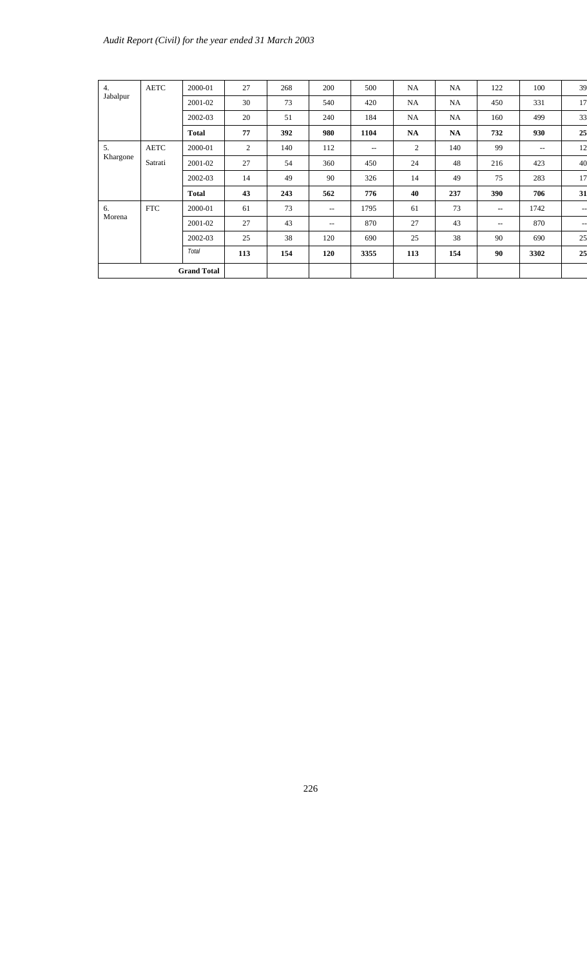| 4.<br>Jabalpur | <b>AETC</b>        | 2000-01      | 27  | 268 | 200   | 500   | NA        | NA        | 122                      | 100                      | 39                       |
|----------------|--------------------|--------------|-----|-----|-------|-------|-----------|-----------|--------------------------|--------------------------|--------------------------|
|                |                    | 2001-02      | 30  | 73  | 540   | 420   | NA        | NA.       | 450                      | 331                      | 17                       |
|                |                    | 2002-03      | 20  | 51  | 240   | 184   | NA        | NA.       | 160                      | 499                      | 33                       |
|                |                    | <b>Total</b> | 77  | 392 | 980   | 1104  | <b>NA</b> | <b>NA</b> | 732                      | 930                      | 25                       |
| 5.             | <b>AETC</b>        | 2000-01      | 2   | 140 | 112   | $- -$ | 2         | 140       | 99                       | $\overline{\phantom{a}}$ | 12                       |
| Khargone       | Satrati            | 2001-02      | 27  | 54  | 360   | 450   | 24        | 48        | 216                      | 423                      | 40                       |
|                |                    | 2002-03      | 14  | 49  | 90    | 326   | 14        | 49        | 75                       | 283                      | 17                       |
|                |                    | <b>Total</b> | 43  | 243 | 562   | 776   | 40        | 237       | 390                      | 706                      | 31                       |
| 6.             | <b>FTC</b>         | 2000-01      | 61  | 73  | $- -$ | 1795  | 61        | 73        | $\overline{\phantom{a}}$ | 1742                     | $-$ – $\,$               |
| Morena         |                    | 2001-02      | 27  | 43  | $- -$ | 870   | 27        | 43        | $\overline{\phantom{a}}$ | 870                      | $\overline{\phantom{a}}$ |
|                |                    | 2002-03      | 25  | 38  | 120   | 690   | 25        | 38        | 90                       | 690                      | 25                       |
|                |                    | <b>Total</b> | 113 | 154 | 120   | 3355  | 113       | 154       | 90                       | 3302                     | 25                       |
|                | <b>Grand Total</b> |              |     |     |       |       |           |           |                          |                          |                          |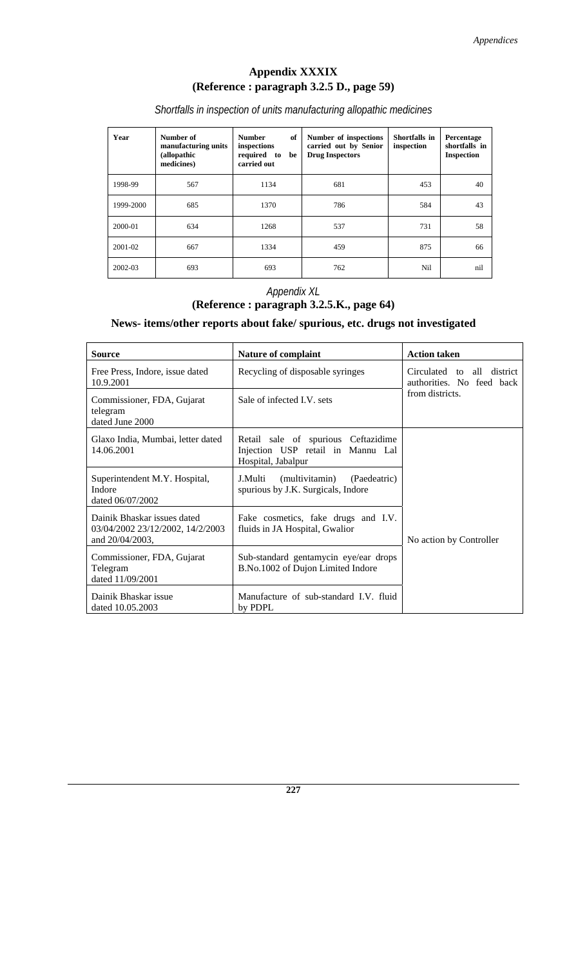### **Appendix XXXIX (Reference : paragraph 3.2.5 D., page 59)**

*Shortfalls in inspection of units manufacturing allopathic medicines* 

| Year      | Number of<br>manufacturing units<br>(allopathic<br>medicines) | of<br><b>Number</b><br>inspections<br>required to<br>be<br>carried out | Number of inspections<br>carried out by Senior<br><b>Drug Inspectors</b> | Shortfalls in<br>inspection | Percentage<br>shortfalls in<br><b>Inspection</b> |
|-----------|---------------------------------------------------------------|------------------------------------------------------------------------|--------------------------------------------------------------------------|-----------------------------|--------------------------------------------------|
| 1998-99   | 567                                                           | 1134                                                                   | 681                                                                      | 453                         | 40                                               |
| 1999-2000 | 685                                                           | 1370                                                                   | 786                                                                      | 584                         | 43                                               |
| 2000-01   | 634                                                           | 1268                                                                   | 537                                                                      | 731                         | 58                                               |
| 2001-02   | 667                                                           | 1334                                                                   | 459                                                                      | 875                         | 66                                               |
| 2002-03   | 693                                                           | 693                                                                    | 762                                                                      | Nil                         | nil                                              |

#### *Appendix XL*  **(Reference : paragraph 3.2.5.K., page 64)**

#### **News- items/other reports about fake/ spurious, etc. drugs not investigated**

| Source                                                                             | <b>Nature of complaint</b>                                                                     | <b>Action taken</b>                                           |  |  |
|------------------------------------------------------------------------------------|------------------------------------------------------------------------------------------------|---------------------------------------------------------------|--|--|
| Free Press, Indore, issue dated<br>10.9.2001                                       | Recycling of disposable syringes                                                               | Circulated to<br>district<br>all<br>authorities. No feed back |  |  |
| Commissioner, FDA, Gujarat<br>telegram<br>dated June 2000                          | Sale of infected I.V. sets                                                                     | from districts.                                               |  |  |
| Glaxo India, Mumbai, letter dated<br>14.06.2001                                    | Retail sale of spurious Ceftazidime<br>Injection USP retail in Mannu Lal<br>Hospital, Jabalpur |                                                               |  |  |
| Superintendent M.Y. Hospital,<br>Indore<br>dated 06/07/2002                        | (multivitamin)<br>(Paedeatric)<br>J.Multi<br>spurious by J.K. Surgicals, Indore                |                                                               |  |  |
| Dainik Bhaskar issues dated<br>03/04/2002 23/12/2002, 14/2/2003<br>and 20/04/2003, | Fake cosmetics, fake drugs and I.V.<br>fluids in JA Hospital, Gwalior                          | No action by Controller                                       |  |  |
| Commissioner, FDA, Gujarat<br>Telegram<br>dated 11/09/2001                         | Sub-standard gentamycin eye/ear drops<br>B.No.1002 of Dujon Limited Indore                     |                                                               |  |  |
| Dainik Bhaskar issue<br>dated 10.05.2003                                           | Manufacture of sub-standard I.V. fluid<br>by PDPL                                              |                                                               |  |  |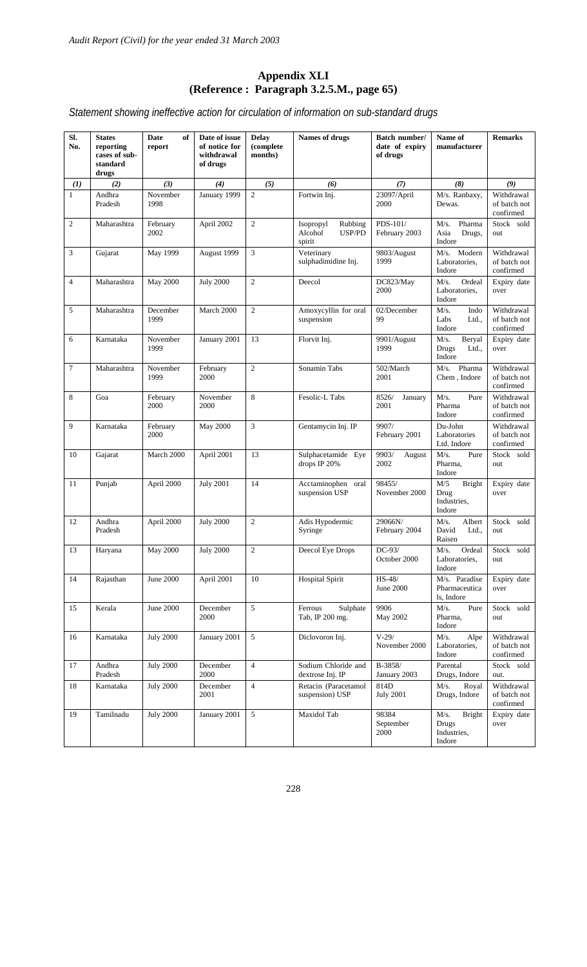#### **Appendix XLI (Reference : Paragraph 3.2.5.M., page 65)**

*Statement showing ineffective action for circulation of information on sub-standard drugs* 

| Sl.<br>No.     | <b>States</b><br>reporting<br>cases of sub-<br>standard<br>drugs | Date<br>of<br>report | Date of issue<br>of notice for<br>withdrawal<br>of drugs | <b>Delay</b><br>(complete<br>months) | Names of drugs                                      | Batch number/<br>date of expiry<br>of drugs | Name of<br>manufacturer                                 | <b>Remarks</b>                          |
|----------------|------------------------------------------------------------------|----------------------|----------------------------------------------------------|--------------------------------------|-----------------------------------------------------|---------------------------------------------|---------------------------------------------------------|-----------------------------------------|
| $\mathbf{U}$   | (2)                                                              | (3)                  | (4)                                                      | (5)                                  | (6)                                                 | (7)                                         | (8)                                                     | (9)                                     |
| $\mathbf{1}$   | Andhra<br>Pradesh                                                | November<br>1998     | January 1999                                             | $\overline{c}$                       | Fortwin Inj.                                        | 23097/April<br>2000                         | M/s. Ranbaxy,<br>Dewas.                                 | Withdrawal<br>of batch not<br>confirmed |
| $\mathfrak{2}$ | Maharashtra                                                      | February<br>2002     | April 2002                                               | $\mathfrak{2}$                       | Isopropyl<br>Rubbing<br>Alcohol<br>USP/PD<br>spirit | PDS-101/<br>February 2003                   | Pharma<br>M/s.<br>Asia<br>Drugs,<br>Indore              | Stock sold<br>out                       |
| 3              | Gujarat                                                          | May 1999             | August 1999                                              | 3                                    | Veterinary<br>sulphadimidine Inj.                   | 9803/August<br>1999                         | M/s. Modern<br>Laboratories,<br>Indore                  | Withdrawal<br>of batch not<br>confirmed |
| $\overline{4}$ | Maharashtra                                                      | <b>May 2000</b>      | <b>July 2000</b>                                         | $\overline{c}$                       | Deecol                                              | DC823/May<br>2000                           | Ordeal<br>M/s.<br>Laboratories,<br>Indore               | Expiry date<br>over                     |
| 5              | Maharashtra                                                      | December<br>1999     | March 2000                                               | $\overline{c}$                       | Amoxycyllin for oral<br>suspension                  | 02/December<br>99                           | M/s.<br>Indo<br>Labs<br>Ltd.,<br>Indore                 | Withdrawal<br>of batch not<br>confirmed |
| 6              | Karnataka                                                        | November<br>1999     | January 2001                                             | 13                                   | Florvit Inj.                                        | 9901/August<br>1999                         | M/s.<br>Beryal<br>Drugs<br>Ltd.,<br>Indore              | Expiry date<br>over                     |
| $\tau$         | Maharashtra                                                      | November<br>1999     | February<br>2000                                         | $\overline{2}$                       | Sonamin Tabs                                        | 502/March<br>2001                           | Pharma<br>$M/s$ .<br>Chem, Indore                       | Withdrawal<br>of batch not<br>confirmed |
| 8              | Goa                                                              | February<br>2000     | November<br>2000                                         | 8                                    | Fesolic-L Tabs                                      | 8526/<br>January<br>2001                    | M/s.<br>Pure<br>Pharma<br>Indore                        | Withdrawal<br>of batch not<br>confirmed |
| 9              | Karnataka                                                        | February<br>2000     | <b>May 2000</b>                                          | 3                                    | Gentamycin Inj. IP                                  | 9907/<br>February 2001                      | Du-John<br>Laboratories<br>Ltd. Indore                  | Withdrawal<br>of batch not<br>confirmed |
| 10             | Gajarat                                                          | March 2000           | April 2001                                               | 13                                   | Sulphacetamide Eye<br>drops IP $20%$                | 9903/<br>August<br>2002                     | M/s.<br>Pure<br>Pharma,<br>Indore                       | Stock sold<br>out                       |
| 11             | Punjab                                                           | April 2000           | <b>July 2001</b>                                         | 14                                   | Acctaminophen<br>oral<br>suspension USP             | 98455/<br>November 2000                     | M/5<br><b>Bright</b><br>Drug<br>Industries,<br>Indore   | Expiry date<br>over                     |
| 12             | Andhra<br>Pradesh                                                | April 2000           | <b>July 2000</b>                                         | $\overline{c}$                       | Adis Hypodermic<br>Syringe                          | 29066N/<br>February 2004                    | M/s.<br>Albert<br>David<br>Ltd.,<br>Raisen              | Stock sold<br>out                       |
| 13             | Haryana                                                          | May 2000             | <b>July 2000</b>                                         | $\mathfrak{2}$                       | Deecol Eye Drops                                    | $DC-93/$<br>October 2000                    | M/s.<br>Ordeal<br>Laboratories,<br>Indore               | Stock sold<br>out                       |
| 14             | Rajasthan                                                        | June 2000            | April 2001                                               | 10                                   | <b>Hospital Spirit</b>                              | $HS-48/$<br>June 2000                       | M/s. Paradise<br>Pharmaceutica<br>ls, Indore            | Expiry date<br>over                     |
| 15             | Kerala                                                           | June 2000            | December<br>2000                                         | 5                                    | Sulphate<br>Ferrous<br>Tab, IP 200 mg.              | 9906<br>May 2002                            | M/s.<br>Pure<br>Pharma,<br>Indore                       | Stock sold<br>out                       |
| 16             | Karnataka                                                        | <b>July 2000</b>     | January 2001                                             | 5                                    | Diclovoron Inj.                                     | $V-29/$<br>November 2000                    | M/s.<br>Alpe<br>Laboratories,<br>Indore                 | Withdrawal<br>of batch not<br>confirmed |
| 17             | Andhra<br>Pradesh                                                | <b>July 2000</b>     | December<br>2000                                         | $\overline{4}$                       | Sodium Chloride and<br>dextrose Inj. IP             | B-3858/<br>January 2003                     | Parental<br>Drugs, Indore                               | Stock sold<br>out.                      |
| 18             | Karnataka                                                        | <b>July 2000</b>     | December<br>2001                                         | $\overline{4}$                       | Retacin (Paracetamol<br>suspension) USP             | 814D<br><b>July 2001</b>                    | M/s.<br>Royal<br>Drugs, Indore                          | Withdrawal<br>of batch not<br>confirmed |
| 19             | Tamilnadu                                                        | <b>July 2000</b>     | January 2001                                             | $\sqrt{5}$                           | Maxidol Tab                                         | 98384<br>September<br>2000                  | <b>Bright</b><br>M/s.<br>Drugs<br>Industries,<br>Indore | Expiry date<br>over                     |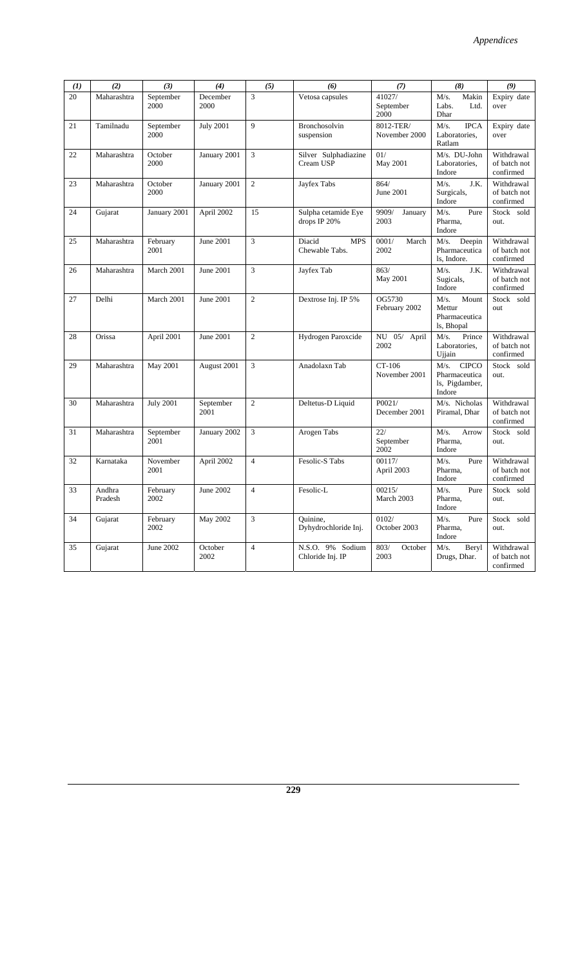| (I) | (2)               | (3)               | (4)               | (5)            | (6)                                     | (7)                         | (8)                                                     | (9)                                     |
|-----|-------------------|-------------------|-------------------|----------------|-----------------------------------------|-----------------------------|---------------------------------------------------------|-----------------------------------------|
| 20  | Maharashtra       | September<br>2000 | December<br>2000  | 3              | Vetosa capsules                         | 41027/<br>September<br>2000 | M/s.<br>Makin<br>Labs.<br>Ltd.<br>Dhar                  | Expiry date<br>over                     |
| 21  | Tamilnadu         | September<br>2000 | <b>July 2001</b>  | 9              | Bronchosolvin<br>suspension             | 8012-TER/<br>November 2000  | M/s.<br><b>IPCA</b><br>Laboratories,<br>Ratlam          | Expiry date<br>over                     |
| 22  | Maharashtra       | October<br>2000   | January 2001      | 3              | Silver Sulphadiazine<br>Cream USP       | 01/<br>May 2001             | M/s. DU-John<br>Laboratories,<br>Indore                 | Withdrawal<br>of batch not<br>confirmed |
| 23  | Maharashtra       | October<br>2000   | January 2001      | $\overline{c}$ | Jayfex Tabs                             | 864/<br>June 2001           | J.K.<br>M/s.<br>Surgicals,<br>Indore                    | Withdrawal<br>of batch not<br>confirmed |
| 24  | Gujarat           | January 2001      | April 2002        | 15             | Sulpha cetamide Eye<br>drops IP 20%     | 9909/<br>January<br>2003    | $M/s$ .<br>Pure<br>Pharma,<br>Indore                    | Stock sold<br>out.                      |
| 25  | Maharashtra       | February<br>2001  | June 2001         | 3              | Diacid<br><b>MPS</b><br>Chewable Tabs.  | March<br>0001/<br>2002      | M/s.<br>Deepin<br>Pharmaceutica<br>ls, Indore.          | Withdrawal<br>of batch not<br>confirmed |
| 26  | Maharashtra       | March 2001        | June 2001         | 3              | Jayfex Tab                              | 863/<br>May 2001            | $M/s$ .<br>J.K.<br>Sugicals,<br>Indore                  | Withdrawal<br>of batch not<br>confirmed |
| 27  | Delhi             | March 2001        | June 2001         | $\overline{c}$ | Dextrose Inj. IP 5%                     | OG5730<br>February 2002     | M/s.<br>Mount<br>Mettur<br>Pharmaceutica<br>ls, Bhopal  | Stock sold<br>out                       |
| 28  | Orissa            | April 2001        | June 2001         | $\overline{c}$ | Hydrogen Paroxcide                      | NU 05/ April<br>2002        | M/s.<br>Prince<br>Laboratories,<br>Ujjain               | Withdrawal<br>of batch not<br>confirmed |
| 29  | Maharashtra       | May 2001          | August 2001       | 3              | Anadolaxn Tab                           | CT-106<br>November 2001     | M/s. CIPCO<br>Pharmaceutica<br>ls, Pigdamber,<br>Indore | Stock sold<br>out.                      |
| 30  | Maharashtra       | <b>July 2001</b>  | September<br>2001 | $\overline{c}$ | Deltetus-D Liquid                       | P0021/<br>December 2001     | M/s. Nicholas<br>Piramal, Dhar                          | Withdrawal<br>of batch not<br>confirmed |
| 31  | Maharashtra       | September<br>2001 | January 2002      | 3              | Arogen Tabs                             | 22/<br>September<br>2002    | $M/s$ .<br>Arrow<br>Pharma,<br>Indore                   | Stock sold<br>out.                      |
| 32  | Karnataka         | November<br>2001  | April 2002        | $\overline{4}$ | Fesolic-S Tabs                          | 00117/<br>April 2003        | $M/s$ .<br>Pure<br>Pharma,<br>Indore                    | Withdrawal<br>of batch not<br>confirmed |
| 33  | Andhra<br>Pradesh | February<br>2002  | June 2002         | $\overline{4}$ | Fesolic-L                               | 00215/<br>March 2003        | M/s.<br>Pure<br>Pharma,<br>Indore                       | Stock sold<br>out.                      |
| 34  | Gujarat           | February<br>2002  | May 2002          | 3              | Ouinine,<br>Dyhydrochloride Inj.        | 0102/<br>October 2003       | M/s.<br>Pure<br>Pharma,<br>Indore                       | Stock sold<br>out.                      |
| 35  | Gujarat           | June 2002         | October<br>2002   | $\overline{4}$ | N.S.O. 9%<br>Sodium<br>Chloride Inj. IP | 803/<br>October<br>2003     | $M/s$ .<br>Beryl<br>Drugs, Dhar.                        | Withdrawal<br>of batch not<br>confirmed |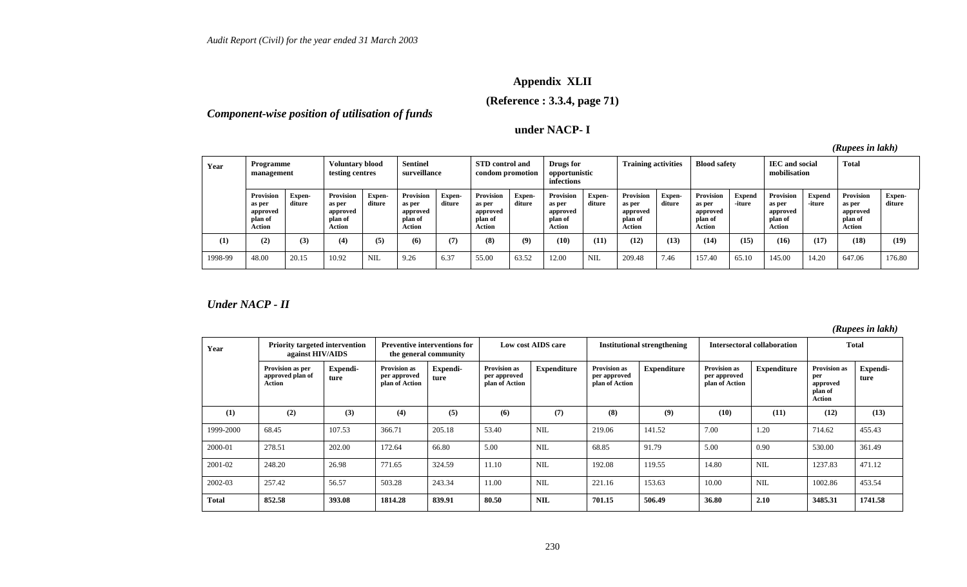## **Appendix XLII**

**(Reference : 3.3.4, page 71)** 

*Component-wise position of utilisation of funds* 

**under NACP- I** 

*(Rupees in lakh)* 

| Year    | Programme<br>management                                     |                  | <b>Voluntary blood</b><br>testing centres            |                  | <b>Sentinel</b><br>surveillance                      |                         | <b>STD</b> control and<br>condom promotion                  |                         | Drugs for<br>opportunistic<br>infections             |                  | <b>Training activities</b>                                  |                         | <b>Blood safety</b>                                         |                  | <b>IEC</b> and social<br>mobilisation                |                         | <b>Total</b>                                         |                  |
|---------|-------------------------------------------------------------|------------------|------------------------------------------------------|------------------|------------------------------------------------------|-------------------------|-------------------------------------------------------------|-------------------------|------------------------------------------------------|------------------|-------------------------------------------------------------|-------------------------|-------------------------------------------------------------|------------------|------------------------------------------------------|-------------------------|------------------------------------------------------|------------------|
|         | <b>Provision</b><br>as per<br>approved<br>plan of<br>Action | Expen-<br>diture | Provision<br>as per<br>approved<br>plan of<br>Action | Expen-<br>diture | Provision<br>as per<br>approved<br>plan of<br>Action | <b>Expen-</b><br>diture | <b>Provision</b><br>as per<br>approved<br>plan of<br>Action | <b>Expen-</b><br>diture | Provision<br>as per<br>approved<br>plan of<br>Action | Expen-<br>diture | <b>Provision</b><br>as per<br>approved<br>plan of<br>Action | <b>Expen-</b><br>diture | <b>Provision</b><br>as per<br>approved<br>plan of<br>Action | Expend<br>-iture | Provision<br>as per<br>approved<br>plan of<br>Action | <b>Expend</b><br>-iture | Provision<br>as per<br>approved<br>plan of<br>Action | Expen-<br>diture |
| (1)     | (2)                                                         | (3)              | (4)                                                  | (5)              | (6)                                                  | (7)                     | (8)                                                         | (9)                     | (10)                                                 | (11)             | (12)                                                        | (13)                    | (14)                                                        | (15)             | (16)                                                 | (17)                    | (18)                                                 | (19)             |
| 1998-99 | 48.00                                                       | 20.15            | 10.92                                                | <b>NIL</b>       | 9.26                                                 | 6.37                    | 55.00                                                       | 63.52                   | 12.00                                                | <b>NIL</b>       | 209.48                                                      | 7.46                    | 157.40                                                      | 65.10            | 145.00                                               | 14.20                   | 647.06                                               | 176.80           |

*Under NACP - II* 

| Year         | <b>Priority targeted intervention</b><br>against HIV/AIDS |                  | the general community                                 | <b>Preventive interventions for</b> |                                                       | Low cost AIDS care |                                                       | <b>Institutional strengthening</b> |                                                       | <b>Intersectoral collaboration</b> |                                                             | <b>Total</b>     |
|--------------|-----------------------------------------------------------|------------------|-------------------------------------------------------|-------------------------------------|-------------------------------------------------------|--------------------|-------------------------------------------------------|------------------------------------|-------------------------------------------------------|------------------------------------|-------------------------------------------------------------|------------------|
|              | Provision as per<br>approved plan of<br>Action            | Expendi-<br>ture | <b>Provision as</b><br>per approved<br>plan of Action | Expendi-<br>ture                    | <b>Provision as</b><br>per approved<br>plan of Action | <b>Expenditure</b> | <b>Provision as</b><br>per approved<br>plan of Action | <b>Expenditure</b>                 | <b>Provision as</b><br>per approved<br>plan of Action | <b>Expenditure</b>                 | <b>Provision as</b><br>per<br>approved<br>plan of<br>Action | Expendi-<br>ture |
| (1)          | (2)                                                       | (3)              | (4)                                                   | (5)                                 | (6)                                                   | (7)                | (8)                                                   | (9)                                | (10)                                                  | (11)                               | (12)                                                        | (13)             |
| 1999-2000    | 68.45                                                     | 107.53           | 366.71                                                | 205.18                              | 53.40                                                 | <b>NIL</b>         | 219.06                                                | 141.52                             | 7.00                                                  | 1.20                               | 714.62                                                      | 455.43           |
| 2000-01      | 278.51                                                    | 202.00           | 172.64                                                | 66.80                               | 5.00                                                  | <b>NIL</b>         | 68.85                                                 | 91.79                              | 5.00                                                  | 0.90                               | 530.00                                                      | 361.49           |
| 2001-02      | 248.20                                                    | 26.98            | 771.65                                                | 324.59                              | 11.10                                                 | NIL                | 192.08                                                | 119.55                             | 14.80                                                 | <b>NIL</b>                         | 1237.83                                                     | 471.12           |
| 2002-03      | 257.42                                                    | 56.57            | 503.28                                                | 243.34                              | 11.00                                                 | <b>NIL</b>         | 221.16                                                | 153.63                             | 10.00                                                 | <b>NIL</b>                         | 1002.86                                                     | 453.54           |
| <b>Total</b> | 852.58                                                    | 393.08           | 1814.28                                               | 839.91                              | 80.50                                                 | <b>NIL</b>         | 701.15                                                | 506.49                             | 36.80                                                 | 2.10                               | 3485.31                                                     | 1741.58          |

*(Rupees in lakh)*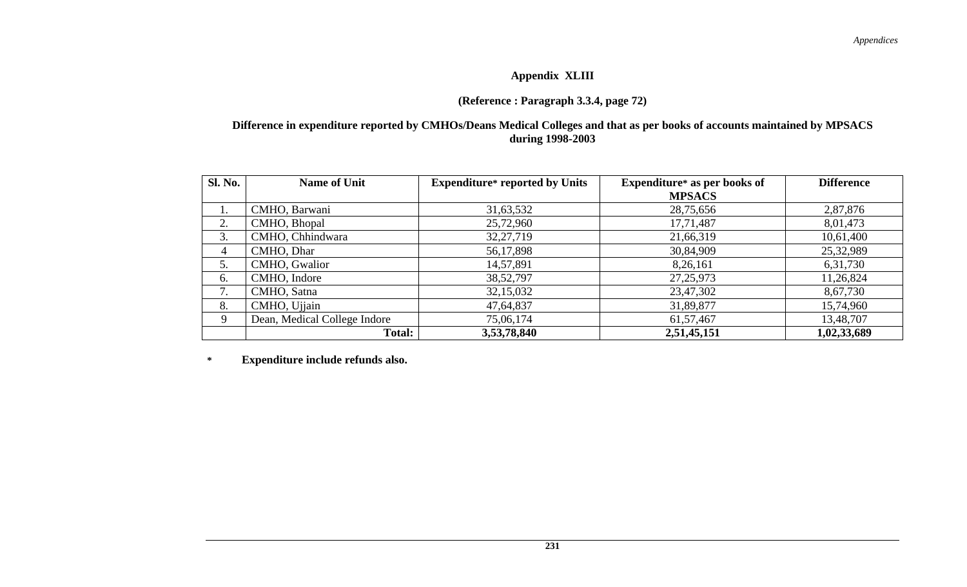### **Appendix XLIII**

### **(Reference : Paragraph 3.3.4, page 72)**

#### **Difference in expenditure reported by CMHOs/Deans Medical Colleges and that as per books of accounts maintained by MPSACS during 1998-2003**

| <b>Sl. No.</b> | <b>Name of Unit</b>          | <b>Expenditure*</b> reported by Units | <b>Expenditure*</b> as per books of | <b>Difference</b> |
|----------------|------------------------------|---------------------------------------|-------------------------------------|-------------------|
|                |                              |                                       | <b>MPSACS</b>                       |                   |
| 1.             | CMHO, Barwani                | 31,63,532                             | 28,75,656                           | 2,87,876          |
| 2.             | CMHO, Bhopal                 | 25,72,960                             | 17,71,487                           | 8,01,473          |
| 3.             | CMHO, Chhindwara             | 32, 27, 719                           | 21,66,319                           | 10,61,400         |
| 4              | CMHO, Dhar                   | 56,17,898                             | 30,84,909                           | 25,32,989         |
| 5.             | CMHO, Gwalior                | 14,57,891                             | 8,26,161                            | 6,31,730          |
| 6.             | CMHO, Indore                 | 38, 52, 797                           | 27, 25, 973                         | 11,26,824         |
| 7.             | CMHO, Satna                  | 32,15,032                             | 23,47,302                           | 8,67,730          |
| 8.             | CMHO, Ujjain                 | 47,64,837                             | 31,89,877                           | 15,74,960         |
| 9              | Dean, Medical College Indore | 75,06,174                             | 61, 57, 467                         | 13,48,707         |
|                | Total:                       | 3,53,78,840                           | 2,51,45,151                         | 1,02,33,689       |

**\* Expenditure include refunds also.**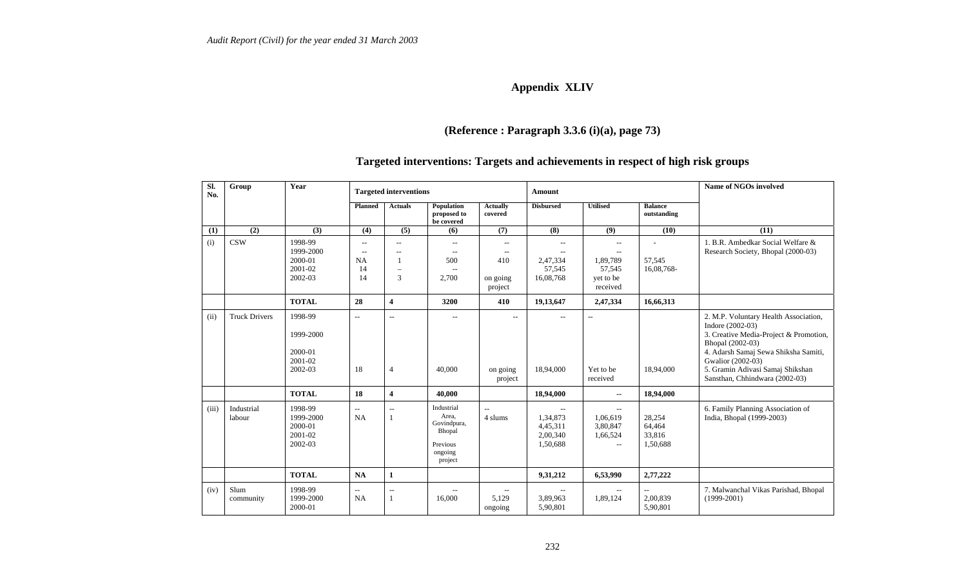## **Appendix XLIV**

## **(Reference : Paragraph 3.3.6 (i)(a), page 73)**

#### **Targeted interventions: Targets and achievements in respect of high risk groups**

| Sl.<br>No. | Group                | Year                                                  | <b>Targeted interventions</b><br>Amount                        |                                                                      |                                                                                |                                                 |                                                         |                                                                         |                                                  | <b>Name of NGOs involved</b>                                                                                                                                                                                                                               |
|------------|----------------------|-------------------------------------------------------|----------------------------------------------------------------|----------------------------------------------------------------------|--------------------------------------------------------------------------------|-------------------------------------------------|---------------------------------------------------------|-------------------------------------------------------------------------|--------------------------------------------------|------------------------------------------------------------------------------------------------------------------------------------------------------------------------------------------------------------------------------------------------------------|
|            |                      |                                                       | <b>Planned</b>                                                 | <b>Actuals</b>                                                       | Population<br>proposed to<br>be covered                                        | <b>Actually</b><br>covered                      | <b>Disbursed</b>                                        | <b>Utilised</b>                                                         | <b>Balance</b><br>outstanding                    |                                                                                                                                                                                                                                                            |
| (1)        | (2)                  | (3)                                                   | (4)                                                            | (5)                                                                  | (6)                                                                            | (7)                                             | (8)                                                     | (9)                                                                     | (10)                                             | (11)                                                                                                                                                                                                                                                       |
| (i)        | <b>CSW</b>           | 1998-99<br>1999-2000<br>2000-01<br>2001-02<br>2002-03 | $\mathcal{L}_{\mathcal{L}}$<br>$\sim$<br><b>NA</b><br>14<br>14 | $\sim$ $\sim$<br>$\sim$ $\sim$<br>1<br>$\overline{\phantom{0}}$<br>3 | $-$<br>$\sim$<br>500<br>$\overline{\phantom{a}}$<br>2,700                      | $\sim$<br>$\sim$<br>410<br>on going<br>project  | $\overline{a}$<br>٠.<br>2,47,334<br>57,545<br>16,08,768 | $\sim$<br>$\overline{a}$<br>1,89,789<br>57,545<br>yet to be<br>received | 57,545<br>16,08,768-                             | 1. B.R. Ambedkar Social Welfare &<br>Research Society, Bhopal (2000-03)                                                                                                                                                                                    |
|            |                      | <b>TOTAL</b>                                          | 28                                                             | $\overline{\mathbf{4}}$                                              | 3200                                                                           | 410                                             | 19,13,647                                               | 2,47,334                                                                | 16,66,313                                        |                                                                                                                                                                                                                                                            |
| (ii)       | <b>Truck Drivers</b> | 1998-99<br>1999-2000<br>2000-01<br>2001-02<br>2002-03 | $\overline{\phantom{a}}$<br>18                                 | $\overline{\phantom{a}}$<br>$\overline{4}$                           | $-$<br>40,000                                                                  | $\overline{\phantom{a}}$<br>on going<br>project | $\sim$ $\sim$<br>18,94,000                              | $\overline{\phantom{a}}$<br>Yet to be<br>received                       | 18,94,000                                        | 2. M.P. Voluntary Health Association,<br>Indore (2002-03)<br>3. Creative Media-Project & Promotion,<br>Bhopal (2002-03)<br>4. Adarsh Samaj Sewa Shiksha Samiti,<br>Gwalior (2002-03)<br>5. Gramin Adivasi Samaj Shikshan<br>Sansthan, Chhindwara (2002-03) |
|            |                      | <b>TOTAL</b>                                          | 18                                                             | $\overline{\mathbf{4}}$                                              | 40,000                                                                         |                                                 | 18,94,000                                               | $\mathord{\hspace{1pt}\text{--}\hspace{1pt}}$                           | 18,94,000                                        |                                                                                                                                                                                                                                                            |
| (iii)      | Industrial<br>labour | 1998-99<br>1999-2000<br>2000-01<br>2001-02<br>2002-03 | $-$<br>NA                                                      | $\overline{\phantom{a}}$<br>1                                        | Industrial<br>Area.<br>Govindpura,<br>Bhopal<br>Previous<br>ongoing<br>project | 4 slums                                         | 1,34,873<br>4,45,311<br>2,00,340<br>1,50,688            | 1,06,619<br>3,80,847<br>1,66,524<br>$\sim$ $\sim$                       | 28,254<br>64,464<br>33,816<br>1,50,688           | 6. Family Planning Association of<br>India, Bhopal (1999-2003)                                                                                                                                                                                             |
|            |                      | <b>TOTAL</b>                                          | <b>NA</b>                                                      | $\mathbf{1}$                                                         |                                                                                |                                                 | 9,31,212                                                | 6,53,990                                                                | 2,77,222                                         |                                                                                                                                                                                                                                                            |
| (iv)       | Slum<br>community    | 1998-99<br>1999-2000<br>2000-01                       | $\overline{\phantom{a}}$<br>NA                                 | $\overline{\phantom{a}}$<br>1                                        | 16,000                                                                         | $\sim$<br>5,129<br>ongoing                      | 3,89,963<br>5,90,801                                    | $\overline{\phantom{m}}$<br>1,89,124                                    | $\overline{\phantom{a}}$<br>2,00,839<br>5,90,801 | 7. Malwanchal Vikas Parishad, Bhopal<br>$(1999-2001)$                                                                                                                                                                                                      |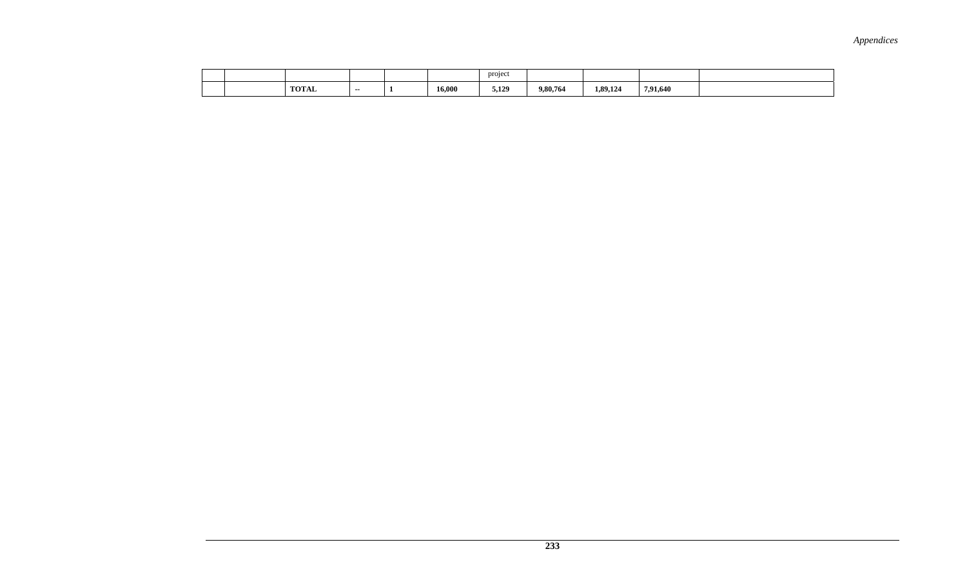|  |              |       |        | project |          |          |          |  |
|--|--------------|-------|--------|---------|----------|----------|----------|--|
|  | <b>TOTAL</b> | $- -$ | 16,000 | 5.129   | 9.80.764 | 1,89,124 | 7.91.640 |  |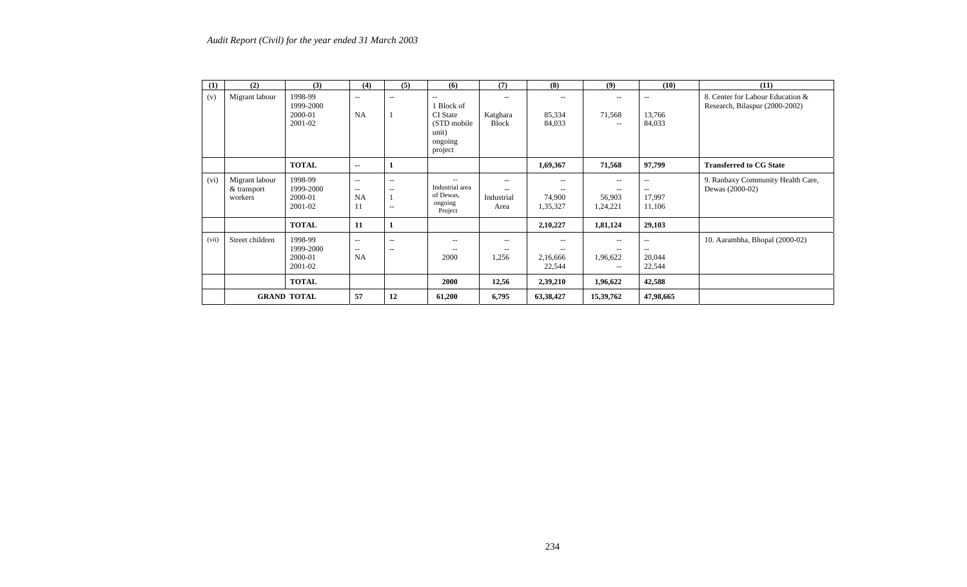| (1)   | (2)                                      | (3)                                        | (4)                                                  | (5)                                                                                | (6)                                                                               | (7)                                | (8)                                       | (9)                                  | (10)                                     | (11)                                                               |
|-------|------------------------------------------|--------------------------------------------|------------------------------------------------------|------------------------------------------------------------------------------------|-----------------------------------------------------------------------------------|------------------------------------|-------------------------------------------|--------------------------------------|------------------------------------------|--------------------------------------------------------------------|
| (v)   | Migrant labour                           | 1998-99<br>1999-2000<br>2000-01<br>2001-02 | $- -$<br><b>NA</b>                                   | $\hspace{0.1mm}-\hspace{0.1mm}-\hspace{0.1mm}$                                     | --<br>1 Block of<br><b>CI</b> State<br>(STD mobile<br>unit)<br>ongoing<br>project | --<br>Katghara<br><b>Block</b>     | $\hspace{0.05cm} -$<br>85,334<br>84,033   | 71,568<br>$\overline{\phantom{a}}$   | --<br>13,766<br>84,033                   | 8. Center for Labour Education &<br>Research, Bilaspur (2000-2002) |
|       |                                          | <b>TOTAL</b>                               | $\overline{\phantom{a}}$                             | 1                                                                                  |                                                                                   |                                    | 1,69,367                                  | 71,568                               | 97,799                                   | <b>Transferred to CG State</b>                                     |
| (vi)  | Migrant labour<br>& transport<br>workers | 1998-99<br>1999-2000<br>2000-01<br>2001-02 | $\overline{\phantom{a}}$<br>$- -$<br><b>NA</b><br>11 | $\sim$<br>$\hspace{0.1mm}-\hspace{0.1mm}-\hspace{0.1mm}$<br>$\mathbf{1}$<br>$\sim$ | $\overline{a}$<br>Industrial area<br>of Dewas,<br>ongoing<br>Project              | $-$<br>$- -$<br>Industrial<br>Area | $\sim$ $-$<br>$- -$<br>74,900<br>1,35,327 | $- -$<br>$- -$<br>56,903<br>1,24,221 | $\overline{a}$<br>--<br>17,997<br>11,106 | 9. Ranbaxy Community Health Care,<br>Dewas (2000-02)               |
|       |                                          | <b>TOTAL</b>                               | 11                                                   | $\mathbf{1}$                                                                       |                                                                                   |                                    | 2,10,227                                  | 1,81,124                             | 29,103                                   |                                                                    |
| (vii) | Street children                          | 1998-99<br>1999-2000<br>2000-01<br>2001-02 | $\overline{\phantom{a}}$<br>$- -$<br><b>NA</b>       | $\sim$<br>$\sim$                                                                   | $- -$<br>$- -$<br>2000                                                            | --<br>--<br>1,256                  | $- -$<br>$- -$<br>2,16,666<br>22,544      | $- -$<br>$- -$<br>1,96,622<br>$- -$  | --<br>--<br>20,044<br>22,544             | 10. Aarambha, Bhopal (2000-02)                                     |
|       |                                          | <b>TOTAL</b>                               |                                                      |                                                                                    | <b>2000</b>                                                                       | 12,56                              | 2,39,210                                  | 1,96,622                             | 42,588                                   |                                                                    |
|       |                                          | <b>GRAND TOTAL</b>                         | 57                                                   | 12                                                                                 | 61,200                                                                            | 6,795                              | 63,38,427                                 | 15,39,762                            | 47,98,665                                |                                                                    |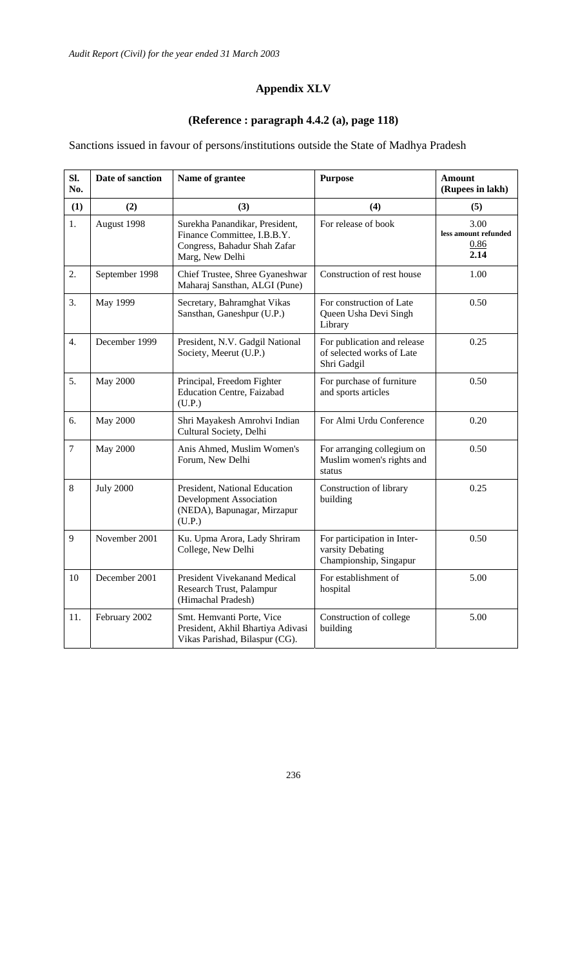## **Appendix XLV**

#### **(Reference : paragraph 4.4.2 (a), page 118)**

Sanctions issued in favour of persons/institutions outside the State of Madhya Pradesh

| SI.<br>No.       | Date of sanction | Name of grantee                                                                                                  | <b>Purpose</b>                                                            | <b>Amount</b><br>(Rupees in lakh)            |
|------------------|------------------|------------------------------------------------------------------------------------------------------------------|---------------------------------------------------------------------------|----------------------------------------------|
| (1)              | (2)              | (3)                                                                                                              | (4)                                                                       | (5)                                          |
| 1.               | August 1998      | Surekha Panandikar, President,<br>Finance Committee, I.B.B.Y.<br>Congress, Bahadur Shah Zafar<br>Marg, New Delhi | For release of book                                                       | 3.00<br>less amount refunded<br>0.86<br>2.14 |
| $\overline{2}$ . | September 1998   | Chief Trustee, Shree Gyaneshwar<br>Maharaj Sansthan, ALGI (Pune)                                                 | Construction of rest house                                                | 1.00                                         |
| 3.               | May 1999         | Secretary, Bahramghat Vikas<br>Sansthan, Ganeshpur (U.P.)                                                        | For construction of Late<br>Queen Usha Devi Singh<br>Library              | 0.50                                         |
| 4.               | December 1999    | President, N.V. Gadgil National<br>Society, Meerut (U.P.)                                                        | For publication and release<br>of selected works of Late<br>Shri Gadgil   | 0.25                                         |
| 5.               | <b>May 2000</b>  | Principal, Freedom Fighter<br><b>Education Centre, Faizabad</b><br>(U.P.)                                        | For purchase of furniture<br>and sports articles                          | 0.50                                         |
| 6.               | <b>May 2000</b>  | Shri Mayakesh Amrohvi Indian<br>Cultural Society, Delhi                                                          | For Almi Urdu Conference                                                  | 0.20                                         |
| $\tau$           | <b>May 2000</b>  | Anis Ahmed, Muslim Women's<br>Forum, New Delhi                                                                   | For arranging collegium on<br>Muslim women's rights and<br>status         | 0.50                                         |
| 8                | <b>July 2000</b> | President, National Education<br><b>Development Association</b><br>(NEDA), Bapunagar, Mirzapur<br>(U.P.)         | Construction of library<br>building                                       | 0.25                                         |
| 9                | November 2001    | Ku. Upma Arora, Lady Shriram<br>College, New Delhi                                                               | For participation in Inter-<br>varsity Debating<br>Championship, Singapur | 0.50                                         |
| 10               | December 2001    | President Vivekanand Medical<br>Research Trust, Palampur<br>(Himachal Pradesh)                                   | For establishment of<br>hospital                                          | 5.00                                         |
| 11.              | February 2002    | Smt. Hemvanti Porte, Vice<br>President, Akhil Bhartiya Adivasi<br>Vikas Parishad, Bilaspur (CG).                 | Construction of college<br>building                                       | 5.00                                         |

236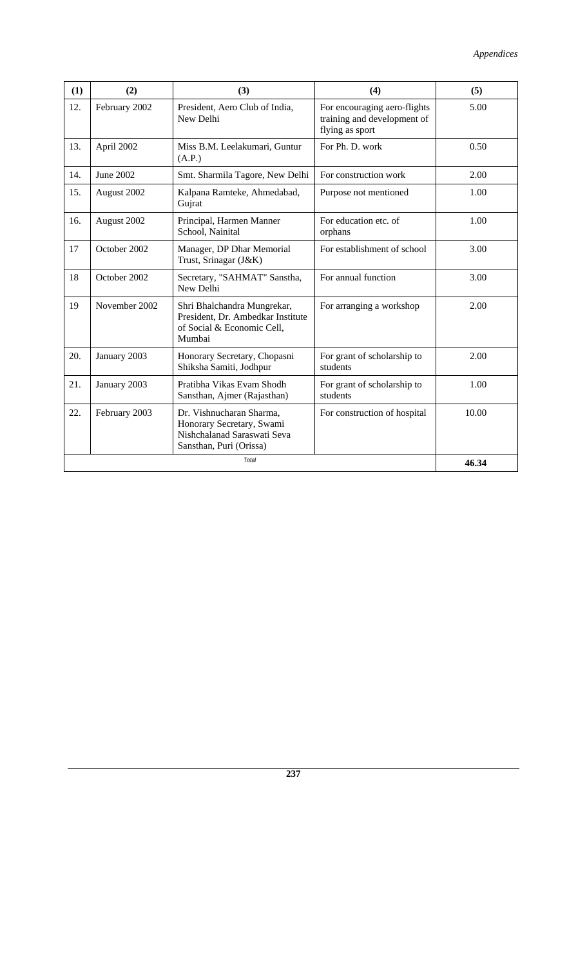| (1) | (2)           | (3)                                                                                                             | (4)                                                                            | (5)   |
|-----|---------------|-----------------------------------------------------------------------------------------------------------------|--------------------------------------------------------------------------------|-------|
| 12. | February 2002 | President, Aero Club of India,<br>New Delhi                                                                     | For encouraging aero-flights<br>training and development of<br>flying as sport | 5.00  |
| 13. | April 2002    | Miss B.M. Leelakumari, Guntur<br>(A.P.)                                                                         | For Ph. D. work                                                                | 0.50  |
| 14. | June 2002     | Smt. Sharmila Tagore, New Delhi                                                                                 | For construction work                                                          | 2.00  |
| 15. | August 2002   | Kalpana Ramteke, Ahmedabad,<br>Gujrat                                                                           | Purpose not mentioned                                                          | 1.00  |
| 16. | August 2002   | Principal, Harmen Manner<br>School, Nainital                                                                    | For education etc. of<br>orphans                                               | 1.00  |
| 17  | October 2002  | Manager, DP Dhar Memorial<br>Trust, Srinagar (J&K)                                                              | For establishment of school                                                    | 3.00  |
| 18  | October 2002  | Secretary, "SAHMAT" Sanstha,<br>New Delhi                                                                       | For annual function                                                            | 3.00  |
| 19  | November 2002 | Shri Bhalchandra Mungrekar,<br>President, Dr. Ambedkar Institute<br>of Social & Economic Cell,<br>Mumbai        | For arranging a workshop                                                       | 2.00  |
| 20. | January 2003  | Honorary Secretary, Chopasni<br>Shiksha Samiti, Jodhpur                                                         | For grant of scholarship to<br>students                                        | 2.00  |
| 21. | January 2003  | Pratibha Vikas Evam Shodh<br>Sansthan, Ajmer (Rajasthan)                                                        | For grant of scholarship to<br>students                                        | 1.00  |
| 22. | February 2003 | Dr. Vishnucharan Sharma,<br>Honorary Secretary, Swami<br>Nishchalanad Saraswati Seva<br>Sansthan, Puri (Orissa) | For construction of hospital                                                   | 10.00 |
|     |               | <b>Total</b>                                                                                                    |                                                                                | 46.34 |

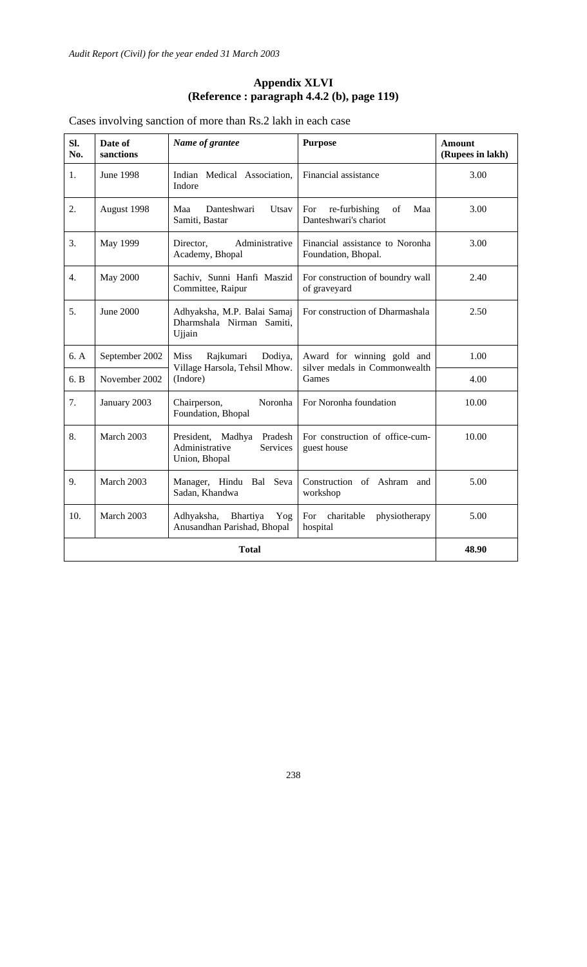#### **Appendix XLVI (Reference : paragraph 4.4.2 (b), page 119)**

#### Cases involving sanction of more than Rs.2 lakh in each case

| SI.<br>No. | Date of<br>sanctions | Name of grantee                                                                       | <b>Purpose</b>                                              | <b>Amount</b><br>(Rupees in lakh) |
|------------|----------------------|---------------------------------------------------------------------------------------|-------------------------------------------------------------|-----------------------------------|
| 1.         | <b>June 1998</b>     | Indian Medical Association,<br>Indore                                                 | Financial assistance                                        | 3.00                              |
| 2.         | August 1998          | Danteshwari<br>Utsav<br>Maa<br>Samiti, Bastar                                         | re-furbishing<br>Maa<br>For<br>of<br>Danteshwari's chariot  | 3.00                              |
| 3.         | May 1999             | Administrative<br>Director,<br>Academy, Bhopal                                        | Financial assistance to Noronha<br>Foundation, Bhopal.      | 3.00                              |
| 4.         | May 2000             | Sachiv, Sunni Hanfi Maszid<br>Committee, Raipur                                       | For construction of boundry wall<br>of graveyard            | 2.40                              |
| 5.         | June 2000            | Adhyaksha, M.P. Balai Samaj<br>Dharmshala Nirman Samiti,<br>Ujjain                    | For construction of Dharmashala                             | 2.50                              |
| 6. A       | September 2002       | <b>Miss</b><br>Rajkumari<br>Dodiya,<br>Village Harsola, Tehsil Mhow.                  | Award for winning gold and<br>silver medals in Commonwealth | 1.00                              |
| 6. B       | November 2002        | (Indore)                                                                              | Games                                                       | 4.00                              |
| 7.         | January 2003         | Chairperson,<br>Noronha<br>Foundation, Bhopal                                         | For Noronha foundation                                      | 10.00                             |
| 8.         | March 2003           | President,<br>Madhya<br>Pradesh<br>Administrative<br><b>Services</b><br>Union, Bhopal | For construction of office-cum-<br>guest house              | 10.00                             |
| 9.         | March 2003           | Manager, Hindu<br>Bal<br>Seva<br>Sadan, Khandwa                                       | Construction of Ashram and<br>workshop                      | 5.00                              |
| 10.        | March 2003           | Bhartiya<br>Adhyaksha,<br>Yog<br>Anusandhan Parishad, Bhopal                          | For charitable<br>physiotherapy<br>hospital                 | 5.00                              |
|            |                      | <b>Total</b>                                                                          |                                                             | 48.90                             |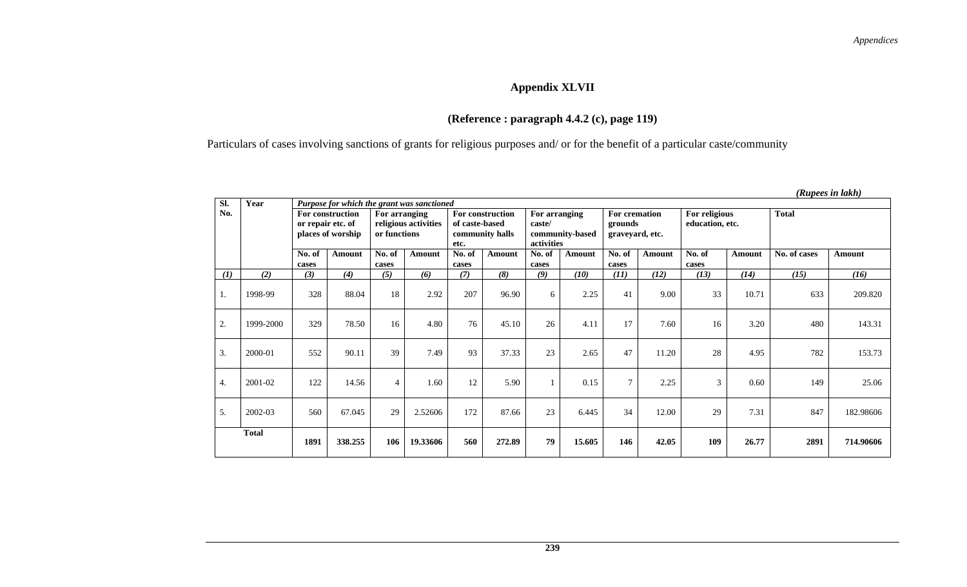## **Appendix XLVII**

## **(Reference : paragraph 4.4.2 (c), page 119)**

Particulars of cases involving sanctions of grants for religious purposes and/ or for the benefit of a particular caste/community

| SI. | Year         | Purpose for which the grant was sanctioned |                                       |                               |                      |                                                               |        |                                                          |               |                                             |        |                                  |        |              |           |
|-----|--------------|--------------------------------------------|---------------------------------------|-------------------------------|----------------------|---------------------------------------------------------------|--------|----------------------------------------------------------|---------------|---------------------------------------------|--------|----------------------------------|--------|--------------|-----------|
| No. |              | or repair etc. of                          | For construction<br>places of worship | For arranging<br>or functions | religious activities | For construction<br>of caste-based<br>community halls<br>etc. |        | For arranging<br>caste/<br>community-based<br>activities |               | For cremation<br>grounds<br>graveyard, etc. |        | For religious<br>education, etc. |        | <b>Total</b> |           |
|     |              | No. of<br>cases                            | Amount                                | No. of<br>cases               | Amount               | No. of<br>cases                                               | Amount | No. of<br>cases                                          | <b>Amount</b> | No. of<br>cases                             | Amount | No. of<br>cases                  | Amount | No. of cases | Amount    |
| (1) | (2)          | (3)                                        | (4)                                   | (5)                           | (6)                  | (7)                                                           | (8)    | (9)                                                      | (10)          | (11)                                        | (12)   | (13)                             | (14)   | (15)         | (16)      |
| 1.  | 1998-99      | 328                                        | 88.04                                 | 18                            | 2.92                 | 207                                                           | 96.90  | 6                                                        | 2.25          | 41                                          | 9.00   | 33                               | 10.71  | 633          | 209.820   |
| 2.  | 1999-2000    | 329                                        | 78.50                                 | 16                            | 4.80                 | 76                                                            | 45.10  | 26                                                       | 4.11          | 17                                          | 7.60   | 16                               | 3.20   | 480          | 143.31    |
| 3.  | 2000-01      | 552                                        | 90.11                                 | 39                            | 7.49                 | 93                                                            | 37.33  | 23                                                       | 2.65          | 47                                          | 11.20  | 28                               | 4.95   | 782          | 153.73    |
| 4.  | 2001-02      | 122                                        | 14.56                                 | $\overline{4}$                | 1.60                 | 12                                                            | 5.90   |                                                          | 0.15          | $\tau$                                      | 2.25   | 3                                | 0.60   | 149          | 25.06     |
| 5.  | 2002-03      | 560                                        | 67.045                                | 29                            | 2.52606              | 172                                                           | 87.66  | 23                                                       | 6.445         | 34                                          | 12.00  | 29                               | 7.31   | 847          | 182.98606 |
|     | <b>Total</b> | 1891                                       | 338.255                               | 106                           | 19.33606             | 560                                                           | 272.89 | 79                                                       | 15.605        | 146                                         | 42.05  | 109                              | 26.77  | 2891         | 714.90606 |

#### *(Rupees in lakh)*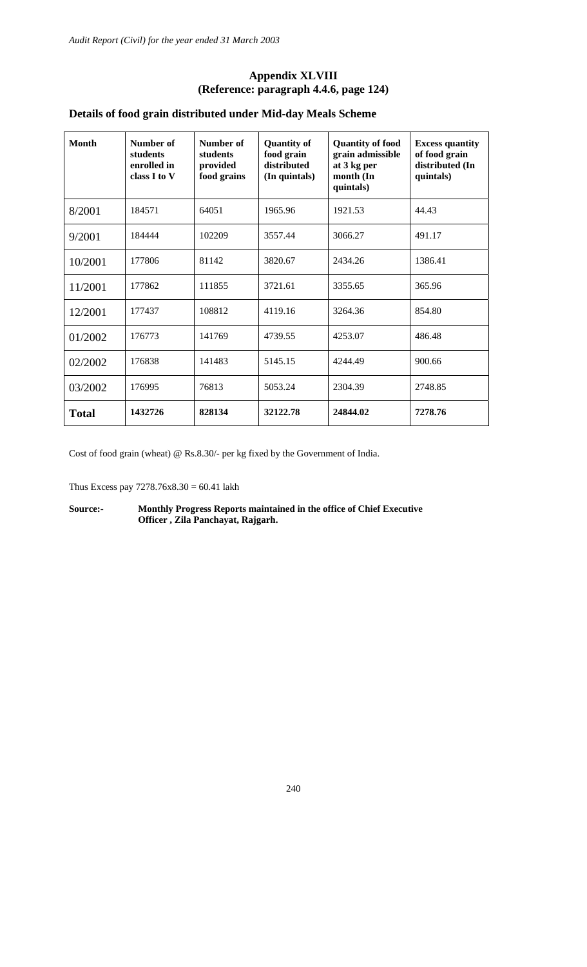#### **Appendix XLVIII (Reference: paragraph 4.4.6, page 124)**

### **Details of food grain distributed under Mid-day Meals Scheme**

| <b>Month</b> | Number of<br>students<br>enrolled in<br>class I to V | Number of<br>students<br>provided<br>food grains | <b>Quantity of</b><br>food grain<br>distributed<br>(In quintals) | <b>Quantity of food</b><br>grain admissible<br>at 3 kg per<br>month (In<br>quintals) | <b>Excess quantity</b><br>of food grain<br>distributed (In<br>quintals) |
|--------------|------------------------------------------------------|--------------------------------------------------|------------------------------------------------------------------|--------------------------------------------------------------------------------------|-------------------------------------------------------------------------|
| 8/2001       | 184571                                               | 64051                                            | 1965.96                                                          | 1921.53                                                                              | 44.43                                                                   |
| 9/2001       | 184444                                               | 102209                                           | 3557.44                                                          | 3066.27                                                                              | 491.17                                                                  |
| 10/2001      | 177806                                               | 81142                                            | 3820.67                                                          | 2434.26                                                                              | 1386.41                                                                 |
| 11/2001      | 177862                                               | 111855                                           | 3721.61                                                          | 3355.65                                                                              | 365.96                                                                  |
| 12/2001      | 177437                                               | 108812                                           | 4119.16                                                          | 3264.36                                                                              | 854.80                                                                  |
| 01/2002      | 176773                                               | 141769                                           | 4739.55                                                          | 4253.07                                                                              | 486.48                                                                  |
| 02/2002      | 176838                                               | 141483                                           | 5145.15                                                          | 4244.49                                                                              | 900.66                                                                  |
| 03/2002      | 176995                                               | 76813                                            | 5053.24                                                          | 2304.39                                                                              | 2748.85                                                                 |
| <b>Total</b> | 1432726                                              | 828134                                           | 32122.78                                                         | 24844.02                                                                             | 7278.76                                                                 |

Cost of food grain (wheat) @ Rs.8.30/- per kg fixed by the Government of India.

Thus Excess pay 7278.76x8.30 = 60.41 lakh

**Source:- Monthly Progress Reports maintained in the office of Chief Executive Officer , Zila Panchayat, Rajgarh.**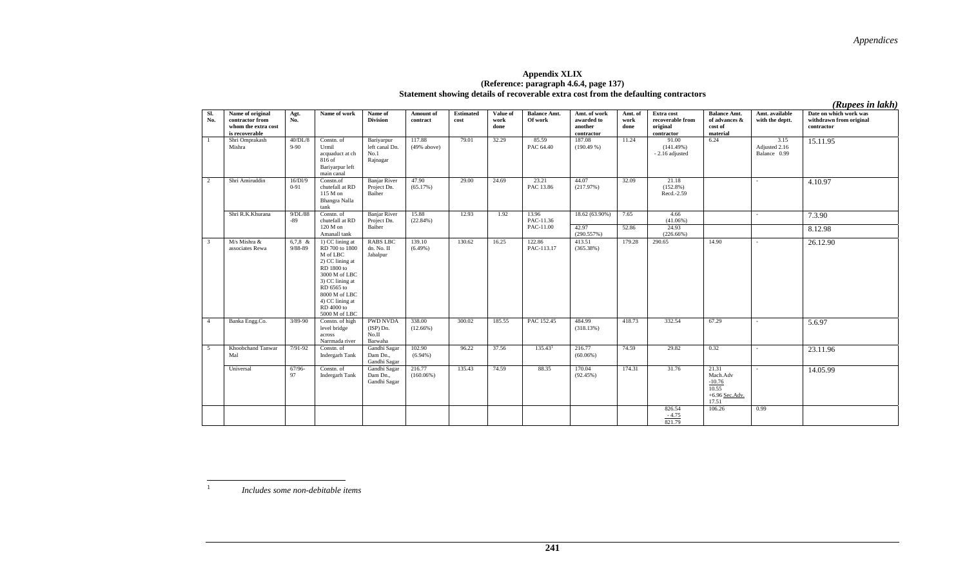#### **Appendix XLIX (Reference: paragraph 4.6.4, page 137) Statement showing details of recoverable extra cost from the defaulting contractors**

*(Rupees in lakh)* 

| SI.<br>No.              | Name of original<br>contractor from<br>whom the extra cost<br>is recoverable | Agt.<br>No.          | Name of work                                                                                                                                                                                        | Name of<br><b>Division</b>                         | Amount of<br>contract  | <b>Estimated</b><br>cost | Value of<br>work<br>done | <b>Balance Amt.</b><br>Of work | Amt. of work<br>awarded to<br>another<br>contractor | Amt. of<br>work<br>done | Extra cost<br>recoverable from<br>original<br>contractor | <b>Balance Amt.</b><br>of advances $\&$<br>cost of<br>material                | Amt. available<br>with the deptt.     | Date on which work was<br>withdrawn from original<br>contractor |
|-------------------------|------------------------------------------------------------------------------|----------------------|-----------------------------------------------------------------------------------------------------------------------------------------------------------------------------------------------------|----------------------------------------------------|------------------------|--------------------------|--------------------------|--------------------------------|-----------------------------------------------------|-------------------------|----------------------------------------------------------|-------------------------------------------------------------------------------|---------------------------------------|-----------------------------------------------------------------|
| $\overline{1}$          | Shri Omprakash<br>Mishra                                                     | 40/DL/8<br>$9 - 90$  | Constn. of<br>Urmil<br>acquaduct at ch<br>$816$ of<br>Bariyarpur left<br>main canal                                                                                                                 | Bariyarpur<br>left canal Dn.<br>No.1<br>Rajnagar   | 117.88<br>(49% above)  | 79.01                    | 32.29                    | 85.59<br>PAC 64.40             | 187.08<br>(190.49%)                                 | 11.24                   | 91.00<br>(141.49%)<br>- 2.16 adjusted                    | 6.24                                                                          | 3.15<br>Adjusted 2.16<br>Balance 0.99 | 15.11.95                                                        |
| 2                       | Shri Amiruddin                                                               | 16/Dl/9<br>$0 - 91$  | Constn.of<br>chutefall at RD<br>115 M on<br>Bhangra Nalla<br>tank                                                                                                                                   | <b>Banjar River</b><br>Project Dn.<br>Baiher       | 47.90<br>(65.17%)      | 29.00                    | 24.69                    | 23.21<br>PAC 13.86             | 44.07<br>(217.97%)                                  | 32.09                   | 21.18<br>$(152.8\%)$<br>Recd.-2.59                       |                                                                               | $\sim$                                | 4.10.97                                                         |
|                         | Shri R.K.Khurana                                                             | 9/DL/88<br>$-89$     | Constn. of<br>chutefall at RD                                                                                                                                                                       | <b>Banjar River</b><br>Project Dn.                 | 15.88<br>(22.84%)      | 12.93                    | 1.92                     | 13.96<br>PAC-11.36             | 18.62 (63.90%)                                      | 7.65                    | 4.66<br>$(41.06\%)$                                      |                                                                               |                                       | 7.3.90                                                          |
|                         |                                                                              |                      | $120$ M on<br>Amanall tank                                                                                                                                                                          | Baiher                                             |                        |                          |                          | PAC-11.00                      | 42.97<br>(290.557%)                                 | 52.86                   | 24.93<br>$(226.66\%)$                                    |                                                                               |                                       | 8.12.98                                                         |
| $\overline{\mathbf{3}}$ | M/s Mishra &<br>associates Rewa                                              | $6,7,8$ &<br>9/88-89 | 1) CC lining at<br>RD 700 to 1800<br>M of LBC<br>2) CC lining at<br>RD 1800 to<br>3000 M of LBC<br>3) CC lining at<br>RD 6565 to<br>8000 M of LBC<br>4) CC lining at<br>RD 4000 to<br>5000 M of LBC | <b>RABS LBC</b><br>dn. No. II<br>Jabalpur          | 139.10<br>$(6.49\%)$   | 130.62                   | 16.25                    | 122.86<br>PAC-113.17           | 413.51<br>(365.38%)                                 | 179.28                  | 290.65                                                   | 14.90                                                                         | $\sim$                                | 26.12.90                                                        |
| $\overline{4}$          | Banka Engg.Co.                                                               | $3/89 - 90$          | Constn. of high<br>level bridge<br>across<br>Narrmada river                                                                                                                                         | <b>PWD NVDA</b><br>$(ISP)$ Dn.<br>No.II<br>Barwaha | 338.00<br>(12.66%)     | 300.02                   | 185.55                   | PAC 152.45                     | 484.99<br>(318.13%)                                 | 418.73                  | 332.54                                                   | 67.29                                                                         | $\sim$                                | 5.6.97                                                          |
| $\overline{5}$          | Khoobchand Tanwar<br>Mal                                                     | $7/91-92$            | Constn. of<br><b>Indergarh Tank</b>                                                                                                                                                                 | Gandhi Sagar<br>Dam Dn.,<br>Gandhi Sagar           | 102.90<br>$(6.94\%)$   | 96.22                    | 37.56                    | 135.43 <sup>1</sup>            | 216.77<br>$(60.06\%)$                               | 74.59                   | 29.82                                                    | 0.32                                                                          | $\sim$                                | 23.11.96                                                        |
|                         | Universal                                                                    | $67/96-$<br>97       | Constn. of<br>Indergarh Tank                                                                                                                                                                        | Gandhi Sagar<br>Dam Dn.,<br>Gandhi Sagar           | 216.77<br>$(160.06\%)$ | 135.43                   | 74.59                    | 88.35                          | 170.04<br>(92.45%)                                  | 174.31                  | 31.76<br>826.54                                          | 21.31<br>Mach.Adv<br>$-10.76$<br>10.55<br>$+6.96$ Sec.Adv.<br>17.51<br>106.26 | $\sim$<br>0.99                        | 14.05.99                                                        |
|                         |                                                                              |                      |                                                                                                                                                                                                     |                                                    |                        |                          |                          |                                |                                                     |                         | $\frac{-4.75}{821.79}$                                   |                                                                               |                                       |                                                                 |

*Includes some non-debitable items*

1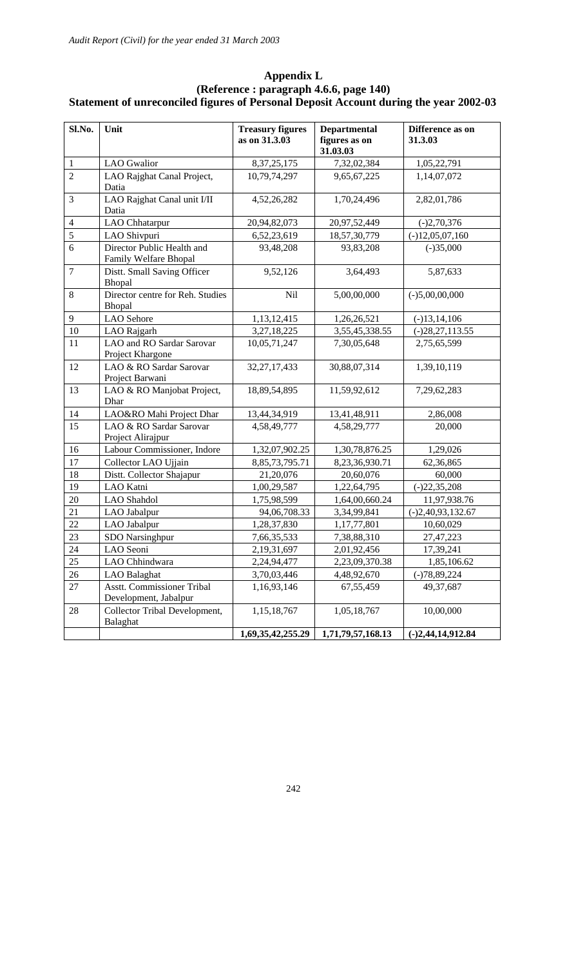| Sl.No.           | Unit                                                       | <b>Treasury figures</b><br>as on 31.3.03 | <b>Departmental</b><br>figures as on<br>31.03.03 | Difference as on<br>31.3.03 |
|------------------|------------------------------------------------------------|------------------------------------------|--------------------------------------------------|-----------------------------|
| $\mathbf{1}$     | <b>LAO</b> Gwalior                                         | 8, 37, 25, 175                           | 7,32,02,384                                      | 1,05,22,791                 |
| $\overline{2}$   | LAO Rajghat Canal Project,<br>Datia                        | 10,79,74,297                             | 9,65,67,225                                      | 1,14,07,072                 |
| 3                | LAO Rajghat Canal unit I/II<br>Datia                       | 4,52,26,282                              | 1,70,24,496                                      | 2,82,01,786                 |
| $\overline{4}$   | LAO Chhatarpur                                             | 20,94,82,073                             | 20,97,52,449                                     | $(-)2,70,376$               |
| $\overline{5}$   | LAO Shivpuri                                               | 6,52,23,619                              | 18,57,30,779                                     | $(-)12,05,07,160$           |
| $\overline{6}$   | Director Public Health and<br>Family Welfare Bhopal        | 93,48,208                                | 93,83,208                                        | $(-)35,000$                 |
| $\boldsymbol{7}$ | Distt. Small Saving Officer<br>Bhopal                      | 9,52,126                                 | 3,64,493                                         | 5,87,633                    |
| $\,8\,$          | Director centre for Reh. Studies<br>Bhopal                 | Nil                                      | 5,00,00,000                                      | $(-)5,00,00,000$            |
| 9                | <b>LAO</b> Sehore                                          | 1,13,12,415                              | 1,26,26,521                                      | $(-)13,14,106$              |
| 10               | LAO Rajgarh                                                | 3,27,18,225                              | 3,55,45,338.55                                   | $(-)28,27,113.55$           |
| 11               | LAO and RO Sardar Sarovar<br>Project Khargone              | 10,05,71,247                             | 7,30,05,648                                      | 2,75,65,599                 |
| 12               | LAO & RO Sardar Sarovar<br>Project Barwani                 | 32, 27, 17, 433                          | 30,88,07,314                                     | 1,39,10,119                 |
| 13               | LAO & RO Manjobat Project,<br>Dhar                         | 18,89,54,895                             | 11,59,92,612                                     | 7,29,62,283                 |
| 14               | LAO&RO Mahi Project Dhar                                   | 13,44,34,919                             | 13,41,48,911                                     | 2,86,008                    |
| 15               | LAO & RO Sardar Sarovar<br>Project Alirajpur               | 4,58,49,777                              | 4,58,29,777                                      | 20,000                      |
| 16               | Labour Commissioner, Indore                                | 1,32,07,902.25                           | 1,30,78,876.25                                   | 1,29,026                    |
| 17               | Collector LAO Ujjain                                       | 8, 85, 73, 795. 71                       | 8,23,36,930.71                                   | 62,36,865                   |
| 18               | Distt. Collector Shajapur                                  | 21,20,076                                | 20,60,076                                        | 60,000                      |
| 19               | LAO Katni                                                  | 1,00,29,587                              | 1,22,64,795                                      | $(-)22,35,208$              |
| 20               | LAO Shahdol                                                | 1,75,98,599                              | 1,64,00,660.24                                   | 11,97,938.76                |
| 21               | LAO Jabalpur                                               | 94,06,708.33                             | 3,34,99,841                                      | $(-)2,40,93,132.67$         |
| 22               | LAO Jabalpur                                               | 1,28,37,830                              | 1,17,77,801                                      | 10,60,029                   |
| 23               | SDO Narsinghpur                                            | 7,66,35,533                              | 7,38,88,310                                      | 27,47,223                   |
| 24               | LAO Seoni                                                  | 2,19,31,697                              | 2,01,92,456                                      | 17,39,241                   |
| 25               | LAO Chhindwara                                             | 2,24,94,477                              | 2,23,09,370.38                                   | 1,85,106.62                 |
| $26\,$           | LAO Balaghat                                               | 3,70,03,446                              | 4,48,92,670                                      | $(-)78,89,224$              |
| 27               | <b>Asstt. Commissioner Tribal</b><br>Development, Jabalpur | 1,16,93,146                              | 67,55,459                                        | 49,37,687                   |
| 28               | Collector Tribal Development,<br>Balaghat                  | 1,15,18,767                              | 1,05,18,767                                      | 10,00,000                   |
|                  |                                                            | 1,69,35,42,255.29                        | 1,71,79,57,168.13                                | $(-)2,44,14,912.84$         |

#### **Appendix L (Reference : paragraph 4.6.6, page 140) Statement of unreconciled figures of Personal Deposit Account during the year 2002-03**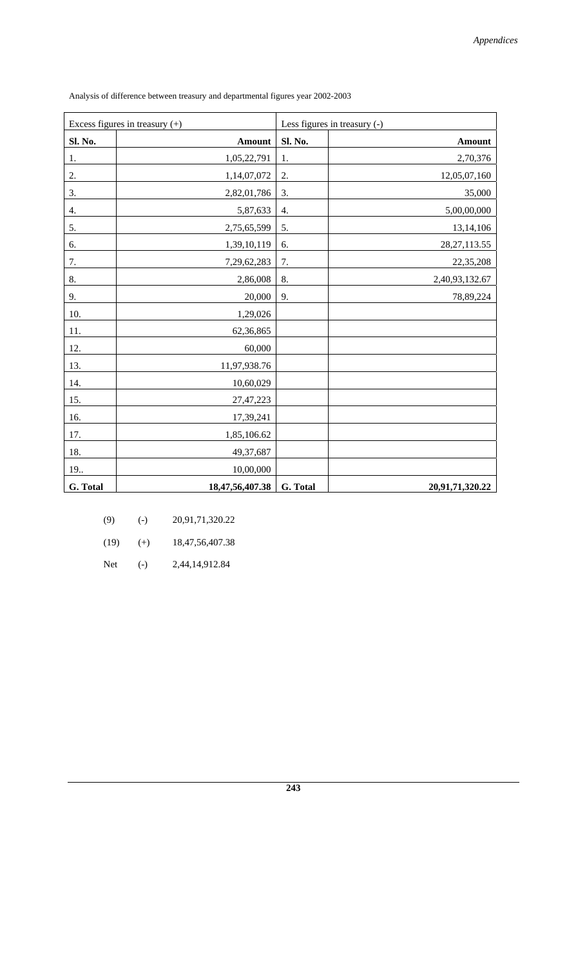| Excess figures in treasury $(+)$ |                 | Less figures in treasury (-) |                 |
|----------------------------------|-----------------|------------------------------|-----------------|
| Sl. No.                          | Amount          | Sl. No.                      | <b>Amount</b>   |
| 1.                               | 1,05,22,791     | 1.                           | 2,70,376        |
| 2.                               | 1,14,07,072     | 2.                           | 12,05,07,160    |
| 3.                               | 2,82,01,786     | 3.                           | 35,000          |
| 4.                               | 5,87,633        | 4.                           | 5,00,00,000     |
| 5.                               | 2,75,65,599     | 5.                           | 13,14,106       |
| 6.                               | 1,39,10,119     | 6.                           | 28, 27, 113.55  |
| 7.                               | 7,29,62,283     | 7.                           | 22,35,208       |
| 8.                               | 2,86,008        | 8.                           | 2,40,93,132.67  |
| 9.                               | 20,000          | 9.                           | 78,89,224       |
| 10.                              | 1,29,026        |                              |                 |
| 11.                              | 62,36,865       |                              |                 |
| 12.                              | 60,000          |                              |                 |
| 13.                              | 11,97,938.76    |                              |                 |
| 14.                              | 10,60,029       |                              |                 |
| 15.                              | 27,47,223       |                              |                 |
| 16.                              | 17,39,241       |                              |                 |
| 17.                              | 1,85,106.62     |                              |                 |
| 18.                              | 49,37,687       |                              |                 |
| 19                               | 10,00,000       |                              |                 |
| G. Total                         | 18,47,56,407.38 | G. Total                     | 20,91,71,320.22 |

Analysis of difference between treasury and departmental figures year 2002-2003

| (9)  | $(-)$ | 20,91,71,320.22     |
|------|-------|---------------------|
| (19) | $(+)$ | 18, 47, 56, 407. 38 |

Net (-) 2,44,14,912.84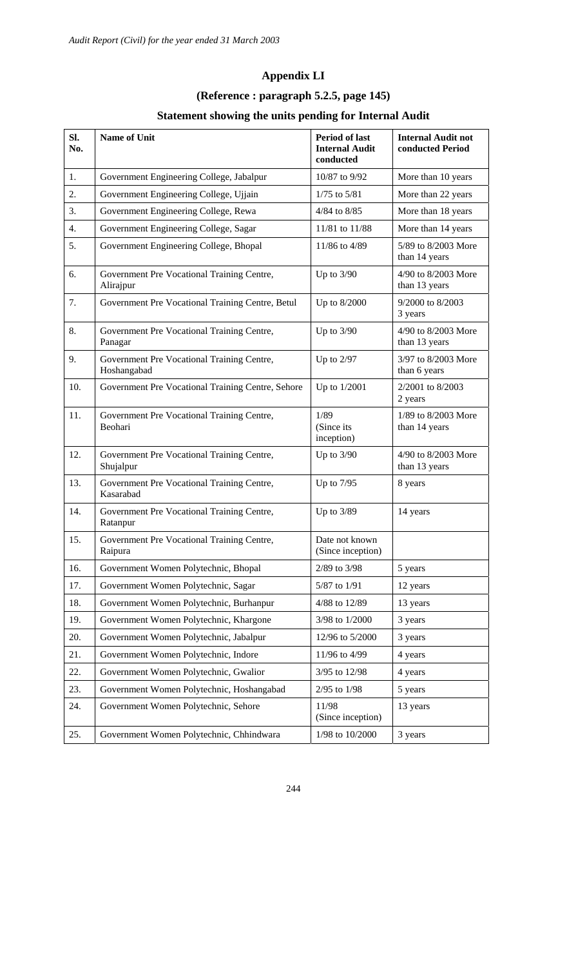## **Appendix LI**

## **(Reference : paragraph 5.2.5, page 145)**

## **Statement showing the units pending for Internal Audit**

| SI.<br>No. | <b>Name of Unit</b>                                       | <b>Period of last</b><br><b>Internal Audit</b><br>conducted | <b>Internal Audit not</b><br>conducted Period |
|------------|-----------------------------------------------------------|-------------------------------------------------------------|-----------------------------------------------|
| 1.         | Government Engineering College, Jabalpur                  | 10/87 to 9/92                                               | More than 10 years                            |
| 2.         | Government Engineering College, Ujjain                    | $1/75$ to $5/81$                                            | More than 22 years                            |
| 3.         | Government Engineering College, Rewa                      | 4/84 to 8/85                                                | More than 18 years                            |
| 4.         | Government Engineering College, Sagar                     | 11/81 to 11/88                                              | More than 14 years                            |
| 5.         | Government Engineering College, Bhopal                    | 11/86 to 4/89                                               | 5/89 to 8/2003 More<br>than 14 years          |
| 6.         | Government Pre Vocational Training Centre,<br>Alirajpur   | Up to $3/90$                                                | 4/90 to 8/2003 More<br>than 13 years          |
| 7.         | Government Pre Vocational Training Centre, Betul          | Up to 8/2000                                                | 9/2000 to 8/2003<br>3 years                   |
| 8.         | Government Pre Vocational Training Centre,<br>Panagar     | Up to $3/90$                                                | 4/90 to 8/2003 More<br>than 13 years          |
| 9.         | Government Pre Vocational Training Centre,<br>Hoshangabad | Up to $2/97$                                                | 3/97 to 8/2003 More<br>than 6 years           |
| 10.        | Government Pre Vocational Training Centre, Sehore         | Up to 1/2001                                                | 2/2001 to 8/2003<br>2 years                   |
| 11.        | Government Pre Vocational Training Centre,<br>Beohari     | 1/89<br>(Since its<br>inception)                            | 1/89 to 8/2003 More<br>than 14 years          |
| 12.        | Government Pre Vocational Training Centre,<br>Shujalpur   | Up to $3/90$                                                | 4/90 to 8/2003 More<br>than 13 years          |
| 13.        | Government Pre Vocational Training Centre,<br>Kasarabad   | Up to $7/95$                                                | 8 years                                       |
| 14.        | Government Pre Vocational Training Centre,<br>Ratanpur    | Up to $3/89$                                                | 14 years                                      |
| 15.        | Government Pre Vocational Training Centre,<br>Raipura     | Date not known<br>(Since inception)                         |                                               |
| 16.        | Government Women Polytechnic, Bhopal                      | 2/89 to 3/98                                                | 5 years                                       |
| 17.        | Government Women Polytechnic, Sagar                       | 5/87 to 1/91                                                | 12 years                                      |
| 18.        | Government Women Polytechnic, Burhanpur                   | 4/88 to 12/89                                               | 13 years                                      |
| 19.        | Government Women Polytechnic, Khargone                    | 3/98 to 1/2000                                              | 3 years                                       |
| 20.        | Government Women Polytechnic, Jabalpur                    | 12/96 to 5/2000                                             | 3 years                                       |
| 21.        | Government Women Polytechnic, Indore                      | 11/96 to 4/99                                               | 4 years                                       |
| 22.        | Government Women Polytechnic, Gwalior                     | 3/95 to 12/98                                               | 4 years                                       |
| 23.        | Government Women Polytechnic, Hoshangabad                 | 2/95 to 1/98                                                | 5 years                                       |
| 24.        | Government Women Polytechnic, Sehore                      | 11/98<br>(Since inception)                                  | 13 years                                      |
| 25.        | Government Women Polytechnic, Chhindwara                  | 1/98 to 10/2000                                             | 3 years                                       |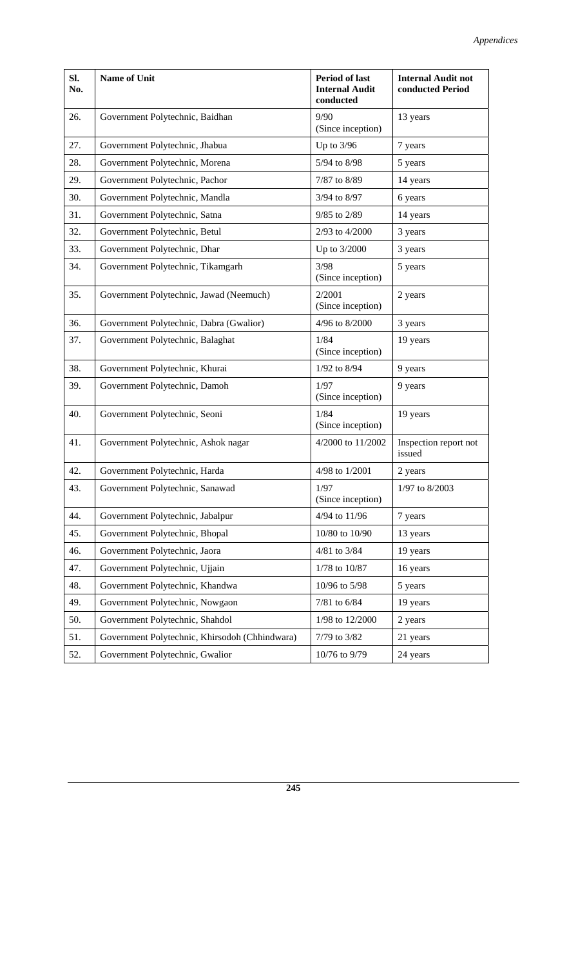| SI.<br>No. | <b>Name of Unit</b>                            | <b>Period of last</b><br><b>Internal Audit</b><br>conducted | <b>Internal Audit not</b><br>conducted Period |
|------------|------------------------------------------------|-------------------------------------------------------------|-----------------------------------------------|
| 26.        | Government Polytechnic, Baidhan                | 9/90<br>(Since inception)                                   | 13 years                                      |
| 27.        | Government Polytechnic, Jhabua                 | Up to $3/96$                                                | 7 years                                       |
| 28.        | Government Polytechnic, Morena                 | 5/94 to 8/98                                                | 5 years                                       |
| 29.        | Government Polytechnic, Pachor                 | 7/87 to 8/89                                                | 14 years                                      |
| 30.        | Government Polytechnic, Mandla                 | 3/94 to 8/97                                                | 6 years                                       |
| 31.        | Government Polytechnic, Satna                  | 9/85 to 2/89                                                | 14 years                                      |
| 32.        | Government Polytechnic, Betul                  | 2/93 to 4/2000                                              | 3 years                                       |
| 33.        | Government Polytechnic, Dhar                   | Up to 3/2000                                                | 3 years                                       |
| 34.        | Government Polytechnic, Tikamgarh              | 3/98<br>(Since inception)                                   | 5 years                                       |
| 35.        | Government Polytechnic, Jawad (Neemuch)        | 2/2001<br>(Since inception)                                 | 2 years                                       |
| 36.        | Government Polytechnic, Dabra (Gwalior)        | 4/96 to 8/2000                                              | 3 years                                       |
| 37.        | Government Polytechnic, Balaghat               | 1/84<br>(Since inception)                                   | 19 years                                      |
| 38.        | Government Polytechnic, Khurai                 | 1/92 to 8/94                                                | 9 years                                       |
| 39.        | Government Polytechnic, Damoh                  | 1/97<br>(Since inception)                                   | 9 years                                       |
| 40.        | Government Polytechnic, Seoni                  | 1/84<br>(Since inception)                                   | 19 years                                      |
| 41.        | Government Polytechnic, Ashok nagar            | 4/2000 to 11/2002                                           | Inspection report not<br>issued               |
| 42.        | Government Polytechnic, Harda                  | 4/98 to 1/2001                                              | 2 years                                       |
| 43.        | Government Polytechnic, Sanawad                | 1/97<br>(Since inception)                                   | 1/97 to 8/2003                                |
| 44.        | Government Polytechnic, Jabalpur               | 4/94 to 11/96                                               | 7 years                                       |
| 45.        | Government Polytechnic, Bhopal                 | 10/80 to 10/90                                              | 13 years                                      |
| 46.        | Government Polytechnic, Jaora                  | 4/81 to 3/84                                                | 19 years                                      |
| 47.        | Government Polytechnic, Ujjain                 | 1/78 to 10/87                                               | 16 years                                      |
| 48.        | Government Polytechnic, Khandwa                | 10/96 to 5/98                                               | 5 years                                       |
| 49.        | Government Polytechnic, Nowgaon                | 7/81 to 6/84                                                | 19 years                                      |
| 50.        | Government Polytechnic, Shahdol                | 1/98 to 12/2000                                             | 2 years                                       |
| 51.        | Government Polytechnic, Khirsodoh (Chhindwara) | 7/79 to 3/82                                                | 21 years                                      |
| 52.        | Government Polytechnic, Gwalior                | 10/76 to 9/79                                               | 24 years                                      |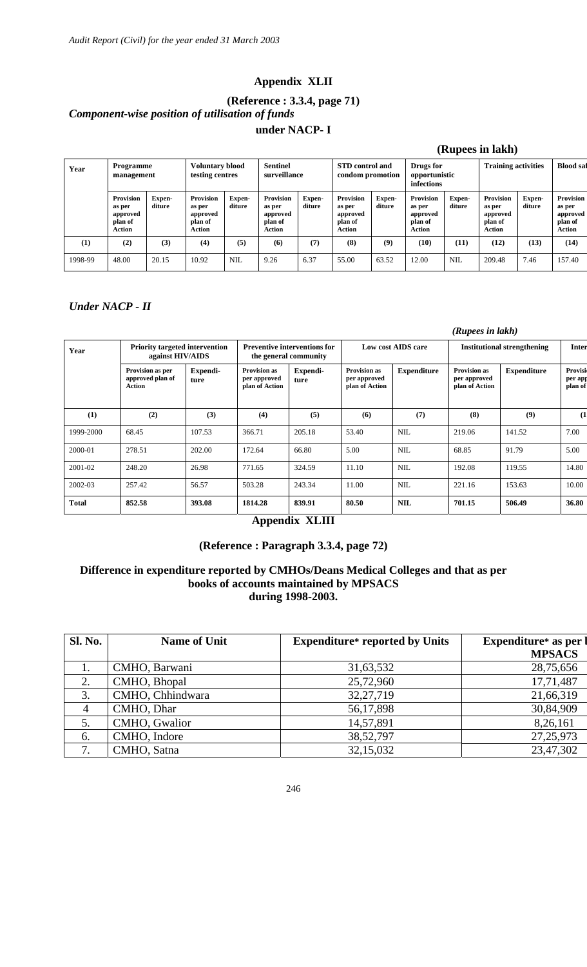#### **Appendix XLII**

### **(Reference : 3.3.4, page 71)**  *Component-wise position of utilisation of funds*  **under NACP- I**

|         |                                                                    |                  |                                                                    |                  |                                                             |                         | (Rupees in lakh)                                            |                  |                                                                    |                  |                                                                    |                  |                                                                    |
|---------|--------------------------------------------------------------------|------------------|--------------------------------------------------------------------|------------------|-------------------------------------------------------------|-------------------------|-------------------------------------------------------------|------------------|--------------------------------------------------------------------|------------------|--------------------------------------------------------------------|------------------|--------------------------------------------------------------------|
| Year    | <b>Programme</b><br>management                                     |                  | <b>Voluntary blood</b><br>testing centres                          |                  | <b>Sentinel</b><br>surveillance                             |                         | <b>STD</b> control and<br>condom promotion                  |                  | Drugs for<br>opportunistic<br>infections                           |                  | <b>Training activities</b>                                         |                  | <b>Blood</b> saf                                                   |
|         | <b>Provision</b><br>as per<br>approved<br>plan of<br><b>Action</b> | Expen-<br>diture | <b>Provision</b><br>as per<br>approved<br>plan of<br><b>Action</b> | Expen-<br>diture | <b>Provision</b><br>as per<br>approved<br>plan of<br>Action | <b>Expen-</b><br>diture | <b>Provision</b><br>as per<br>approved<br>plan of<br>Action | Expen-<br>diture | <b>Provision</b><br>as per<br>approved<br>plan of<br><b>Action</b> | Expen-<br>diture | <b>Provision</b><br>as per<br>approved<br>plan of<br><b>Action</b> | Expen-<br>diture | <b>Provision</b><br>as per<br>approved<br>plan of<br><b>Action</b> |
| (1)     | (2)                                                                | (3)              | (4)                                                                | (5)              | (6)                                                         | (7)                     | (8)                                                         | (9)              | (10)                                                               | (11)             | (12)                                                               | (13)             | (14)                                                               |
| 1998-99 | 48.00                                                              | 20.15            | 10.92                                                              | <b>NIL</b>       | 9.26                                                        | 6.37                    | 55.00                                                       | 63.52            | 12.00                                                              | <b>NIL</b>       | 209.48                                                             | 7.46             | 157.40                                                             |

#### *Under NACP - II*

|           |                                                           |                  |                                                              |                  | (Rupees in lakh)                                      |                    |                                                       |                    |                               |  |
|-----------|-----------------------------------------------------------|------------------|--------------------------------------------------------------|------------------|-------------------------------------------------------|--------------------|-------------------------------------------------------|--------------------|-------------------------------|--|
| Year      | <b>Priority targeted intervention</b><br>against HIV/AIDS |                  | <b>Preventive interventions for</b><br>the general community |                  | Low cost AIDS care                                    |                    | <b>Institutional strengthening</b>                    |                    | <b>Inter</b>                  |  |
|           | Provision as per<br>approved plan of<br><b>Action</b>     | Expendi-<br>ture | <b>Provision as</b><br>per approved<br>plan of Action        | Expendi-<br>ture | <b>Provision as</b><br>per approved<br>plan of Action | <b>Expenditure</b> | <b>Provision as</b><br>per approved<br>plan of Action | <b>Expenditure</b> | Provisi<br>per app<br>plan of |  |
| (1)       | (2)                                                       | (3)              | (4)                                                          | (5)              | (6)                                                   | (7)                | (8)                                                   | (9)                | (1)                           |  |
| 1999-2000 | 68.45                                                     | 107.53           | 366.71                                                       | 205.18           | 53.40                                                 | <b>NIL</b>         | 219.06                                                | 141.52             | 7.00                          |  |
| 2000-01   | 278.51                                                    | 202.00           | 172.64                                                       | 66.80            | 5.00                                                  | <b>NIL</b>         | 68.85                                                 | 91.79              | 5.00                          |  |
| 2001-02   | 248.20                                                    | 26.98            | 771.65                                                       | 324.59           | 11.10                                                 | <b>NIL</b>         | 192.08                                                | 119.55             | 14.80                         |  |
| 2002-03   | 257.42                                                    | 56.57            | 503.28                                                       | 243.34           | 11.00                                                 | <b>NIL</b>         | 221.16                                                | 153.63             | 10.00                         |  |
| Total     | 852.58                                                    | 393.08           | 1814.28                                                      | 839.91           | 80.50                                                 | <b>NIL</b>         | 701.15                                                | 506.49             | 36.80                         |  |

#### **Appendix XLIII**

#### **(Reference : Paragraph 3.3.4, page 72)**

#### **Difference in expenditure reported by CMHOs/Deans Medical Colleges and that as per books of accounts maintained by MPSACS during 1998-2003.**

| <b>Sl. No.</b> | <b>Name of Unit</b> | <b>Expenditure*</b> reported by Units | <b>Expenditure*</b> as per<br><b>MPSACS</b> |
|----------------|---------------------|---------------------------------------|---------------------------------------------|
| 1.             | CMHO, Barwani       | 31,63,532                             | 28,75,656                                   |
| 2.             | CMHO, Bhopal        | 25,72,960                             | 17,71,487                                   |
| 3.             | CMHO, Chhindwara    | 32,27,719                             | 21,66,319                                   |
| 4              | CMHO, Dhar          | 56,17,898                             | 30,84,909                                   |
| 5.             | CMHO, Gwalior       | 14,57,891                             | 8,26,161                                    |
| 6.             | CMHO, Indore        | 38,52,797                             | 27, 25, 973                                 |
| 7.             | CMHO, Satna         | 32,15,032                             | 23,47,302                                   |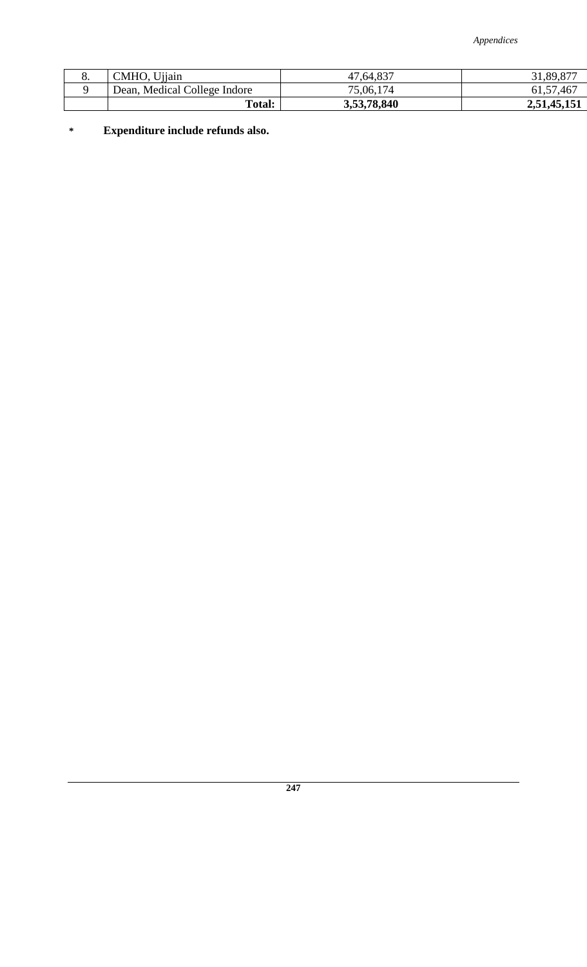*Appendices* 

| $\circ$ . | Ujjain<br>CMHO.              | 47,64,837   | 31,89,877   |
|-----------|------------------------------|-------------|-------------|
|           | Dean, Medical College Indore | 75,06,174   | 61, 57, 467 |
|           | Total:                       | 3,53,78,840 | 2,51,45,151 |

**\* Expenditure include refunds also.**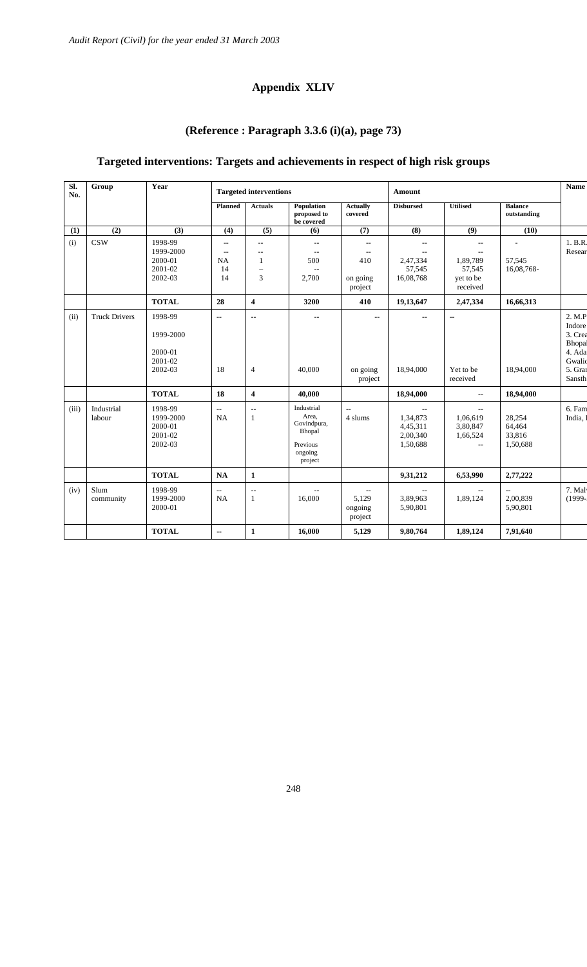#### **Appendix XLIV**

# **(Reference : Paragraph 3.3.6 (i)(a), page 73)**

### **Targeted interventions: Targets and achievements in respect of high risk groups**

| SI.<br>No. | Group                | Year                                                  |                                                                               | <b>Targeted interventions</b>                                                    |                                                                                |                                                                                                         |                                                                          | <b>Amount</b>                                                                 |                                                  |                                                                                  |  |
|------------|----------------------|-------------------------------------------------------|-------------------------------------------------------------------------------|----------------------------------------------------------------------------------|--------------------------------------------------------------------------------|---------------------------------------------------------------------------------------------------------|--------------------------------------------------------------------------|-------------------------------------------------------------------------------|--------------------------------------------------|----------------------------------------------------------------------------------|--|
|            |                      |                                                       | <b>Planned</b>                                                                | <b>Actuals</b>                                                                   | Population<br>proposed to<br>be covered                                        | <b>Actually</b><br>covered                                                                              | <b>Disbursed</b>                                                         | <b>Utilised</b>                                                               | <b>Balance</b><br>outstanding                    |                                                                                  |  |
| (1)        | (2)                  | (3)                                                   | (4)                                                                           | (5)                                                                              | (6)                                                                            | (7)                                                                                                     | (8)                                                                      | (9)                                                                           | (10)                                             |                                                                                  |  |
| (i)        | <b>CSW</b>           | 1998-99<br>1999-2000<br>2000-01<br>2001-02<br>2002-03 | $\overline{\phantom{a}}$<br>$\overline{\phantom{a}}$<br><b>NA</b><br>14<br>14 | $\overline{\phantom{m}}$<br>$-$<br>$\mathbf{1}$<br>$\overline{\phantom{0}}$<br>3 | $\overline{\phantom{m}}$<br>$\overline{\phantom{a}}$<br>500<br>2,700           | $\mathord{\hspace{1pt}\text{--}\hspace{1pt}}$<br>$\overline{\phantom{m}}$<br>410<br>on going<br>project | $-$<br>$-$<br>2,47,334<br>57,545<br>16,08,768                            | $\overline{\phantom{a}}$<br>--<br>1,89,789<br>57,545<br>yet to be<br>received | $\overline{\phantom{a}}$<br>57,545<br>16,08,768- | 1. B.R.<br>Resear                                                                |  |
|            |                      | <b>TOTAL</b>                                          | 28                                                                            | $\overline{\mathbf{4}}$                                                          | 3200                                                                           | 410                                                                                                     | 19,13,647                                                                | 2,47,334                                                                      | 16,66,313                                        |                                                                                  |  |
| (ii)       | <b>Truck Drivers</b> | 1998-99<br>1999-2000<br>2000-01<br>2001-02<br>2002-03 | $\overline{\phantom{a}}$<br>18                                                | $\overline{a}$<br>$\overline{4}$                                                 | $\overline{a}$<br>40,000                                                       | $\overline{\phantom{m}}$<br>on going<br>project                                                         | $\sim$<br>18,94,000                                                      | $\sim$<br>Yet to be<br>received                                               | 18,94,000                                        | 2. M.P<br>Indore<br>$3.$ Crea<br>Bhopal<br>4. Ada<br>Gwalic<br>5. Grai<br>Sansth |  |
|            |                      | <b>TOTAL</b>                                          | 18                                                                            | $\overline{\mathbf{4}}$                                                          | 40,000                                                                         |                                                                                                         | 18,94,000                                                                | $\overline{a}$                                                                | 18,94,000                                        |                                                                                  |  |
| (iii)      | Industrial<br>labour | 1998-99<br>1999-2000<br>2000-01<br>2001-02<br>2002-03 | $\overline{\phantom{a}}$<br><b>NA</b>                                         | $\overline{\phantom{a}}$<br>$\mathbf{1}$                                         | Industrial<br>Area,<br>Govindpura,<br>Bhopal<br>Previous<br>ongoing<br>project | $\overline{a}$<br>4 slums                                                                               | $\overline{\phantom{a}}$<br>1,34,873<br>4,45,311<br>2,00,340<br>1,50,688 | $- -$<br>1,06,619<br>3,80,847<br>1,66,524<br>$\overline{a}$                   | 28,254<br>64,464<br>33,816<br>1,50,688           | 6. Fam<br>India,                                                                 |  |
|            |                      | <b>TOTAL</b>                                          | <b>NA</b>                                                                     | $\mathbf{1}$                                                                     |                                                                                |                                                                                                         | 9,31,212                                                                 | 6,53,990                                                                      | 2,77,222                                         |                                                                                  |  |
| (iv)       | Slum<br>community    | 1998-99<br>1999-2000<br>2000-01                       | $\overline{\phantom{a}}$<br><b>NA</b>                                         | $\sim$<br>1                                                                      | 16,000                                                                         | $\overline{\phantom{a}}$<br>5,129<br>ongoing<br>project                                                 | $\overline{\phantom{a}}$<br>3,89,963<br>5,90,801                         | $\mathcal{L}_{\mathcal{L}}$<br>1,89,124                                       | $\overline{a}$<br>2,00,839<br>5,90,801           | 7. Mal<br>$(1999 -$                                                              |  |
|            |                      | <b>TOTAL</b>                                          | $\overline{\phantom{a}}$                                                      | $\mathbf{1}$                                                                     | 16,000                                                                         | 5,129                                                                                                   | 9,80,764                                                                 | 1,89,124                                                                      | 7,91,640                                         |                                                                                  |  |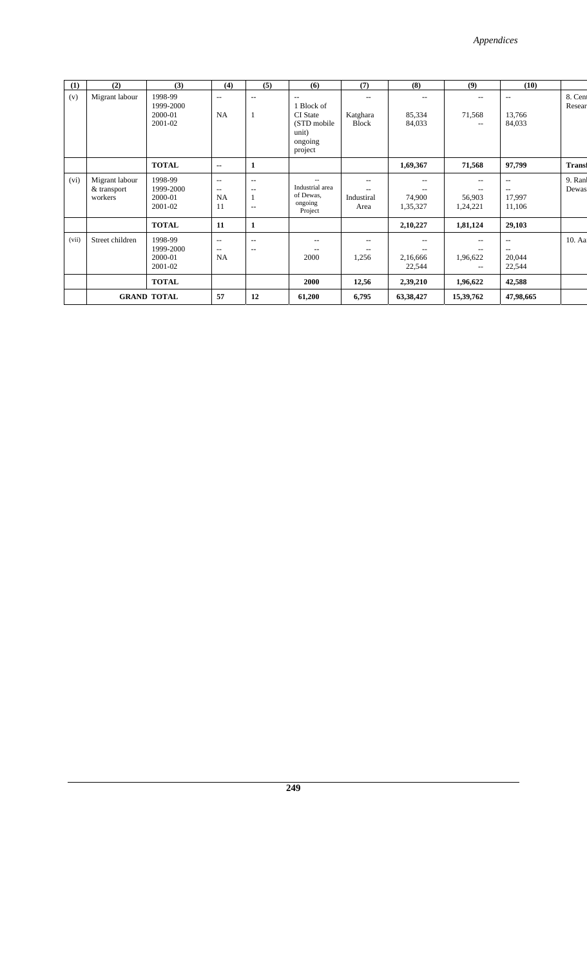| (1)   | (2)                                      | (3)                                        | (4)                                                                     | (5)                | (6)                                                                                            | (7)                                                  | (8)                       | (9)                               | (10)                          |                   |
|-------|------------------------------------------|--------------------------------------------|-------------------------------------------------------------------------|--------------------|------------------------------------------------------------------------------------------------|------------------------------------------------------|---------------------------|-----------------------------------|-------------------------------|-------------------|
| (v)   | Migrant labour                           | 1998-99<br>1999-2000<br>2000-01<br>2001-02 | $-$<br>NA                                                               | --<br>1            | $\overline{a}$<br>1 Block of<br><b>CI</b> State<br>(STD mobile)<br>unit)<br>ongoing<br>project | $- -$<br>Katghara<br><b>Block</b>                    | $- -$<br>85,334<br>84,033 | 71,568                            | --<br>13,766<br>84,033        | 8. Cent<br>Resear |
|       |                                          | <b>TOTAL</b>                               | $\overline{\phantom{a}}$                                                | 1                  |                                                                                                |                                                      | 1,69,367                  | 71,568                            | 97,799                        | <b>Transf</b>     |
| (vi)  | Migrant labour<br>& transport<br>workers | 1998-99<br>1999-2000<br>2000-01<br>2001-02 | $\overline{\phantom{a}}$<br>$\overline{\phantom{a}}$<br><b>NA</b><br>11 | $-$<br>--<br>$- -$ | Industrial area<br>of Dewas,<br>ongoing<br>Project                                             | $\overline{\phantom{a}}$<br>--<br>Industiral<br>Area | --<br>74,900<br>1,35,327  | --<br>$- -$<br>56,903<br>1,24,221 | --<br>$-$<br>17,997<br>11,106 | 9. Ranl<br>Dewas  |
|       |                                          | <b>TOTAL</b>                               | 11                                                                      | 1                  |                                                                                                |                                                      | 2,10,227                  | 1,81,124                          | 29,103                        |                   |
| (vii) | Street children                          | 1998-99<br>1999-2000<br>2000-01<br>2001-02 | $\overline{\phantom{a}}$<br>$\overline{\phantom{a}}$<br><b>NA</b>       | --<br>$-$          | --<br>2000                                                                                     | $\overline{\phantom{a}}$<br>$- -$<br>1,256           | --<br>2,16,666<br>22,544  | $- -$<br>1,96,622                 | $-$<br>--<br>20,044<br>22,544 | 10. Aa            |
|       |                                          | <b>TOTAL</b>                               |                                                                         |                    | 2000                                                                                           | 12,56                                                | 2,39,210                  | 1,96,622                          | 42,588                        |                   |
|       |                                          | <b>GRAND TOTAL</b>                         | 57                                                                      | 12                 | 61,200                                                                                         | 6,795                                                | 63,38,427                 | 15,39,762                         | 47,98,665                     |                   |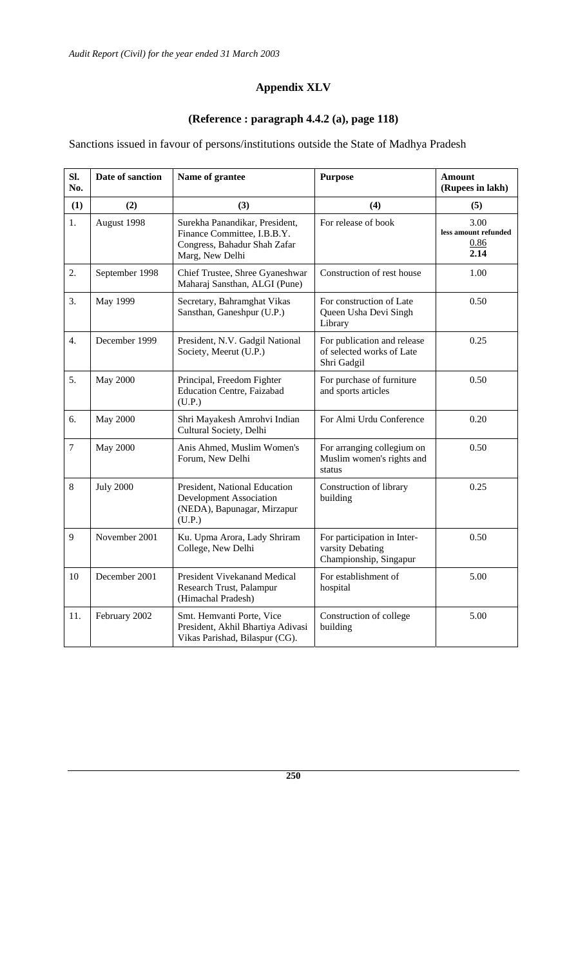## **Appendix XLV**

## **(Reference : paragraph 4.4.2 (a), page 118)**

Sanctions issued in favour of persons/institutions outside the State of Madhya Pradesh

| SI.<br>No.       | Date of sanction | Name of grantee                                                                                                  | <b>Purpose</b>                                                            | <b>Amount</b><br>(Rupees in lakh)            |
|------------------|------------------|------------------------------------------------------------------------------------------------------------------|---------------------------------------------------------------------------|----------------------------------------------|
| (1)              | (2)              | (3)                                                                                                              | (4)                                                                       | (5)                                          |
| 1.               | August 1998      | Surekha Panandikar, President,<br>Finance Committee, I.B.B.Y.<br>Congress, Bahadur Shah Zafar<br>Marg, New Delhi | For release of book                                                       | 3.00<br>less amount refunded<br>0.86<br>2.14 |
| 2.               | September 1998   | Chief Trustee, Shree Gyaneshwar<br>Maharaj Sansthan, ALGI (Pune)                                                 | Construction of rest house                                                | 1.00                                         |
| 3.               | May 1999         | Secretary, Bahramghat Vikas<br>Sansthan, Ganeshpur (U.P.)                                                        | For construction of Late<br>Queen Usha Devi Singh<br>Library              | 0.50                                         |
| $\overline{4}$ . | December 1999    | President, N.V. Gadgil National<br>Society, Meerut (U.P.)                                                        | For publication and release<br>of selected works of Late<br>Shri Gadgil   | 0.25                                         |
| 5.               | <b>May 2000</b>  | Principal, Freedom Fighter<br><b>Education Centre, Faizabad</b><br>(U.P.)                                        | For purchase of furniture<br>and sports articles                          | 0.50                                         |
| 6.               | <b>May 2000</b>  | Shri Mayakesh Amrohvi Indian<br>Cultural Society, Delhi                                                          | For Almi Urdu Conference                                                  | 0.20                                         |
| $\boldsymbol{7}$ | <b>May 2000</b>  | Anis Ahmed, Muslim Women's<br>Forum, New Delhi                                                                   | For arranging collegium on<br>Muslim women's rights and<br>status         | 0.50                                         |
| 8                | <b>July 2000</b> | President, National Education<br><b>Development Association</b><br>(NEDA), Bapunagar, Mirzapur<br>(U.P.)         | Construction of library<br>building                                       | 0.25                                         |
| 9                | November 2001    | Ku. Upma Arora, Lady Shriram<br>College, New Delhi                                                               | For participation in Inter-<br>varsity Debating<br>Championship, Singapur | 0.50                                         |
| 10               | December 2001    | President Vivekanand Medical<br>Research Trust, Palampur<br>(Himachal Pradesh)                                   | For establishment of<br>hospital                                          | 5.00                                         |
| 11.              | February 2002    | Smt. Hemvanti Porte, Vice<br>President, Akhil Bhartiya Adivasi<br>Vikas Parishad, Bilaspur (CG).                 | Construction of college<br>building                                       | 5.00                                         |

**250**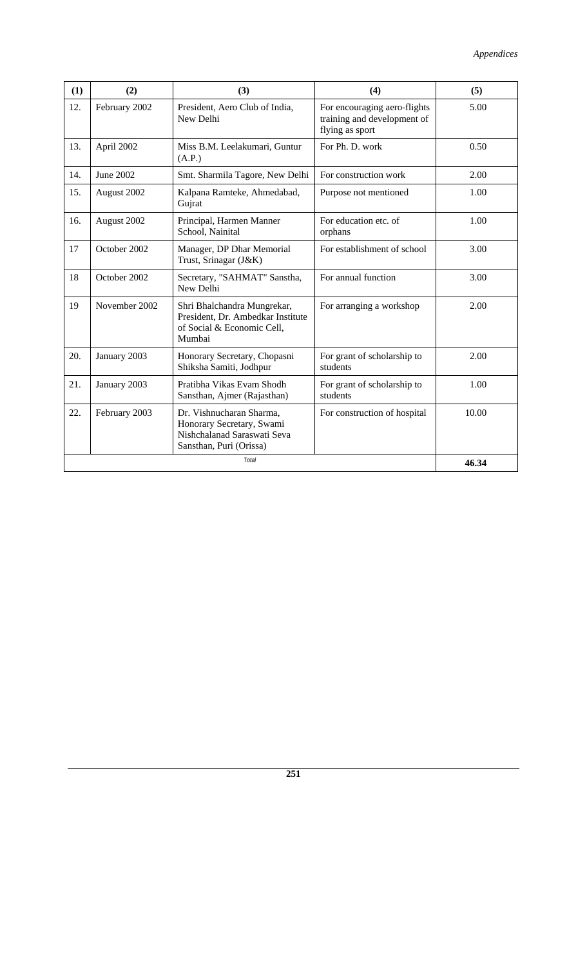| (1) | (2)           | (3)                                                                                                             | (4)                                                                            | (5)  |  |  |
|-----|---------------|-----------------------------------------------------------------------------------------------------------------|--------------------------------------------------------------------------------|------|--|--|
| 12. | February 2002 | President, Aero Club of India,<br>New Delhi                                                                     | For encouraging aero-flights<br>training and development of<br>flying as sport |      |  |  |
| 13. | April 2002    | Miss B.M. Leelakumari, Guntur<br>(A.P.)                                                                         | 0.50                                                                           |      |  |  |
| 14. | June 2002     | Smt. Sharmila Tagore, New Delhi                                                                                 | 2.00                                                                           |      |  |  |
| 15. | August 2002   | Kalpana Ramteke, Ahmedabad,<br>Gujrat                                                                           | 1.00                                                                           |      |  |  |
| 16. | August 2002   | Principal, Harmen Manner<br>School, Nainital                                                                    | 1.00                                                                           |      |  |  |
| 17  | October 2002  | Manager, DP Dhar Memorial<br>Trust, Srinagar (J&K)                                                              | 3.00                                                                           |      |  |  |
| 18  | October 2002  | For annual function<br>Secretary, "SAHMAT" Sanstha,<br>New Delhi                                                |                                                                                | 3.00 |  |  |
| 19  | November 2002 | Shri Bhalchandra Mungrekar,<br>President, Dr. Ambedkar Institute<br>of Social & Economic Cell,<br>Mumbai        | For arranging a workshop                                                       | 2.00 |  |  |
| 20. | January 2003  | Honorary Secretary, Chopasni<br>Shiksha Samiti, Jodhpur                                                         | For grant of scholarship to<br>students                                        | 2.00 |  |  |
| 21. | January 2003  | Pratibha Vikas Evam Shodh<br>Sansthan, Ajmer (Rajasthan)                                                        | For grant of scholarship to<br>students                                        | 1.00 |  |  |
| 22. | February 2003 | Dr. Vishnucharan Sharma,<br>Honorary Secretary, Swami<br>Nishchalanad Saraswati Seva<br>Sansthan, Puri (Orissa) | 10.00                                                                          |      |  |  |
|     | 46.34         |                                                                                                                 |                                                                                |      |  |  |

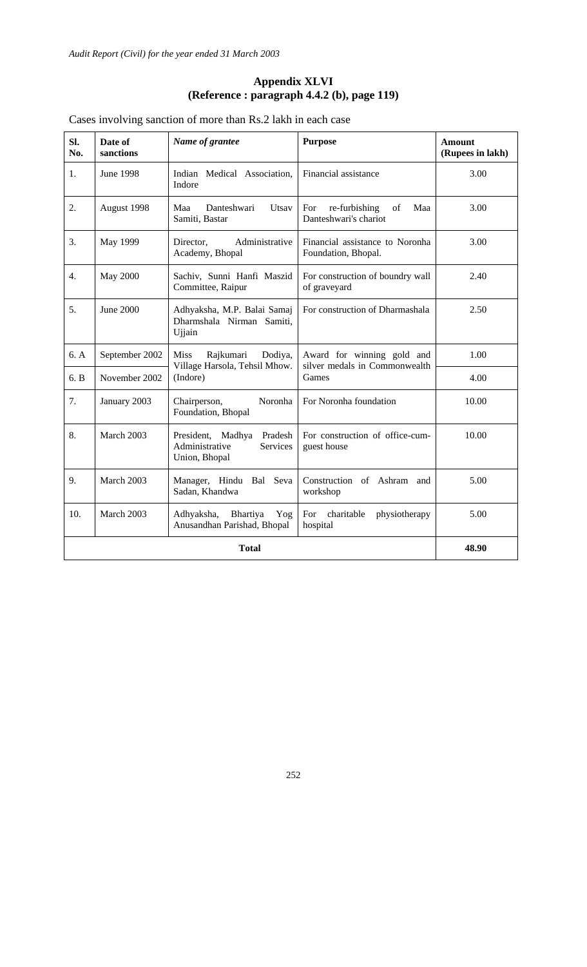#### **Appendix XLVI (Reference : paragraph 4.4.2 (b), page 119)**

Cases involving sanction of more than Rs.2 lakh in each case

| SI.<br>No. | Date of<br>sanctions | Name of grantee                                                             | <b>Purpose</b>                                              | <b>Amount</b><br>(Rupees in lakh) |  |
|------------|----------------------|-----------------------------------------------------------------------------|-------------------------------------------------------------|-----------------------------------|--|
| 1.         | <b>June 1998</b>     | Indian Medical Association,<br>Indore                                       | Financial assistance                                        | 3.00                              |  |
| 2.         | August 1998          | Danteshwari<br>Maa<br>Utsay<br>Samiti, Bastar                               | re-furbishing<br>Maa<br>For<br>of<br>Danteshwari's chariot  | 3.00                              |  |
| 3.         | May 1999             | Administrative<br>Director,<br>Academy, Bhopal                              | Financial assistance to Noronha<br>Foundation, Bhopal.      | 3.00                              |  |
| 4.         | <b>May 2000</b>      | Sachiv, Sunni Hanfi Maszid<br>Committee, Raipur                             | For construction of boundry wall<br>of graveyard            | 2.40                              |  |
| 5.         | June 2000            | Adhyaksha, M.P. Balai Samaj<br>Dharmshala Nirman Samiti,<br>Ujjain          | For construction of Dharmashala                             | 2.50                              |  |
| 6. A       | September 2002       | <b>Miss</b><br>Rajkumari<br>Dodiya,<br>Village Harsola, Tehsil Mhow.        | Award for winning gold and<br>silver medals in Commonwealth | 1.00                              |  |
| 6. B       | November 2002        | (Indore)                                                                    | 4.00                                                        |                                   |  |
| 7.         | January 2003         | Noronha<br>Chairperson,<br>Foundation, Bhopal                               | For Noronha foundation                                      | 10.00                             |  |
| 8.         | March 2003           | President, Madhya<br>Pradesh<br>Administrative<br>Services<br>Union, Bhopal | For construction of office-cum-<br>guest house              | 10.00                             |  |
| 9.         | March 2003           | Manager, Hindu Bal Seva<br>Sadan, Khandwa                                   | Construction of Ashram and<br>workshop                      | 5.00                              |  |
| 10.        | March 2003           | Adhyaksha,<br>Bhartiya<br>Yog<br>Anusandhan Parishad, Bhopal                | For charitable<br>physiotherapy<br>hospital                 | 5.00                              |  |
|            | 48.90                |                                                                             |                                                             |                                   |  |

252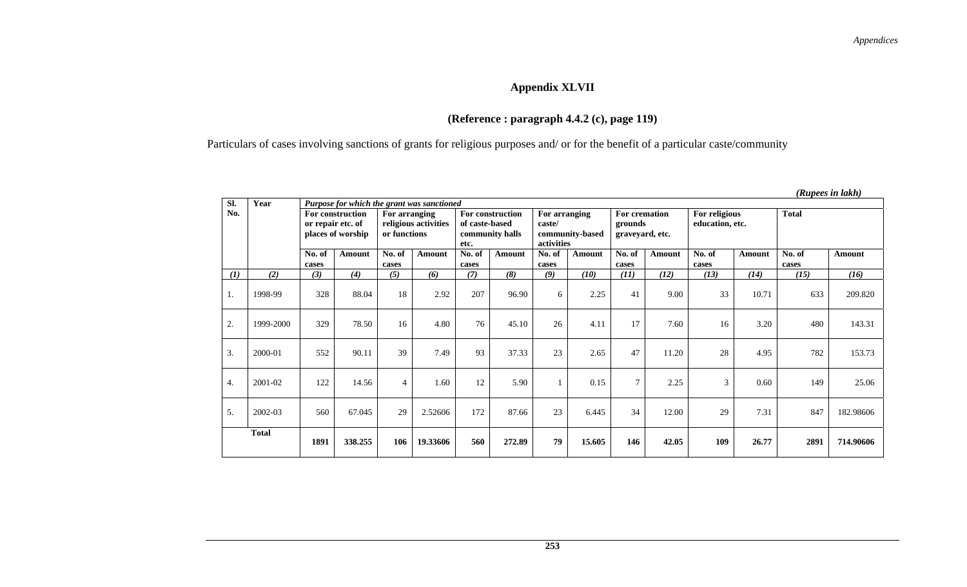## **Appendix XLVII**

## **(Reference : paragraph 4.4.2 (c), page 119)**

Particulars of cases involving sanctions of grants for religious purposes and/ or for the benefit of a particular caste/community

| Sl. | Year         | Purpose for which the grant was sanctioned                 |         |                                                       |          |                                                               |        |                                                          |        |                                             |        |                                  |        |                 |           |
|-----|--------------|------------------------------------------------------------|---------|-------------------------------------------------------|----------|---------------------------------------------------------------|--------|----------------------------------------------------------|--------|---------------------------------------------|--------|----------------------------------|--------|-----------------|-----------|
| No. |              | For construction<br>or repair etc. of<br>places of worship |         | For arranging<br>religious activities<br>or functions |          | For construction<br>of caste-based<br>community halls<br>etc. |        | For arranging<br>caste/<br>community-based<br>activities |        | For cremation<br>grounds<br>graveyard, etc. |        | For religious<br>education, etc. |        | <b>Total</b>    |           |
|     |              | No. of<br>cases                                            | Amount  | No. of<br>cases                                       | Amount   | No. of<br>cases                                               | Amount | No. of<br>cases                                          | Amount | No. of<br>cases                             | Amount | No. of<br>cases                  | Amount | No. of<br>cases | Amount    |
| (1) | (2)          | (3)                                                        | (4)     | (5)                                                   | (6)      | (7)                                                           | (8)    | (9)                                                      | (10)   | (11)                                        | (12)   | (13)                             | (14)   | (15)            | (16)      |
| 1.  | 1998-99      | 328                                                        | 88.04   | 18                                                    | 2.92     | 207                                                           | 96.90  | 6                                                        | 2.25   | 41                                          | 9.00   | 33                               | 10.71  | 633             | 209.820   |
| 2.  | 1999-2000    | 329                                                        | 78.50   | 16                                                    | 4.80     | 76                                                            | 45.10  | 26                                                       | 4.11   | 17                                          | 7.60   | 16                               | 3.20   | 480             | 143.31    |
| 3.  | 2000-01      | 552                                                        | 90.11   | 39                                                    | 7.49     | 93                                                            | 37.33  | 23                                                       | 2.65   | 47                                          | 11.20  | 28                               | 4.95   | 782             | 153.73    |
| 4.  | 2001-02      | 122                                                        | 14.56   | $\overline{4}$                                        | 1.60     | 12                                                            | 5.90   |                                                          | 0.15   | $\tau$                                      | 2.25   | 3                                | 0.60   | 149             | 25.06     |
| 5.  | 2002-03      | 560                                                        | 67.045  | 29                                                    | 2.52606  | 172                                                           | 87.66  | 23                                                       | 6.445  | 34                                          | 12.00  | 29                               | 7.31   | 847             | 182.98606 |
|     | <b>Total</b> | 1891                                                       | 338.255 | 106                                                   | 19.33606 | 560                                                           | 272.89 | 79                                                       | 15.605 | 146                                         | 42.05  | 109                              | 26.77  | 2891            | 714.90606 |

 *(Rupees in lakh)*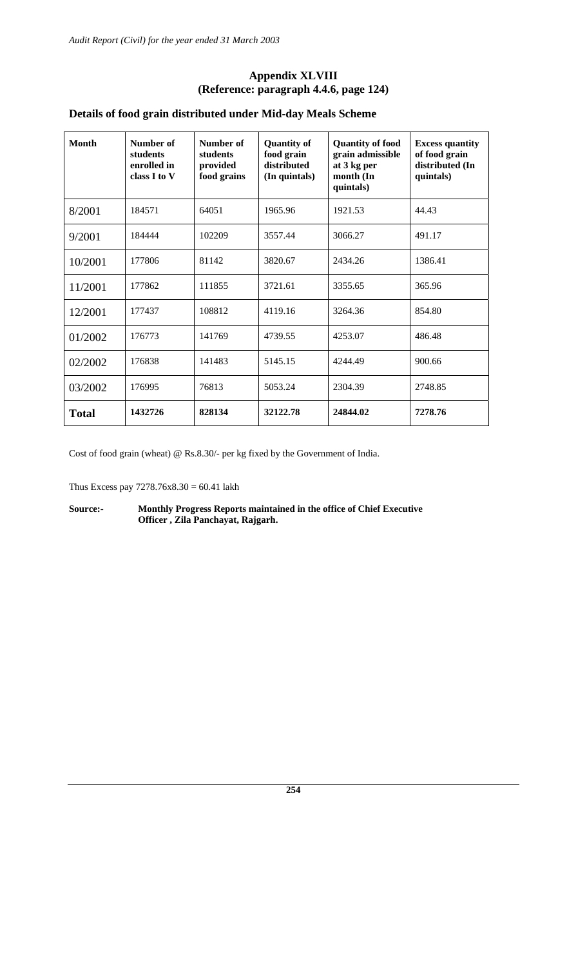#### **Appendix XLVIII (Reference: paragraph 4.4.6, page 124)**

### **Details of food grain distributed under Mid-day Meals Scheme**

| <b>Month</b> | Number of<br>students<br>enrolled in<br>class I to V | Number of<br>students<br>provided<br>food grains | <b>Quantity of</b><br>food grain<br>distributed<br>(In quintals) | <b>Quantity of food</b><br>grain admissible<br>at 3 kg per<br>month (In<br>quintals) | <b>Excess quantity</b><br>of food grain<br>distributed (In<br>quintals) |  |
|--------------|------------------------------------------------------|--------------------------------------------------|------------------------------------------------------------------|--------------------------------------------------------------------------------------|-------------------------------------------------------------------------|--|
| 8/2001       | 184571                                               | 64051                                            | 1965.96                                                          | 1921.53                                                                              | 44.43                                                                   |  |
| 9/2001       | 184444                                               | 102209                                           | 3557.44                                                          | 3066.27                                                                              | 491.17                                                                  |  |
| 10/2001      | 177806                                               | 81142                                            | 3820.67                                                          | 2434.26                                                                              | 1386.41                                                                 |  |
| 11/2001      | 177862                                               | 111855                                           | 3721.61                                                          | 3355.65                                                                              | 365.96                                                                  |  |
| 12/2001      | 177437                                               | 108812                                           | 4119.16                                                          | 3264.36                                                                              | 854.80                                                                  |  |
| 01/2002      | 176773                                               | 141769                                           | 4739.55                                                          | 4253.07                                                                              | 486.48                                                                  |  |
| 02/2002      | 176838                                               | 141483                                           | 5145.15                                                          | 4244.49                                                                              | 900.66                                                                  |  |
| 03/2002      | 176995                                               | 76813                                            | 5053.24                                                          | 2304.39                                                                              | 2748.85                                                                 |  |
| <b>Total</b> | 1432726                                              | 828134                                           | 32122.78                                                         | 24844.02                                                                             | 7278.76                                                                 |  |

Cost of food grain (wheat) @ Rs.8.30/- per kg fixed by the Government of India.

Thus Excess pay 7278.76x8.30 = 60.41 lakh

**Source:- Monthly Progress Reports maintained in the office of Chief Executive Officer , Zila Panchayat, Rajgarh.**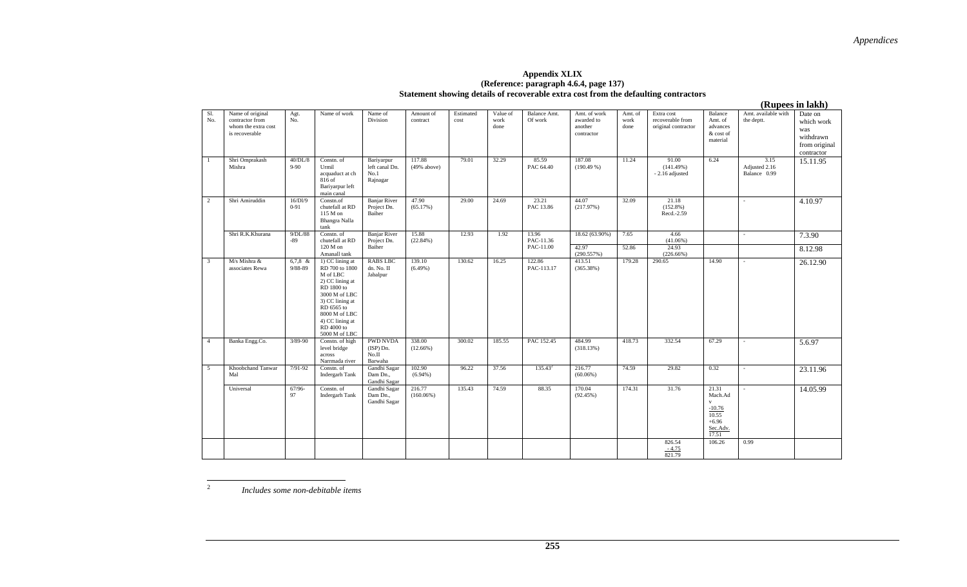### **Appendix XLIX (Reference: paragraph 4.6.4, page 137) Statement showing details of recoverable extra cost from the defaulting contractors**

 **(Rupees in lakh)**  Name of original contractor from whom the extra cost Agt. No. Name of work Name of Division Amount of contract Estimated cost Value of work done Balance Amt. Of work Amt. of work awarded to another contractor Amt. of work done Extra cost recoverable from original contractor Balance Amt. of advances & cost of material Amt. available with the deptt. Date on which work was withdrawn from original contractor 40/DL/8 9-90 Constn. of Urmil acquaduct at ch 816 of Bariyarpur left main canal Bariyarpur left canal Dn. No.1 Rajnagar 117.88 (49% above) 79.01 32.29 85.59 PAC 64.40 187.08  $(190.49%)$ 11.24 91.00  $(141.49%)$ - 2.16 adjusted 6.24 3.15 Adjusted 2.16 Balance 0.99 15.11.95  $16/DI/9$ 0-91 Constn.of chutefall at RD 115 M on Bhangra Nalla tank Constn. of Banjar River Project Dn. Baiher 47.90 (65.17%) 29.00 24.69 23.21 PAC 13.86 44.07 (217.97%) 32.09 21.18 (152.8%) Recd.-2.59 - 4.10.97 18.62 (63.90%) 7.65 4.66 (41.06%)  $- 7.3.90$ Shri R.K.Khurana  $9/DL/88$ -89 chutefall at RD 120 M on Amanall tank 1) CC lining at Banjar River Project Dn. Baiher 15.88 (22.84%) 12.93 1.92 13.96 PAC-11.36 PAC-11.00 42.97  $(290.557%)$ 52.86 24.93 (226.66%) 8.12.98 6,7,8 & 9/88-89 RD 700 to 1800 M of LBC 2) CC lining at RD 1800 to 3000 M of LBC 3) CC lining at RD 6565 to 8000 M of LBC 4) CC lining at RD 4000 to 5000 M of LBC Constn. of high RABS LBC dn. No. II Jabalpur 139.10  $(6.49%)$ 130.62 16.25 122.86 PAC-113.17 413.51  $(365.38%)$ 179.28 290.65 14.90 - 26.12.90 4 Banka Engg.Co. 3/89-90 level bridge across Narrmada river PWD NVDA (ISP) Dn.  $N_{\rm O,II}$  Barwaha Gandhi Sagar 338.00 (12.66%) 300.02 185.55 PAC 152.45 484.99 (318.13%) 418.73 332.54 67.29 - 5.6.97 Khoobchand Tanwar 7/91-92 Constn. of Indergarh Tank Dam Dn., Gandhi Sagar 102.90 (6.94%) 96.22 37.56 135.43<sup>2</sup> 216.77 (60.06%) 5 | Khoobchand Tanwar | 7/91-92 | Constn. of | Gandhi Sagar | 102.90 | 196.22 | 37.56 | 135.43<sup>2</sup> | 216.77 | 14.59 | 29.82 | 0.32 | - | 23.11.96  $67/96-$ 97 Constn. of Indergarh Tank Gandhi Sagar Dam Dn., Gandhi Sagar 216.77 (160.06%) 135.43 74.59 88.35 170.04 (92.45%) 174.31 31.76 21.31 Mach.Adv -10.76 10.55 - 14.05.99

*Includes some non-debitable items*

Sl. No.

2

is recoverable

Shri Omprakash Mishra

Shri Amiruddin

3 M/s Mishra & associates Rewa

Mal

2

Universal

826.54

+6.96 Sec.Adv. 17.51

106.26

0.99

 $\frac{-4.75}{821.79}$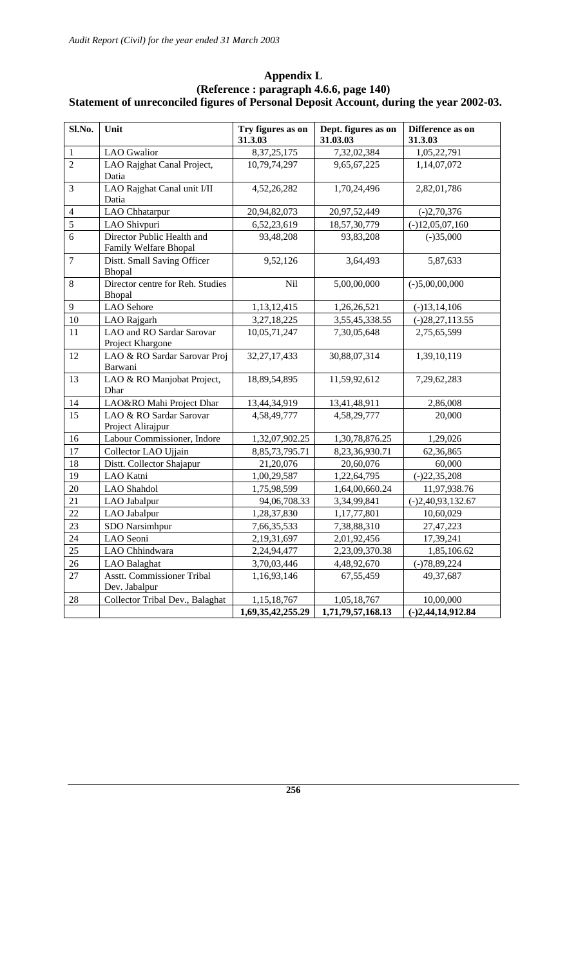| Sl.No.         | Unit                                                | Try figures as on<br>31.3.03     | Dept. figures as on<br>31.03.03  | Difference as on<br>31.3.03      |
|----------------|-----------------------------------------------------|----------------------------------|----------------------------------|----------------------------------|
| 1              | <b>LAO</b> Gwalior                                  | 8, 37, 25, 175                   | 7,32,02,384                      | 1,05,22,791                      |
| $\overline{2}$ | LAO Rajghat Canal Project,<br>Datia                 | 10,79,74,297                     | 9,65,67,225                      | 1,14,07,072                      |
| 3              | LAO Rajghat Canal unit I/II<br>Datia                | 4,52,26,282                      | 1,70,24,496                      | 2,82,01,786                      |
| $\overline{4}$ | LAO Chhatarpur                                      | 20,94,82,073                     | 20,97,52,449                     | $(-)2,70,376$                    |
| 5              | LAO Shivpuri                                        | 6,52,23,619                      | 18,57,30,779                     | $(-)12,05,07,160$                |
| 6              | Director Public Health and<br>Family Welfare Bhopal | 93,48,208                        | 93,83,208                        | $(-)35,000$                      |
| $\tau$         | Distt. Small Saving Officer<br>Bhopal               | 9,52,126                         | 3,64,493                         | 5,87,633                         |
| 8              | Director centre for Reh. Studies<br>Bhopal          | Nil                              | 5,00,00,000                      | $(-)5,00,00,000$                 |
| $\overline{9}$ | <b>LAO</b> Sehore                                   | 1,13,12,415                      | 1,26,26,521                      | $(-)13,14,106$                   |
| 10             | LAO Rajgarh                                         | 3,27,18,225                      | 3,55,45,338.55                   | $(-)28,27,113.55$                |
| 11             | LAO and RO Sardar Sarovar<br>Project Khargone       | 10,05,71,247                     | 7,30,05,648                      | 2,75,65,599                      |
| 12             | LAO & RO Sardar Sarovar Proj<br>Barwani             | 32, 27, 17, 433                  | 30,88,07,314                     | 1,39,10,119                      |
| 13             | LAO & RO Manjobat Project,<br>Dhar                  | 18,89,54,895                     | 11,59,92,612                     | 7,29,62,283                      |
| 14             | LAO&RO Mahi Project Dhar                            | 13,44,34,919                     | 13,41,48,911                     | 2,86,008                         |
| 15             | LAO & RO Sardar Sarovar<br>Project Alirajpur        | 4,58,49,777                      | 4,58,29,777                      | 20,000                           |
| 16             | Labour Commissioner, Indore                         | 1,32,07,902.25                   | 1,30,78,876.25                   | 1,29,026                         |
| 17             | Collector LAO Ujjain                                | 8, 85, 73, 795. 71               | 8,23,36,930.71                   | 62,36,865                        |
| 18             | Distt. Collector Shajapur                           | 21,20,076                        | 20,60,076                        | 60,000                           |
| 19             | LAO Katni                                           | 1,00,29,587                      | 1,22,64,795                      | $(-)22,35,208$                   |
| 20             | LAO Shahdol                                         | 1,75,98,599                      | 1,64,00,660.24                   | 11,97,938.76                     |
| 21             | LAO Jabalpur                                        | 94,06,708.33                     | 3,34,99,841                      | $(-)2,40,93,132.67$              |
| 22             | LAO Jabalpur                                        | 1,28,37,830                      | 1,17,77,801                      | 10,60,029                        |
| 23             | SDO Narsimhpur                                      | 7,66,35,533                      | 7,38,88,310                      | 27,47,223                        |
| 24             | LAO Seoni                                           | 2,19,31,697                      | 2,01,92,456                      | 17,39,241                        |
| 25             | LAO Chhindwara                                      | 2,24,94,477                      | 2,23,09,370.38                   | 1,85,106.62                      |
| 26             | <b>LAO</b> Balaghat                                 | 3,70,03,446                      | 4,48,92,670                      | $(-)78,89,224$                   |
| 27             | <b>Asstt. Commissioner Tribal</b><br>Dev. Jabalpur  | 1,16,93,146                      | 67,55,459                        | 49,37,687                        |
| 28             | Collector Tribal Dev., Balaghat                     | 1,15,18,767<br>1,69,35,42,255.29 | 1,05,18,767<br>1,71,79,57,168.13 | 10,00,000<br>$(-)2,44,14,912.84$ |

### **Appendix L (Reference : paragraph 4.6.6, page 140) Statement of unreconciled figures of Personal Deposit Account, during the year 2002-03.**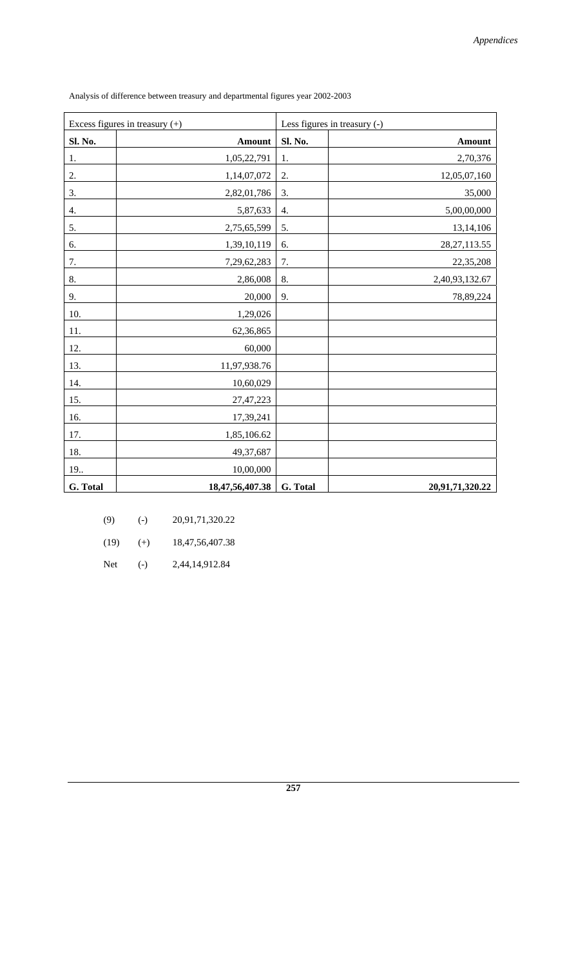| Excess figures in treasury $(+)$ |                 | Less figures in treasury (-) |                 |
|----------------------------------|-----------------|------------------------------|-----------------|
| Sl. No.                          | <b>Amount</b>   | Sl. No.                      | <b>Amount</b>   |
| 1.                               | 1,05,22,791     | 1.                           | 2,70,376        |
| 2.                               | 1,14,07,072     | 2.                           | 12,05,07,160    |
| 3.                               | 2,82,01,786     | 3.                           | 35,000          |
| 4.                               | 5,87,633        | 4.                           | 5,00,00,000     |
| 5.                               | 2,75,65,599     | 5.                           | 13,14,106       |
| 6.                               | 1,39,10,119     | 6.                           | 28, 27, 113.55  |
| 7.                               | 7,29,62,283     | 7.                           | 22,35,208       |
| 8.                               | 2,86,008        | 8.                           | 2,40,93,132.67  |
| 9.                               | 20,000          | 9.                           | 78,89,224       |
| 10.                              | 1,29,026        |                              |                 |
| 11.                              | 62,36,865       |                              |                 |
| 12.                              | 60,000          |                              |                 |
| 13.                              | 11,97,938.76    |                              |                 |
| 14.                              | 10,60,029       |                              |                 |
| 15.                              | 27,47,223       |                              |                 |
| 16.                              | 17,39,241       |                              |                 |
| 17.                              | 1,85,106.62     |                              |                 |
| 18.                              | 49,37,687       |                              |                 |
| 19                               | 10,00,000       |                              |                 |
| G. Total                         | 18,47,56,407.38 | G. Total                     | 20,91,71,320.22 |

Analysis of difference between treasury and departmental figures year 2002-2003

| (9)  | $(-)$ | 20,91,71,320.22     |
|------|-------|---------------------|
| (19) | $(+)$ | 18, 47, 56, 407. 38 |

Net (-) 2,44,14,912.84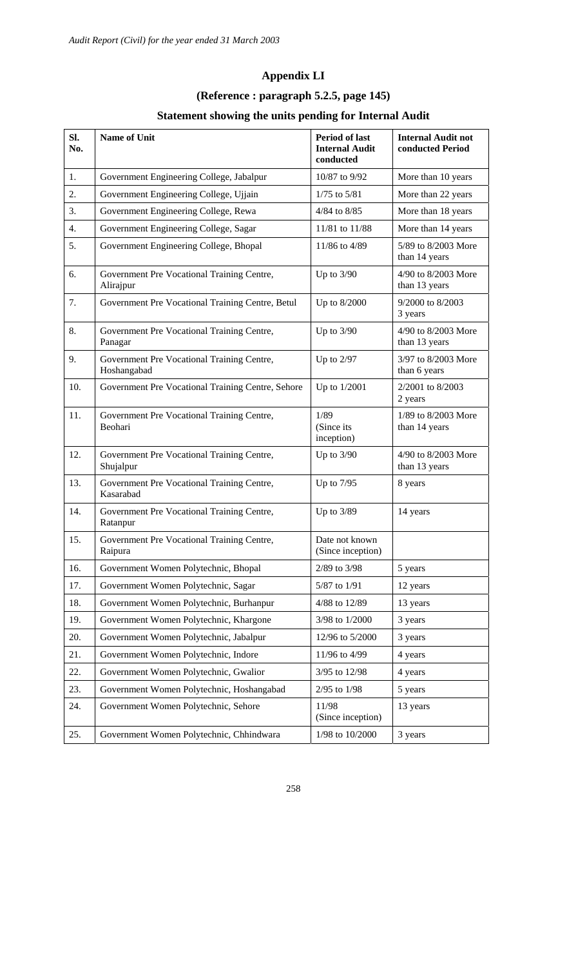# **Appendix LI**

# **(Reference : paragraph 5.2.5, page 145)**

# **Statement showing the units pending for Internal Audit**

| Sl.<br>No. | <b>Name of Unit</b>                                       | <b>Period of last</b><br><b>Internal Audit</b><br>conducted | <b>Internal Audit not</b><br>conducted Period |
|------------|-----------------------------------------------------------|-------------------------------------------------------------|-----------------------------------------------|
| 1.         | Government Engineering College, Jabalpur                  | 10/87 to 9/92                                               | More than 10 years                            |
| 2.         | Government Engineering College, Ujjain                    | $1/75$ to $5/81$                                            | More than 22 years                            |
| 3.         | Government Engineering College, Rewa                      | 4/84 to 8/85                                                | More than 18 years                            |
| 4.         | Government Engineering College, Sagar                     | 11/81 to 11/88                                              | More than 14 years                            |
| 5.         | Government Engineering College, Bhopal                    | 11/86 to 4/89                                               | 5/89 to 8/2003 More<br>than 14 years          |
| 6.         | Government Pre Vocational Training Centre,<br>Alirajpur   | Up to $3/90$                                                | 4/90 to 8/2003 More<br>than 13 years          |
| 7.         | Government Pre Vocational Training Centre, Betul          | Up to 8/2000                                                | 9/2000 to 8/2003<br>3 years                   |
| 8.         | Government Pre Vocational Training Centre,<br>Panagar     | Up to $3/90$                                                | 4/90 to 8/2003 More<br>than 13 years          |
| 9.         | Government Pre Vocational Training Centre,<br>Hoshangabad | Up to $2/97$                                                | 3/97 to 8/2003 More<br>than 6 years           |
| 10.        | Government Pre Vocational Training Centre, Sehore         | Up to 1/2001                                                | 2/2001 to 8/2003<br>2 years                   |
| 11.        | Government Pre Vocational Training Centre,<br>Beohari     | 1/89<br>(Since its<br>inception)                            | 1/89 to 8/2003 More<br>than 14 years          |
| 12.        | Government Pre Vocational Training Centre,<br>Shujalpur   | Up to $3/90$                                                | 4/90 to 8/2003 More<br>than 13 years          |
| 13.        | Government Pre Vocational Training Centre,<br>Kasarabad   | Up to 7/95                                                  | 8 years                                       |
| 14.        | Government Pre Vocational Training Centre,<br>Ratanpur    | Up to 3/89                                                  | 14 years                                      |
| 15.        | Government Pre Vocational Training Centre,<br>Raipura     | Date not known<br>(Since inception)                         |                                               |
| 16.        | Government Women Polytechnic, Bhopal                      | 2/89 to 3/98                                                | 5 years                                       |
| 17.        | Government Women Polytechnic, Sagar                       | 5/87 to 1/91                                                | 12 years                                      |
| 18.        | Government Women Polytechnic, Burhanpur                   | 4/88 to 12/89                                               | 13 years                                      |
| 19.        | Government Women Polytechnic, Khargone                    | 3/98 to 1/2000                                              | 3 years                                       |
| 20.        | Government Women Polytechnic, Jabalpur                    | 12/96 to 5/2000                                             | 3 years                                       |
| 21.        | Government Women Polytechnic, Indore                      | 11/96 to 4/99                                               | 4 years                                       |
| 22.        | Government Women Polytechnic, Gwalior                     | 3/95 to 12/98                                               | 4 years                                       |
| 23.        | Government Women Polytechnic, Hoshangabad                 | 2/95 to 1/98                                                | 5 years                                       |
| 24.        | Government Women Polytechnic, Sehore                      | 11/98<br>(Since inception)                                  | 13 years                                      |
| 25.        | Government Women Polytechnic, Chhindwara                  | 1/98 to 10/2000                                             | 3 years                                       |